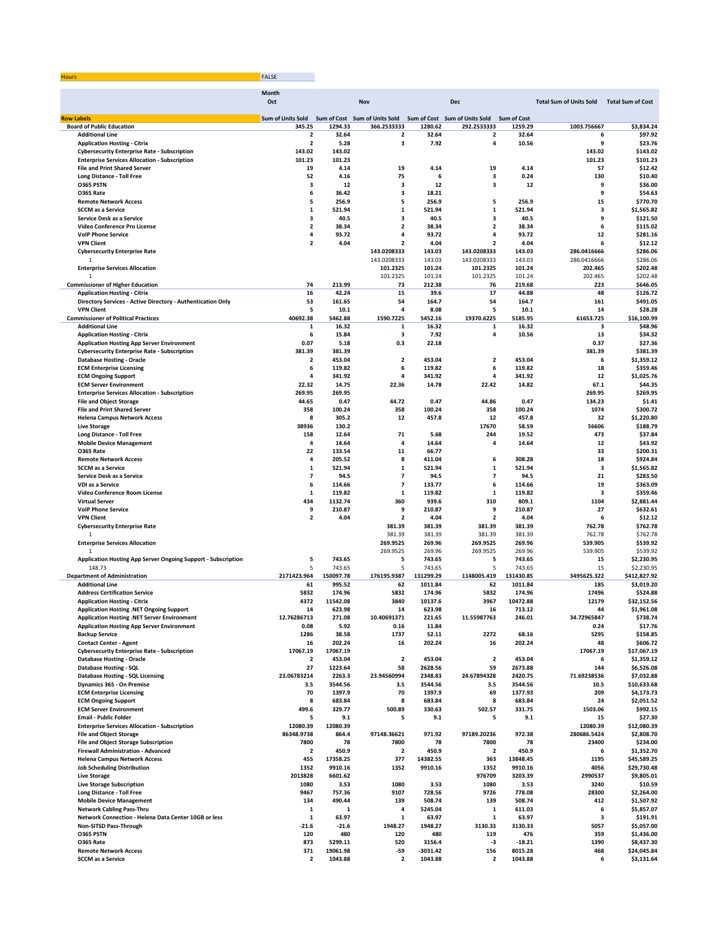| זווחו |  |
|-------|--|
|       |  |

|                                                                                            | <b>Month</b>                      |                     |                               |                      |                               |                      |                                |                                  |
|--------------------------------------------------------------------------------------------|-----------------------------------|---------------------|-------------------------------|----------------------|-------------------------------|----------------------|--------------------------------|----------------------------------|
|                                                                                            | Oct                               |                     | Nov                           |                      | Dec                           |                      | <b>Total Sum of Units Sold</b> | <b>Total Sum of Cost</b>         |
| <b>Row Labels</b>                                                                          | Sum of Units Sold                 |                     | Sum of Cost Sum of Units Sold |                      | Sum of Cost Sum of Units Sold | <b>Sum of Cost</b>   |                                |                                  |
| <b>Board of Public Education</b>                                                           | 345.25                            | 1294.33             | 366.2533333                   | 1280.62              | 292.2533333                   | 1259.29              | 1003.756667                    | \$3,834.24                       |
| <b>Additional Line</b>                                                                     | 2                                 | 32.64               | $\overline{\mathbf{2}}$       | 32.64                | $\overline{\mathbf{2}}$       | 32.64                |                                | \$97.92<br>6                     |
| <b>Application Hosting - Citrix</b><br><b>Cybersecurity Enterprise Rate - Subscription</b> | $\overline{\mathbf{2}}$<br>143.02 | 5.28<br>143.02      | 3                             | 7.92                 | 4                             | 10.56                | 9<br>143.02                    | \$23.76<br>\$143.02              |
| <b>Enterprise Services Allocation - Subscription</b>                                       | 101.23                            | 101.23              |                               |                      |                               |                      | 101.23                         | \$101.23                         |
| <b>File and Print Shared Server</b>                                                        | 19                                | 4.14                | 19                            | 4.14                 | 19                            | 4.14                 | 57                             | \$12.42                          |
| Long Distance - Toll Free                                                                  | 52                                | 4.16                | 75                            | 6                    | 3                             | 0.24                 | 130                            | \$10.40                          |
| O365 PSTN                                                                                  | 3                                 | 12                  | 3                             | 12                   | 3                             | 12                   |                                | 9<br>\$36.00                     |
| <b>0365 Rate</b>                                                                           | 6                                 | 36.42               | 3                             | 18.21                |                               |                      | 9                              | \$54.63                          |
| <b>Remote Network Access</b><br><b>SCCM</b> as a Service                                   | 5                                 | 256.9               | 5                             | 256.9                | 5                             | 256.9                | 15                             | \$770.70                         |
| Service Desk as a Service                                                                  | 1<br>з                            | 521.94<br>40.5      | 1<br>3                        | 521.94<br>40.5       | 1<br>3                        | 521.94<br>40.5       |                                | \$1,565.82<br>з<br>9<br>\$121.50 |
| Video Conference Pro License                                                               | $\overline{\mathbf{2}}$           | 38.34               | $\overline{\mathbf{2}}$       | 38.34                | $\overline{2}$                | 38.34                |                                | 6<br>\$115.02                    |
| <b>VolP Phone Service</b>                                                                  | 4                                 | 93.72               | 4                             | 93.72                | 4                             | 93.72                | 12                             | \$281.16                         |
| <b>VPN Client</b>                                                                          | $\overline{2}$                    | 4.04                | $\overline{\mathbf{2}}$       | 4.04                 | $\overline{\mathbf{2}}$       | 4.04                 | 6                              | \$12.12                          |
| <b>Cybersecurity Enterprise Rate</b>                                                       |                                   |                     | 143.0208333                   | 143.03               | 143.0208333                   | 143.03               | 286.0416666                    | \$286.06                         |
| 1                                                                                          |                                   |                     | 143.0208333                   | 143.03               | 143.0208333                   | 143.03               | 286.0416666                    | \$286.06                         |
| <b>Enterprise Services Allocation</b>                                                      |                                   |                     | 101.2325                      | 101.24               | 101.2325                      | 101.24               | 202.465                        | \$202.48                         |
| $\mathbf{1}$                                                                               | 74                                | 213.99              | 101.2325                      | 101.24<br>212.38     | 101.2325                      | 101.24<br>219.68     | 202.465<br>223                 | \$202.48                         |
| <b>Commissioner of Higher Education</b><br><b>Application Hosting - Citrix</b>             | 16                                | 42.24               | 73<br>15                      | 39.6                 | 76<br>17                      | 44.88                | 48                             | \$646.05<br>\$126.72             |
| Directory Services - Active Directory - Authentication Only                                | 53                                | 161.65              | 54                            | 164.7                | 54                            | 164.7                | 161                            | \$491.05                         |
| <b>VPN Client</b>                                                                          | 5                                 | 10.1                | 4                             | 8.08                 | 5                             | 10.1                 | 14                             | \$28.28                          |
| <b>Commissioner of Political Practices</b>                                                 | 40692.38                          | 5462.88             | 1590.7225                     | 5452.16              | 19370.6225                    | 5185.95              | 61653.725                      | \$16,100.99                      |
| <b>Additional Line</b>                                                                     | 1                                 | 16.32               | 1                             | 16.32                | 1                             | 16.32                |                                | \$48.96<br>з                     |
| <b>Application Hosting - Citrix</b>                                                        | 6                                 | 15.84               | 3                             | 7.92                 | 4                             | 10.56                | 13                             | \$34.32                          |
| <b>Application Hosting App Server Environment</b>                                          | 0.07                              | 5.18                | 0.3                           | 22.18                |                               |                      | 0.37                           | \$27.36                          |
| <b>Cybersecurity Enterprise Rate - Subscription</b><br><b>Database Hosting - Oracle</b>    | 381.39<br>2                       | 381.39<br>453.04    | $\overline{\mathbf{2}}$       | 453.04               | $\overline{\mathbf{2}}$       | 453.04               | 381.39                         | \$381.39<br>\$1,359.12<br>6      |
| <b>ECM Enterprise Licensing</b>                                                            | 6                                 | 119.82              | 6                             | 119.82               | 6                             | 119.82               | 18                             | \$359.46                         |
| <b>ECM Ongoing Support</b>                                                                 | 4                                 | 341.92              | 4                             | 341.92               | 4                             | 341.92               | 12                             | \$1,025.76                       |
| <b>ECM Server Environment</b>                                                              | 22.32                             | 14.75               | 22.36                         | 14.78                | 22.42                         | 14.82                | 67.1                           | \$44.35                          |
| <b>Enterprise Services Allocation - Subscription</b>                                       | 269.95                            | 269.95              |                               |                      |                               |                      | 269.95                         | \$269.95                         |
| <b>File and Object Storage</b>                                                             | 44.65                             | 0.47                | 44.72                         | 0.47                 | 44.86                         | 0.47                 | 134.23                         | \$1.41                           |
| <b>File and Print Shared Server</b>                                                        | 358                               | 100.24              | 358                           | 100.24               | 358                           | 100.24               | 1074                           | \$300.72                         |
| <b>Helena Campus Network Access</b>                                                        | 8                                 | 305.2               | 12                            | 457.8                | 12                            | 457.8                | 32                             | \$1,220.80                       |
| <b>Live Storage</b>                                                                        | 38936                             | 130.2<br>12.64      | 71                            | 5.68                 | 17670<br>244                  | 58.59<br>19.52       | 56606<br>473                   | \$188.79<br>\$37.84              |
| <b>Long Distance - Toll Free</b><br><b>Mobile Device Management</b>                        | 158<br>4                          | 14.64               | 4                             | 14.64                | 4                             | 14.64                | 12                             | \$43.92                          |
| <b>0365 Rate</b>                                                                           | 22                                | 133.54              | 11                            | 66.77                |                               |                      | 33                             | \$200.31                         |
| <b>Remote Network Access</b>                                                               | 4                                 | 205.52              | 8                             | 411.04               | 6                             | 308.28               | 18                             | \$924.84                         |
| <b>SCCM</b> as a Service                                                                   | 1                                 | 521.94              | 1                             | 521.94               | 1                             | 521.94               |                                | 3<br>\$1,565.82                  |
| Service Desk as a Service                                                                  | 7                                 | 94.5                | $\overline{\phantom{a}}$      | 94.5                 | 7                             | 94.5                 | 21                             | \$283.50                         |
| VDI as a Service                                                                           | 6                                 | 114.66              | $\overline{\phantom{a}}$      | 133.77               | 6                             | 114.66               | 19                             | \$363.09                         |
| Video Conference Room License                                                              | $\mathbf 1$                       | 119.82              | 1                             | 119.82               | ${\bf 1}$                     | 119.82               |                                | 3<br>\$359.46                    |
| <b>Virtual Server</b>                                                                      | 434                               | 1132.74             | 360                           | 939.6                | 310                           | 809.1                | 1104                           | \$2,881.44                       |
| <b>VolP Phone Service</b><br><b>VPN Client</b>                                             | 9<br>$\overline{\mathbf{2}}$      | 210.87<br>4.04      | 9<br>$\overline{\mathbf{2}}$  | 210.87<br>4.04       | 9<br>$\overline{\mathbf{2}}$  | 210.87<br>4.04       | 27                             | \$632.61<br>\$12.12<br>6         |
| <b>Cybersecurity Enterprise Rate</b>                                                       |                                   |                     | 381.39                        | 381.39               | 381.39                        | 381.39               | 762.78                         | \$762.78                         |
| 1                                                                                          |                                   |                     | 381.39                        | 381.39               | 381.39                        | 381.39               | 762.78                         | \$762.78                         |
| <b>Enterprise Services Allocation</b>                                                      |                                   |                     | 269.9525                      | 269.96               | 269.9525                      | 269.96               | 539.905                        | \$539.92                         |
| $\overline{1}$                                                                             |                                   |                     | 269.9525                      | 269.96               | 269.9525                      | 269.96               | 539.905                        | \$539.92                         |
| Application Hosting App Server Ongoing Support - Subscription                              | 5                                 | 743.65              | 5                             | 743.65               | 5                             | 743.65               | 15                             | \$2,230.95                       |
| 148.73                                                                                     | 5                                 | 743.65              | 5                             | 743.65               | 5                             | 743.65               | 15                             | \$2,230.95                       |
| <b>Department of Administration</b><br><b>Additional Line</b>                              | 2171423.964<br>61                 | 150097.78<br>995.52 | 176195.9387<br>62             | 131299.29<br>1011.84 | 1148005.419<br>62             | 131430.85<br>1011.84 | 3495625.322<br>185             | \$412,827.92<br>\$3,019.20       |
| <b>Address Certification Service</b>                                                       | 5832                              | 174.96              | 5832                          | 174.96               | 5832                          | 174.96               | 17496                          | \$524.88                         |
| <b>Application Hosting - Citrix</b>                                                        | 4372                              | 11542.08            | 3840                          | 10137.6              | 3967                          | 10472.88             | 12179                          | \$32,152.56                      |
| <b>Application Hosting .NET Ongoing Support</b>                                            | 14                                | 623.98              | 14                            | 623.98               | 16                            | 713.12               | 44                             | \$1,961.08                       |
| Application Hosting .NET Server Environment                                                | 12.76286713                       | 271.08              | 10.40691371                   | 221.65               | 11.5598//63                   | 246.01               | 54.72965847                    | \$738.74                         |
| <b>Application Hosting App Server Environment</b>                                          | 0.08                              | 5.92                | 0.16                          | 11.84                |                               |                      | 0.24                           | \$17.76                          |
| <b>Backup Service</b>                                                                      | 1286                              | 38.58               | 1737                          | 52.11                | 2272                          | 68.16                | 5295                           | \$158.85                         |
| <b>Contact Center - Agent</b>                                                              | 16                                | 202.24              | 16                            | 202.24               | 16                            | 202.24               | 48                             | \$606.72                         |
| <b>Cybersecurity Enterprise Rate - Subscription</b><br><b>Database Hosting - Oracle</b>    | 17067.19<br>2                     | 17067.19<br>453.04  | $\overline{\mathbf{2}}$       | 453.04               | 2                             | 453.04               | 17067.19                       | \$17,067.19<br>6<br>\$1,359.12   |
| Database Hosting - SQL                                                                     | 27                                | 1223.64             | 58                            | 2628.56              | 59                            | 2673.88              | 144                            | \$6,526.08                       |
| <b>Database Hosting - SQL Licensing</b>                                                    | 23.06783214                       | 2263.3              | 23.94560994                   | 2348.83              | 24.67894328                   | 2420.75              | 71.69238536                    | \$7,032.88                       |
| Dynamics 365 - On Premise                                                                  | 3.5                               | 3544.56             | 3.5                           | 3544.56              | 3.5                           | 3544.56              | 10.5                           | \$10,633.68                      |
| <b>ECM Enterprise Licensing</b>                                                            | 70                                | 1397.9              | 70                            | 1397.9               | 69                            | 1377.93              | 209                            | \$4,173.73                       |
| <b>ECM Ongoing Support</b>                                                                 | 8                                 | 683.84              | 8                             | 683.84               | 8                             | 683.84               | 24                             | \$2,051.52                       |
| <b>ECM Server Environment</b>                                                              | 499.6                             | 329.77              | 500.89                        | 330.63               | 502.57                        | 331.75               | 1503.06                        | \$992.15                         |
| <b>Email - Public Folder</b>                                                               | 5                                 | 9.1                 | 5                             | 9.1                  | 5                             | 9.1                  | 15                             | \$27.30                          |
| <b>Enterprise Services Allocation - Subscription</b>                                       | 12080.39                          | 12080.39            |                               |                      | 97189.20236                   |                      | 12080.39                       | \$12,080.39                      |
| <b>File and Object Storage</b><br><b>File and Object Storage Subscription</b>              | 86348.9738<br>7800                | 864.4<br>78         | 97148.36621<br>7800           | 971.92<br>78         | 7800                          | 972.38<br>78         | 280686.5424<br>23400           | \$2,808.70<br>\$234.00           |
| Firewall Administration - Advanced                                                         | 2                                 | 450.9               | $\overline{\mathbf{2}}$       | 450.9                | 2                             | 450.9                |                                | \$1,352.70<br>6                  |
| <b>Helena Campus Network Access</b>                                                        | 455                               | 17358.25            | 377                           | 14382.55             | 363                           | 13848.45             | 1195                           | \$45,589.25                      |
| <b>Job Scheduling Distribution</b>                                                         | 1352                              | 9910.16             | 1352                          | 9910.16              | 1352                          | 9910.16              | 4056                           | \$29,730.48                      |
| <b>Live Storage</b>                                                                        | 2013828                           | 6601.62             |                               |                      | 976709                        | 3203.39              | 2990537                        | \$9,805.01                       |
| <b>Live Storage Subscription</b>                                                           | 1080                              | 3.53                | 1080                          | 3.53                 | 1080                          | 3.53                 | 3240                           | \$10.59                          |
| Long Distance - Toll Free                                                                  | 9467                              | 757.36              | 9107                          | 728.56               | 9726                          | 778.08               | 28300                          | \$2,264.00                       |
| <b>Mobile Device Management</b>                                                            | 134                               | 490.44<br>1         | 139<br>4                      | 508.74               | 139<br>1                      | 508.74               | 412<br>6                       | \$1,507.92                       |
| <b>Network Cabling Pass-Thru</b><br>Network Connection - Helena Data Center 10GB or less   | 1<br>1                            | 63.97               | 1                             | 5245.04<br>63.97     | 1                             | 611.03<br>63.97      |                                | \$5,857.07<br>\$191.91<br>з      |
| Non-SITSD Pass-Through                                                                     | $-21.6$                           | $-21.6$             | 1948.27                       | 1948.27              | 3130.33                       | 3130.33              | 5057                           | \$5,057.00                       |
| O365 PSTN                                                                                  | 120                               | 480                 | 120                           | 480                  | 119                           | 476                  | 359                            | \$1,436.00                       |
| O365 Rate                                                                                  | 873                               | 5299.11             | 520                           | 3156.4               | -3                            | $-18.21$             | 1390                           | \$8,437.30                       |
| <b>Remote Network Access</b>                                                               | 371                               | 19061.98            | $-59$                         | $-3031.42$           | 156                           | 8015.28              | 468                            | \$24,045.84                      |
| <b>SCCM</b> as a Service                                                                   | 2                                 | 1043.88             | $\overline{\mathbf{2}}$       | 1043.88              | 2                             | 1043.88              |                                | \$3,131.64<br>6                  |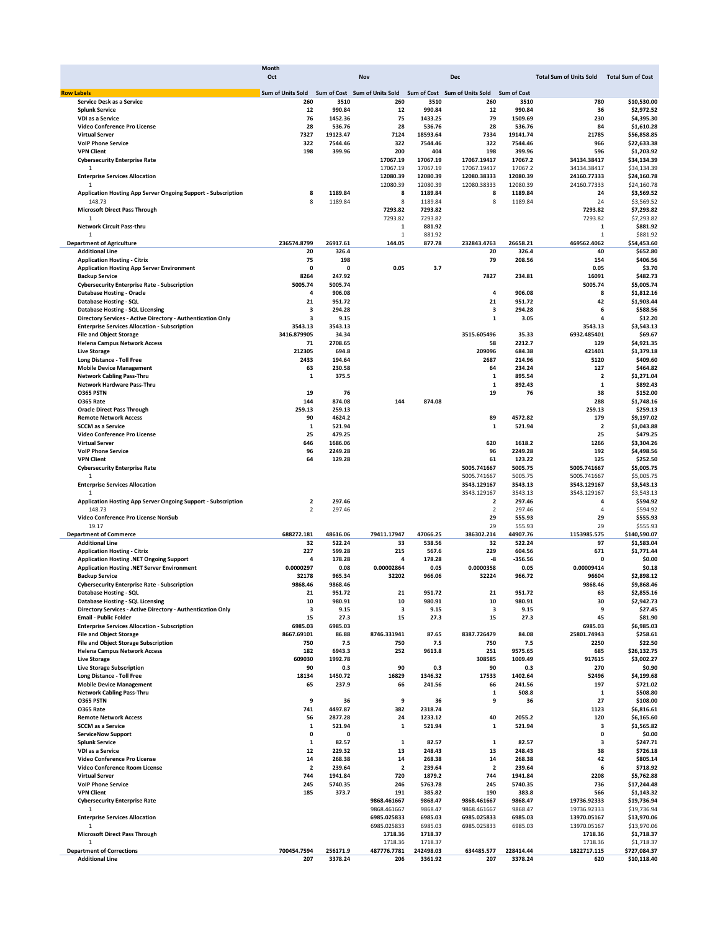|                                                               | <b>Month</b>             |                    |                         |           |                               |                    |                                |                          |
|---------------------------------------------------------------|--------------------------|--------------------|-------------------------|-----------|-------------------------------|--------------------|--------------------------------|--------------------------|
|                                                               | Oct                      |                    | Nov                     |           | <b>Dec</b>                    |                    | <b>Total Sum of Units Sold</b> | <b>Total Sum of Cost</b> |
|                                                               |                          |                    |                         |           |                               |                    |                                |                          |
| <b>Row Labels</b>                                             | Sum of Units Sold        | <b>Sum of Cost</b> | Sum of Units Sold       |           | Sum of Cost Sum of Units Sold | <b>Sum of Cost</b> |                                |                          |
| Service Desk as a Service                                     | 260                      | 3510               | 260                     | 3510      | 260                           | 3510               | 780                            | \$10,530.00              |
| <b>Splunk Service</b>                                         | 12                       | 990.84             | 12                      | 990.84    | 12                            | 990.84             | 36                             | \$2,972.52               |
| <b>VDI as a Service</b>                                       | 76                       | 1452.36            | 75                      | 1433.25   | 79                            | 1509.69            | 230                            | \$4,395.30               |
| Video Conference Pro License                                  | 28                       | 536.76             | 28                      | 536.76    | 28                            | 536.76             | 84                             | \$1,610.28               |
| <b>Virtual Server</b>                                         | 7327                     | 19123.47           | 7124                    | 18593.64  | 7334                          | 19141.74           | 21785                          | \$56,858.85              |
| <b>VolP Phone Service</b>                                     | 322                      | 7544.46            | 322                     | 7544.46   | 322                           | 7544.46            | 966                            | \$22,633.38              |
| <b>VPN Client</b>                                             | 198                      | 399.96             | 200                     | 404       | 198                           | 399.96             | 596                            | \$1,203.92               |
| <b>Cybersecurity Enterprise Rate</b>                          |                          |                    | 17067.19                | 17067.19  | 17067.19417                   | 17067.2            | 34134.38417                    | \$34,134.39              |
| $\mathbf{1}$                                                  |                          |                    | 17067.19                | 17067.19  | 17067.19417                   | 17067.2            | 34134.38417                    | \$34,134.39              |
| <b>Enterprise Services Allocation</b>                         |                          |                    | 12080.39                | 12080.39  | 12080.38333                   | 12080.39           | 24160.77333                    | \$24,160.78              |
|                                                               |                          |                    | 12080.39                | 12080.39  | 12080.38333                   | 12080.39           | 24160.77333                    | \$24,160.78              |
| Application Hosting App Server Ongoing Support - Subscription | 8                        | 1189.84            | 8                       | 1189.84   | 8                             | 1189.84            | 24                             | \$3,569.52               |
| 148.73                                                        | $\mathbf{8}$             | 1189.84            | 8                       | 1189.84   | 8                             | 1189.84            | 24                             | \$3,569.52               |
| <b>Microsoft Direct Pass Through</b>                          |                          |                    | 7293.82                 | 7293.82   |                               |                    | 7293.82                        | \$7,293.82               |
| 1                                                             |                          |                    | 7293.82                 | 7293.82   |                               |                    | 7293.82                        | \$7,293.82               |
| Network Circuit Pass-thru                                     |                          |                    | $\mathbf 1$             | 881.92    |                               |                    | 1                              | \$881.92                 |
| $\mathbf{1}$                                                  |                          |                    | $\mathbf{1}$            | 881.92    |                               |                    | $\mathbf 1$                    | \$881.92                 |
| <b>Department of Agriculture</b>                              | 236574.8799              | 26917.61           | 144.05                  | 877.78    | 232843.4763                   | 26658.21           | 469562.4062                    | \$54,453.60              |
| <b>Additional Line</b>                                        | 20                       | 326.4              |                         |           | 20                            | 326.4              | 40                             | \$652.80                 |
|                                                               | 75                       | 198                |                         |           | 79                            | 208.56             | 154                            | \$406.56                 |
| <b>Application Hosting - Citrix</b>                           | $\Omega$                 | 0                  |                         |           |                               |                    |                                |                          |
| <b>Application Hosting App Server Environment</b>             |                          |                    | 0.05                    | 3.7       |                               |                    | 0.05                           | \$3.70                   |
| <b>Backup Service</b>                                         | 8264                     | 247.92             |                         |           | 7827                          | 234.81             | 16091                          | \$482.73                 |
| <b>Cybersecurity Enterprise Rate - Subscription</b>           | 5005.74                  | 5005.74            |                         |           |                               |                    | 5005.74                        | \$5,005.74               |
| <b>Database Hosting - Oracle</b>                              | 4                        | 906.08             |                         |           | 4                             | 906.08             | 8                              | \$1,812.16               |
| Database Hosting - SQL                                        | 21                       | 951.72             |                         |           | 21                            | 951.72             | 42                             | \$1,903.44               |
| <b>Database Hosting - SQL Licensing</b>                       | 3                        | 294.28             |                         |           | 3                             | 294.28             | 6                              | \$588.56                 |
| Directory Services - Active Directory - Authentication Only   | 3                        | 9.15               |                         |           | $\mathbf{1}$                  | 3.05               | 4                              | \$12.20                  |
| <b>Enterprise Services Allocation - Subscription</b>          | 3543.13                  | 3543.13            |                         |           |                               |                    | 3543.13                        | \$3,543.13               |
| <b>File and Object Storage</b>                                | 3416.879905              | 34.34              |                         |           | 3515.605496                   | 35.33              | 6932.485401                    | \$69.67                  |
| <b>Helena Campus Network Access</b>                           | 71                       | 2708.65            |                         |           | 58                            | 2212.7             | 129                            | \$4,921.35               |
| <b>Live Storage</b>                                           | 212305                   | 694.8              |                         |           | 209096                        | 684.38             | 421401                         | \$1,379.18               |
| Long Distance - Toll Free                                     | 2433                     | 194.64             |                         |           | 2687                          | 214.96             | 5120                           | \$409.60                 |
| <b>Mobile Device Management</b>                               | 63                       | 230.58             |                         |           | 64                            | 234.24             | 127                            | \$464.82                 |
| <b>Network Cabling Pass-Thru</b>                              | 1                        | 375.5              |                         |           | $\mathbf{1}$                  | 895.54             | $\overline{\mathbf{2}}$        | \$1,271.04               |
| Network Hardware Pass-Thru                                    |                          |                    |                         |           | 1                             | 892.43             | $\mathbf{1}$                   | \$892.43                 |
| <b>0365 PSTN</b>                                              | 19                       | 76                 |                         |           | 19                            | 76                 | 38                             | \$152.00                 |
| O365 Rate                                                     | 144                      | 874.08             | 144                     | 874.08    |                               |                    | 288                            | \$1,748.16               |
| <b>Oracle Direct Pass Through</b>                             | 259.13                   | 259.13             |                         |           |                               |                    | 259.13                         | \$259.13                 |
|                                                               |                          |                    |                         |           |                               |                    |                                |                          |
| <b>Remote Network Access</b>                                  | 90                       | 4624.2             |                         |           | 89                            | 4572.82            | 179                            | \$9,197.02               |
| <b>SCCM</b> as a Service                                      | 1                        | 521.94             |                         |           | 1                             | 521.94             | $\overline{\mathbf{2}}$        | \$1,043.88               |
| Video Conference Pro License                                  | 25                       | 479.25             |                         |           |                               |                    | 25                             | \$479.25                 |
| <b>Virtual Server</b>                                         | 646                      | 1686.06            |                         |           | 620                           | 1618.2             | 1266                           | \$3,304.26               |
| <b>VolP Phone Service</b>                                     | 96                       | 2249.28            |                         |           | 96                            | 2249.28            | 192                            | \$4,498.56               |
| <b>VPN Client</b>                                             | 64                       | 129.28             |                         |           | 61                            | 123.22             | 125                            | \$252.50                 |
| <b>Cybersecurity Enterprise Rate</b>                          |                          |                    |                         |           | 5005.741667                   | 5005.75            | 5005.741667                    | \$5,005.75               |
| $\mathbf{1}$                                                  |                          |                    |                         |           | 5005.741667                   | 5005.75            | 5005.741667                    | \$5,005.75               |
| <b>Enterprise Services Allocation</b>                         |                          |                    |                         |           | 3543.129167                   | 3543.13            | 3543.129167                    | \$3,543.13               |
| 1                                                             |                          |                    |                         |           | 3543.129167                   | 3543.13            | 3543.129167                    | \$3,543.13               |
| Application Hosting App Server Ongoing Support - Subscription | $\overline{\mathbf{2}}$  | 297.46             |                         |           | $\overline{\mathbf{2}}$       | 297.46             | 4                              | \$594.92                 |
| 148.73                                                        | $\overline{\phantom{a}}$ | 297.46             |                         |           | $\overline{2}$                | 297.46             | $\overline{4}$                 | \$594.92                 |
| Video Conference Pro License NonSub                           |                          |                    |                         |           | 29                            | 555.93             | 29                             | \$555.93                 |
| 19.17                                                         |                          |                    |                         |           | 29                            | 555.93             | 29                             | \$555.93                 |
| <b>Department of Commerce</b>                                 | 688272.181               | 48616.06           | 79411.17947             | 47066.25  | 386302.214                    | 44907.76           | 1153985.575                    | \$140,590.07             |
| <b>Additional Line</b>                                        | 32                       | 522.24             | 33                      | 538.56    | 32                            | 522.24             | 97                             | \$1,583.04               |
| <b>Application Hosting - Citrix</b>                           | 227                      | 599.28             | 215                     | 567.6     | 229                           | 604.56             | 671                            | \$1,771.44               |
| Application Hosting .NET Ongoing Support                      | 4                        | 178.28             | 4                       | 178.28    | -8                            | $-356.56$          | $\mathbf{0}$                   | \$0.00                   |
| Application Hosting .NET Server Environment                   | 0.0000297                |                    | 0.00002864              |           |                               |                    |                                |                          |
|                                                               |                          | 0.08               |                         | 0.05      | 0.0000358                     | 0.05               | 0.00009414                     | \$0.18                   |
| <b>Backup Service</b>                                         | 32178                    | 965.34             | 32202                   | 966.06    | 32224                         | 966.72             | 96604                          | \$2,898.12               |
| <b>Cybersecurity Enterprise Rate - Subscription</b>           | 9868.46                  | 9868.46            |                         |           |                               |                    | 9868.46                        | \$9,868.46               |
| Database Hosting - SQL                                        |                          | 951.72             | 21                      | 951.72    | 21                            | 951.72             | 63                             | \$2,855.16               |
| <b>Database Hosting - SQL Licensing</b>                       | 10                       | 980.91             | 10                      | 980.91    | 10                            | 980.91             | 30                             | \$2,942.73               |
| Directory Services - Active Directory - Authentication Only   | 3                        | 9.15               | 3                       | 9.15      | 3                             | 9.15               | 9                              | \$27.45                  |
| <b>Email - Public Folder</b>                                  | 15                       | 27.3               | 15                      | 27.3      | 15                            | 27.3               | 45                             | \$81.90                  |
| <b>Enterprise Services Allocation - Subscription</b>          | 6985.03                  | 6985.03            |                         |           |                               |                    | 6985.03                        | \$6,985.03               |
| <b>File and Object Storage</b>                                | 8667.69101               | 86.88              | 8746.331941             | 87.65     | 8387.726479                   | 84.08              | 25801.74943                    | \$258.61                 |
| <b>File and Object Storage Subscription</b>                   | 750                      | 7.5                | 750                     | 7.5       | 750                           | 7.5                | 2250                           | \$22.50                  |
| <b>Helena Campus Network Access</b>                           | 182                      | 6943.3             | 252                     | 9613.8    | 251                           | 9575.65            | 685                            | \$26,132.75              |
| <b>Live Storage</b>                                           | 609030                   | 1992.78            |                         |           | 308585                        | 1009.49            | 917615                         | \$3,002.27               |
| <b>Live Storage Subscription</b>                              | 90                       | 0.3                | 90                      | 0.3       | 90                            | 0.3                | 270                            | \$0.90                   |
| <b>Long Distance - Toll Free</b>                              | 18134                    | 1450.72            | 16829                   | 1346.32   | 17533                         | 1402.64            | 52496                          | \$4,199.68               |
| <b>Mobile Device Management</b>                               | 65                       | 237.9              | 66                      | 241.56    | 66                            | 241.56             | 197                            | \$721.02                 |
| <b>Network Cabling Pass-Thru</b>                              |                          |                    |                         |           | 1                             | 508.8              | 1                              | \$508.80                 |
| O365 PSTN                                                     | 9                        | 36                 | 9                       | 36        | 9                             | 36                 | 27                             | \$108.00                 |
| <b>0365 Rate</b>                                              | 741                      | 4497.87            | 382                     | 2318.74   |                               |                    | 1123                           | \$6,816.61               |
|                                                               |                          |                    |                         |           |                               |                    |                                |                          |
| <b>Remote Network Access</b>                                  | 56                       | 2877.28            | 24                      | 1233.12   | 40                            | 2055.2             | 120                            | \$6,165.60               |
| <b>SCCM</b> as a Service                                      | 1                        | 521.94             | 1                       | 521.94    | 1                             | 521.94             | 3                              | \$1,565.82               |
| <b>ServiceNow Support</b>                                     | 0                        | 0                  |                         |           |                               |                    | 0                              | \$0.00                   |
| <b>Splunk Service</b>                                         | $\mathbf 1$              | 82.57              | 1                       | 82.57     | 1                             | 82.57              | 3                              | \$247.71                 |
| VDI as a Service                                              | 12                       | 229.32             | 13                      | 248.43    | 13                            | 248.43             | 38                             | \$726.18                 |
| Video Conference Pro License                                  | 14                       | 268.38             | 14                      | 268.38    | 14                            | 268.38             | 42                             | \$805.14                 |
| Video Conference Room License                                 | $\overline{\mathbf{2}}$  | 239.64             | $\overline{\mathbf{2}}$ | 239.64    | $\overline{\mathbf{2}}$       | 239.64             | 6                              | \$718.92                 |
| <b>Virtual Server</b>                                         | 744                      | 1941.84            | 720                     | 1879.2    | 744                           | 1941.84            | 2208                           | \$5,762.88               |
| <b>VoIP Phone Service</b>                                     | 245                      | 5740.35            | 246                     | 5763.78   | 245                           | 5740.35            | 736                            | \$17,244.48              |
| <b>VPN Client</b>                                             | 185                      | 373.7              | 191                     | 385.82    | 190                           | 383.8              | 566                            | \$1,143.32               |
| <b>Cybersecurity Enterprise Rate</b>                          |                          |                    | 9868.461667             | 9868.47   | 9868.461667                   | 9868.47            | 19736.92333                    | \$19,736.94              |
| 1                                                             |                          |                    | 9868.461667             | 9868.47   | 9868.461667                   | 9868.47            | 19736.92333                    | \$19,736.94              |
| <b>Enterprise Services Allocation</b>                         |                          |                    | 6985.025833             | 6985.03   | 6985.025833                   | 6985.03            | 13970.05167                    | \$13,970.06              |
| $\mathbf{1}$                                                  |                          |                    | 6985.025833             | 6985.03   | 6985.025833                   | 6985.03            | 13970.05167                    | \$13,970.06              |
| <b>Microsoft Direct Pass Through</b>                          |                          |                    | 1718.36                 | 1718.37   |                               |                    | 1718.36                        | \$1,718.37               |
| 1                                                             |                          |                    | 1718.36                 | 1718.37   |                               |                    | 1718.36                        | \$1,718.37               |
|                                                               |                          |                    |                         |           |                               |                    |                                |                          |
| <b>Department of Corrections</b>                              | 700454.7594              | 256171.9           | 487776.7781             | 242498.03 | 634485.577                    | 228414.44          | 1822717.115                    | \$727,084.37             |
| <b>Additional Line</b>                                        | 207                      | 3378.24            | 206                     | 3361.92   | 207                           | 3378.24            | 620                            | \$10,118.40              |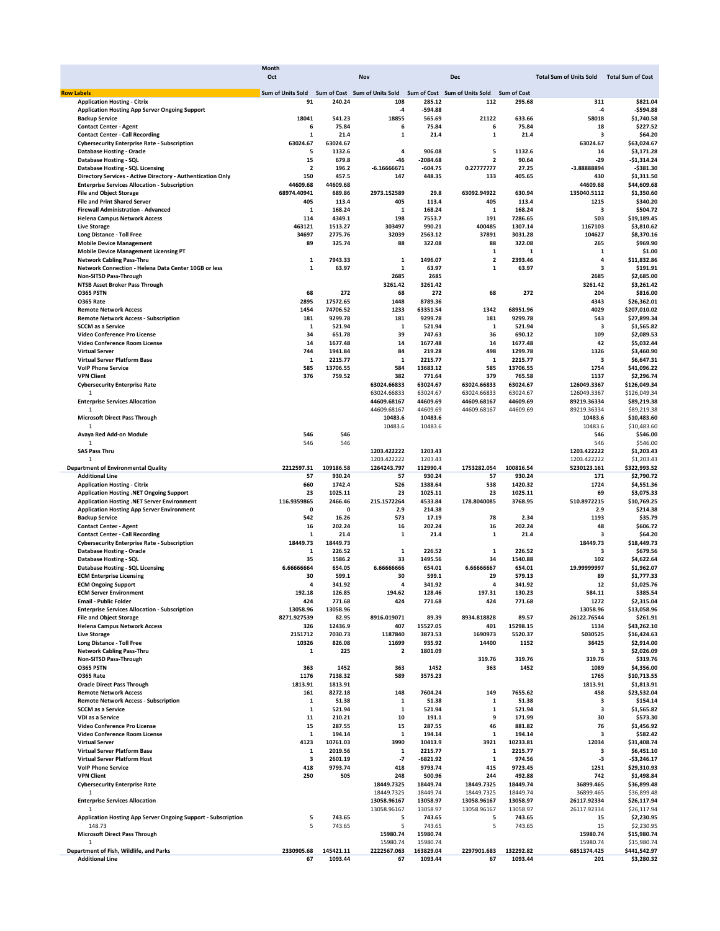|                                              |                                                                      | Month                    |           |                               |            |                               |                    |                                |                          |
|----------------------------------------------|----------------------------------------------------------------------|--------------------------|-----------|-------------------------------|------------|-------------------------------|--------------------|--------------------------------|--------------------------|
|                                              |                                                                      | Oct                      |           | <b>Nov</b>                    |            | <b>Dec</b>                    |                    | <b>Total Sum of Units Sold</b> | <b>Total Sum of Cost</b> |
|                                              |                                                                      |                          |           |                               |            |                               |                    |                                |                          |
| <b>Row Labels</b>                            |                                                                      | <b>Sum of Units Sold</b> |           | Sum of Cost Sum of Units Sold |            | Sum of Cost Sum of Units Sold | <b>Sum of Cost</b> |                                |                          |
| <b>Application Hosting - Citrix</b>          |                                                                      | 91                       | 240.24    | 108                           | 285.12     | 112                           | 295.68             | 311                            | \$821.04                 |
|                                              | <b>Application Hosting App Server Ongoing Support</b>                |                          |           | -4                            | $-594.88$  |                               |                    | $-4$                           | $-$594.88$               |
| <b>Backup Service</b>                        |                                                                      | 18041                    | 541.23    | 18855                         | 565.69     | 21122                         | 633.66             | 58018                          | \$1,740.58               |
| <b>Contact Center - Agent</b>                |                                                                      | 6                        | 75.84     | 6                             | 75.84      | 6                             | 75.84              | 18                             | \$227.52                 |
| <b>Contact Center - Call Recording</b>       |                                                                      | 1                        | 21.4      | 1                             | 21.4       | $\mathbf 1$                   | 21.4               | 3                              | \$64.20                  |
|                                              | <b>Cybersecurity Enterprise Rate - Subscription</b>                  | 63024.67                 | 63024.67  |                               |            |                               |                    | 63024.67                       | \$63,024.67              |
| <b>Database Hosting - Oracle</b>             |                                                                      | 5                        | 1132.6    | 4                             | 906.08     | 5                             | 1132.6             | 14                             | \$3,171.28               |
| Database Hosting - SQL                       |                                                                      | 15                       | 679.8     | -46                           | $-2084.68$ | 2                             | 90.64              | -29                            | -\$1,314.24              |
| Database Hosting - SQL Licensing             |                                                                      | $\overline{\mathbf{2}}$  | 196.2     | $-6.16666671$                 | $-604.75$  | 0.27777777                    | 27.25              | -3.88888894                    | $-$ \$381.30             |
|                                              | Directory Services - Active Directory - Authentication Only          | 150                      | 457.5     | 147                           | 448.35     | 133                           | 405.65             | 430                            | \$1,311.50               |
|                                              | <b>Enterprise Services Allocation - Subscription</b>                 | 44609.68                 | 44609.68  |                               |            |                               |                    | 44609.68                       | \$44,609.68              |
| <b>File and Object Storage</b>               |                                                                      | 68974.40941              | 689.86    | 2973.152589                   | 29.8       | 63092.94922                   | 630.94             | 135040.5112                    | \$1,350.60               |
| <b>File and Print Shared Server</b>          |                                                                      | 405                      | 113.4     | 405                           | 113.4      | 405                           | 113.4              | 1215                           | \$340.20                 |
| Firewall Administration - Advanced           |                                                                      | 1                        | 168.24    | 1                             | 168.24     | 1                             | 168.24             | з                              | \$504.72                 |
| <b>Helena Campus Network Access</b>          |                                                                      | 114                      | 4349.1    | 198                           | 7553.7     | 191                           | 7286.65            | 503                            | \$19,189.45              |
| <b>Live Storage</b>                          |                                                                      | 463121                   | 1513.27   | 303497                        | 990.21     | 400485                        | 1307.14            | 1167103                        | \$3,810.62               |
| Long Distance - Toll Free                    |                                                                      | 34697                    | 2775.76   | 32039                         | 2563.12    | 37891                         | 3031.28            | 104627                         | \$8,370.16               |
| <b>Mobile Device Management</b>              |                                                                      | 89                       | 325.74    | 88                            | 322.08     | 88                            | 322.08             | 265                            | \$969.90                 |
| <b>Mobile Device Management Licensing PT</b> |                                                                      |                          |           |                               |            | 1                             | 1                  | 1                              | \$1.00                   |
| <b>Network Cabling Pass-Thru</b>             |                                                                      | 1                        | 7943.33   | 1                             | 1496.07    | $\overline{\mathbf{2}}$       | 2393.46            | 4                              | \$11,832.86              |
|                                              | Network Connection - Helena Data Center 10GB or less                 | 1                        | 63.97     | 1                             | 63.97      | 1                             | 63.97              | 3                              | \$191.91                 |
| <b>Non-SITSD Pass-Through</b>                |                                                                      |                          |           | 2685                          | 2685       |                               |                    | 2685                           | \$2,685.00               |
| NTSB Asset Broker Pass Through               |                                                                      |                          |           | 3261.42                       | 3261.42    |                               |                    | 3261.42                        | \$3,261.42               |
| <b>0365 PSTN</b>                             |                                                                      | 68                       | 272       | 68                            | 272        | 68                            | 272                | 204                            | \$816.00                 |
| <b>0365 Rate</b>                             |                                                                      | 2895                     | 17572.65  | 1448                          | 8789.36    |                               |                    | 4343                           | \$26,362.01              |
| <b>Remote Network Access</b>                 |                                                                      | 1454                     | 74706.52  | 1233                          | 63351.54   | 1342                          | 68951.96           | 4029                           | \$207,010.02             |
| <b>Remote Network Access - Subscription</b>  |                                                                      | 181                      | 9299.78   | 181                           | 9299.78    | 181                           | 9299.78            | 543                            | \$27,899.34              |
| <b>SCCM</b> as a Service                     |                                                                      | 1                        | 521.94    | 1                             | 521.94     | 1                             | 521.94             | з                              | \$1,565.82               |
| Video Conference Pro License                 |                                                                      | 34                       | 651.78    | 39                            | 747.63     | 36                            | 690.12             | 109                            | \$2,089.53               |
| Video Conference Room License                |                                                                      | 14                       | 1677.48   | 14                            | 1677.48    | 14                            | 1677.48            | 42                             | \$5,032.44               |
| <b>Virtual Server</b>                        |                                                                      | 744                      | 1941.84   | 84                            | 219.28     | 498                           | 1299.78            | 1326                           | \$3,460.90               |
| Virtual Server Platform Base                 |                                                                      | 1                        | 2215.77   | 1                             | 2215.77    | 1                             | 2215.77            | з                              | \$6,647.31               |
| <b>VolP Phone Service</b>                    |                                                                      | 585                      | 13706.55  | 584                           | 13683.12   | 585                           | 13706.55           | 1754                           | \$41,096.22              |
| <b>VPN Client</b>                            |                                                                      | 376                      | 759.52    | 382                           | 771.64     | 379                           | 765.58             | 1137                           | \$2,296.74               |
| <b>Cybersecurity Enterprise Rate</b>         |                                                                      |                          |           | 63024.66833                   | 63024.67   | 63024.66833                   | 63024.67           | 126049.3367                    | \$126,049.34             |
| 1                                            |                                                                      |                          |           | 63024.66833                   | 63024.67   | 63024.66833                   | 63024.67           | 126049.3367                    | \$126,049.34             |
| <b>Enterprise Services Allocation</b>        |                                                                      |                          |           | 44609.68167                   | 44609.69   | 44609.68167                   | 44609.69           | 89219.36334                    | \$89,219.38              |
| $\overline{1}$                               |                                                                      |                          |           | 44609.68167                   | 44609.69   | 44609.68167                   | 44609.69           | 89219.36334                    | \$89,219.38              |
| <b>Microsoft Direct Pass Through</b>         |                                                                      |                          |           | 10483.6                       | 10483.6    |                               |                    | 10483.6                        | \$10,483.60              |
| 1                                            |                                                                      |                          |           | 10483.6                       | 10483.6    |                               |                    | 10483.6                        | \$10,483.60              |
| Avaya Red Add-on Module                      |                                                                      | 546                      | 546       |                               |            |                               |                    | 546                            | \$546.00                 |
| 1                                            |                                                                      | 546                      | 546       |                               |            |                               |                    | 546                            | \$546.00                 |
| <b>SAS Pass Thru</b>                         |                                                                      |                          |           | 1203.422222                   | 1203.43    |                               |                    | 1203.422222                    | \$1,203.43               |
| 1                                            |                                                                      |                          |           | 1203.422222                   | 1203.43    |                               |                    | 1203.422222                    | \$1,203.43               |
| <b>Department of Environmental Quality</b>   |                                                                      | 2212597.31               | 109186.58 | 1264243.797                   | 112990.4   | 1753282.054                   | 100816.54          | 5230123.161                    | \$322,993.52             |
| <b>Additional Line</b>                       |                                                                      | 57                       | 930.24    | 57                            | 930.24     | 57                            | 930.24             | 171                            | \$2,790.72               |
| <b>Application Hosting - Citrix</b>          |                                                                      | 660                      | 1742.4    | 526                           | 1388.64    | 538                           | 1420.32            | 1724                           | \$4,551.36               |
|                                              | Application Hosting .NET Ongoing Support                             | 23                       | 1025.11   | 23                            | 1025.11    | 23                            | 1025.11            | 69                             | \$3,075.33               |
|                                              | Application Hosting .NET Server Environment                          | 116.9359865              | 2466.46   | 215.1572264                   | 4533.84    | 178.8040085                   | 3768.95            | 510.8972215                    | \$10,769.25              |
|                                              | <b>Application Hosting App Server Environment</b>                    | 0                        | $\Omega$  | 2.9                           | 214.38     |                               |                    | 2.9                            | \$214.38                 |
| <b>Backup Service</b>                        |                                                                      | 542                      | 16.26     | 573                           | 17.19      | 78                            | 2.34               | 1193                           | \$35.79                  |
| <b>Contact Center - Agent</b>                |                                                                      | 16                       | 202.24    | 16                            | 202.24     | 16                            | 202.24             | 48                             | \$606.72                 |
| <b>Contact Center - Call Recording</b>       |                                                                      | 1                        | 21.4      | 1                             | 21.4       | 1                             | 21.4               | з                              | \$64.20                  |
|                                              | <b>Cybersecurity Enterprise Rate - Subscription</b>                  | 18449.73                 | 18449.73  |                               |            |                               |                    | 18449.73                       | \$18,449.73              |
| <b>Database Hosting - Oracle</b>             |                                                                      | 1                        | 226.52    | 1                             | 226.52     | $\mathbf{1}$                  | 226.52             | 3                              | \$679.56                 |
| Database Hosting - SQL                       |                                                                      | 35                       | 1586.2    | 33                            | 1495.56    | 34                            | 1540.88            | 102                            | \$4,622.64               |
| Database Hosting - SQL Licensing             |                                                                      | 6.6666664                | 654.05    | 6.6666666                     | 654.01     | 6.66666667                    | 654.01             | 19.99999997                    | \$1,962.07               |
| <b>ECM Enterprise Licensing</b>              |                                                                      | 30                       | 599.1     | 30                            | 599.1      | 29                            | 579.13             | 89                             | \$1,777.33               |
| <b>ECM Ongoing Support</b>                   |                                                                      | 4                        | 341.92    | 4                             | 341.92     | $\overline{a}$                | 341.92             | 12                             | \$1,025.76               |
| <b>FCM Server Environment</b>                |                                                                      | 192.18                   | 126.85    | 194.62                        | 128.46     | 197.31                        | 130.23             | 584.11                         | \$385.54                 |
| <b>Email - Public Folder</b>                 |                                                                      | 424                      | 771.68    | 424                           | 771.68     | 424                           | 771.68             | 1272                           | \$2,315.04               |
|                                              | <b>Enterprise Services Allocation - Subscription</b>                 | 13058.96                 | 13058.96  |                               |            |                               |                    | 13058.96                       | \$13,058.96              |
| <b>File and Object Storage</b>               |                                                                      | 8271.927539              | 82.95     | 8916.019071                   | 89.39      | 8934.818828                   | 89.57              | 26122.76544                    | \$261.91                 |
| <b>Helena Campus Network Access</b>          |                                                                      | 326                      | 12436.9   | 407                           | 15527.05   | 401                           | 15298.15           | 1134                           | \$43,262.10              |
| <b>Live Storage</b>                          |                                                                      | 2151712                  | 7030.73   | 1187840                       | 3873.53    | 1690973                       | 5520.37            | 5030525                        | \$16,424.63              |
| Long Distance - Toll Free                    |                                                                      | 10326                    | 826.08    | 11699                         | 935.92     | 14400                         | 1152               | 36425                          | \$2,914.00               |
| <b>Network Cabling Pass-Thru</b>             |                                                                      | 1                        | 225       | $\overline{\mathbf{2}}$       | 1801.09    |                               |                    | з                              | \$2,026.09               |
| Non-SITSD Pass-Through                       |                                                                      |                          |           |                               |            | 319.76                        | 319.76             | 319.76                         | \$319.76                 |
| O365 PSTN                                    |                                                                      | 363                      | 1452      | 363                           | 1452       | 363                           | 1452               | 1089                           | \$4,356.00               |
| O365 Rate                                    |                                                                      | 1176                     | 7138.32   | 589                           | 3575.23    |                               |                    | 1765                           | \$10,713.55              |
| <b>Oracle Direct Pass Through</b>            |                                                                      | 1813.91                  | 1813.91   |                               |            |                               |                    | 1813.91                        | \$1,813.91               |
| <b>Remote Network Access</b>                 |                                                                      | 161                      | 8272.18   | 148                           | 7604.24    | 149                           | 7655.62            | 458                            | \$23,532.04              |
| <b>Remote Network Access - Subscription</b>  |                                                                      | 1                        | 51.38     | $\mathbf 1$                   | 51.38      | 1                             | 51.38              | 3                              | \$154.14                 |
| <b>SCCM</b> as a Service                     |                                                                      | 1                        | 521.94    | $\mathbf 1$                   | 521.94     | 1                             | 521.94             | 3                              | \$1,565.82               |
| <b>VDI as a Service</b>                      |                                                                      | 11                       | 210.21    | 10                            | 191.1      | 9                             | 171.99             | 30                             | \$573.30                 |
| Video Conference Pro License                 |                                                                      | 15                       | 287.55    | 15                            | 287.55     | 46                            | 881.82             | 76                             | \$1,456.92               |
| Video Conference Room License                |                                                                      | 1                        | 194.14    | 1                             | 194.14     | 1                             | 194.14             | 3                              | \$582.42                 |
| <b>Virtual Server</b>                        |                                                                      | 4123                     | 10761.03  | 3990                          | 10413.9    | 3921                          | 10233.81           | 12034                          | \$31,408.74              |
| Virtual Server Platform Base                 |                                                                      | 1                        | 2019.56   | 1                             | 2215.77    | 1                             | 2215.77            | з                              | \$6,451.10               |
| Virtual Server Platform Host                 |                                                                      | 3                        | 2601.19   | -7                            | -6821.92   | 1                             | 974.56             | -3                             | $-$3,246.17$             |
| <b>VolP Phone Service</b>                    |                                                                      | 418                      | 9793.74   | 418                           | 9793.74    | 415                           | 9723.45            | 1251                           | \$29,310.93              |
| <b>VPN Client</b>                            |                                                                      | 250                      | 505       | 248                           | 500.96     | 244                           | 492.88             | 742                            | \$1,498.84               |
| <b>Cybersecurity Enterprise Rate</b>         |                                                                      |                          |           | 18449.7325                    | 18449.74   | 18449.7325                    | 18449.74           | 36899.465                      | \$36,899.48              |
| 1                                            |                                                                      |                          |           | 18449.7325                    | 18449.74   | 18449.7325                    | 18449.74           | 36899.465                      | \$36,899.48              |
| <b>Enterprise Services Allocation</b>        |                                                                      |                          |           | 13058.96167                   | 13058.97   | 13058.96167                   | 13058.97           | 26117.92334                    | \$26,117.94              |
| 1                                            |                                                                      |                          |           | 13058.96167                   | 13058.97   | 13058.96167                   | 13058.97           | 26117.92334                    | \$26,117.94              |
|                                              | <b>Application Hosting App Server Ongoing Support - Subscription</b> | 5                        | 743.65    | 5                             | 743.65     | 5                             | 743.65             | 15                             | \$2,230.95               |
| 148.73                                       |                                                                      | 5                        | 743.65    | -5                            | 743.65     | 5                             | 743.65             | 15                             | \$2,230.95               |
| <b>Microsoft Direct Pass Through</b>         |                                                                      |                          |           | 15980.74                      | 15980.74   |                               |                    | 15980.74                       | \$15,980.74              |
| 1                                            |                                                                      |                          |           | 15980.74                      | 15980.74   |                               |                    | 15980.74                       | \$15,980.74              |
| Department of Fish, Wildlife, and Parks      |                                                                      | 2330905.68               | 145421.11 | 2222567.063                   | 163829.04  | 2297901.683                   | 132292.82          | 6851374.425                    | \$441,542.97             |
| <b>Additional Line</b>                       |                                                                      | 67                       | 1093.44   | 67                            | 1093.44    | 67                            | 1093.44            | 201                            | \$3,280.32               |
|                                              |                                                                      |                          |           |                               |            |                               |                    |                                |                          |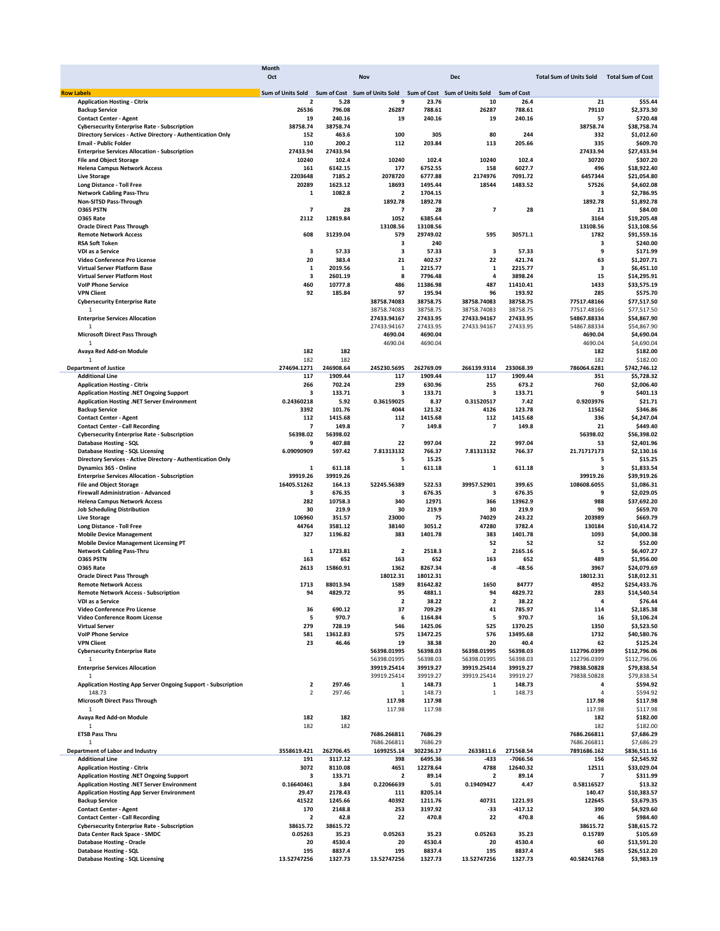|                                                               | <b>Month</b>      |           |                               |           |                               |                    |                                |                          |
|---------------------------------------------------------------|-------------------|-----------|-------------------------------|-----------|-------------------------------|--------------------|--------------------------------|--------------------------|
|                                                               | Oct               |           | Nov                           |           | <b>Dec</b>                    |                    | <b>Total Sum of Units Sold</b> | <b>Total Sum of Cost</b> |
|                                                               |                   |           |                               |           |                               |                    |                                |                          |
| <b>Row Labels</b>                                             | Sum of Units Sold |           | Sum of Cost Sum of Units Sold |           | Sum of Cost Sum of Units Sold | <b>Sum of Cost</b> |                                |                          |
| <b>Application Hosting - Citrix</b>                           | 2                 | 5.28      | 9                             | 23.76     | 10                            | 26.4               | 21                             | \$55.44                  |
| <b>Backup Service</b>                                         | 26536             | 796.08    | 26287                         | 788.61    | 26287                         | 788.61             | 79110                          | \$2,373.30               |
| <b>Contact Center - Agent</b>                                 | 19                | 240.16    | 19                            | 240.16    | 19                            | 240.16             | 57                             | \$720.48                 |
| <b>Cybersecurity Enterprise Rate - Subscription</b>           | 38758.74          | 38758.74  |                               |           |                               |                    | 38758.74                       | \$38,758.74              |
| Directory Services - Active Directory - Authentication Only   | 152               | 463.6     | 100                           | 305       | 80                            | 244                | 332                            | \$1,012.60               |
| <b>Email - Public Folder</b>                                  | 110               | 200.2     | 112                           | 203.84    | 113                           | 205.66             | 335                            | \$609.70                 |
| <b>Enterprise Services Allocation - Subscription</b>          | 27433.94          | 27433.94  |                               |           |                               |                    | 27433.94                       | \$27,433.94              |
| <b>File and Object Storage</b>                                | 10240             | 102.4     | 10240                         | 102.4     | 10240                         | 102.4              | 30720                          | \$307.20                 |
| <b>Helena Campus Network Access</b>                           | 161               | 6142.15   | 177                           | 6752.55   | 158                           | 6027.7             | 496                            | \$18,922.40              |
| <b>Live Storage</b>                                           | 2203648           | 7185.2    | 2078720                       | 6777.88   | 2174976                       | 7091.72            | 6457344                        | \$21,054.80              |
| <b>Long Distance - Toll Free</b>                              | 20289             | 1623.12   | 18693                         | 1495.44   | 18544                         | 1483.52            | 57526                          | \$4,602.08               |
| <b>Network Cabling Pass-Thru</b>                              | 1                 | 1082.8    | $\overline{\mathbf{2}}$       | 1704.15   |                               |                    | 3                              | \$2,786.95               |
| Non-SITSD Pass-Through                                        |                   |           | 1892.78                       | 1892.78   |                               |                    | 1892.78                        | \$1,892.78               |
| O365 PSTN                                                     | 7                 | 28        | 7                             | 28        | 7                             | 28                 | 21                             | \$84.00                  |
| O365 Rate                                                     | 2112              | 12819.84  | 1052                          | 6385.64   |                               |                    | 3164                           | \$19,205.48              |
| <b>Oracle Direct Pass Through</b>                             |                   |           | 13108.56                      | 13108.56  |                               |                    | 13108.56                       | \$13,108.56              |
| <b>Remote Network Access</b>                                  | 608               | 31239.04  | 579                           | 29749.02  | 595                           | 30571.1            | 1782                           | \$91,559.16              |
| <b>RSA Soft Token</b>                                         |                   |           | з                             | 240       |                               |                    | з                              | \$240.00                 |
| VDI as a Service                                              | 3                 | 57.33     | 3                             | 57.33     | з                             | 57.33              | 9                              | \$171.99                 |
|                                                               | 20                | 383.4     | 21                            |           | 22                            | 421.74             | 63                             |                          |
| Video Conference Pro License                                  |                   |           |                               | 402.57    |                               |                    |                                | \$1,207.71               |
| Virtual Server Platform Base                                  | 1                 | 2019.56   | 1                             | 2215.77   | 1                             | 2215.77            | з                              | \$6,451.10               |
| Virtual Server Platform Host                                  | 3                 | 2601.19   | 8                             | 7796.48   | 4                             | 3898.24            | 15                             | \$14,295.91              |
| <b>VolP Phone Service</b>                                     | 460               | 10777.8   | 486                           | 11386.98  | 487                           | 11410.41           | 1433                           | \$33,575.19              |
| <b>VPN Client</b>                                             | 92                | 185.84    | 97                            | 195.94    | 96                            | 193.92             | 285                            | \$575.70                 |
| <b>Cybersecurity Enterprise Rate</b>                          |                   |           | 38758.74083                   | 38758.75  | 38758.74083                   | 38758.75           | 77517.48166                    | \$77,517.50              |
| 1                                                             |                   |           | 38758.74083                   | 38758.75  | 38758.74083                   | 38758.75           | 77517.48166                    | \$77,517.50              |
| <b>Enterprise Services Allocation</b>                         |                   |           | 27433.94167                   | 27433.95  | 27433.94167                   | 27433.95           | 54867.88334                    | \$54,867.90              |
|                                                               |                   |           | 27433.94167                   | 27433.95  | 27433.94167                   | 27433.95           | 54867.88334                    | \$54,867.90              |
| <b>Microsoft Direct Pass Through</b>                          |                   |           | 4690.04                       | 4690.04   |                               |                    | 4690.04                        | \$4,690.04               |
| $\mathbf{1}$                                                  |                   |           | 4690.04                       | 4690.04   |                               |                    | 4690.04                        | \$4,690.04               |
| Avaya Red Add-on Module                                       | 182               | 182       |                               |           |                               |                    | 182                            | \$182.00                 |
| $\mathbf{1}$                                                  | 182               | 182       |                               |           |                               |                    | 182                            | \$182.00                 |
| <b>Department of Justice</b>                                  | 274694.1271       | 246908.64 | 245230.5695                   | 262769.09 | 266139.9314                   | 233068.39          | 786064.6281                    | \$742,746.12             |
| <b>Additional Line</b>                                        | 117               | 1909.44   | 117                           | 1909.44   | 117                           | 1909.44            | 351                            | \$5,728.32               |
| <b>Application Hosting - Citrix</b>                           | 266               | 702.24    | 239                           | 630.96    | 255                           | 673.2              | 760                            | \$2,006.40               |
| Application Hosting .NET Ongoing Support                      | з                 | 133.71    | з                             | 133.71    | 3                             | 133.71             | 9                              | \$401.13                 |
| Application Hosting .NET Server Environment                   | 0.24360218        | 5.92      | 0.36159025                    | 8.37      | 0.31520517                    | 7.42               | 0.9203976                      | \$21.71                  |
| <b>Backup Service</b>                                         | 3392              | 101.76    | 4044                          | 121.32    | 4126                          | 123.78             | 11562                          | \$346.86                 |
|                                                               |                   |           |                               |           |                               |                    |                                |                          |
| <b>Contact Center - Agent</b>                                 | 112               | 1415.68   | 112                           | 1415.68   | 112                           | 1415.68            | 336                            | \$4,247.04               |
| <b>Contact Center - Call Recording</b>                        | 7                 | 149.8     | 7                             | 149.8     | 7                             | 149.8              | 21                             | \$449.40                 |
| <b>Cybersecurity Enterprise Rate - Subscription</b>           | 56398.02          | 56398.02  |                               |           |                               |                    | 56398.02                       | \$56,398.02              |
| Database Hosting - SQL                                        | 9                 | 407.88    | 22                            | 997.04    | 22                            | 997.04             | 53                             | \$2,401.96               |
| Database Hosting - SQL Licensing                              | 6.09090909        | 597.42    | 7.81313132                    | 766.37    | 7.81313132                    | 766.37             | 21.71717173                    | \$2,130.16               |
| Directory Services - Active Directory - Authentication Only   |                   |           | 5                             | 15.25     |                               |                    | 5                              | \$15.25                  |
| Dynamics 365 - Online                                         | 1                 | 611.18    | 1                             | 611.18    | 1                             | 611.18             | 3                              | \$1,833.54               |
| <b>Enterprise Services Allocation - Subscription</b>          | 39919.26          | 39919.26  |                               |           |                               |                    | 39919.26                       | \$39,919.26              |
| <b>File and Object Storage</b>                                | 16405.51262       | 164.13    | 52245.56389                   | 522.53    | 39957.52901                   | 399.65             | 108608.6055                    | \$1,086.31               |
| <b>Firewall Administration - Advanced</b>                     | з                 | 676.35    | 3                             | 676.35    | з                             | 676.35             | 9                              | \$2,029.05               |
| <b>Helena Campus Network Access</b>                           | 282               | 10758.3   | 340                           | 12971     | 366                           | 13962.9            | 988                            | \$37,692.20              |
| <b>Job Scheduling Distribution</b>                            | 30                | 219.9     | 30                            | 219.9     | 30                            | 219.9              | 90                             | \$659.70                 |
| <b>Live Storage</b>                                           | 106960            | 351.57    | 23000                         | 75        | 74029                         | 243.22             | 203989                         | \$669.79                 |
| Long Distance - Toll Free                                     | 44764             | 3581.12   | 38140                         | 3051.2    | 47280                         | 3782.4             | 130184                         | \$10,414.72              |
| <b>Mobile Device Management</b>                               | 327               | 1196.82   | 383                           | 1401.78   | 383                           | 1401.78            | 1093                           | \$4,000.38               |
| <b>Mobile Device Management Licensing PT</b>                  |                   |           |                               |           | 52                            | 52                 | 52                             | \$52.00                  |
| <b>Network Cabling Pass-Thru</b>                              | 1                 | 1723.81   | $\mathbf{2}$                  | 2518.3    | $\overline{\mathbf{2}}$       | 2165.16            | 5                              | \$6,407.27               |
| <b>0365 PSTN</b>                                              | 163               | 652       | 163                           | 652       | 163                           | 652                | 489                            | \$1,956.00               |
|                                                               |                   |           |                               | 8267.34   |                               |                    |                                |                          |
| <b>0365 Rate</b>                                              | 2613              | 15860.91  | 1362                          |           | -8                            | $-48.56$           | 3967                           | \$24,079.69              |
| <b>Oracle Direct Pass Through</b>                             |                   |           | 18012.31                      | 18012.31  |                               |                    | 18012.31                       | \$18,012.31              |
| <b>Remote Network Access</b>                                  | 1713              | 88013.94  | 1589                          | 81642.82  | 1650                          | 84777              | 4952                           | \$254,433.76             |
| <b>Remote Network Access - Subscription</b>                   | 94                | 4829.72   | 95                            | 4881.1    | 94                            | 4829.72            | 283                            | \$14.540.54              |
| VDI as a Service                                              |                   |           | 2                             | 38.22     | $\overline{\mathbf{2}}$       | 38.22              | 4                              | \$76.44                  |
| Video Conference Pro License                                  | 36                | 690.12    | 37                            | 709.29    | 41                            | 785.97             | 114                            | \$2,185.38               |
| Video Conference Room License                                 | 5                 | 970.7     | 6                             | 1164.84   | 5                             | 970.7              | 16                             | \$3,106.24               |
| <b>Virtual Server</b>                                         | 279               | 728.19    | 546                           | 1425.06   | 525                           | 1370.25            | 1350                           | \$3,523.50               |
| <b>VolP Phone Service</b>                                     | 581               | 13612.83  | 575                           | 13472.25  | 576                           | 13495.68           | 1732                           | \$40,580.76              |
| <b>VPN Client</b>                                             | 23                | 46.46     | 19                            | 38.38     | 20                            | 40.4               | 62                             | \$125.24                 |
| <b>Cybersecurity Enterprise Rate</b>                          |                   |           | 56398.01995                   | 56398.03  | 56398.01995                   | 56398.03           | 112796.0399                    | \$112,796.06             |
| 1                                                             |                   |           | 56398.01995                   | 56398.03  | 56398.01995                   | 56398.03           | 112796.0399                    | \$112,796.06             |
| <b>Enterprise Services Allocation</b>                         |                   |           | 39919.25414                   | 39919.27  | 39919.25414                   | 39919.27           | 79838.50828                    | \$79,838.54              |
| $\overline{1}$                                                |                   |           | 39919.25414                   | 39919.27  | 39919.25414                   | 39919.27           | 79838.50828                    | \$79,838.54              |
| Application Hosting App Server Ongoing Support - Subscription | 2                 | 297.46    | 1                             | 148.73    | 1                             | 148.73             | 4                              | \$594.92                 |
| 148.73                                                        | $\overline{2}$    | 297.46    | 1                             | 148.73    | 1                             | 148.73             | $\sqrt{4}$                     | \$594.92                 |
| <b>Microsoft Direct Pass Through</b>                          |                   |           | 117.98                        | 117.98    |                               |                    | 117.98                         | \$117.98                 |
| 1                                                             |                   |           | 117.98                        | 117.98    |                               |                    | 117.98                         | \$117.98                 |
| Avaya Red Add-on Module                                       | 182               | 182       |                               |           |                               |                    | 182                            | \$182.00                 |
| $\mathbf{1}$                                                  | 182               | 182       |                               |           |                               |                    | 182                            | \$182.00                 |
| <b>ETSB Pass Thru</b>                                         |                   |           | 7686.266811                   | 7686.29   |                               |                    | 7686.266811                    | \$7,686.29               |
| $\mathbf{1}$                                                  |                   |           | 7686.266811                   | 7686.29   |                               |                    | 7686.266811                    | \$7,686.29               |
|                                                               |                   |           |                               |           |                               |                    |                                |                          |
| Department of Labor and Industry                              | 3558619.421       | 262706.45 | 1699255.14                    | 302236.17 | 2633811.6                     | 271568.54          | 7891686.162                    | \$836,511.16             |
| <b>Additional Line</b>                                        | 191               | 3117.12   | 398                           | 6495.36   | $-433$                        | -7066.56           | 156                            | \$2,545.92               |
| <b>Application Hosting - Citrix</b>                           | 3072              | 8110.08   | 4651                          | 12278.64  | 4788                          | 12640.32           | 12511                          | \$33,029.04              |
| <b>Application Hosting .NET Ongoing Support</b>               | з                 | 133.71    | $\overline{\mathbf{2}}$       | 89.14     | 2                             | 89.14              | 7                              | \$311.99                 |
| Application Hosting .NET Server Environment                   | 0.16640461        | 3.84      | 0.22066639                    | 5.01      | 0.19409427                    | 4.47               | 0.58116527                     | \$13.32                  |
| <b>Application Hosting App Server Environment</b>             | 29.47             | 2178.43   | 111                           | 8205.14   |                               |                    | 140.47                         | \$10,383.57              |
| <b>Backup Service</b>                                         | 41522             | 1245.66   | 40392                         | 1211.76   | 40731                         | 1221.93            | 122645                         | \$3,679.35               |
| <b>Contact Center - Agent</b>                                 | 170               | 2148.8    | 253                           | 3197.92   | -33                           | -417.12            | 390                            | \$4,929.60               |
| <b>Contact Center - Call Recording</b>                        | 2                 | 42.8      | 22                            | 470.8     | 22                            | 470.8              | 46                             | \$984.40                 |
| <b>Cybersecurity Enterprise Rate - Subscription</b>           | 38615.72          | 38615.72  |                               |           |                               |                    | 38615.72                       | \$38,615.72              |
| Data Center Rack Space - SMDC                                 | 0.05263           | 35.23     | 0.05263                       | 35.23     | 0.05263                       | 35.23              | 0.15789                        | \$105.69                 |
| <b>Database Hosting - Oracle</b>                              | 20                | 4530.4    | 20                            | 4530.4    | 20                            | 4530.4             | 60                             | \$13,591.20              |
| <b>Database Hosting - SQL</b>                                 | 195               | 8837.4    | 195                           | 8837.4    | 195                           | 8837.4             | 585                            | \$26,512.20              |
| <b>Database Hosting - SQL Licensing</b>                       | 13.52747256       | 1327.73   | 13.52747256                   | 1327.73   | 13.52747256                   | 1327.73            | 40.58241768                    | \$3,983.19               |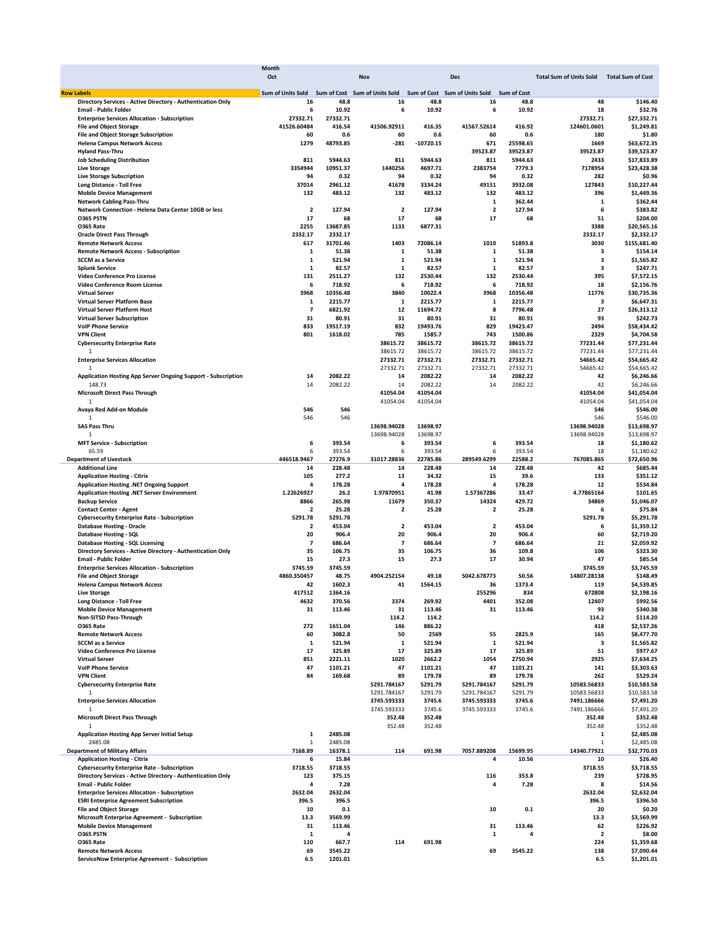|                                                                                             | <b>Month</b>             |                    |                                     |                 |                                     |                    |                                |                          |
|---------------------------------------------------------------------------------------------|--------------------------|--------------------|-------------------------------------|-----------------|-------------------------------------|--------------------|--------------------------------|--------------------------|
|                                                                                             | Oct                      |                    | Nov                                 |                 | Dec                                 |                    | <b>Total Sum of Units Sold</b> | <b>Total Sum of Cost</b> |
|                                                                                             |                          |                    |                                     |                 |                                     |                    |                                |                          |
| <b>Row Labels</b>                                                                           | Sum of Units Sold<br>16  | 48.8               | Sum of Cost Sum of Units Sold<br>16 | 48.8            | Sum of Cost Sum of Units Sold<br>16 | <b>Sum of Cost</b> | 48                             |                          |
| Directory Services - Active Directory - Authentication Only<br><b>Email - Public Folder</b> | 6                        | 10.92              | 6                                   | 10.92           | 6                                   | 48.8<br>10.92      | 18                             | \$146.40<br>\$32.76      |
| <b>Enterprise Services Allocation - Subscription</b>                                        | 27332.71                 | 27332.71           |                                     |                 |                                     |                    | 27332.71                       | \$27,332.71              |
| <b>File and Object Storage</b>                                                              | 41526.60484              | 416.54             | 41506.92911                         | 416.35          | 41567.52614                         | 416.92             | 124601.0601                    | \$1,249.81               |
| File and Object Storage Subscription                                                        | 60                       | 0.6                | 60                                  | 0.6             | 60                                  | 0.6                | 180                            | \$1.80                   |
| <b>Helena Campus Network Access</b>                                                         | 1279                     | 48793.85           | $-281$                              | $-10720.15$     | 671                                 | 25598.65           | 1669                           | \$63,672.35              |
| <b>Hyland Pass-Thru</b>                                                                     |                          |                    |                                     |                 | 39523.87                            | 39523.87           | 39523.87                       | \$39,523.87              |
| <b>Job Scheduling Distribution</b>                                                          | 811                      | 5944.63            | 811                                 | 5944.63         | 811                                 | 5944.63            | 2433                           | \$17,833.89              |
| <b>Live Storage</b>                                                                         | 3354944                  | 10951.37           | 1440256                             | 4697.71         | 2383754                             | 7779.3             | 7178954                        | \$23,428.38              |
| <b>Live Storage Subscription</b>                                                            | 94                       | 0.32               | 94                                  | 0.32            | 94                                  | 0.32               | 282                            | \$0.96                   |
| Long Distance - Toll Free                                                                   | 37014                    | 2961.12            | 41678                               | 3334.24         | 49151                               | 3932.08            | 127843                         | \$10,227.44              |
| <b>Mobile Device Management</b>                                                             | 132                      | 483.12             | 132                                 | 483.12          | 132                                 | 483.12             | 396                            | \$1,449.36               |
| <b>Network Cabling Pass-Thru</b>                                                            |                          |                    |                                     |                 | 1                                   | 362.44             | 1                              | \$362.44                 |
| Network Connection - Helena Data Center 10GB or less                                        | $\overline{\mathbf{2}}$  | 127.94             | $\overline{2}$                      | 127.94          | $\overline{\mathbf{2}}$             | 127.94             | 6                              | \$383.82                 |
| <b>0365 PSTN</b>                                                                            | 17                       | 68                 | 17                                  | 68              | 17                                  | 68                 | 51                             | \$204.00                 |
| O365 Rate                                                                                   | 2255                     | 13687.85           | 1133                                | 6877.31         |                                     |                    | 3388                           | \$20,565.16              |
| <b>Oracle Direct Pass Through</b>                                                           | 2332.17                  | 2332.17            |                                     |                 |                                     |                    | 2332.17                        | \$2,332.17               |
| <b>Remote Network Access</b>                                                                | 617                      | 31701.46           | 1403                                | 72086.14        | 1010                                | 51893.8            | 3030                           | \$155,681.40             |
| <b>Remote Network Access - Subscription</b>                                                 | 1                        | 51.38              | 1                                   | 51.38           | 1                                   | 51.38              | 3                              | \$154.14                 |
| <b>SCCM</b> as a Service                                                                    | 1                        | 521.94             | 1                                   | 521.94          | 1                                   | 521.94             | 3                              | \$1,565.82               |
| <b>Splunk Service</b>                                                                       | 1                        | 82.57              | 1                                   | 82.57           | 1                                   | 82.57              | 3                              | \$247.71                 |
| Video Conference Pro License                                                                | 131                      | 2511.27            | 132                                 | 2530.44         | 132                                 | 2530.44            | 395                            | \$7,572.15               |
| Video Conference Room License                                                               | 6                        | 718.92             | 6                                   | 718.92          | 6                                   | 718.92             | 18                             | \$2,156.76               |
| <b>Virtual Server</b>                                                                       | 3968                     | 10356.48           | 3840                                | 10022.4         | 3968                                | 10356.48           | 11776                          | \$30,735.36              |
| Virtual Server Platform Base                                                                | 1                        | 2215.77            | 1                                   | 2215.77         | 1                                   | 2215.77            | 3                              | \$6,647.31               |
| Virtual Server Platform Host                                                                | 7                        | 6821.92            | 12                                  | 11694.72        | 8                                   | 7796.48            | 27                             | \$26,313.12              |
| <b>Virtual Server Subscription</b>                                                          | 31                       | 80.91              | 31                                  | 80.91           | 31                                  | 80.91              | 93                             | \$242.73                 |
| <b>VolP Phone Service</b>                                                                   | 833                      | 19517.19           | 832                                 | 19493.76        | 829                                 | 19423.47           | 2494                           | \$58,434.42              |
| <b>VPN Client</b>                                                                           | 801                      | 1618.02            | 785                                 | 1585.7          | 743                                 | 1500.86            | 2329                           | \$4,704.58               |
| <b>Cybersecurity Enterprise Rate</b>                                                        |                          |                    | 38615.72                            | 38615.72        | 38615.72                            | 38615.72           | 77231.44                       | \$77,231.44              |
| 1                                                                                           |                          |                    | 38615.72                            | 38615.72        | 38615.72                            | 38615.72           | 77231.44                       | \$77,231.44              |
| <b>Enterprise Services Allocation</b>                                                       |                          |                    | 27332.71                            | 27332.71        | 27332.71                            | 27332.71           | 54665.42                       | \$54,665.42              |
| $\overline{1}$                                                                              |                          |                    | 27332.71                            | 27332.71        | 27332.71                            | 27332.71           | 54665.42                       | \$54,665.42              |
| Application Hosting App Server Ongoing Support - Subscription                               | 14                       | 2082.22            | 14                                  | 2082.22         | 14                                  | 2082.22            | 42                             | \$6,246.66               |
| 148.73                                                                                      | 14                       | 2082.22            | 14                                  | 2082.22         | 14                                  | 2082.22            | 42                             | \$6,246.66               |
| <b>Microsoft Direct Pass Through</b>                                                        |                          |                    | 41054.04                            | 41054.04        |                                     |                    | 41054.04                       | \$41,054.04              |
| $\overline{1}$                                                                              |                          |                    | 41054.04                            | 41054.04        |                                     |                    | 41054.04                       | \$41,054.04              |
| Avaya Red Add-on Module                                                                     | 546                      | 546                |                                     |                 |                                     |                    | 546                            | \$546.00                 |
| 1                                                                                           | 546                      | 546                |                                     |                 |                                     |                    | 546                            | \$546.00                 |
| <b>SAS Pass Thru</b>                                                                        |                          |                    | 13698.94028                         | 13698.97        |                                     |                    | 13698.94028                    | \$13,698.97              |
| 1                                                                                           |                          |                    | 13698.94028                         | 13698.97        |                                     |                    | 13698.94028                    | \$13,698.97              |
| <b>MFT Service - Subscription</b>                                                           | 6                        | 393.54             | 6                                   | 393.54          | 6                                   | 393.54             | 18                             | \$1,180.62               |
| 65.59                                                                                       | 6                        | 393.54             | 6                                   | 393.54          | 6                                   | 393.54             | 18                             | \$1,180.62               |
| <b>Department of Livestock</b>                                                              | 446518.9467              | 27276.9            | 31017.28836                         | 22785.86        | 289549.6299                         | 22588.2            | 767085.865                     | \$72,650.96              |
| <b>Additional Line</b>                                                                      | 14                       | 228.48             | 14                                  | 228.48          | 14                                  | 228.48             | 42                             | \$685.44                 |
| <b>Application Hosting - Citrix</b>                                                         | 105                      | 277.2              | 13                                  | 34.32           | 15                                  | 39.6               | 133                            | \$351.12                 |
| Application Hosting .NET Ongoing Support                                                    | 4                        | 178.28             | 4                                   | 178.28          | 4                                   | 178.28             | 12                             | \$534.84                 |
| Application Hosting .NET Server Environment                                                 | 1.22626927               | 26.2               | 1.97870951                          | 41.98           | 1.57367286                          | 33.47              | 4.77865164                     | \$101.65                 |
| <b>Backup Service</b>                                                                       | 8866                     | 265.98             | 11679                               | 350.37          | 14324                               | 429.72             | 34869                          | \$1,046.07               |
| <b>Contact Center - Agent</b>                                                               | $\overline{\mathbf{2}}$  | 25.28              | $\overline{2}$                      | 25.28           | 2                                   | 25.28              | 6                              | \$75.84                  |
| <b>Cybersecurity Enterprise Rate - Subscription</b>                                         | 5291.78                  | 5291.78            |                                     |                 |                                     |                    | 5291.78                        | \$5,291.78               |
| <b>Database Hosting - Oracle</b>                                                            | $\overline{2}$           | 453.04             | $\overline{2}$                      | 453.04          | $\overline{2}$                      | 453.04             | 6                              | \$1,359.12               |
| <b>Database Hosting - SQL</b>                                                               | 20                       | 906.4              | 20                                  | 906.4           | 20                                  | 906.4              | 60                             | \$2,719.20               |
| <b>Database Hosting - SQL Licensing</b>                                                     | $\overline{\phantom{a}}$ | 686.64             | $\overline{\phantom{a}}$            | 686.64          | $\overline{\phantom{a}}$            | 686.64             | 21                             | \$2,059.92               |
| Directory Services - Active Directory - Authentication Only                                 | 35                       | 106.75             | 35                                  | 106.75          | 36                                  | 109.8              | 106                            | \$323.30                 |
| <b>Email - Public Folder</b>                                                                | 15                       | 27.3               | 15                                  | 27.3            | 17                                  | 30.94              | 47                             | \$85.54                  |
| <b>Enterprise Services Allocation - Subscription</b>                                        | 3745.59                  | 3745.59            |                                     |                 |                                     |                    | 3745.59                        | \$3,745.59               |
| <b>File and Object Storage</b>                                                              | 4860.350457              | 48.75              | 4904.252154                         | 49.18           | 5042.678773                         | 50.56              | 14807.28138                    | \$148.49                 |
| <b>Helena Campus Network Access</b>                                                         | 42                       | 1602.3             | 41                                  | 1564.15         | 36                                  | 1373.4             | 119                            | \$4,539.85               |
| <b>Live Storage</b>                                                                         | 417512                   | 1364.16            |                                     |                 | 255296                              | 834                | 672808                         | \$2.198.16               |
| <b>Long Distance - Toll Free</b><br><b>Mobile Device Management</b>                         | 4632                     | 370.56             | 3374                                | 269.92          | 4401                                | 352.08             | 12407                          | \$992.56                 |
| Non-SITSD Pass-Through                                                                      | 31                       | 113.46             | 31                                  | 113.46          | 31                                  | 113.46             | 93                             | \$340.38                 |
| <b>0365 Rate</b>                                                                            |                          |                    | 114.2                               | 114.2<br>886.22 |                                     |                    | 114.2                          | \$114.20                 |
| <b>Remote Network Access</b>                                                                | 272<br>60                | 1651.04<br>3082.8  | 146<br>50                           | 2569            | 55                                  | 2825.9             | 418<br>165                     | \$2,537.26<br>\$8,477.70 |
| <b>SCCM</b> as a Service                                                                    | 1                        | 521.94             | 1                                   | 521.94          | 1                                   | 521.94             | 3                              | \$1,565.82               |
| Video Conference Pro License                                                                | 17                       | 325.89             | 17                                  | 325.89          | 17                                  | 325.89             | 51                             | \$977.67                 |
| <b>Virtual Server</b>                                                                       | 851                      | 2221.11            | 1020                                | 2662.2          | 1054                                | 2750.94            | 2925                           | \$7,634.25               |
| <b>VoIP Phone Service</b>                                                                   | 47                       | 1101.21            | 47                                  | 1101.21         | 47                                  | 1101.21            | 141                            | \$3,303.63               |
| <b>VPN Client</b>                                                                           | 84                       | 169.68             | 89                                  | 179.78          | 89                                  | 179.78             | 262                            | \$529.24                 |
| <b>Cybersecurity Enterprise Rate</b>                                                        |                          |                    | 5291.784167                         | 5291.79         | 5291.784167                         | 5291.79            | 10583.56833                    | \$10,583.58              |
| $\mathbf{1}$                                                                                |                          |                    | 5291.784167                         | 5291.79         | 5291.784167                         | 5291.79            | 10583.56833                    | \$10,583.58              |
| <b>Enterprise Services Allocation</b>                                                       |                          |                    | 3745.593333                         | 3745.6          | 3745.593333                         | 3745.6             | 7491.186666                    | \$7,491.20               |
| 1                                                                                           |                          |                    | 3745.593333                         | 3745.6          | 3745.593333                         | 3745.6             | 7491.186666                    | \$7,491.20               |
| <b>Microsoft Direct Pass Through</b>                                                        |                          |                    | 352.48                              | 352.48          |                                     |                    | 352.48                         | \$352.48                 |
| $\mathbf{1}$                                                                                |                          |                    | 352.48                              | 352.48          |                                     |                    | 352.48                         | \$352.48                 |
| <b>Application Hosting App Server Initial Setup</b>                                         | 1                        | 2485.08            |                                     |                 |                                     |                    | 1                              | \$2,485.08               |
| 2485.08                                                                                     | 1                        | 2485.08            |                                     |                 |                                     |                    | 1                              | \$2,485.08               |
| <b>Department of Military Affairs</b>                                                       | 7168.89                  | 16378.1            | 114                                 | 691.98          | 7057.889208                         | 15699.95           | 14340.77921                    | \$32,770.03              |
| <b>Application Hosting - Citrix</b>                                                         | 6                        | 15.84              |                                     |                 | 4                                   | 10.56              | 10                             | \$26.40                  |
| <b>Cybersecurity Enterprise Rate - Subscription</b>                                         | 3718.55                  | 3718.55            |                                     |                 |                                     |                    | 3718.55                        | \$3,718.55               |
| Directory Services - Active Directory - Authentication Only                                 | 123                      | 375.15             |                                     |                 | 116                                 | 353.8              | 239                            | \$728.95                 |
| <b>Email - Public Folder</b>                                                                | 4                        | 7.28               |                                     |                 | 4                                   | 7.28               | 8                              | \$14.56                  |
| <b>Enterprise Services Allocation - Subscription</b>                                        | 2632.04                  | 2632.04            |                                     |                 |                                     |                    | 2632.04                        | \$2,632.04               |
| <b>ESRI Enterprise Agreement Subscription</b>                                               | 396.5                    | 396.5              |                                     |                 |                                     |                    | 396.5                          | \$396.50                 |
| <b>File and Object Storage</b>                                                              | 10                       | 0.1                |                                     |                 | 10                                  | 0.1                | 20                             | \$0.20                   |
| Microsoft Enterprise Agreement - Subscription                                               | 13.3                     | 3569.99            |                                     |                 |                                     |                    | 13.3                           | \$3,569.99               |
| <b>Mobile Device Management</b>                                                             | 31                       | 113.46             |                                     |                 | 31                                  | 113.46             | 62                             | \$226.92                 |
| O365 PSTN                                                                                   | 1                        | 4                  |                                     |                 | 1                                   | 4                  | $\overline{\mathbf{2}}$        | \$8.00                   |
| O365 Rate                                                                                   |                          | 667.7              | 114                                 | 691.98          |                                     |                    | 224                            | \$1,359.68               |
| <b>Remote Network Access</b>                                                                | 110<br>69                |                    |                                     |                 | 69                                  | 3545.22            | 138                            | \$7,090.44               |
| ServiceNow Enterprise Agreement - Subscription                                              | 6.5                      | 3545.22<br>1201.01 |                                     |                 |                                     |                    | 6.5                            | \$1,201.01               |
|                                                                                             |                          |                    |                                     |                 |                                     |                    |                                |                          |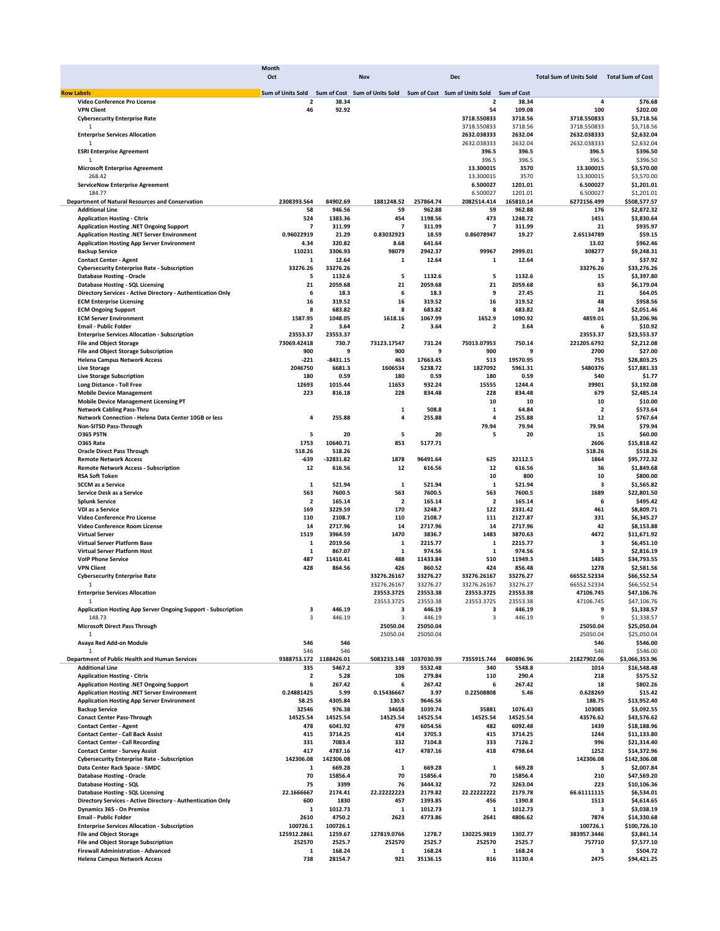|                                                                                      | Month                    |                   |                         |                    |                                                                                           |                    |                                |                             |
|--------------------------------------------------------------------------------------|--------------------------|-------------------|-------------------------|--------------------|-------------------------------------------------------------------------------------------|--------------------|--------------------------------|-----------------------------|
|                                                                                      | Oct                      |                   | Nov                     |                    | Dec                                                                                       |                    | <b>Total Sum of Units Sold</b> | <b>Total Sum of Cost</b>    |
| <b>Row Labels</b>                                                                    |                          |                   |                         |                    | Sum of Units Sold Sum of Cost Sum of Units Sold Sum of Cost Sum of Units Sold Sum of Cost |                    |                                |                             |
| Video Conference Pro License                                                         | 2                        | 38.34             |                         |                    | $\overline{\mathbf{2}}$                                                                   | 38.34              | 4                              | \$76.68                     |
| <b>VPN Client</b>                                                                    | 46                       | 92.92             |                         |                    | 54                                                                                        | 109.08             | 100                            | \$202.00                    |
| <b>Cybersecurity Enterprise Rate</b>                                                 |                          |                   |                         |                    | 3718.550833                                                                               | 3718.56            | 3718.550833                    | \$3,718.56                  |
| 1                                                                                    |                          |                   |                         |                    | 3718.550833                                                                               | 3718.56            | 3718.550833                    | \$3,718.56                  |
| <b>Enterprise Services Allocation</b>                                                |                          |                   |                         |                    | 2632.038333                                                                               | 2632.04            | 2632.038333                    | \$2,632.04                  |
| $\mathbf{1}$<br><b>ESRI Enterprise Agreement</b>                                     |                          |                   |                         |                    | 2632.038333<br>396.5                                                                      | 2632.04<br>396.5   | 2632.038333<br>396.5           | \$2,632.04                  |
| $\mathbf{1}$                                                                         |                          |                   |                         |                    | 396.5                                                                                     | 396.5              | 396.5                          | \$396.50<br>\$396.50        |
| <b>Microsoft Enterprise Agreement</b>                                                |                          |                   |                         |                    | 13.300015                                                                                 | 3570               | 13.300015                      | \$3,570.00                  |
| 268.42                                                                               |                          |                   |                         |                    | 13.300015                                                                                 | 3570               | 13.300015                      | \$3,570.00                  |
| <b>ServiceNow Enterprise Agreement</b>                                               |                          |                   |                         |                    | 6.500027                                                                                  | 1201.01            | 6.500027                       | \$1,201.01                  |
| 184.77                                                                               |                          |                   |                         |                    | 6.500027                                                                                  | 1201.01            | 6.500027                       | \$1,201.01                  |
| <b>Department of Natural Resources and Conservation</b>                              | 2308393.564              | 84902.69          | 1881248.52              | 257864.74          | 2082514.414                                                                               | 165810.14          | 6272156.499                    | \$508,577.57                |
| <b>Additional Line</b>                                                               | 58                       | 946.56            | 59                      | 962.88             | 59                                                                                        | 962.88             | 176                            | \$2,872.32                  |
| <b>Application Hosting - Citrix</b>                                                  | 524                      | 1383.36           | 454                     | 1198.56            | 473                                                                                       | 1248.72            | 1451                           | \$3,830.64                  |
| Application Hosting .NET Ongoing Support                                             | $\overline{\phantom{a}}$ | 311.99            | $\overline{7}$          | 311.99             | $\overline{7}$                                                                            | 311.99             | 21                             | \$935.97                    |
| Application Hosting .NET Server Environment                                          | 0.96022919               | 21.29             | 0.83032923              | 18.59              | 0.86078947                                                                                | 19.27              | 2.65134789                     | \$59.15                     |
| <b>Application Hosting App Server Environment</b>                                    | 4.34                     | 320.82            | 8.68                    | 641.64             |                                                                                           |                    | 13.02<br>308277                | \$962.46                    |
| <b>Backup Service</b>                                                                | 110231<br>1              | 3306.93<br>12.64  | 98079<br>1              | 2942.37<br>12.64   | 99967<br>1                                                                                | 2999.01<br>12.64   | 3                              | \$9,248.31<br>\$37.92       |
| <b>Contact Center - Agent</b><br><b>Cybersecurity Enterprise Rate - Subscription</b> | 33276.26                 | 33276.26          |                         |                    |                                                                                           |                    | 33276.26                       | \$33,276.26                 |
| <b>Database Hosting - Oracle</b>                                                     | 5                        | 1132.6            | 5                       | 1132.6             | 5                                                                                         | 1132.6             | 15                             | \$3,397.80                  |
| <b>Database Hosting - SQL Licensing</b>                                              | 21                       | 2059.68           | 21                      | 2059.68            | 21                                                                                        | 2059.68            | 63                             | \$6,179.04                  |
| Directory Services - Active Directory - Authentication Only                          | 6                        | 18.3              | 6                       | 18.3               | 9                                                                                         | 27.45              | 21                             | \$64.05                     |
| <b>ECM Enterprise Licensing</b>                                                      | 16                       | 319.52            | 16                      | 319.52             | 16                                                                                        | 319.52             | 48                             | \$958.56                    |
| <b>ECM Ongoing Support</b>                                                           | 8                        | 683.82            | 8                       | 683.82             | 8                                                                                         | 683.82             | 24                             | \$2,051.46                  |
| <b>ECM Server Environment</b>                                                        | 1587.95                  | 1048.05           | 1618.16                 | 1067.99            | 1652.9                                                                                    | 1090.92            | 4859.01                        | \$3,206.96                  |
| <b>Email - Public Folder</b>                                                         | 2                        | 3.64              | $\overline{2}$          | 3.64               | 2                                                                                         | 3.64               | 6                              | \$10.92                     |
| <b>Enterprise Services Allocation - Subscription</b>                                 | 23553.37                 | 23553.37          |                         |                    |                                                                                           |                    | 23553.37                       | \$23,553.37                 |
| <b>File and Object Storage</b>                                                       | 73069.42418              | 730.7             | 73123.17547             | 731.24             | 75013.07953                                                                               | 750.14             | 221205.6792                    | \$2,212.08                  |
| <b>File and Object Storage Subscription</b>                                          | 900                      | 9                 | 900                     | 9                  | 900                                                                                       | 9                  | 2700                           | \$27.00                     |
| <b>Helena Campus Network Access</b>                                                  | -221                     | -8431.15          | 463                     | 17663.45           | 513                                                                                       | 19570.95           | 755                            | \$28,803.25                 |
| <b>Live Storage</b>                                                                  | 2046750                  | 6681.3            | 1606534                 | 5238.72            | 1827092                                                                                   | 5961.31            | 5480376                        | \$17,881.33                 |
| <b>Live Storage Subscription</b><br><b>Long Distance - Toll Free</b>                 | 180<br>12693             | 0.59<br>1015.44   | 180<br>11653            | 0.59<br>932.24     | 180<br>15555                                                                              | 0.59<br>1244.4     | 540<br>39901                   | \$1.77<br>\$3.192.08        |
| <b>Mobile Device Management</b>                                                      | 223                      | 816.18            | 228                     | 834.48             | 228                                                                                       | 834.48             | 679                            | \$2,485.14                  |
| <b>Mobile Device Management Licensing PT</b>                                         |                          |                   |                         |                    | 10                                                                                        | 10                 | 10                             | \$10.00                     |
| <b>Network Cabling Pass-Thru</b>                                                     |                          |                   | 1                       | 508.8              | 1                                                                                         | 64.84              | $\overline{\mathbf{2}}$        | \$573.64                    |
| Network Connection - Helena Data Center 10GB or less                                 | 4                        | 255.88            | 4                       | 255.88             | 4                                                                                         | 255.88             | 12                             | \$767.64                    |
| Non-SITSD Pass-Through                                                               |                          |                   |                         |                    | 79.94                                                                                     | 79.94              | 79.94                          | \$79.94                     |
| O365 PSTN                                                                            | 5                        | 20                | 5                       | 20                 | 5                                                                                         | 20                 | 15                             | \$60.00                     |
| <b>0365 Rate</b>                                                                     | 1753                     | 10640.71          | 853                     | 5177.71            |                                                                                           |                    | 2606                           | \$15,818.42                 |
| <b>Oracle Direct Pass Through</b>                                                    | 518.26                   | 518.26            |                         |                    |                                                                                           |                    | 518.26                         | \$518.26                    |
| <b>Remote Network Access</b>                                                         | -639                     | $-32831.82$       | 1878                    | 96491.64           | 625                                                                                       | 32112.5            | 1864                           | \$95,772.32                 |
| <b>Remote Network Access - Subscription</b>                                          | 12                       | 616.56            | 12                      | 616.56             | 12                                                                                        | 616.56             | 36                             | \$1,849.68                  |
| <b>RSA Soft Token</b>                                                                |                          |                   |                         |                    | 10                                                                                        | 800                | 10                             | \$800.00                    |
| <b>SCCM</b> as a Service                                                             | 1                        | 521.94            | 1                       | 521.94             | $\mathbf 1$                                                                               | 521.94             | 3                              | \$1,565.82                  |
| Service Desk as a Service                                                            | 563                      | 7600.5            | 563                     | 7600.5             | 563                                                                                       | 7600.5             | 1689                           | \$22,801.50                 |
| <b>Splunk Service</b>                                                                | $\overline{\mathbf{2}}$  | 165.14            | $\overline{\mathbf{2}}$ | 165.14             | $\overline{\mathbf{2}}$                                                                   | 165.14             | 6                              | \$495.42                    |
| VDI as a Service<br>Video Conference Pro License                                     | 169<br>110               | 3229.59<br>2108.7 | 170<br>110              | 3248.7<br>2108.7   | 122<br>111                                                                                | 2331.42<br>2127.87 | 461<br>331                     | \$8,809.71<br>\$6,345.27    |
| Video Conference Room License                                                        | 14                       | 2717.96           | 14                      | 2717.96            | 14                                                                                        | 2717.96            | 42                             | \$8,153.88                  |
| <b>Virtual Server</b>                                                                | 1519                     | 3964.59           | 1470                    | 3836.7             | 1483                                                                                      | 3870.63            | 4472                           | \$11,671.92                 |
| Virtual Server Platform Base                                                         | 1                        | 2019.56           | 1                       | 2215.77            | 1                                                                                         | 2215.77            | 3                              | \$6,451.10                  |
| <b>Virtual Server Platform Host</b>                                                  | 1                        | 867.07            | 1                       | 974.56             | $\mathbf 1$                                                                               | 974.56             | 3                              | \$2,816.19                  |
| <b>VolP Phone Service</b>                                                            | 487                      | 11410.41          | 488                     | 11433.84           | 510                                                                                       | 11949.3            | 1485                           | \$34,793.55                 |
| <b>VPN Client</b>                                                                    | 428                      | 864.56            | 426                     | 860.52             | 424                                                                                       | 856.48             | 1278                           | \$2,581.56                  |
| <b>Cybersecurity Enterprise Rate</b>                                                 |                          |                   | 33276.26167             | 33276.27           | 33276.26167                                                                               | 33276.27           | 66552.52334                    | \$66,552.54                 |
| 1                                                                                    |                          |                   | 33276.26167             | 33276.27           | 33276.26167                                                                               | 33276.27           | 66552.52334                    | \$66,552.54                 |
| <b>Enterprise Services Allocation</b>                                                |                          |                   | 23553.3725              | 23553.38           | 23553.3725                                                                                | 23553.38           | 47106.745                      | \$47,106.76                 |
| 1                                                                                    |                          |                   | 23553.3725              | 23553.38           | 23553.3725                                                                                | 23553.38           | 47106.745                      | \$47,106.76                 |
| Application Hosting App Server Ongoing Support - Subscription                        | 3                        | 446.19            | 3                       | 446.19             | 3                                                                                         | 446.19             | 9                              | \$1,338.57                  |
| 148.73                                                                               | 3                        | 446.19            | 3                       | 446.19<br>25050.04 | 3                                                                                         | 446.19             | 9<br>25050.04                  | \$1,338.57                  |
| <b>Microsoft Direct Pass Through</b><br>1                                            |                          |                   | 25050.04                | 25050.04           |                                                                                           |                    |                                | \$25,050.04<br>\$25,050.04  |
| Avaya Red Add-on Module                                                              | 546                      | 546               | 25050.04                |                    |                                                                                           |                    | 25050.04<br>546                | \$546.00                    |
|                                                                                      | 546                      | 546               |                         |                    |                                                                                           |                    | 546                            | \$546.00                    |
| Department of Public Health and Human Services                                       | 9388753.172 1188426.01   |                   | 5083233.148             | 1037030.99         | 7355915.744                                                                               | 840896.96          | 21827902.06                    | \$3,066,353.96              |
| <b>Additional Line</b>                                                               | 335                      | 5467.2            | 339                     | 5532.48            | 340                                                                                       | 5548.8             | 1014                           | \$16,548.48                 |
| <b>Application Hosting - Citrix</b>                                                  | $\mathbf 2$              | 5.28              | 106                     | 279.84             | 110                                                                                       | 290.4              | 218                            | \$575.52                    |
| <b>Application Hosting .NET Ongoing Support</b>                                      | 6                        | 267.42            | 6                       | 267.42             | 6                                                                                         | 267.42             | 18                             | \$802.26                    |
| Application Hosting .NET Server Environment                                          | 0.24881425               | 5.99              | 0.15436667              | 3.97               | 0.22508808                                                                                | 5.46               | 0.628269                       | \$15.42                     |
| <b>Application Hosting App Server Environment</b>                                    | 58.25                    | 4305.84           | 130.5                   | 9646.56            |                                                                                           |                    | 188.75                         | \$13,952.40                 |
| <b>Backup Service</b>                                                                | 32546                    | 976.38            | 34658                   | 1039.74            | 35881                                                                                     | 1076.43            | 103085                         | \$3,092.55                  |
| <b>Conact Center Pass-Through</b>                                                    | 14525.54                 | 14525.54          | 14525.54                | 14525.54           | 14525.54                                                                                  | 14525.54           | 43576.62                       | \$43,576.62                 |
| <b>Contact Center - Agent</b>                                                        | 478                      | 6041.92           | 479                     | 6054.56            | 482                                                                                       | 6092.48            | 1439                           | \$18,188.96                 |
| <b>Contact Center - Call Back Assist</b>                                             | 415                      | 3714.25           | 414                     | 3705.3             | 415                                                                                       | 3714.25            | 1244                           | \$11,133.80                 |
| <b>Contact Center - Call Recording</b><br><b>Contact Center - Survey Assist</b>      | 331<br>417               | 7083.4<br>4787.16 | 332<br>417              | 7104.8<br>4787.16  | 333<br>418                                                                                | 7126.2<br>4798.64  | 996<br>1252                    | \$21,314.40                 |
| <b>Cybersecurity Enterprise Rate - Subscription</b>                                  | 142306.08                | 142306.08         |                         |                    |                                                                                           |                    | 142306.08                      | \$14,372.96<br>\$142,306.08 |
| Data Center Rack Space - SMDC                                                        | 1                        | 669.28            | 1                       | 669.28             | 1                                                                                         | 669.28             | 3                              | \$2,007.84                  |
| <b>Database Hosting - Oracle</b>                                                     | 70                       | 15856.4           | 70                      | 15856.4            | 70                                                                                        | 15856.4            | 210                            | \$47,569.20                 |
| <b>Database Hosting - SQL</b>                                                        | 75                       | 3399              | 76                      | 3444.32            | 72                                                                                        | 3263.04            | 223                            | \$10,106.36                 |
| <b>Database Hosting - SQL Licensing</b>                                              | 22.1666667               | 2174.41           | 22.22222223             | 2179.82            | 22.22222222                                                                               | 2179.78            | 66.61111115                    | \$6,534.01                  |
| Directory Services - Active Directory - Authentication Only                          | 600                      | 1830              | 457                     | 1393.85            | 456                                                                                       | 1390.8             | 1513                           | \$4,614.65                  |
| Dynamics 365 - On Premise                                                            | 1                        | 1012.73           | 1                       | 1012.73            | 1                                                                                         | 1012.73            | 3                              | \$3,038.19                  |
| <b>Email - Public Folder</b>                                                         | 2610                     | 4750.2            | 2623                    | 4773.86            | 2641                                                                                      | 4806.62            | 7874                           | \$14,330.68                 |
| <b>Enterprise Services Allocation - Subscription</b>                                 | 100726.1                 | 100726.1          |                         |                    |                                                                                           |                    | 100726.1                       | \$100,726.10                |
| <b>File and Object Storage</b>                                                       | 125912.2861              | 1259.67           | 127819.0766             | 1278.7             | 130225.9819                                                                               | 1302.77            | 383957.3446                    | \$3,841.14                  |
| <b>File and Object Storage Subscription</b>                                          | 252570                   | 2525.7            | 252570                  | 2525.7             | 252570                                                                                    | 2525.7             | 757710                         | \$7,577.10                  |
| Firewall Administration - Advanced                                                   | 1                        | 168.24            | 1                       | 168.24             | 1                                                                                         | 168.24             | 3                              | \$504.72                    |
| <b>Helena Campus Network Access</b>                                                  | 738                      | 28154.7           | 921                     | 35136.15           | 816                                                                                       | 31130.4            | 2475                           | \$94,421.25                 |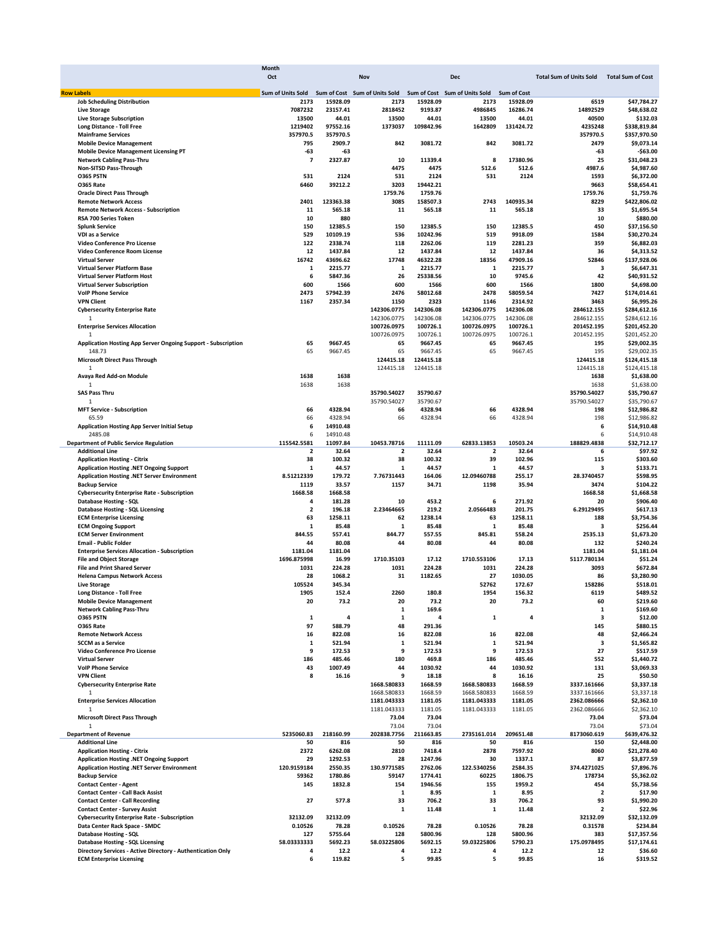|                                                               | Month                    |                 |                               |                      |                               |                    |                                |                          |
|---------------------------------------------------------------|--------------------------|-----------------|-------------------------------|----------------------|-------------------------------|--------------------|--------------------------------|--------------------------|
|                                                               | Oct                      |                 | Nov                           |                      | <b>Dec</b>                    |                    | <b>Total Sum of Units Sold</b> | <b>Total Sum of Cost</b> |
| <b>Row Labels</b>                                             | <b>Sum of Units Sold</b> |                 | Sum of Cost Sum of Units Sold |                      | Sum of Cost Sum of Units Sold | <b>Sum of Cost</b> |                                |                          |
| <b>Job Scheduling Distribution</b>                            | 2173                     | 15928.09        | 2173                          | 15928.09             | 2173                          | 15928.09           | 6519                           | \$47,784.27              |
| <b>Live Storage</b>                                           | 7087232                  | 23157.41        | 2818452                       | 9193.87              | 4986845                       | 16286.74           | 14892529                       | \$48,638.02              |
| <b>Live Storage Subscription</b>                              | 13500                    | 44.01           | 13500                         | 44.01                | 13500                         | 44.01              | 40500                          | \$132.03                 |
| Long Distance - Toll Free                                     | 1219402                  | 97552.16        | 1373037                       | 109842.96            | 1642809                       | 131424.72          | 4235248                        | \$338,819.84             |
| <b>Mainframe Services</b>                                     | 357970.5                 | 357970.5        |                               |                      |                               |                    | 357970.5                       | \$357.970.50             |
| <b>Mobile Device Management</b>                               | 795                      | 2909.7          | 842                           | 3081.72              | 842                           | 3081.72            | 2479                           | \$9,073.14               |
| <b>Mobile Device Management Licensing PT</b>                  | -63                      | -63             |                               |                      |                               |                    | -63                            | $-563.00$                |
| <b>Network Cabling Pass-Thru</b>                              | $\overline{\phantom{a}}$ | 2327.87         | 10                            | 11339.4              | 8                             | 17380.96           | 25                             | \$31,048.23              |
| Non-SITSD Pass-Through                                        |                          |                 | 4475                          | 4475                 | 512.6                         | 512.6              | 4987.6                         | \$4,987.60               |
| <b>0365 PSTN</b>                                              | 531                      | 2124            | 531                           | 2124                 | 531                           | 2124               | 1593                           | \$6,372.00               |
| <b>0365 Rate</b>                                              | 6460                     | 39212.2         | 3203                          | 19442.21             |                               |                    | 9663                           | \$58,654.41              |
| <b>Oracle Direct Pass Through</b>                             |                          |                 | 1759.76                       | 1759.76              |                               |                    | 1759.76                        | \$1,759.76               |
| <b>Remote Network Access</b>                                  | 2401                     | 123363.38       | 3085                          | 158507.3             | 2743                          | 140935.34          | 8229                           | \$422,806.02             |
| <b>Remote Network Access - Subscription</b>                   | 11<br>10                 | 565.18<br>880   | 11                            | 565.18               | 11                            | 565.18             | 33<br>10                       | \$1,695.54<br>\$880.00   |
| RSA 700 Series Token<br><b>Splunk Service</b>                 | 150                      | 12385.5         | 150                           | 12385.5              | 150                           | 12385.5            | 450                            | \$37,156.50              |
| VDI as a Service                                              | 529                      | 10109.19        | 536                           | 10242.96             | 519                           | 9918.09            | 1584                           | \$30,270.24              |
| Video Conference Pro License                                  | 122                      | 2338.74         | 118                           | 2262.06              | 119                           | 2281.23            | 359                            | \$6,882.03               |
| Video Conference Room License                                 | 12                       | 1437.84         | 12                            | 1437.84              | 12                            | 1437.84            | 36                             | \$4,313.52               |
| <b>Virtual Server</b>                                         | 16742                    | 43696.62        | 17748                         | 46322.28             | 18356                         | 47909.16           | 52846                          | \$137,928.06             |
| Virtual Server Platform Base                                  | 1                        | 2215.77         | 1                             | 2215.77              | 1                             | 2215.77            | 3                              | \$6,647.31               |
| <b>Virtual Server Platform Host</b>                           | 6                        | 5847.36         | 26                            | 25338.56             | 10                            | 9745.6             | 42                             | \$40,931.52              |
| <b>Virtual Server Subscription</b>                            | 600                      | 1566            | 600                           | 1566                 | 600                           | 1566               | 1800                           | \$4,698.00               |
| <b>VolP Phone Service</b>                                     | 2473                     | 57942.39        | 2476                          | 58012.68             | 2478                          | 58059.54           | 7427                           | \$174,014.61             |
| <b>VPN Client</b>                                             | 1167                     | 2357.34         | 1150                          | 2323                 | 1146                          | 2314.92            | 3463                           | \$6,995.26               |
| <b>Cybersecurity Enterprise Rate</b>                          |                          |                 | 142306.0775                   | 142306.08            | 142306.0775                   | 142306.08          | 284612.155                     | \$284,612.16             |
| 1                                                             |                          |                 | 142306.0775                   | 142306.08            | 142306.0775                   | 142306.08          | 284612.155                     | \$284,612.16             |
| <b>Enterprise Services Allocation</b>                         |                          |                 | 100726.0975                   | 100726.1             | 100726.0975                   | 100726.1           | 201452.195                     | \$201,452.20             |
| $\mathbf{1}$                                                  |                          |                 | 100726.0975                   | 100726.1             | 100726.0975                   | 100726.1           | 201452.195                     | \$201,452.20             |
| Application Hosting App Server Ongoing Support - Subscription | 65                       | 9667.45         | 65                            | 9667.45              | 65                            | 9667.45            | 195                            | \$29,002.35              |
| 148.73                                                        | 65                       | 9667.45         | 65                            | 9667.45<br>124415.18 | 65                            | 9667.45            | 195                            | \$29,002.35              |
| <b>Microsoft Direct Pass Through</b>                          |                          |                 | 124415.18                     |                      |                               |                    | 124415.18                      | \$124,415.18             |
| $\mathbf{1}$<br>Avaya Red Add-on Module                       | 1638                     |                 | 124415.18                     | 124415.18            |                               |                    | 124415.18                      | \$124,415.18             |
| 1                                                             | 1638                     | 1638<br>1638    |                               |                      |                               |                    | 1638<br>1638                   | \$1,638.00<br>\$1,638.00 |
| <b>SAS Pass Thru</b>                                          |                          |                 | 35790.54027                   | 35790.67             |                               |                    | 35790.54027                    | \$35,790.67              |
| 1                                                             |                          |                 | 35790.54027                   | 35790.67             |                               |                    | 35790.54027                    | \$35,790.67              |
| <b>MFT Service - Subscription</b>                             | 66                       | 4328.94         | 66                            | 4328.94              | 66                            | 4328.94            | 198                            | \$12,986.82              |
| 65.59                                                         | 66                       | 4328.94         | 66                            | 4328.94              | 66                            | 4328.94            | 198                            | \$12,986.82              |
| <b>Application Hosting App Server Initial Setup</b>           | 6                        | 14910.48        |                               |                      |                               |                    | 6                              | \$14,910.48              |
| 2485.08                                                       | 6                        | 14910.48        |                               |                      |                               |                    |                                | 6<br>\$14,910.48         |
| <b>Department of Public Service Regulation</b>                | 115542.5581              | 11097.84        | 10453.78716                   | 11111.09             | 62833.13853                   | 10503.24           | 188829.4838                    | \$32,712.17              |
| <b>Additional Line</b>                                        | 2                        | 32.64           | 2                             | 32.64                | 2                             | 32.64              |                                | 6<br>\$97.92             |
| <b>Application Hosting - Citrix</b>                           | 38                       | 100.32          | 38                            | 100.32               | 39                            | 102.96             | 115                            | \$303.60                 |
| Application Hosting .NET Ongoing Support                      | 1                        | 44.57           | 1                             | 44.57                | 1                             | 44.57              | з                              | \$133.71                 |
| Application Hosting .NET Server Environment                   | 8.51212339               | 179.72          | 7.76731443                    | 164.06               | 12.09460788                   | 255.17             | 28.3740457                     | \$598.95                 |
| <b>Backup Service</b>                                         | 1119                     | 33.57           | 1157                          | 34.71                | 1198                          | 35.94              | 3474                           | \$104.22                 |
| <b>Cybersecurity Enterprise Rate - Subscription</b>           | 1668.58                  | 1668.58         |                               |                      |                               |                    | 1668.58                        | \$1,668.58               |
| Database Hosting - SQL                                        | 4                        | 181.28          | 10                            | 453.2                | 6                             | 271.92             | 20                             | \$906.40                 |
| Database Hosting - SQL Licensing                              | $\overline{\mathbf{2}}$  | 196.18          | 2.23464665                    | 219.2                | 2.0566483                     | 201.75             | 6.29129495                     | \$617.13                 |
| <b>ECM Enterprise Licensing</b>                               | 63                       | 1258.11         | 62                            | 1238.14              | 63                            | 1258.11            | 188                            | \$3,754.36               |
| <b>ECM Ongoing Support</b><br><b>ECM Server Environment</b>   | 1<br>844.55              | 85.48<br>557.41 | 1<br>844.77                   | 85.48<br>557.55      | 1<br>845.81                   | 85.48<br>558.24    | 3<br>2535.13                   | \$256.44<br>\$1,673.20   |
| <b>Email - Public Folder</b>                                  | 44                       | 80.08           | 44                            | 80.08                | 44                            | 80.08              | 132                            | \$240.24                 |
| <b>Enterprise Services Allocation - Subscription</b>          | 1181.04                  | 1181.04         |                               |                      |                               |                    | 1181.04                        | \$1,181.04               |
| <b>File and Object Storage</b>                                | 1696.875998              | 16.99           | 1710.35103                    | 17.12                | 1710.553106                   | 17.13              | 5117.780134                    | \$51.24                  |
| <b>File and Print Shared Server</b>                           | 1031                     | 224.28          | 1031                          | 224.28               | 1031                          | 224.28             | 3093                           | \$672.84                 |
| <b>Helena Campus Network Access</b>                           | 28                       | 1068.2          | 31                            | 1182.65              | 27                            | 1030.05            | 86                             | \$3,280.90               |
| <b>Live Storage</b>                                           | 105524                   | 345.34          |                               |                      | 52762                         | 172.67             | 158286                         | \$518.01                 |
| Long Distance - Toll Free                                     | 1905                     | 152.4           | 2260                          | 180.8                | 1954                          | 156.32             | 6119                           | \$489.52                 |
| <b>Mobile Device Management</b>                               | 20                       | 73.2            | 20                            | 73.2                 | 20                            | 73.2               | 60                             | \$219.60                 |
| <b>Network Cabling Pass-Thru</b>                              |                          |                 | 1                             | 169.6                |                               |                    | 1                              | \$169.60                 |
| <b>0365 PSTN</b>                                              | 1                        | 4               | 1                             | 4                    | 1                             | 4                  | 3                              | \$12.00                  |
| O365 Rate                                                     | 97                       | 588.79          | 48                            | 291.36               |                               |                    | 145                            | \$880.15                 |
| <b>Remote Network Access</b>                                  | 16                       | 822.08          | 16                            | 822.08               | 16                            | 822.08             | 48                             | \$2,466.24               |
| <b>SCCM</b> as a Service                                      | 1                        | 521.94          | 1                             | 521.94               | 1                             | 521.94             | 3                              | \$1,565.82               |
| Video Conference Pro License                                  | 9                        | 172.53          | 9                             | 172.53               | 9                             | 172.53             | 27                             | \$517.59                 |
| <b>Virtual Server</b>                                         | 186                      | 485.46          | 180                           | 469.8                | 186                           | 485.46             | 552                            | \$1,440.72               |
| <b>VolP Phone Service</b>                                     | 43                       | 1007.49         | 44                            | 1030.92              | 44                            | 1030.92            | 131                            | \$3,069.33               |
| <b>VPN Client</b>                                             | 8                        | 16.16           | 9<br>1668.580833              | 18.18                | 8                             | 16.16              | 25                             | \$50.50                  |
| <b>Cybersecurity Enterprise Rate</b><br>$\mathbf{1}$          |                          |                 | 1668.580833                   | 1668.59              | 1668.580833<br>1668.580833    | 1668.59            | 3337.161666<br>3337.161666     | \$3,337.18<br>\$3,337.18 |
| <b>Enterprise Services Allocation</b>                         |                          |                 | 1181.043333                   | 1668.59<br>1181.05   | 1181.043333                   | 1668.59<br>1181.05 | 2362.086666                    | \$2,362.10               |
| 1                                                             |                          |                 |                               |                      |                               |                    |                                | \$2,362.10               |
| <b>Microsoft Direct Pass Through</b>                          |                          |                 | 1181.043333<br>73.04          | 1181.05<br>73.04     | 1181.043333                   | 1181.05            | 2362.086666<br>73.04           | \$73.04                  |
| $\mathbf{1}$                                                  |                          |                 | 73.04                         | 73.04                |                               |                    | 73.04                          | \$73.04                  |
| <b>Department of Revenue</b>                                  | 5235060.83               | 218160.99       | 202838.7756                   | 211663.85            | 2735161.014                   | 209651.48          | 8173060.619                    | \$639,476.32             |
| <b>Additional Line</b>                                        | 50                       | 816             | 50                            | 816                  | 50                            | 816                | 150                            | \$2,448.00               |
| <b>Application Hosting - Citrix</b>                           | 2372                     | 6262.08         | 2810                          | 7418.4               | 2878                          | 7597.92            | 8060                           | \$21,278.40              |
| Application Hosting .NET Ongoing Support                      | 29                       | 1292.53         | 28                            | 1247.96              | 30                            | 1337.1             | 87                             | \$3,877.59               |
| Application Hosting .NET Server Environment                   | 120.9159184              | 2550.35         | 130.9771585                   | 2762.06              | 122.5340256                   | 2584.35            | 374.4271025                    | \$7,896.76               |
| <b>Backup Service</b>                                         | 59362                    | 1780.86         | 59147                         | 1774.41              | 60225                         | 1806.75            | 178734                         | \$5,362.02               |
| <b>Contact Center - Agent</b>                                 | 145                      | 1832.8          | 154                           | 1946.56              | 155                           | 1959.2             | 454                            | \$5,738.56               |
| <b>Contact Center - Call Back Assist</b>                      |                          |                 | 1                             | 8.95                 | 1                             | 8.95               | 2                              | \$17.90                  |
| <b>Contact Center - Call Recording</b>                        | 27                       | 577.8           | 33                            | 706.2                | 33                            | 706.2              | 93                             | \$1,990.20               |
| <b>Contact Center - Survey Assist</b>                         |                          |                 | 1                             | 11.48                | 1                             | 11.48              | 2                              | \$22.96                  |
| <b>Cybersecurity Enterprise Rate - Subscription</b>           | 32132.09                 | 32132.09        |                               |                      |                               |                    | 32132.09                       | \$32,132.09              |
| Data Center Rack Space - SMDC                                 | 0.10526                  | 78.28           | 0.10526                       | 78.28                | 0.10526                       | 78.28              | 0.31578                        | \$234.84                 |
| Database Hosting - SQL                                        | 127                      | 5755.64         | 128                           | 5800.96              | 128                           | 5800.96            | 383                            | \$17,357.56              |
| <b>Database Hosting - SQL Licensing</b>                       | 58.03333333              | 5692.23         | 58.03225806                   | 5692.15              | 59.03225806                   | 5790.23            | 175.0978495                    | \$17,174.61              |
| Directory Services - Active Directory - Authentication Only   | 4                        | 12.2            | 4                             | 12.2                 | 4                             | 12.2               | 12                             | \$36.60                  |
| <b>ECM Enterprise Licensing</b>                               | 6                        | 119.82          | 5                             | 99.85                | 5                             | 99.85              | 16                             | \$319.52                 |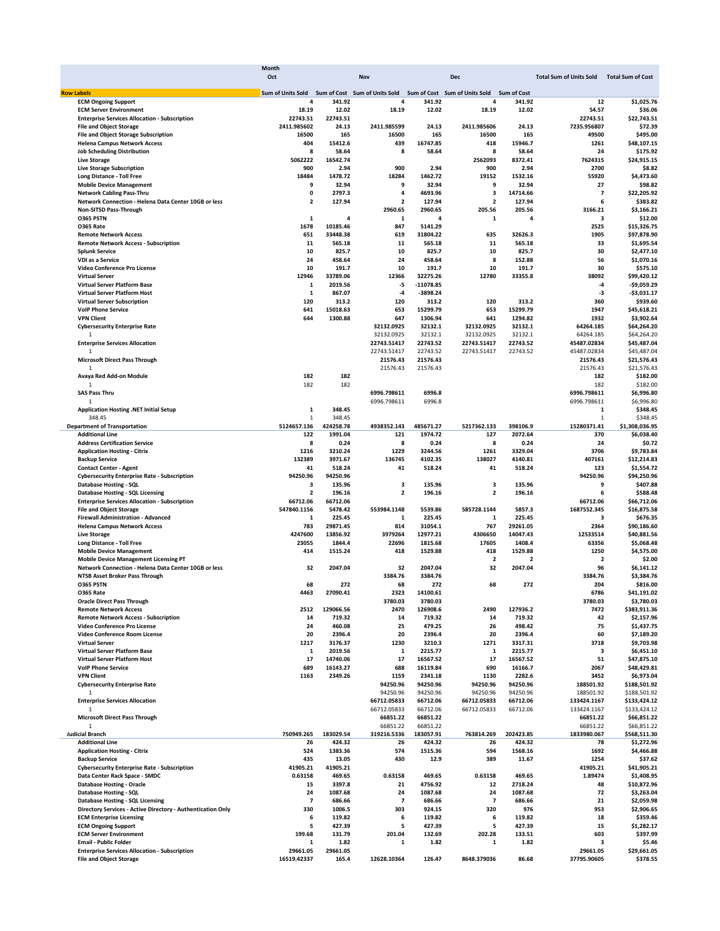| Sum of Units Sold<br>Sum of Cost Sum of Units Sold Sum of Cost Sum of Units Sold<br><b>Row Labels</b><br><b>Sum of Cost</b><br>12<br><b>ECM Ongoing Support</b><br>4<br>341.92<br>4<br>341.92<br>4<br>341.92<br>18.19<br>12.02<br>18.19<br>12.02<br>18.19<br>12.02<br>54.57<br><b>ECM Server Environment</b><br><b>Enterprise Services Allocation - Subscription</b><br>22743.51<br>22743.51<br>22743.51<br>2411.985602<br><b>File and Object Storage</b><br>24.13<br>2411.985599<br>24.13<br>2411.985606<br>24.13<br>7235.956807<br>16500<br>16500<br>165<br>16500<br>165<br>49500<br><b>File and Object Storage Subscription</b><br>165<br><b>Helena Campus Network Access</b><br>404<br>15412.6<br>439<br>16747.85<br>418<br>15946.7<br>1261<br><b>Job Scheduling Distribution</b><br>8<br>58.64<br>8<br>58.64<br>8<br>58.64<br>24<br>5062222<br>2562093<br><b>Live Storage</b><br>16542.74<br>8372.41<br>7624315<br>900<br>900<br>900<br><b>Live Storage Subscription</b><br>2.94<br>2.94<br>2.94<br>2700<br>18484<br>1478.72<br>18284<br>1462.72<br>19152<br>55920<br>Long Distance - Toll Free<br>1532.16<br>9<br>9<br>9<br>27<br><b>Mobile Device Management</b><br>32.94<br>32.94<br>32.94<br>3<br>$\pmb{0}$<br>2797.3<br>4<br>4693.96<br>$\overline{\phantom{a}}$<br><b>Network Cabling Pass-Thru</b><br>14714.66<br>Network Connection - Helena Data Center 10GB or less<br>$\overline{\mathbf{2}}$<br>127.94<br>$\overline{\mathbf{2}}$<br>127.94<br>$\overline{\mathbf{2}}$<br>127.94<br>6<br>2960.65<br>2960.65<br>205.56<br>205.56<br>3166.21<br>Non-SITSD Pass-Through<br><b>0365 PSTN</b><br>1<br>1<br>4<br>1<br>4<br>з<br>4<br>1678<br>10185.46<br>847<br>5141.29<br>2525<br><b>0365 Rate</b><br>651<br>33448.38<br>619<br>31804.22<br>635<br>32626.3<br>1905<br><b>Remote Network Access</b><br>11<br>11<br>565.18<br>11<br>33<br><b>Remote Network Access - Subscription</b><br>565.18<br>565.18<br>10<br>10<br>10<br>30<br>825.7<br>825.7<br>825.7<br><b>Splunk Service</b><br>24<br>458.64<br>24<br>458.64<br>8<br>152.88<br>56<br>VDI as a Service<br>10<br>10<br>191.7<br>10<br>30<br>Video Conference Pro License<br>191.7<br>191.7<br>12946<br>12780<br>38092<br><b>Virtual Server</b><br>33789.06<br>12366<br>32275.26<br>33355.8<br>$-5$<br>$-11078.85$<br>Virtual Server Platform Base<br>1<br>2019.56<br>$-4$<br><b>Virtual Server Platform Host</b><br>$\mathbf 1$<br>867.07<br>$-4$<br>$-3898.24$<br>$-3$<br>120<br>120<br>120<br>360<br><b>Virtual Server Subscription</b><br>313.2<br>313.2<br>313.2<br>641<br>653<br><b>VolP Phone Service</b><br>15018.63<br>653<br>15299.79<br>15299.79<br>1947<br><b>VPN Client</b><br>644<br>1300.88<br>647<br>1306.94<br>641<br>1294.82<br>1932<br>32132.1<br>32132.0925<br><b>Cybersecurity Enterprise Rate</b><br>32132.0925<br>32132.1<br>64264.185<br>32132.0925<br>32132.1<br>32132.0925<br>32132.1<br>64264.185<br>1<br>22743.52<br><b>Enterprise Services Allocation</b><br>22743.51417<br>22743.51417<br>22743.52<br>45487.02834<br>$\mathbf 1$<br>22743.51417<br>22743.52<br>22743.51417<br>22743.52<br>45487.02834<br><b>Microsoft Direct Pass Through</b><br>21576.43<br>21576.43<br>21576.43<br>21576.43<br>21576.43<br>21576.43<br>1<br>182<br>182<br>182<br>Avaya Red Add-on Module<br>182<br>182<br>182<br>$\mathbf{1}$<br><b>SAS Pass Thru</b><br>6996.798611<br>6996.8<br>6996.798611<br>6996.798611<br>1<br>6996.798611<br>6996.8<br>$\mathbf 1$<br>348.45<br>Application Hosting .NET Initial Setup<br>1<br>348.45<br>348.45<br>1<br>$\mathbf{1}$<br>424258.78<br>5217362.133<br>15280371.41<br><b>Department of Transportation</b><br>5124657.136<br>4938352.143<br>485671.27<br>398106.9<br>122<br>1991.04<br>121<br>1974.72<br>127<br>2072.64<br>370<br><b>Additional Line</b><br>8<br>0.24<br>8<br>8<br>24<br><b>Address Certification Service</b><br>0.24<br>0.24<br>1216<br>3210.24<br>1229<br>3244.56<br>1261<br>3329.04<br>3706<br><b>Application Hosting - Citrix</b><br>132389<br>136745<br>138027<br>407161<br><b>Backup Service</b><br>3971.67<br>4102.35<br>4140.81<br><b>Contact Center - Agent</b><br>41<br>518.24<br>41<br>518.24<br>41<br>518.24<br>123<br>94250.96<br>94250.96<br>94250.96<br><b>Cybersecurity Enterprise Rate - Subscription</b><br>3<br>3<br><b>Database Hosting - SQL</b><br>з<br>135.96<br>135.96<br>135.96<br>9<br>$\mathbf 2$<br>$\overline{\mathbf{2}}$<br>$\overline{\mathbf{2}}$<br>196.16<br>196.16<br>6<br><b>Database Hosting - SQL Licensing</b><br>196.16<br><b>Enterprise Services Allocation - Subscription</b><br>66712.06<br>66712.06<br>66712.06<br>547840.1156<br>5478.42<br>553984.1148<br>5539.86<br>585728.1144<br>1687552.345<br><b>File and Object Storage</b><br>5857.3<br>225.45<br><b>Firewall Administration - Advanced</b><br>1<br>225.45<br>1<br>1<br>225.45<br>з<br>783<br>29871.45<br>814<br>31054.1<br>767<br>29261.05<br>2364<br><b>Helena Campus Network Access</b><br>4247600<br>13856.92<br>3979264<br>12977.21<br>4306650<br>14047.43<br>12533514<br><b>Live Storage</b><br>23055<br>22696<br>17605<br>63356<br>Long Distance - Toll Free<br>1844.4<br>1815.68<br>1408.4<br>418<br>414<br>1515.24<br>1529.88<br>418<br>1529.88<br>1250<br><b>Mobile Device Management</b><br><b>Mobile Device Management Licensing PT</b><br>$\overline{\mathbf{2}}$<br>$\overline{2}$<br>$\overline{\mathbf{2}}$<br>32<br>2047.04<br>32<br>32<br>96<br>Network Connection - Helena Data Center 10GB or less<br>2047.04<br>2047.04<br>3384.76<br>NTSB Asset Broker Pass Through<br>3384.76<br>3384.76<br>O365 PSTN<br>68<br>68<br>272<br>68<br>272<br>272<br>204<br><b>0365 Rate</b><br>4463<br>27090.41<br>2323<br>14100.61<br>6786<br><b>Oracle Direct Pass Through</b><br>3780.03<br>3780.03<br>3780.03<br>2470<br>126908.6<br>2490<br>127936.2<br>7472<br><b>Remote Network Access</b><br>2512<br>129066.56<br><b>Remote Network Access - Subscription</b><br>14<br>719.32<br>719.32<br>14<br>719.32<br>42<br>14<br>24<br>460.08<br>25<br>26<br>75<br>Video Conference Pro License<br>479.25<br>498.42<br>Video Conference Room License<br>20<br>2396.4<br>20<br>2396.4<br>20<br>2396.4<br>60<br>1217<br>1230<br>3210.3<br>1271<br>3718<br><b>Virtual Server</b><br>3176.37<br>3317.31<br>Virtual Server Platform Base<br>1<br>2019.56<br>$\mathbf 1$<br>2215.77<br>1<br>2215.77<br>3<br><b>Virtual Server Platform Host</b><br>17<br>14740.06<br>17<br>16567.52<br>17<br>51<br>16567.52<br>2067<br><b>VolP Phone Service</b><br>689<br>16143.27<br>688<br>16119.84<br>690<br>16166.7<br><b>VPN Client</b><br>1163<br>2349.26<br>1159<br>1130<br>2282.6<br>3452<br>2341.18<br><b>Cybersecurity Enterprise Rate</b><br>94250.96<br>94250.96<br>94250.96<br>94250.96<br>188501.92<br>94250.96<br>94250.96<br>94250.96<br>94250.96<br>188501.92<br>1<br>66712.05833<br><b>Enterprise Services Allocation</b><br>66712.05833<br>66712.06<br>66712.06<br>133424.1167<br>66712.05833<br>66712.05833<br>1<br>66712.06<br>66712.06<br>133424.1167<br><b>Microsoft Direct Pass Through</b><br>66851.22<br>66851.22<br>66851.22<br>1<br>66851.22<br>66851.22<br>66851.22<br>750949.265<br>183029.54<br>319216.5336<br>183057.91<br>763814.269<br>202423.85<br>1833980.067<br><b>Judicial Branch</b><br><b>Additional Line</b><br>26<br>424.32<br>26<br>424.32<br>26<br>424.32<br>78<br>524<br><b>Application Hosting - Citrix</b><br>1383.36<br>574<br>1515.36<br>594<br>1568.16<br>1692<br>435<br>430<br><b>Backup Service</b><br>13.05<br>12.9<br>389<br>11.67<br>1254<br><b>Cybersecurity Enterprise Rate - Subscription</b><br>41905.21<br>41905.21<br>41905.21<br>Data Center Rack Space - SMDC<br>0.63158<br>0.63158<br>0.63158<br>1.89474<br>469.65<br>469.65<br>469.65<br>21<br>12<br><b>Database Hosting - Oracle</b><br>15<br>3397.8<br>4756.92<br>2718.24<br>48<br><b>Database Hosting - SQL</b><br>24<br>24<br>1087.68<br>24<br>72<br>1087.68<br>1087.68<br><b>Database Hosting - SQL Licensing</b><br>$\overline{7}$<br>686.66<br>$\overline{7}$<br>686.66<br>$\overline{7}$<br>686.66<br>21<br>Directory Services - Active Directory - Authentication Only<br>330<br>303<br>924.15<br>320<br>953<br>1006.5<br>976 | \$1,025.76<br>\$36.06<br>\$22,743.51<br>\$72.39<br>\$495.00<br>\$48,107.15<br>\$175.92<br>\$24,915.15<br>\$8.82<br>\$4,473.60<br>\$98.82<br>\$22,205.92<br>\$383.82<br>\$3,166.21<br>\$12.00<br>\$15,326.75<br>\$97,878.90<br>\$1,695.54<br>\$2,477.10<br>\$1,070.16<br>\$575.10<br>\$99,420.12<br>$-$9,059.29$<br>$-$3,031.17$<br>\$939.60<br>\$45,618.21<br>\$3,902.64<br>\$64,264.20<br>\$64,264.20<br>\$45,487.04<br>\$45,487.04<br>\$21,576.43<br>\$21,576.43<br>\$182.00<br>\$182.00<br>\$6,996.80<br>\$6,996.80<br>\$348.45<br>\$348.45<br>\$1,308,036.95<br>\$6,038.40<br>\$0.72<br>\$9,783.84<br>\$12,214.83<br>\$1,554.72<br>\$94,250.96<br>\$407.88<br>\$588.48<br>\$66,712.06<br>\$16,875.58<br>\$676.35<br>\$90,186.60<br>\$40,881.56<br>\$5,068.48<br>\$4,575.00<br>\$2.00<br>\$6.141.12<br>\$3,384.76<br>\$816.00<br>\$41,191.02<br>\$3,780.03<br>\$383,911.36<br>\$2,157.96<br>\$1,437.75<br>\$7,189.20<br>\$9,703.98<br>\$6,451.10<br>\$47,875.10<br>\$48,429.81<br>\$6,973.04<br>\$188,501.92<br>\$188,501.92<br>\$133,424.12<br>\$133,424.12<br>\$66,851.22<br>\$66,851.22<br>\$568,511.30<br>\$1,272.96<br>\$4,466.88<br>\$37.62<br>\$41,905.21<br>\$1,408.95<br>\$10,872.96<br>\$3,263.04<br>\$2,059.98<br>\$2,906.65<br>\$359.46<br>6<br>119.82<br>6<br>119.82<br>6<br>119.82<br>18<br>5<br>427.39<br>5<br>427.39<br>5<br>427.39<br>15<br>\$1,282.17<br>199.68<br>201.04<br>202.28<br>603<br>\$397.99<br>131.79<br>132.69<br>133.51<br>1.82<br>1<br>1.82<br>1<br>1.82<br>з<br>\$5.46<br>1 | <b>ECM Enterprise Licensing</b><br><b>ECM Ongoing Support</b><br>29661.05<br>29661.05<br><b>Enterprise Services Allocation - Subscription</b><br>29661.05<br>\$29,661.05<br><b>File and Object Storage</b><br>16519.42337<br>165.4<br>12628.10364<br>126.47<br>8648.379036<br>86.68<br>37795.90605<br>\$378.55 | Month |     |            |                                |                          |
|------------------------------------------------------------------------------------------------------------------------------------------------------------------------------------------------------------------------------------------------------------------------------------------------------------------------------------------------------------------------------------------------------------------------------------------------------------------------------------------------------------------------------------------------------------------------------------------------------------------------------------------------------------------------------------------------------------------------------------------------------------------------------------------------------------------------------------------------------------------------------------------------------------------------------------------------------------------------------------------------------------------------------------------------------------------------------------------------------------------------------------------------------------------------------------------------------------------------------------------------------------------------------------------------------------------------------------------------------------------------------------------------------------------------------------------------------------------------------------------------------------------------------------------------------------------------------------------------------------------------------------------------------------------------------------------------------------------------------------------------------------------------------------------------------------------------------------------------------------------------------------------------------------------------------------------------------------------------------------------------------------------------------------------------------------------------------------------------------------------------------------------------------------------------------------------------------------------------------------------------------------------------------------------------------------------------------------------------------------------------------------------------------------------------------------------------------------------------------------------------------------------------------------------------------------------------------------------------------------------------------------------------------------------------------------------------------------------------------------------------------------------------------------------------------------------------------------------------------------------------------------------------------------------------------------------------------------------------------------------------------------------------------------------------------------------------------------------------------------------------------------------------------------------------------------------------------------------------------------------------------------------------------------------------------------------------------------------------------------------------------------------------------------------------------------------------------------------------------------------------------------------------------------------------------------------------------------------------------------------------------------------------------------------------------------------------------------------------------------------------------------------------------------------------------------------------------------------------------------------------------------------------------------------------------------------------------------------------------------------------------------------------------------------------------------------------------------------------------------------------------------------------------------------------------------------------------------------------------------------------------------------------------------------------------------------------------------------------------------------------------------------------------------------------------------------------------------------------------------------------------------------------------------------------------------------------------------------------------------------------------------------------------------------------------------------------------------------------------------------------------------------------------------------------------------------------------------------------------------------------------------------------------------------------------------------------------------------------------------------------------------------------------------------------------------------------------------------------------------------------------------------------------------------------------------------------------------------------------------------------------------------------------------------------------------------------------------------------------------------------------------------------------------------------------------------------------------------------------------------------------------------------------------------------------------------------------------------------------------------------------------------------------------------------------------------------------------------------------------------------------------------------------------------------------------------------------------------------------------------------------------------------------------------------------------------------------------------------------------------------------------------------------------------------------------------------------------------------------------------------------------------------------------------------------------------------------------------------------------------------------------------------------------------------------------------------------------------------------------------------------------------------------------------------------------------------------------------------------------------------------------------------------------------------------------------------------------------------------------------------------------------------------------------------------------------------------------------------------------------------------------------------------------------------------------------------------------------------------------------------------------------------------------------------------------------------------------------------------------------------------------------------------------------------------------------------------------------------------------------------------------------------------------------------------------------------------------------------------------------------------------------------------------------------------------------------------------------------------------------------------------------------------------------------------------------------------------------------------------------------------------------------------------------------------------------------------------------------------------------------------------------------------------------------------------------------------------------------------------------------------------------------------------------------------------------------------------------------------------------------------------------------------------------------------------------------------------------------------------------------------------------------------------------------------------------------------------------------------------------------------------------------------------------------------|-----------------------------------------------------------------------------------------------------------------------------------------------------------------------------------------------------------------------------------------------------------------------------------------------------------------------------------------------------------------------------------------------------------------------------------------------------------------------------------------------------------------------------------------------------------------------------------------------------------------------------------------------------------------------------------------------------------------------------------------------------------------------------------------------------------------------------------------------------------------------------------------------------------------------------------------------------------------------------------------------------------------------------------------------------------------------------------------------------------------------------------------------------------------------------------------------------------------------------------------------------------------------------------------------------------------------------------------------------------------------------------------------------------------------------------------------------------------------------------------------------------------|----------------------------------------------------------------------------------------------------------------------------------------------------------------------------------------------------------------------------------------------------------------------------------------------------------------|-------|-----|------------|--------------------------------|--------------------------|
|                                                                                                                                                                                                                                                                                                                                                                                                                                                                                                                                                                                                                                                                                                                                                                                                                                                                                                                                                                                                                                                                                                                                                                                                                                                                                                                                                                                                                                                                                                                                                                                                                                                                                                                                                                                                                                                                                                                                                                                                                                                                                                                                                                                                                                                                                                                                                                                                                                                                                                                                                                                                                                                                                                                                                                                                                                                                                                                                                                                                                                                                                                                                                                                                                                                                                                                                                                                                                                                                                                                                                                                                                                                                                                                                                                                                                                                                                                                                                                                                                                                                                                                                                                                                                                                                                                                                                                                                                                                                                                                                                                                                                                                                                                                                                                                                                                                                                                                                                                                                                                                                                                                                                                                                                                                                                                                                                                                                                                                                                                                                                                                                                                                                                                                                                                                                                                                                                                                                                                                                                                                                                                                                                                                                                                                                                                                                                                                                                                                                                                                                                                                                                                                                                                                                                                                                                                                                                                                                                                                                                                                                                                                                                                                                                                                                                                                                                                                                                                                                                                                                                                                                                                                                                                                                                                                                                                                                                                                                                                                                                                                                                                                                                                              |                                                                                                                                                                                                                                                                                                                                                                                                                                                                                                                                                                                                                                                                                                                                                                                                                                                                                                                                                                                                                                                                                                                                                                                                                                                                                                                                                                                                                                                                                                                 |                                                                                                                                                                                                                                                                                                                | Oct   | Nov | <b>Dec</b> | <b>Total Sum of Units Sold</b> | <b>Total Sum of Cost</b> |
|                                                                                                                                                                                                                                                                                                                                                                                                                                                                                                                                                                                                                                                                                                                                                                                                                                                                                                                                                                                                                                                                                                                                                                                                                                                                                                                                                                                                                                                                                                                                                                                                                                                                                                                                                                                                                                                                                                                                                                                                                                                                                                                                                                                                                                                                                                                                                                                                                                                                                                                                                                                                                                                                                                                                                                                                                                                                                                                                                                                                                                                                                                                                                                                                                                                                                                                                                                                                                                                                                                                                                                                                                                                                                                                                                                                                                                                                                                                                                                                                                                                                                                                                                                                                                                                                                                                                                                                                                                                                                                                                                                                                                                                                                                                                                                                                                                                                                                                                                                                                                                                                                                                                                                                                                                                                                                                                                                                                                                                                                                                                                                                                                                                                                                                                                                                                                                                                                                                                                                                                                                                                                                                                                                                                                                                                                                                                                                                                                                                                                                                                                                                                                                                                                                                                                                                                                                                                                                                                                                                                                                                                                                                                                                                                                                                                                                                                                                                                                                                                                                                                                                                                                                                                                                                                                                                                                                                                                                                                                                                                                                                                                                                                                                              |                                                                                                                                                                                                                                                                                                                                                                                                                                                                                                                                                                                                                                                                                                                                                                                                                                                                                                                                                                                                                                                                                                                                                                                                                                                                                                                                                                                                                                                                                                                 |                                                                                                                                                                                                                                                                                                                |       |     |            |                                |                          |
|                                                                                                                                                                                                                                                                                                                                                                                                                                                                                                                                                                                                                                                                                                                                                                                                                                                                                                                                                                                                                                                                                                                                                                                                                                                                                                                                                                                                                                                                                                                                                                                                                                                                                                                                                                                                                                                                                                                                                                                                                                                                                                                                                                                                                                                                                                                                                                                                                                                                                                                                                                                                                                                                                                                                                                                                                                                                                                                                                                                                                                                                                                                                                                                                                                                                                                                                                                                                                                                                                                                                                                                                                                                                                                                                                                                                                                                                                                                                                                                                                                                                                                                                                                                                                                                                                                                                                                                                                                                                                                                                                                                                                                                                                                                                                                                                                                                                                                                                                                                                                                                                                                                                                                                                                                                                                                                                                                                                                                                                                                                                                                                                                                                                                                                                                                                                                                                                                                                                                                                                                                                                                                                                                                                                                                                                                                                                                                                                                                                                                                                                                                                                                                                                                                                                                                                                                                                                                                                                                                                                                                                                                                                                                                                                                                                                                                                                                                                                                                                                                                                                                                                                                                                                                                                                                                                                                                                                                                                                                                                                                                                                                                                                                                              |                                                                                                                                                                                                                                                                                                                                                                                                                                                                                                                                                                                                                                                                                                                                                                                                                                                                                                                                                                                                                                                                                                                                                                                                                                                                                                                                                                                                                                                                                                                 |                                                                                                                                                                                                                                                                                                                |       |     |            |                                |                          |
|                                                                                                                                                                                                                                                                                                                                                                                                                                                                                                                                                                                                                                                                                                                                                                                                                                                                                                                                                                                                                                                                                                                                                                                                                                                                                                                                                                                                                                                                                                                                                                                                                                                                                                                                                                                                                                                                                                                                                                                                                                                                                                                                                                                                                                                                                                                                                                                                                                                                                                                                                                                                                                                                                                                                                                                                                                                                                                                                                                                                                                                                                                                                                                                                                                                                                                                                                                                                                                                                                                                                                                                                                                                                                                                                                                                                                                                                                                                                                                                                                                                                                                                                                                                                                                                                                                                                                                                                                                                                                                                                                                                                                                                                                                                                                                                                                                                                                                                                                                                                                                                                                                                                                                                                                                                                                                                                                                                                                                                                                                                                                                                                                                                                                                                                                                                                                                                                                                                                                                                                                                                                                                                                                                                                                                                                                                                                                                                                                                                                                                                                                                                                                                                                                                                                                                                                                                                                                                                                                                                                                                                                                                                                                                                                                                                                                                                                                                                                                                                                                                                                                                                                                                                                                                                                                                                                                                                                                                                                                                                                                                                                                                                                                                              |                                                                                                                                                                                                                                                                                                                                                                                                                                                                                                                                                                                                                                                                                                                                                                                                                                                                                                                                                                                                                                                                                                                                                                                                                                                                                                                                                                                                                                                                                                                 |                                                                                                                                                                                                                                                                                                                |       |     |            |                                |                          |
|                                                                                                                                                                                                                                                                                                                                                                                                                                                                                                                                                                                                                                                                                                                                                                                                                                                                                                                                                                                                                                                                                                                                                                                                                                                                                                                                                                                                                                                                                                                                                                                                                                                                                                                                                                                                                                                                                                                                                                                                                                                                                                                                                                                                                                                                                                                                                                                                                                                                                                                                                                                                                                                                                                                                                                                                                                                                                                                                                                                                                                                                                                                                                                                                                                                                                                                                                                                                                                                                                                                                                                                                                                                                                                                                                                                                                                                                                                                                                                                                                                                                                                                                                                                                                                                                                                                                                                                                                                                                                                                                                                                                                                                                                                                                                                                                                                                                                                                                                                                                                                                                                                                                                                                                                                                                                                                                                                                                                                                                                                                                                                                                                                                                                                                                                                                                                                                                                                                                                                                                                                                                                                                                                                                                                                                                                                                                                                                                                                                                                                                                                                                                                                                                                                                                                                                                                                                                                                                                                                                                                                                                                                                                                                                                                                                                                                                                                                                                                                                                                                                                                                                                                                                                                                                                                                                                                                                                                                                                                                                                                                                                                                                                                                              |                                                                                                                                                                                                                                                                                                                                                                                                                                                                                                                                                                                                                                                                                                                                                                                                                                                                                                                                                                                                                                                                                                                                                                                                                                                                                                                                                                                                                                                                                                                 |                                                                                                                                                                                                                                                                                                                |       |     |            |                                |                          |
|                                                                                                                                                                                                                                                                                                                                                                                                                                                                                                                                                                                                                                                                                                                                                                                                                                                                                                                                                                                                                                                                                                                                                                                                                                                                                                                                                                                                                                                                                                                                                                                                                                                                                                                                                                                                                                                                                                                                                                                                                                                                                                                                                                                                                                                                                                                                                                                                                                                                                                                                                                                                                                                                                                                                                                                                                                                                                                                                                                                                                                                                                                                                                                                                                                                                                                                                                                                                                                                                                                                                                                                                                                                                                                                                                                                                                                                                                                                                                                                                                                                                                                                                                                                                                                                                                                                                                                                                                                                                                                                                                                                                                                                                                                                                                                                                                                                                                                                                                                                                                                                                                                                                                                                                                                                                                                                                                                                                                                                                                                                                                                                                                                                                                                                                                                                                                                                                                                                                                                                                                                                                                                                                                                                                                                                                                                                                                                                                                                                                                                                                                                                                                                                                                                                                                                                                                                                                                                                                                                                                                                                                                                                                                                                                                                                                                                                                                                                                                                                                                                                                                                                                                                                                                                                                                                                                                                                                                                                                                                                                                                                                                                                                                                              |                                                                                                                                                                                                                                                                                                                                                                                                                                                                                                                                                                                                                                                                                                                                                                                                                                                                                                                                                                                                                                                                                                                                                                                                                                                                                                                                                                                                                                                                                                                 |                                                                                                                                                                                                                                                                                                                |       |     |            |                                |                          |
|                                                                                                                                                                                                                                                                                                                                                                                                                                                                                                                                                                                                                                                                                                                                                                                                                                                                                                                                                                                                                                                                                                                                                                                                                                                                                                                                                                                                                                                                                                                                                                                                                                                                                                                                                                                                                                                                                                                                                                                                                                                                                                                                                                                                                                                                                                                                                                                                                                                                                                                                                                                                                                                                                                                                                                                                                                                                                                                                                                                                                                                                                                                                                                                                                                                                                                                                                                                                                                                                                                                                                                                                                                                                                                                                                                                                                                                                                                                                                                                                                                                                                                                                                                                                                                                                                                                                                                                                                                                                                                                                                                                                                                                                                                                                                                                                                                                                                                                                                                                                                                                                                                                                                                                                                                                                                                                                                                                                                                                                                                                                                                                                                                                                                                                                                                                                                                                                                                                                                                                                                                                                                                                                                                                                                                                                                                                                                                                                                                                                                                                                                                                                                                                                                                                                                                                                                                                                                                                                                                                                                                                                                                                                                                                                                                                                                                                                                                                                                                                                                                                                                                                                                                                                                                                                                                                                                                                                                                                                                                                                                                                                                                                                                                              |                                                                                                                                                                                                                                                                                                                                                                                                                                                                                                                                                                                                                                                                                                                                                                                                                                                                                                                                                                                                                                                                                                                                                                                                                                                                                                                                                                                                                                                                                                                 |                                                                                                                                                                                                                                                                                                                |       |     |            |                                |                          |
|                                                                                                                                                                                                                                                                                                                                                                                                                                                                                                                                                                                                                                                                                                                                                                                                                                                                                                                                                                                                                                                                                                                                                                                                                                                                                                                                                                                                                                                                                                                                                                                                                                                                                                                                                                                                                                                                                                                                                                                                                                                                                                                                                                                                                                                                                                                                                                                                                                                                                                                                                                                                                                                                                                                                                                                                                                                                                                                                                                                                                                                                                                                                                                                                                                                                                                                                                                                                                                                                                                                                                                                                                                                                                                                                                                                                                                                                                                                                                                                                                                                                                                                                                                                                                                                                                                                                                                                                                                                                                                                                                                                                                                                                                                                                                                                                                                                                                                                                                                                                                                                                                                                                                                                                                                                                                                                                                                                                                                                                                                                                                                                                                                                                                                                                                                                                                                                                                                                                                                                                                                                                                                                                                                                                                                                                                                                                                                                                                                                                                                                                                                                                                                                                                                                                                                                                                                                                                                                                                                                                                                                                                                                                                                                                                                                                                                                                                                                                                                                                                                                                                                                                                                                                                                                                                                                                                                                                                                                                                                                                                                                                                                                                                                              |                                                                                                                                                                                                                                                                                                                                                                                                                                                                                                                                                                                                                                                                                                                                                                                                                                                                                                                                                                                                                                                                                                                                                                                                                                                                                                                                                                                                                                                                                                                 |                                                                                                                                                                                                                                                                                                                |       |     |            |                                |                          |
|                                                                                                                                                                                                                                                                                                                                                                                                                                                                                                                                                                                                                                                                                                                                                                                                                                                                                                                                                                                                                                                                                                                                                                                                                                                                                                                                                                                                                                                                                                                                                                                                                                                                                                                                                                                                                                                                                                                                                                                                                                                                                                                                                                                                                                                                                                                                                                                                                                                                                                                                                                                                                                                                                                                                                                                                                                                                                                                                                                                                                                                                                                                                                                                                                                                                                                                                                                                                                                                                                                                                                                                                                                                                                                                                                                                                                                                                                                                                                                                                                                                                                                                                                                                                                                                                                                                                                                                                                                                                                                                                                                                                                                                                                                                                                                                                                                                                                                                                                                                                                                                                                                                                                                                                                                                                                                                                                                                                                                                                                                                                                                                                                                                                                                                                                                                                                                                                                                                                                                                                                                                                                                                                                                                                                                                                                                                                                                                                                                                                                                                                                                                                                                                                                                                                                                                                                                                                                                                                                                                                                                                                                                                                                                                                                                                                                                                                                                                                                                                                                                                                                                                                                                                                                                                                                                                                                                                                                                                                                                                                                                                                                                                                                                              |                                                                                                                                                                                                                                                                                                                                                                                                                                                                                                                                                                                                                                                                                                                                                                                                                                                                                                                                                                                                                                                                                                                                                                                                                                                                                                                                                                                                                                                                                                                 |                                                                                                                                                                                                                                                                                                                |       |     |            |                                |                          |
|                                                                                                                                                                                                                                                                                                                                                                                                                                                                                                                                                                                                                                                                                                                                                                                                                                                                                                                                                                                                                                                                                                                                                                                                                                                                                                                                                                                                                                                                                                                                                                                                                                                                                                                                                                                                                                                                                                                                                                                                                                                                                                                                                                                                                                                                                                                                                                                                                                                                                                                                                                                                                                                                                                                                                                                                                                                                                                                                                                                                                                                                                                                                                                                                                                                                                                                                                                                                                                                                                                                                                                                                                                                                                                                                                                                                                                                                                                                                                                                                                                                                                                                                                                                                                                                                                                                                                                                                                                                                                                                                                                                                                                                                                                                                                                                                                                                                                                                                                                                                                                                                                                                                                                                                                                                                                                                                                                                                                                                                                                                                                                                                                                                                                                                                                                                                                                                                                                                                                                                                                                                                                                                                                                                                                                                                                                                                                                                                                                                                                                                                                                                                                                                                                                                                                                                                                                                                                                                                                                                                                                                                                                                                                                                                                                                                                                                                                                                                                                                                                                                                                                                                                                                                                                                                                                                                                                                                                                                                                                                                                                                                                                                                                                              |                                                                                                                                                                                                                                                                                                                                                                                                                                                                                                                                                                                                                                                                                                                                                                                                                                                                                                                                                                                                                                                                                                                                                                                                                                                                                                                                                                                                                                                                                                                 |                                                                                                                                                                                                                                                                                                                |       |     |            |                                |                          |
|                                                                                                                                                                                                                                                                                                                                                                                                                                                                                                                                                                                                                                                                                                                                                                                                                                                                                                                                                                                                                                                                                                                                                                                                                                                                                                                                                                                                                                                                                                                                                                                                                                                                                                                                                                                                                                                                                                                                                                                                                                                                                                                                                                                                                                                                                                                                                                                                                                                                                                                                                                                                                                                                                                                                                                                                                                                                                                                                                                                                                                                                                                                                                                                                                                                                                                                                                                                                                                                                                                                                                                                                                                                                                                                                                                                                                                                                                                                                                                                                                                                                                                                                                                                                                                                                                                                                                                                                                                                                                                                                                                                                                                                                                                                                                                                                                                                                                                                                                                                                                                                                                                                                                                                                                                                                                                                                                                                                                                                                                                                                                                                                                                                                                                                                                                                                                                                                                                                                                                                                                                                                                                                                                                                                                                                                                                                                                                                                                                                                                                                                                                                                                                                                                                                                                                                                                                                                                                                                                                                                                                                                                                                                                                                                                                                                                                                                                                                                                                                                                                                                                                                                                                                                                                                                                                                                                                                                                                                                                                                                                                                                                                                                                                              |                                                                                                                                                                                                                                                                                                                                                                                                                                                                                                                                                                                                                                                                                                                                                                                                                                                                                                                                                                                                                                                                                                                                                                                                                                                                                                                                                                                                                                                                                                                 |                                                                                                                                                                                                                                                                                                                |       |     |            |                                |                          |
|                                                                                                                                                                                                                                                                                                                                                                                                                                                                                                                                                                                                                                                                                                                                                                                                                                                                                                                                                                                                                                                                                                                                                                                                                                                                                                                                                                                                                                                                                                                                                                                                                                                                                                                                                                                                                                                                                                                                                                                                                                                                                                                                                                                                                                                                                                                                                                                                                                                                                                                                                                                                                                                                                                                                                                                                                                                                                                                                                                                                                                                                                                                                                                                                                                                                                                                                                                                                                                                                                                                                                                                                                                                                                                                                                                                                                                                                                                                                                                                                                                                                                                                                                                                                                                                                                                                                                                                                                                                                                                                                                                                                                                                                                                                                                                                                                                                                                                                                                                                                                                                                                                                                                                                                                                                                                                                                                                                                                                                                                                                                                                                                                                                                                                                                                                                                                                                                                                                                                                                                                                                                                                                                                                                                                                                                                                                                                                                                                                                                                                                                                                                                                                                                                                                                                                                                                                                                                                                                                                                                                                                                                                                                                                                                                                                                                                                                                                                                                                                                                                                                                                                                                                                                                                                                                                                                                                                                                                                                                                                                                                                                                                                                                                              |                                                                                                                                                                                                                                                                                                                                                                                                                                                                                                                                                                                                                                                                                                                                                                                                                                                                                                                                                                                                                                                                                                                                                                                                                                                                                                                                                                                                                                                                                                                 |                                                                                                                                                                                                                                                                                                                |       |     |            |                                |                          |
|                                                                                                                                                                                                                                                                                                                                                                                                                                                                                                                                                                                                                                                                                                                                                                                                                                                                                                                                                                                                                                                                                                                                                                                                                                                                                                                                                                                                                                                                                                                                                                                                                                                                                                                                                                                                                                                                                                                                                                                                                                                                                                                                                                                                                                                                                                                                                                                                                                                                                                                                                                                                                                                                                                                                                                                                                                                                                                                                                                                                                                                                                                                                                                                                                                                                                                                                                                                                                                                                                                                                                                                                                                                                                                                                                                                                                                                                                                                                                                                                                                                                                                                                                                                                                                                                                                                                                                                                                                                                                                                                                                                                                                                                                                                                                                                                                                                                                                                                                                                                                                                                                                                                                                                                                                                                                                                                                                                                                                                                                                                                                                                                                                                                                                                                                                                                                                                                                                                                                                                                                                                                                                                                                                                                                                                                                                                                                                                                                                                                                                                                                                                                                                                                                                                                                                                                                                                                                                                                                                                                                                                                                                                                                                                                                                                                                                                                                                                                                                                                                                                                                                                                                                                                                                                                                                                                                                                                                                                                                                                                                                                                                                                                                                              |                                                                                                                                                                                                                                                                                                                                                                                                                                                                                                                                                                                                                                                                                                                                                                                                                                                                                                                                                                                                                                                                                                                                                                                                                                                                                                                                                                                                                                                                                                                 |                                                                                                                                                                                                                                                                                                                |       |     |            |                                |                          |
|                                                                                                                                                                                                                                                                                                                                                                                                                                                                                                                                                                                                                                                                                                                                                                                                                                                                                                                                                                                                                                                                                                                                                                                                                                                                                                                                                                                                                                                                                                                                                                                                                                                                                                                                                                                                                                                                                                                                                                                                                                                                                                                                                                                                                                                                                                                                                                                                                                                                                                                                                                                                                                                                                                                                                                                                                                                                                                                                                                                                                                                                                                                                                                                                                                                                                                                                                                                                                                                                                                                                                                                                                                                                                                                                                                                                                                                                                                                                                                                                                                                                                                                                                                                                                                                                                                                                                                                                                                                                                                                                                                                                                                                                                                                                                                                                                                                                                                                                                                                                                                                                                                                                                                                                                                                                                                                                                                                                                                                                                                                                                                                                                                                                                                                                                                                                                                                                                                                                                                                                                                                                                                                                                                                                                                                                                                                                                                                                                                                                                                                                                                                                                                                                                                                                                                                                                                                                                                                                                                                                                                                                                                                                                                                                                                                                                                                                                                                                                                                                                                                                                                                                                                                                                                                                                                                                                                                                                                                                                                                                                                                                                                                                                                              |                                                                                                                                                                                                                                                                                                                                                                                                                                                                                                                                                                                                                                                                                                                                                                                                                                                                                                                                                                                                                                                                                                                                                                                                                                                                                                                                                                                                                                                                                                                 |                                                                                                                                                                                                                                                                                                                |       |     |            |                                |                          |
|                                                                                                                                                                                                                                                                                                                                                                                                                                                                                                                                                                                                                                                                                                                                                                                                                                                                                                                                                                                                                                                                                                                                                                                                                                                                                                                                                                                                                                                                                                                                                                                                                                                                                                                                                                                                                                                                                                                                                                                                                                                                                                                                                                                                                                                                                                                                                                                                                                                                                                                                                                                                                                                                                                                                                                                                                                                                                                                                                                                                                                                                                                                                                                                                                                                                                                                                                                                                                                                                                                                                                                                                                                                                                                                                                                                                                                                                                                                                                                                                                                                                                                                                                                                                                                                                                                                                                                                                                                                                                                                                                                                                                                                                                                                                                                                                                                                                                                                                                                                                                                                                                                                                                                                                                                                                                                                                                                                                                                                                                                                                                                                                                                                                                                                                                                                                                                                                                                                                                                                                                                                                                                                                                                                                                                                                                                                                                                                                                                                                                                                                                                                                                                                                                                                                                                                                                                                                                                                                                                                                                                                                                                                                                                                                                                                                                                                                                                                                                                                                                                                                                                                                                                                                                                                                                                                                                                                                                                                                                                                                                                                                                                                                                                              |                                                                                                                                                                                                                                                                                                                                                                                                                                                                                                                                                                                                                                                                                                                                                                                                                                                                                                                                                                                                                                                                                                                                                                                                                                                                                                                                                                                                                                                                                                                 |                                                                                                                                                                                                                                                                                                                |       |     |            |                                |                          |
|                                                                                                                                                                                                                                                                                                                                                                                                                                                                                                                                                                                                                                                                                                                                                                                                                                                                                                                                                                                                                                                                                                                                                                                                                                                                                                                                                                                                                                                                                                                                                                                                                                                                                                                                                                                                                                                                                                                                                                                                                                                                                                                                                                                                                                                                                                                                                                                                                                                                                                                                                                                                                                                                                                                                                                                                                                                                                                                                                                                                                                                                                                                                                                                                                                                                                                                                                                                                                                                                                                                                                                                                                                                                                                                                                                                                                                                                                                                                                                                                                                                                                                                                                                                                                                                                                                                                                                                                                                                                                                                                                                                                                                                                                                                                                                                                                                                                                                                                                                                                                                                                                                                                                                                                                                                                                                                                                                                                                                                                                                                                                                                                                                                                                                                                                                                                                                                                                                                                                                                                                                                                                                                                                                                                                                                                                                                                                                                                                                                                                                                                                                                                                                                                                                                                                                                                                                                                                                                                                                                                                                                                                                                                                                                                                                                                                                                                                                                                                                                                                                                                                                                                                                                                                                                                                                                                                                                                                                                                                                                                                                                                                                                                                                              |                                                                                                                                                                                                                                                                                                                                                                                                                                                                                                                                                                                                                                                                                                                                                                                                                                                                                                                                                                                                                                                                                                                                                                                                                                                                                                                                                                                                                                                                                                                 |                                                                                                                                                                                                                                                                                                                |       |     |            |                                |                          |
|                                                                                                                                                                                                                                                                                                                                                                                                                                                                                                                                                                                                                                                                                                                                                                                                                                                                                                                                                                                                                                                                                                                                                                                                                                                                                                                                                                                                                                                                                                                                                                                                                                                                                                                                                                                                                                                                                                                                                                                                                                                                                                                                                                                                                                                                                                                                                                                                                                                                                                                                                                                                                                                                                                                                                                                                                                                                                                                                                                                                                                                                                                                                                                                                                                                                                                                                                                                                                                                                                                                                                                                                                                                                                                                                                                                                                                                                                                                                                                                                                                                                                                                                                                                                                                                                                                                                                                                                                                                                                                                                                                                                                                                                                                                                                                                                                                                                                                                                                                                                                                                                                                                                                                                                                                                                                                                                                                                                                                                                                                                                                                                                                                                                                                                                                                                                                                                                                                                                                                                                                                                                                                                                                                                                                                                                                                                                                                                                                                                                                                                                                                                                                                                                                                                                                                                                                                                                                                                                                                                                                                                                                                                                                                                                                                                                                                                                                                                                                                                                                                                                                                                                                                                                                                                                                                                                                                                                                                                                                                                                                                                                                                                                                                              |                                                                                                                                                                                                                                                                                                                                                                                                                                                                                                                                                                                                                                                                                                                                                                                                                                                                                                                                                                                                                                                                                                                                                                                                                                                                                                                                                                                                                                                                                                                 |                                                                                                                                                                                                                                                                                                                |       |     |            |                                |                          |
|                                                                                                                                                                                                                                                                                                                                                                                                                                                                                                                                                                                                                                                                                                                                                                                                                                                                                                                                                                                                                                                                                                                                                                                                                                                                                                                                                                                                                                                                                                                                                                                                                                                                                                                                                                                                                                                                                                                                                                                                                                                                                                                                                                                                                                                                                                                                                                                                                                                                                                                                                                                                                                                                                                                                                                                                                                                                                                                                                                                                                                                                                                                                                                                                                                                                                                                                                                                                                                                                                                                                                                                                                                                                                                                                                                                                                                                                                                                                                                                                                                                                                                                                                                                                                                                                                                                                                                                                                                                                                                                                                                                                                                                                                                                                                                                                                                                                                                                                                                                                                                                                                                                                                                                                                                                                                                                                                                                                                                                                                                                                                                                                                                                                                                                                                                                                                                                                                                                                                                                                                                                                                                                                                                                                                                                                                                                                                                                                                                                                                                                                                                                                                                                                                                                                                                                                                                                                                                                                                                                                                                                                                                                                                                                                                                                                                                                                                                                                                                                                                                                                                                                                                                                                                                                                                                                                                                                                                                                                                                                                                                                                                                                                                                              |                                                                                                                                                                                                                                                                                                                                                                                                                                                                                                                                                                                                                                                                                                                                                                                                                                                                                                                                                                                                                                                                                                                                                                                                                                                                                                                                                                                                                                                                                                                 |                                                                                                                                                                                                                                                                                                                |       |     |            |                                |                          |
|                                                                                                                                                                                                                                                                                                                                                                                                                                                                                                                                                                                                                                                                                                                                                                                                                                                                                                                                                                                                                                                                                                                                                                                                                                                                                                                                                                                                                                                                                                                                                                                                                                                                                                                                                                                                                                                                                                                                                                                                                                                                                                                                                                                                                                                                                                                                                                                                                                                                                                                                                                                                                                                                                                                                                                                                                                                                                                                                                                                                                                                                                                                                                                                                                                                                                                                                                                                                                                                                                                                                                                                                                                                                                                                                                                                                                                                                                                                                                                                                                                                                                                                                                                                                                                                                                                                                                                                                                                                                                                                                                                                                                                                                                                                                                                                                                                                                                                                                                                                                                                                                                                                                                                                                                                                                                                                                                                                                                                                                                                                                                                                                                                                                                                                                                                                                                                                                                                                                                                                                                                                                                                                                                                                                                                                                                                                                                                                                                                                                                                                                                                                                                                                                                                                                                                                                                                                                                                                                                                                                                                                                                                                                                                                                                                                                                                                                                                                                                                                                                                                                                                                                                                                                                                                                                                                                                                                                                                                                                                                                                                                                                                                                                                              |                                                                                                                                                                                                                                                                                                                                                                                                                                                                                                                                                                                                                                                                                                                                                                                                                                                                                                                                                                                                                                                                                                                                                                                                                                                                                                                                                                                                                                                                                                                 |                                                                                                                                                                                                                                                                                                                |       |     |            |                                |                          |
|                                                                                                                                                                                                                                                                                                                                                                                                                                                                                                                                                                                                                                                                                                                                                                                                                                                                                                                                                                                                                                                                                                                                                                                                                                                                                                                                                                                                                                                                                                                                                                                                                                                                                                                                                                                                                                                                                                                                                                                                                                                                                                                                                                                                                                                                                                                                                                                                                                                                                                                                                                                                                                                                                                                                                                                                                                                                                                                                                                                                                                                                                                                                                                                                                                                                                                                                                                                                                                                                                                                                                                                                                                                                                                                                                                                                                                                                                                                                                                                                                                                                                                                                                                                                                                                                                                                                                                                                                                                                                                                                                                                                                                                                                                                                                                                                                                                                                                                                                                                                                                                                                                                                                                                                                                                                                                                                                                                                                                                                                                                                                                                                                                                                                                                                                                                                                                                                                                                                                                                                                                                                                                                                                                                                                                                                                                                                                                                                                                                                                                                                                                                                                                                                                                                                                                                                                                                                                                                                                                                                                                                                                                                                                                                                                                                                                                                                                                                                                                                                                                                                                                                                                                                                                                                                                                                                                                                                                                                                                                                                                                                                                                                                                                              |                                                                                                                                                                                                                                                                                                                                                                                                                                                                                                                                                                                                                                                                                                                                                                                                                                                                                                                                                                                                                                                                                                                                                                                                                                                                                                                                                                                                                                                                                                                 |                                                                                                                                                                                                                                                                                                                |       |     |            |                                |                          |
|                                                                                                                                                                                                                                                                                                                                                                                                                                                                                                                                                                                                                                                                                                                                                                                                                                                                                                                                                                                                                                                                                                                                                                                                                                                                                                                                                                                                                                                                                                                                                                                                                                                                                                                                                                                                                                                                                                                                                                                                                                                                                                                                                                                                                                                                                                                                                                                                                                                                                                                                                                                                                                                                                                                                                                                                                                                                                                                                                                                                                                                                                                                                                                                                                                                                                                                                                                                                                                                                                                                                                                                                                                                                                                                                                                                                                                                                                                                                                                                                                                                                                                                                                                                                                                                                                                                                                                                                                                                                                                                                                                                                                                                                                                                                                                                                                                                                                                                                                                                                                                                                                                                                                                                                                                                                                                                                                                                                                                                                                                                                                                                                                                                                                                                                                                                                                                                                                                                                                                                                                                                                                                                                                                                                                                                                                                                                                                                                                                                                                                                                                                                                                                                                                                                                                                                                                                                                                                                                                                                                                                                                                                                                                                                                                                                                                                                                                                                                                                                                                                                                                                                                                                                                                                                                                                                                                                                                                                                                                                                                                                                                                                                                                                              |                                                                                                                                                                                                                                                                                                                                                                                                                                                                                                                                                                                                                                                                                                                                                                                                                                                                                                                                                                                                                                                                                                                                                                                                                                                                                                                                                                                                                                                                                                                 |                                                                                                                                                                                                                                                                                                                |       |     |            |                                |                          |
|                                                                                                                                                                                                                                                                                                                                                                                                                                                                                                                                                                                                                                                                                                                                                                                                                                                                                                                                                                                                                                                                                                                                                                                                                                                                                                                                                                                                                                                                                                                                                                                                                                                                                                                                                                                                                                                                                                                                                                                                                                                                                                                                                                                                                                                                                                                                                                                                                                                                                                                                                                                                                                                                                                                                                                                                                                                                                                                                                                                                                                                                                                                                                                                                                                                                                                                                                                                                                                                                                                                                                                                                                                                                                                                                                                                                                                                                                                                                                                                                                                                                                                                                                                                                                                                                                                                                                                                                                                                                                                                                                                                                                                                                                                                                                                                                                                                                                                                                                                                                                                                                                                                                                                                                                                                                                                                                                                                                                                                                                                                                                                                                                                                                                                                                                                                                                                                                                                                                                                                                                                                                                                                                                                                                                                                                                                                                                                                                                                                                                                                                                                                                                                                                                                                                                                                                                                                                                                                                                                                                                                                                                                                                                                                                                                                                                                                                                                                                                                                                                                                                                                                                                                                                                                                                                                                                                                                                                                                                                                                                                                                                                                                                                                              |                                                                                                                                                                                                                                                                                                                                                                                                                                                                                                                                                                                                                                                                                                                                                                                                                                                                                                                                                                                                                                                                                                                                                                                                                                                                                                                                                                                                                                                                                                                 |                                                                                                                                                                                                                                                                                                                |       |     |            |                                |                          |
|                                                                                                                                                                                                                                                                                                                                                                                                                                                                                                                                                                                                                                                                                                                                                                                                                                                                                                                                                                                                                                                                                                                                                                                                                                                                                                                                                                                                                                                                                                                                                                                                                                                                                                                                                                                                                                                                                                                                                                                                                                                                                                                                                                                                                                                                                                                                                                                                                                                                                                                                                                                                                                                                                                                                                                                                                                                                                                                                                                                                                                                                                                                                                                                                                                                                                                                                                                                                                                                                                                                                                                                                                                                                                                                                                                                                                                                                                                                                                                                                                                                                                                                                                                                                                                                                                                                                                                                                                                                                                                                                                                                                                                                                                                                                                                                                                                                                                                                                                                                                                                                                                                                                                                                                                                                                                                                                                                                                                                                                                                                                                                                                                                                                                                                                                                                                                                                                                                                                                                                                                                                                                                                                                                                                                                                                                                                                                                                                                                                                                                                                                                                                                                                                                                                                                                                                                                                                                                                                                                                                                                                                                                                                                                                                                                                                                                                                                                                                                                                                                                                                                                                                                                                                                                                                                                                                                                                                                                                                                                                                                                                                                                                                                                              |                                                                                                                                                                                                                                                                                                                                                                                                                                                                                                                                                                                                                                                                                                                                                                                                                                                                                                                                                                                                                                                                                                                                                                                                                                                                                                                                                                                                                                                                                                                 |                                                                                                                                                                                                                                                                                                                |       |     |            |                                |                          |
|                                                                                                                                                                                                                                                                                                                                                                                                                                                                                                                                                                                                                                                                                                                                                                                                                                                                                                                                                                                                                                                                                                                                                                                                                                                                                                                                                                                                                                                                                                                                                                                                                                                                                                                                                                                                                                                                                                                                                                                                                                                                                                                                                                                                                                                                                                                                                                                                                                                                                                                                                                                                                                                                                                                                                                                                                                                                                                                                                                                                                                                                                                                                                                                                                                                                                                                                                                                                                                                                                                                                                                                                                                                                                                                                                                                                                                                                                                                                                                                                                                                                                                                                                                                                                                                                                                                                                                                                                                                                                                                                                                                                                                                                                                                                                                                                                                                                                                                                                                                                                                                                                                                                                                                                                                                                                                                                                                                                                                                                                                                                                                                                                                                                                                                                                                                                                                                                                                                                                                                                                                                                                                                                                                                                                                                                                                                                                                                                                                                                                                                                                                                                                                                                                                                                                                                                                                                                                                                                                                                                                                                                                                                                                                                                                                                                                                                                                                                                                                                                                                                                                                                                                                                                                                                                                                                                                                                                                                                                                                                                                                                                                                                                                                              |                                                                                                                                                                                                                                                                                                                                                                                                                                                                                                                                                                                                                                                                                                                                                                                                                                                                                                                                                                                                                                                                                                                                                                                                                                                                                                                                                                                                                                                                                                                 |                                                                                                                                                                                                                                                                                                                |       |     |            |                                |                          |
|                                                                                                                                                                                                                                                                                                                                                                                                                                                                                                                                                                                                                                                                                                                                                                                                                                                                                                                                                                                                                                                                                                                                                                                                                                                                                                                                                                                                                                                                                                                                                                                                                                                                                                                                                                                                                                                                                                                                                                                                                                                                                                                                                                                                                                                                                                                                                                                                                                                                                                                                                                                                                                                                                                                                                                                                                                                                                                                                                                                                                                                                                                                                                                                                                                                                                                                                                                                                                                                                                                                                                                                                                                                                                                                                                                                                                                                                                                                                                                                                                                                                                                                                                                                                                                                                                                                                                                                                                                                                                                                                                                                                                                                                                                                                                                                                                                                                                                                                                                                                                                                                                                                                                                                                                                                                                                                                                                                                                                                                                                                                                                                                                                                                                                                                                                                                                                                                                                                                                                                                                                                                                                                                                                                                                                                                                                                                                                                                                                                                                                                                                                                                                                                                                                                                                                                                                                                                                                                                                                                                                                                                                                                                                                                                                                                                                                                                                                                                                                                                                                                                                                                                                                                                                                                                                                                                                                                                                                                                                                                                                                                                                                                                                                              |                                                                                                                                                                                                                                                                                                                                                                                                                                                                                                                                                                                                                                                                                                                                                                                                                                                                                                                                                                                                                                                                                                                                                                                                                                                                                                                                                                                                                                                                                                                 |                                                                                                                                                                                                                                                                                                                |       |     |            |                                |                          |
|                                                                                                                                                                                                                                                                                                                                                                                                                                                                                                                                                                                                                                                                                                                                                                                                                                                                                                                                                                                                                                                                                                                                                                                                                                                                                                                                                                                                                                                                                                                                                                                                                                                                                                                                                                                                                                                                                                                                                                                                                                                                                                                                                                                                                                                                                                                                                                                                                                                                                                                                                                                                                                                                                                                                                                                                                                                                                                                                                                                                                                                                                                                                                                                                                                                                                                                                                                                                                                                                                                                                                                                                                                                                                                                                                                                                                                                                                                                                                                                                                                                                                                                                                                                                                                                                                                                                                                                                                                                                                                                                                                                                                                                                                                                                                                                                                                                                                                                                                                                                                                                                                                                                                                                                                                                                                                                                                                                                                                                                                                                                                                                                                                                                                                                                                                                                                                                                                                                                                                                                                                                                                                                                                                                                                                                                                                                                                                                                                                                                                                                                                                                                                                                                                                                                                                                                                                                                                                                                                                                                                                                                                                                                                                                                                                                                                                                                                                                                                                                                                                                                                                                                                                                                                                                                                                                                                                                                                                                                                                                                                                                                                                                                                                              |                                                                                                                                                                                                                                                                                                                                                                                                                                                                                                                                                                                                                                                                                                                                                                                                                                                                                                                                                                                                                                                                                                                                                                                                                                                                                                                                                                                                                                                                                                                 |                                                                                                                                                                                                                                                                                                                |       |     |            |                                |                          |
|                                                                                                                                                                                                                                                                                                                                                                                                                                                                                                                                                                                                                                                                                                                                                                                                                                                                                                                                                                                                                                                                                                                                                                                                                                                                                                                                                                                                                                                                                                                                                                                                                                                                                                                                                                                                                                                                                                                                                                                                                                                                                                                                                                                                                                                                                                                                                                                                                                                                                                                                                                                                                                                                                                                                                                                                                                                                                                                                                                                                                                                                                                                                                                                                                                                                                                                                                                                                                                                                                                                                                                                                                                                                                                                                                                                                                                                                                                                                                                                                                                                                                                                                                                                                                                                                                                                                                                                                                                                                                                                                                                                                                                                                                                                                                                                                                                                                                                                                                                                                                                                                                                                                                                                                                                                                                                                                                                                                                                                                                                                                                                                                                                                                                                                                                                                                                                                                                                                                                                                                                                                                                                                                                                                                                                                                                                                                                                                                                                                                                                                                                                                                                                                                                                                                                                                                                                                                                                                                                                                                                                                                                                                                                                                                                                                                                                                                                                                                                                                                                                                                                                                                                                                                                                                                                                                                                                                                                                                                                                                                                                                                                                                                                                              |                                                                                                                                                                                                                                                                                                                                                                                                                                                                                                                                                                                                                                                                                                                                                                                                                                                                                                                                                                                                                                                                                                                                                                                                                                                                                                                                                                                                                                                                                                                 |                                                                                                                                                                                                                                                                                                                |       |     |            |                                |                          |
|                                                                                                                                                                                                                                                                                                                                                                                                                                                                                                                                                                                                                                                                                                                                                                                                                                                                                                                                                                                                                                                                                                                                                                                                                                                                                                                                                                                                                                                                                                                                                                                                                                                                                                                                                                                                                                                                                                                                                                                                                                                                                                                                                                                                                                                                                                                                                                                                                                                                                                                                                                                                                                                                                                                                                                                                                                                                                                                                                                                                                                                                                                                                                                                                                                                                                                                                                                                                                                                                                                                                                                                                                                                                                                                                                                                                                                                                                                                                                                                                                                                                                                                                                                                                                                                                                                                                                                                                                                                                                                                                                                                                                                                                                                                                                                                                                                                                                                                                                                                                                                                                                                                                                                                                                                                                                                                                                                                                                                                                                                                                                                                                                                                                                                                                                                                                                                                                                                                                                                                                                                                                                                                                                                                                                                                                                                                                                                                                                                                                                                                                                                                                                                                                                                                                                                                                                                                                                                                                                                                                                                                                                                                                                                                                                                                                                                                                                                                                                                                                                                                                                                                                                                                                                                                                                                                                                                                                                                                                                                                                                                                                                                                                                                              |                                                                                                                                                                                                                                                                                                                                                                                                                                                                                                                                                                                                                                                                                                                                                                                                                                                                                                                                                                                                                                                                                                                                                                                                                                                                                                                                                                                                                                                                                                                 |                                                                                                                                                                                                                                                                                                                |       |     |            |                                |                          |
|                                                                                                                                                                                                                                                                                                                                                                                                                                                                                                                                                                                                                                                                                                                                                                                                                                                                                                                                                                                                                                                                                                                                                                                                                                                                                                                                                                                                                                                                                                                                                                                                                                                                                                                                                                                                                                                                                                                                                                                                                                                                                                                                                                                                                                                                                                                                                                                                                                                                                                                                                                                                                                                                                                                                                                                                                                                                                                                                                                                                                                                                                                                                                                                                                                                                                                                                                                                                                                                                                                                                                                                                                                                                                                                                                                                                                                                                                                                                                                                                                                                                                                                                                                                                                                                                                                                                                                                                                                                                                                                                                                                                                                                                                                                                                                                                                                                                                                                                                                                                                                                                                                                                                                                                                                                                                                                                                                                                                                                                                                                                                                                                                                                                                                                                                                                                                                                                                                                                                                                                                                                                                                                                                                                                                                                                                                                                                                                                                                                                                                                                                                                                                                                                                                                                                                                                                                                                                                                                                                                                                                                                                                                                                                                                                                                                                                                                                                                                                                                                                                                                                                                                                                                                                                                                                                                                                                                                                                                                                                                                                                                                                                                                                                              |                                                                                                                                                                                                                                                                                                                                                                                                                                                                                                                                                                                                                                                                                                                                                                                                                                                                                                                                                                                                                                                                                                                                                                                                                                                                                                                                                                                                                                                                                                                 |                                                                                                                                                                                                                                                                                                                |       |     |            |                                |                          |
|                                                                                                                                                                                                                                                                                                                                                                                                                                                                                                                                                                                                                                                                                                                                                                                                                                                                                                                                                                                                                                                                                                                                                                                                                                                                                                                                                                                                                                                                                                                                                                                                                                                                                                                                                                                                                                                                                                                                                                                                                                                                                                                                                                                                                                                                                                                                                                                                                                                                                                                                                                                                                                                                                                                                                                                                                                                                                                                                                                                                                                                                                                                                                                                                                                                                                                                                                                                                                                                                                                                                                                                                                                                                                                                                                                                                                                                                                                                                                                                                                                                                                                                                                                                                                                                                                                                                                                                                                                                                                                                                                                                                                                                                                                                                                                                                                                                                                                                                                                                                                                                                                                                                                                                                                                                                                                                                                                                                                                                                                                                                                                                                                                                                                                                                                                                                                                                                                                                                                                                                                                                                                                                                                                                                                                                                                                                                                                                                                                                                                                                                                                                                                                                                                                                                                                                                                                                                                                                                                                                                                                                                                                                                                                                                                                                                                                                                                                                                                                                                                                                                                                                                                                                                                                                                                                                                                                                                                                                                                                                                                                                                                                                                                                              |                                                                                                                                                                                                                                                                                                                                                                                                                                                                                                                                                                                                                                                                                                                                                                                                                                                                                                                                                                                                                                                                                                                                                                                                                                                                                                                                                                                                                                                                                                                 |                                                                                                                                                                                                                                                                                                                |       |     |            |                                |                          |
|                                                                                                                                                                                                                                                                                                                                                                                                                                                                                                                                                                                                                                                                                                                                                                                                                                                                                                                                                                                                                                                                                                                                                                                                                                                                                                                                                                                                                                                                                                                                                                                                                                                                                                                                                                                                                                                                                                                                                                                                                                                                                                                                                                                                                                                                                                                                                                                                                                                                                                                                                                                                                                                                                                                                                                                                                                                                                                                                                                                                                                                                                                                                                                                                                                                                                                                                                                                                                                                                                                                                                                                                                                                                                                                                                                                                                                                                                                                                                                                                                                                                                                                                                                                                                                                                                                                                                                                                                                                                                                                                                                                                                                                                                                                                                                                                                                                                                                                                                                                                                                                                                                                                                                                                                                                                                                                                                                                                                                                                                                                                                                                                                                                                                                                                                                                                                                                                                                                                                                                                                                                                                                                                                                                                                                                                                                                                                                                                                                                                                                                                                                                                                                                                                                                                                                                                                                                                                                                                                                                                                                                                                                                                                                                                                                                                                                                                                                                                                                                                                                                                                                                                                                                                                                                                                                                                                                                                                                                                                                                                                                                                                                                                                                              |                                                                                                                                                                                                                                                                                                                                                                                                                                                                                                                                                                                                                                                                                                                                                                                                                                                                                                                                                                                                                                                                                                                                                                                                                                                                                                                                                                                                                                                                                                                 |                                                                                                                                                                                                                                                                                                                |       |     |            |                                |                          |
|                                                                                                                                                                                                                                                                                                                                                                                                                                                                                                                                                                                                                                                                                                                                                                                                                                                                                                                                                                                                                                                                                                                                                                                                                                                                                                                                                                                                                                                                                                                                                                                                                                                                                                                                                                                                                                                                                                                                                                                                                                                                                                                                                                                                                                                                                                                                                                                                                                                                                                                                                                                                                                                                                                                                                                                                                                                                                                                                                                                                                                                                                                                                                                                                                                                                                                                                                                                                                                                                                                                                                                                                                                                                                                                                                                                                                                                                                                                                                                                                                                                                                                                                                                                                                                                                                                                                                                                                                                                                                                                                                                                                                                                                                                                                                                                                                                                                                                                                                                                                                                                                                                                                                                                                                                                                                                                                                                                                                                                                                                                                                                                                                                                                                                                                                                                                                                                                                                                                                                                                                                                                                                                                                                                                                                                                                                                                                                                                                                                                                                                                                                                                                                                                                                                                                                                                                                                                                                                                                                                                                                                                                                                                                                                                                                                                                                                                                                                                                                                                                                                                                                                                                                                                                                                                                                                                                                                                                                                                                                                                                                                                                                                                                                              |                                                                                                                                                                                                                                                                                                                                                                                                                                                                                                                                                                                                                                                                                                                                                                                                                                                                                                                                                                                                                                                                                                                                                                                                                                                                                                                                                                                                                                                                                                                 |                                                                                                                                                                                                                                                                                                                |       |     |            |                                |                          |
|                                                                                                                                                                                                                                                                                                                                                                                                                                                                                                                                                                                                                                                                                                                                                                                                                                                                                                                                                                                                                                                                                                                                                                                                                                                                                                                                                                                                                                                                                                                                                                                                                                                                                                                                                                                                                                                                                                                                                                                                                                                                                                                                                                                                                                                                                                                                                                                                                                                                                                                                                                                                                                                                                                                                                                                                                                                                                                                                                                                                                                                                                                                                                                                                                                                                                                                                                                                                                                                                                                                                                                                                                                                                                                                                                                                                                                                                                                                                                                                                                                                                                                                                                                                                                                                                                                                                                                                                                                                                                                                                                                                                                                                                                                                                                                                                                                                                                                                                                                                                                                                                                                                                                                                                                                                                                                                                                                                                                                                                                                                                                                                                                                                                                                                                                                                                                                                                                                                                                                                                                                                                                                                                                                                                                                                                                                                                                                                                                                                                                                                                                                                                                                                                                                                                                                                                                                                                                                                                                                                                                                                                                                                                                                                                                                                                                                                                                                                                                                                                                                                                                                                                                                                                                                                                                                                                                                                                                                                                                                                                                                                                                                                                                                              |                                                                                                                                                                                                                                                                                                                                                                                                                                                                                                                                                                                                                                                                                                                                                                                                                                                                                                                                                                                                                                                                                                                                                                                                                                                                                                                                                                                                                                                                                                                 |                                                                                                                                                                                                                                                                                                                |       |     |            |                                |                          |
|                                                                                                                                                                                                                                                                                                                                                                                                                                                                                                                                                                                                                                                                                                                                                                                                                                                                                                                                                                                                                                                                                                                                                                                                                                                                                                                                                                                                                                                                                                                                                                                                                                                                                                                                                                                                                                                                                                                                                                                                                                                                                                                                                                                                                                                                                                                                                                                                                                                                                                                                                                                                                                                                                                                                                                                                                                                                                                                                                                                                                                                                                                                                                                                                                                                                                                                                                                                                                                                                                                                                                                                                                                                                                                                                                                                                                                                                                                                                                                                                                                                                                                                                                                                                                                                                                                                                                                                                                                                                                                                                                                                                                                                                                                                                                                                                                                                                                                                                                                                                                                                                                                                                                                                                                                                                                                                                                                                                                                                                                                                                                                                                                                                                                                                                                                                                                                                                                                                                                                                                                                                                                                                                                                                                                                                                                                                                                                                                                                                                                                                                                                                                                                                                                                                                                                                                                                                                                                                                                                                                                                                                                                                                                                                                                                                                                                                                                                                                                                                                                                                                                                                                                                                                                                                                                                                                                                                                                                                                                                                                                                                                                                                                                                              |                                                                                                                                                                                                                                                                                                                                                                                                                                                                                                                                                                                                                                                                                                                                                                                                                                                                                                                                                                                                                                                                                                                                                                                                                                                                                                                                                                                                                                                                                                                 |                                                                                                                                                                                                                                                                                                                |       |     |            |                                |                          |
|                                                                                                                                                                                                                                                                                                                                                                                                                                                                                                                                                                                                                                                                                                                                                                                                                                                                                                                                                                                                                                                                                                                                                                                                                                                                                                                                                                                                                                                                                                                                                                                                                                                                                                                                                                                                                                                                                                                                                                                                                                                                                                                                                                                                                                                                                                                                                                                                                                                                                                                                                                                                                                                                                                                                                                                                                                                                                                                                                                                                                                                                                                                                                                                                                                                                                                                                                                                                                                                                                                                                                                                                                                                                                                                                                                                                                                                                                                                                                                                                                                                                                                                                                                                                                                                                                                                                                                                                                                                                                                                                                                                                                                                                                                                                                                                                                                                                                                                                                                                                                                                                                                                                                                                                                                                                                                                                                                                                                                                                                                                                                                                                                                                                                                                                                                                                                                                                                                                                                                                                                                                                                                                                                                                                                                                                                                                                                                                                                                                                                                                                                                                                                                                                                                                                                                                                                                                                                                                                                                                                                                                                                                                                                                                                                                                                                                                                                                                                                                                                                                                                                                                                                                                                                                                                                                                                                                                                                                                                                                                                                                                                                                                                                                              |                                                                                                                                                                                                                                                                                                                                                                                                                                                                                                                                                                                                                                                                                                                                                                                                                                                                                                                                                                                                                                                                                                                                                                                                                                                                                                                                                                                                                                                                                                                 |                                                                                                                                                                                                                                                                                                                |       |     |            |                                |                          |
|                                                                                                                                                                                                                                                                                                                                                                                                                                                                                                                                                                                                                                                                                                                                                                                                                                                                                                                                                                                                                                                                                                                                                                                                                                                                                                                                                                                                                                                                                                                                                                                                                                                                                                                                                                                                                                                                                                                                                                                                                                                                                                                                                                                                                                                                                                                                                                                                                                                                                                                                                                                                                                                                                                                                                                                                                                                                                                                                                                                                                                                                                                                                                                                                                                                                                                                                                                                                                                                                                                                                                                                                                                                                                                                                                                                                                                                                                                                                                                                                                                                                                                                                                                                                                                                                                                                                                                                                                                                                                                                                                                                                                                                                                                                                                                                                                                                                                                                                                                                                                                                                                                                                                                                                                                                                                                                                                                                                                                                                                                                                                                                                                                                                                                                                                                                                                                                                                                                                                                                                                                                                                                                                                                                                                                                                                                                                                                                                                                                                                                                                                                                                                                                                                                                                                                                                                                                                                                                                                                                                                                                                                                                                                                                                                                                                                                                                                                                                                                                                                                                                                                                                                                                                                                                                                                                                                                                                                                                                                                                                                                                                                                                                                                              |                                                                                                                                                                                                                                                                                                                                                                                                                                                                                                                                                                                                                                                                                                                                                                                                                                                                                                                                                                                                                                                                                                                                                                                                                                                                                                                                                                                                                                                                                                                 |                                                                                                                                                                                                                                                                                                                |       |     |            |                                |                          |
|                                                                                                                                                                                                                                                                                                                                                                                                                                                                                                                                                                                                                                                                                                                                                                                                                                                                                                                                                                                                                                                                                                                                                                                                                                                                                                                                                                                                                                                                                                                                                                                                                                                                                                                                                                                                                                                                                                                                                                                                                                                                                                                                                                                                                                                                                                                                                                                                                                                                                                                                                                                                                                                                                                                                                                                                                                                                                                                                                                                                                                                                                                                                                                                                                                                                                                                                                                                                                                                                                                                                                                                                                                                                                                                                                                                                                                                                                                                                                                                                                                                                                                                                                                                                                                                                                                                                                                                                                                                                                                                                                                                                                                                                                                                                                                                                                                                                                                                                                                                                                                                                                                                                                                                                                                                                                                                                                                                                                                                                                                                                                                                                                                                                                                                                                                                                                                                                                                                                                                                                                                                                                                                                                                                                                                                                                                                                                                                                                                                                                                                                                                                                                                                                                                                                                                                                                                                                                                                                                                                                                                                                                                                                                                                                                                                                                                                                                                                                                                                                                                                                                                                                                                                                                                                                                                                                                                                                                                                                                                                                                                                                                                                                                                              |                                                                                                                                                                                                                                                                                                                                                                                                                                                                                                                                                                                                                                                                                                                                                                                                                                                                                                                                                                                                                                                                                                                                                                                                                                                                                                                                                                                                                                                                                                                 |                                                                                                                                                                                                                                                                                                                |       |     |            |                                |                          |
|                                                                                                                                                                                                                                                                                                                                                                                                                                                                                                                                                                                                                                                                                                                                                                                                                                                                                                                                                                                                                                                                                                                                                                                                                                                                                                                                                                                                                                                                                                                                                                                                                                                                                                                                                                                                                                                                                                                                                                                                                                                                                                                                                                                                                                                                                                                                                                                                                                                                                                                                                                                                                                                                                                                                                                                                                                                                                                                                                                                                                                                                                                                                                                                                                                                                                                                                                                                                                                                                                                                                                                                                                                                                                                                                                                                                                                                                                                                                                                                                                                                                                                                                                                                                                                                                                                                                                                                                                                                                                                                                                                                                                                                                                                                                                                                                                                                                                                                                                                                                                                                                                                                                                                                                                                                                                                                                                                                                                                                                                                                                                                                                                                                                                                                                                                                                                                                                                                                                                                                                                                                                                                                                                                                                                                                                                                                                                                                                                                                                                                                                                                                                                                                                                                                                                                                                                                                                                                                                                                                                                                                                                                                                                                                                                                                                                                                                                                                                                                                                                                                                                                                                                                                                                                                                                                                                                                                                                                                                                                                                                                                                                                                                                                              |                                                                                                                                                                                                                                                                                                                                                                                                                                                                                                                                                                                                                                                                                                                                                                                                                                                                                                                                                                                                                                                                                                                                                                                                                                                                                                                                                                                                                                                                                                                 |                                                                                                                                                                                                                                                                                                                |       |     |            |                                |                          |
|                                                                                                                                                                                                                                                                                                                                                                                                                                                                                                                                                                                                                                                                                                                                                                                                                                                                                                                                                                                                                                                                                                                                                                                                                                                                                                                                                                                                                                                                                                                                                                                                                                                                                                                                                                                                                                                                                                                                                                                                                                                                                                                                                                                                                                                                                                                                                                                                                                                                                                                                                                                                                                                                                                                                                                                                                                                                                                                                                                                                                                                                                                                                                                                                                                                                                                                                                                                                                                                                                                                                                                                                                                                                                                                                                                                                                                                                                                                                                                                                                                                                                                                                                                                                                                                                                                                                                                                                                                                                                                                                                                                                                                                                                                                                                                                                                                                                                                                                                                                                                                                                                                                                                                                                                                                                                                                                                                                                                                                                                                                                                                                                                                                                                                                                                                                                                                                                                                                                                                                                                                                                                                                                                                                                                                                                                                                                                                                                                                                                                                                                                                                                                                                                                                                                                                                                                                                                                                                                                                                                                                                                                                                                                                                                                                                                                                                                                                                                                                                                                                                                                                                                                                                                                                                                                                                                                                                                                                                                                                                                                                                                                                                                                                              |                                                                                                                                                                                                                                                                                                                                                                                                                                                                                                                                                                                                                                                                                                                                                                                                                                                                                                                                                                                                                                                                                                                                                                                                                                                                                                                                                                                                                                                                                                                 |                                                                                                                                                                                                                                                                                                                |       |     |            |                                |                          |
|                                                                                                                                                                                                                                                                                                                                                                                                                                                                                                                                                                                                                                                                                                                                                                                                                                                                                                                                                                                                                                                                                                                                                                                                                                                                                                                                                                                                                                                                                                                                                                                                                                                                                                                                                                                                                                                                                                                                                                                                                                                                                                                                                                                                                                                                                                                                                                                                                                                                                                                                                                                                                                                                                                                                                                                                                                                                                                                                                                                                                                                                                                                                                                                                                                                                                                                                                                                                                                                                                                                                                                                                                                                                                                                                                                                                                                                                                                                                                                                                                                                                                                                                                                                                                                                                                                                                                                                                                                                                                                                                                                                                                                                                                                                                                                                                                                                                                                                                                                                                                                                                                                                                                                                                                                                                                                                                                                                                                                                                                                                                                                                                                                                                                                                                                                                                                                                                                                                                                                                                                                                                                                                                                                                                                                                                                                                                                                                                                                                                                                                                                                                                                                                                                                                                                                                                                                                                                                                                                                                                                                                                                                                                                                                                                                                                                                                                                                                                                                                                                                                                                                                                                                                                                                                                                                                                                                                                                                                                                                                                                                                                                                                                                                              |                                                                                                                                                                                                                                                                                                                                                                                                                                                                                                                                                                                                                                                                                                                                                                                                                                                                                                                                                                                                                                                                                                                                                                                                                                                                                                                                                                                                                                                                                                                 |                                                                                                                                                                                                                                                                                                                |       |     |            |                                |                          |
|                                                                                                                                                                                                                                                                                                                                                                                                                                                                                                                                                                                                                                                                                                                                                                                                                                                                                                                                                                                                                                                                                                                                                                                                                                                                                                                                                                                                                                                                                                                                                                                                                                                                                                                                                                                                                                                                                                                                                                                                                                                                                                                                                                                                                                                                                                                                                                                                                                                                                                                                                                                                                                                                                                                                                                                                                                                                                                                                                                                                                                                                                                                                                                                                                                                                                                                                                                                                                                                                                                                                                                                                                                                                                                                                                                                                                                                                                                                                                                                                                                                                                                                                                                                                                                                                                                                                                                                                                                                                                                                                                                                                                                                                                                                                                                                                                                                                                                                                                                                                                                                                                                                                                                                                                                                                                                                                                                                                                                                                                                                                                                                                                                                                                                                                                                                                                                                                                                                                                                                                                                                                                                                                                                                                                                                                                                                                                                                                                                                                                                                                                                                                                                                                                                                                                                                                                                                                                                                                                                                                                                                                                                                                                                                                                                                                                                                                                                                                                                                                                                                                                                                                                                                                                                                                                                                                                                                                                                                                                                                                                                                                                                                                                                              |                                                                                                                                                                                                                                                                                                                                                                                                                                                                                                                                                                                                                                                                                                                                                                                                                                                                                                                                                                                                                                                                                                                                                                                                                                                                                                                                                                                                                                                                                                                 |                                                                                                                                                                                                                                                                                                                |       |     |            |                                |                          |
|                                                                                                                                                                                                                                                                                                                                                                                                                                                                                                                                                                                                                                                                                                                                                                                                                                                                                                                                                                                                                                                                                                                                                                                                                                                                                                                                                                                                                                                                                                                                                                                                                                                                                                                                                                                                                                                                                                                                                                                                                                                                                                                                                                                                                                                                                                                                                                                                                                                                                                                                                                                                                                                                                                                                                                                                                                                                                                                                                                                                                                                                                                                                                                                                                                                                                                                                                                                                                                                                                                                                                                                                                                                                                                                                                                                                                                                                                                                                                                                                                                                                                                                                                                                                                                                                                                                                                                                                                                                                                                                                                                                                                                                                                                                                                                                                                                                                                                                                                                                                                                                                                                                                                                                                                                                                                                                                                                                                                                                                                                                                                                                                                                                                                                                                                                                                                                                                                                                                                                                                                                                                                                                                                                                                                                                                                                                                                                                                                                                                                                                                                                                                                                                                                                                                                                                                                                                                                                                                                                                                                                                                                                                                                                                                                                                                                                                                                                                                                                                                                                                                                                                                                                                                                                                                                                                                                                                                                                                                                                                                                                                                                                                                                                              |                                                                                                                                                                                                                                                                                                                                                                                                                                                                                                                                                                                                                                                                                                                                                                                                                                                                                                                                                                                                                                                                                                                                                                                                                                                                                                                                                                                                                                                                                                                 |                                                                                                                                                                                                                                                                                                                |       |     |            |                                |                          |
|                                                                                                                                                                                                                                                                                                                                                                                                                                                                                                                                                                                                                                                                                                                                                                                                                                                                                                                                                                                                                                                                                                                                                                                                                                                                                                                                                                                                                                                                                                                                                                                                                                                                                                                                                                                                                                                                                                                                                                                                                                                                                                                                                                                                                                                                                                                                                                                                                                                                                                                                                                                                                                                                                                                                                                                                                                                                                                                                                                                                                                                                                                                                                                                                                                                                                                                                                                                                                                                                                                                                                                                                                                                                                                                                                                                                                                                                                                                                                                                                                                                                                                                                                                                                                                                                                                                                                                                                                                                                                                                                                                                                                                                                                                                                                                                                                                                                                                                                                                                                                                                                                                                                                                                                                                                                                                                                                                                                                                                                                                                                                                                                                                                                                                                                                                                                                                                                                                                                                                                                                                                                                                                                                                                                                                                                                                                                                                                                                                                                                                                                                                                                                                                                                                                                                                                                                                                                                                                                                                                                                                                                                                                                                                                                                                                                                                                                                                                                                                                                                                                                                                                                                                                                                                                                                                                                                                                                                                                                                                                                                                                                                                                                                                              |                                                                                                                                                                                                                                                                                                                                                                                                                                                                                                                                                                                                                                                                                                                                                                                                                                                                                                                                                                                                                                                                                                                                                                                                                                                                                                                                                                                                                                                                                                                 |                                                                                                                                                                                                                                                                                                                |       |     |            |                                |                          |
|                                                                                                                                                                                                                                                                                                                                                                                                                                                                                                                                                                                                                                                                                                                                                                                                                                                                                                                                                                                                                                                                                                                                                                                                                                                                                                                                                                                                                                                                                                                                                                                                                                                                                                                                                                                                                                                                                                                                                                                                                                                                                                                                                                                                                                                                                                                                                                                                                                                                                                                                                                                                                                                                                                                                                                                                                                                                                                                                                                                                                                                                                                                                                                                                                                                                                                                                                                                                                                                                                                                                                                                                                                                                                                                                                                                                                                                                                                                                                                                                                                                                                                                                                                                                                                                                                                                                                                                                                                                                                                                                                                                                                                                                                                                                                                                                                                                                                                                                                                                                                                                                                                                                                                                                                                                                                                                                                                                                                                                                                                                                                                                                                                                                                                                                                                                                                                                                                                                                                                                                                                                                                                                                                                                                                                                                                                                                                                                                                                                                                                                                                                                                                                                                                                                                                                                                                                                                                                                                                                                                                                                                                                                                                                                                                                                                                                                                                                                                                                                                                                                                                                                                                                                                                                                                                                                                                                                                                                                                                                                                                                                                                                                                                                              |                                                                                                                                                                                                                                                                                                                                                                                                                                                                                                                                                                                                                                                                                                                                                                                                                                                                                                                                                                                                                                                                                                                                                                                                                                                                                                                                                                                                                                                                                                                 |                                                                                                                                                                                                                                                                                                                |       |     |            |                                |                          |
|                                                                                                                                                                                                                                                                                                                                                                                                                                                                                                                                                                                                                                                                                                                                                                                                                                                                                                                                                                                                                                                                                                                                                                                                                                                                                                                                                                                                                                                                                                                                                                                                                                                                                                                                                                                                                                                                                                                                                                                                                                                                                                                                                                                                                                                                                                                                                                                                                                                                                                                                                                                                                                                                                                                                                                                                                                                                                                                                                                                                                                                                                                                                                                                                                                                                                                                                                                                                                                                                                                                                                                                                                                                                                                                                                                                                                                                                                                                                                                                                                                                                                                                                                                                                                                                                                                                                                                                                                                                                                                                                                                                                                                                                                                                                                                                                                                                                                                                                                                                                                                                                                                                                                                                                                                                                                                                                                                                                                                                                                                                                                                                                                                                                                                                                                                                                                                                                                                                                                                                                                                                                                                                                                                                                                                                                                                                                                                                                                                                                                                                                                                                                                                                                                                                                                                                                                                                                                                                                                                                                                                                                                                                                                                                                                                                                                                                                                                                                                                                                                                                                                                                                                                                                                                                                                                                                                                                                                                                                                                                                                                                                                                                                                                              |                                                                                                                                                                                                                                                                                                                                                                                                                                                                                                                                                                                                                                                                                                                                                                                                                                                                                                                                                                                                                                                                                                                                                                                                                                                                                                                                                                                                                                                                                                                 |                                                                                                                                                                                                                                                                                                                |       |     |            |                                |                          |
|                                                                                                                                                                                                                                                                                                                                                                                                                                                                                                                                                                                                                                                                                                                                                                                                                                                                                                                                                                                                                                                                                                                                                                                                                                                                                                                                                                                                                                                                                                                                                                                                                                                                                                                                                                                                                                                                                                                                                                                                                                                                                                                                                                                                                                                                                                                                                                                                                                                                                                                                                                                                                                                                                                                                                                                                                                                                                                                                                                                                                                                                                                                                                                                                                                                                                                                                                                                                                                                                                                                                                                                                                                                                                                                                                                                                                                                                                                                                                                                                                                                                                                                                                                                                                                                                                                                                                                                                                                                                                                                                                                                                                                                                                                                                                                                                                                                                                                                                                                                                                                                                                                                                                                                                                                                                                                                                                                                                                                                                                                                                                                                                                                                                                                                                                                                                                                                                                                                                                                                                                                                                                                                                                                                                                                                                                                                                                                                                                                                                                                                                                                                                                                                                                                                                                                                                                                                                                                                                                                                                                                                                                                                                                                                                                                                                                                                                                                                                                                                                                                                                                                                                                                                                                                                                                                                                                                                                                                                                                                                                                                                                                                                                                                              |                                                                                                                                                                                                                                                                                                                                                                                                                                                                                                                                                                                                                                                                                                                                                                                                                                                                                                                                                                                                                                                                                                                                                                                                                                                                                                                                                                                                                                                                                                                 |                                                                                                                                                                                                                                                                                                                |       |     |            |                                |                          |
|                                                                                                                                                                                                                                                                                                                                                                                                                                                                                                                                                                                                                                                                                                                                                                                                                                                                                                                                                                                                                                                                                                                                                                                                                                                                                                                                                                                                                                                                                                                                                                                                                                                                                                                                                                                                                                                                                                                                                                                                                                                                                                                                                                                                                                                                                                                                                                                                                                                                                                                                                                                                                                                                                                                                                                                                                                                                                                                                                                                                                                                                                                                                                                                                                                                                                                                                                                                                                                                                                                                                                                                                                                                                                                                                                                                                                                                                                                                                                                                                                                                                                                                                                                                                                                                                                                                                                                                                                                                                                                                                                                                                                                                                                                                                                                                                                                                                                                                                                                                                                                                                                                                                                                                                                                                                                                                                                                                                                                                                                                                                                                                                                                                                                                                                                                                                                                                                                                                                                                                                                                                                                                                                                                                                                                                                                                                                                                                                                                                                                                                                                                                                                                                                                                                                                                                                                                                                                                                                                                                                                                                                                                                                                                                                                                                                                                                                                                                                                                                                                                                                                                                                                                                                                                                                                                                                                                                                                                                                                                                                                                                                                                                                                                              |                                                                                                                                                                                                                                                                                                                                                                                                                                                                                                                                                                                                                                                                                                                                                                                                                                                                                                                                                                                                                                                                                                                                                                                                                                                                                                                                                                                                                                                                                                                 |                                                                                                                                                                                                                                                                                                                |       |     |            |                                |                          |
|                                                                                                                                                                                                                                                                                                                                                                                                                                                                                                                                                                                                                                                                                                                                                                                                                                                                                                                                                                                                                                                                                                                                                                                                                                                                                                                                                                                                                                                                                                                                                                                                                                                                                                                                                                                                                                                                                                                                                                                                                                                                                                                                                                                                                                                                                                                                                                                                                                                                                                                                                                                                                                                                                                                                                                                                                                                                                                                                                                                                                                                                                                                                                                                                                                                                                                                                                                                                                                                                                                                                                                                                                                                                                                                                                                                                                                                                                                                                                                                                                                                                                                                                                                                                                                                                                                                                                                                                                                                                                                                                                                                                                                                                                                                                                                                                                                                                                                                                                                                                                                                                                                                                                                                                                                                                                                                                                                                                                                                                                                                                                                                                                                                                                                                                                                                                                                                                                                                                                                                                                                                                                                                                                                                                                                                                                                                                                                                                                                                                                                                                                                                                                                                                                                                                                                                                                                                                                                                                                                                                                                                                                                                                                                                                                                                                                                                                                                                                                                                                                                                                                                                                                                                                                                                                                                                                                                                                                                                                                                                                                                                                                                                                                                              |                                                                                                                                                                                                                                                                                                                                                                                                                                                                                                                                                                                                                                                                                                                                                                                                                                                                                                                                                                                                                                                                                                                                                                                                                                                                                                                                                                                                                                                                                                                 |                                                                                                                                                                                                                                                                                                                |       |     |            |                                |                          |
|                                                                                                                                                                                                                                                                                                                                                                                                                                                                                                                                                                                                                                                                                                                                                                                                                                                                                                                                                                                                                                                                                                                                                                                                                                                                                                                                                                                                                                                                                                                                                                                                                                                                                                                                                                                                                                                                                                                                                                                                                                                                                                                                                                                                                                                                                                                                                                                                                                                                                                                                                                                                                                                                                                                                                                                                                                                                                                                                                                                                                                                                                                                                                                                                                                                                                                                                                                                                                                                                                                                                                                                                                                                                                                                                                                                                                                                                                                                                                                                                                                                                                                                                                                                                                                                                                                                                                                                                                                                                                                                                                                                                                                                                                                                                                                                                                                                                                                                                                                                                                                                                                                                                                                                                                                                                                                                                                                                                                                                                                                                                                                                                                                                                                                                                                                                                                                                                                                                                                                                                                                                                                                                                                                                                                                                                                                                                                                                                                                                                                                                                                                                                                                                                                                                                                                                                                                                                                                                                                                                                                                                                                                                                                                                                                                                                                                                                                                                                                                                                                                                                                                                                                                                                                                                                                                                                                                                                                                                                                                                                                                                                                                                                                                              |                                                                                                                                                                                                                                                                                                                                                                                                                                                                                                                                                                                                                                                                                                                                                                                                                                                                                                                                                                                                                                                                                                                                                                                                                                                                                                                                                                                                                                                                                                                 |                                                                                                                                                                                                                                                                                                                |       |     |            |                                |                          |
|                                                                                                                                                                                                                                                                                                                                                                                                                                                                                                                                                                                                                                                                                                                                                                                                                                                                                                                                                                                                                                                                                                                                                                                                                                                                                                                                                                                                                                                                                                                                                                                                                                                                                                                                                                                                                                                                                                                                                                                                                                                                                                                                                                                                                                                                                                                                                                                                                                                                                                                                                                                                                                                                                                                                                                                                                                                                                                                                                                                                                                                                                                                                                                                                                                                                                                                                                                                                                                                                                                                                                                                                                                                                                                                                                                                                                                                                                                                                                                                                                                                                                                                                                                                                                                                                                                                                                                                                                                                                                                                                                                                                                                                                                                                                                                                                                                                                                                                                                                                                                                                                                                                                                                                                                                                                                                                                                                                                                                                                                                                                                                                                                                                                                                                                                                                                                                                                                                                                                                                                                                                                                                                                                                                                                                                                                                                                                                                                                                                                                                                                                                                                                                                                                                                                                                                                                                                                                                                                                                                                                                                                                                                                                                                                                                                                                                                                                                                                                                                                                                                                                                                                                                                                                                                                                                                                                                                                                                                                                                                                                                                                                                                                                                              |                                                                                                                                                                                                                                                                                                                                                                                                                                                                                                                                                                                                                                                                                                                                                                                                                                                                                                                                                                                                                                                                                                                                                                                                                                                                                                                                                                                                                                                                                                                 |                                                                                                                                                                                                                                                                                                                |       |     |            |                                |                          |
|                                                                                                                                                                                                                                                                                                                                                                                                                                                                                                                                                                                                                                                                                                                                                                                                                                                                                                                                                                                                                                                                                                                                                                                                                                                                                                                                                                                                                                                                                                                                                                                                                                                                                                                                                                                                                                                                                                                                                                                                                                                                                                                                                                                                                                                                                                                                                                                                                                                                                                                                                                                                                                                                                                                                                                                                                                                                                                                                                                                                                                                                                                                                                                                                                                                                                                                                                                                                                                                                                                                                                                                                                                                                                                                                                                                                                                                                                                                                                                                                                                                                                                                                                                                                                                                                                                                                                                                                                                                                                                                                                                                                                                                                                                                                                                                                                                                                                                                                                                                                                                                                                                                                                                                                                                                                                                                                                                                                                                                                                                                                                                                                                                                                                                                                                                                                                                                                                                                                                                                                                                                                                                                                                                                                                                                                                                                                                                                                                                                                                                                                                                                                                                                                                                                                                                                                                                                                                                                                                                                                                                                                                                                                                                                                                                                                                                                                                                                                                                                                                                                                                                                                                                                                                                                                                                                                                                                                                                                                                                                                                                                                                                                                                                              |                                                                                                                                                                                                                                                                                                                                                                                                                                                                                                                                                                                                                                                                                                                                                                                                                                                                                                                                                                                                                                                                                                                                                                                                                                                                                                                                                                                                                                                                                                                 |                                                                                                                                                                                                                                                                                                                |       |     |            |                                |                          |
|                                                                                                                                                                                                                                                                                                                                                                                                                                                                                                                                                                                                                                                                                                                                                                                                                                                                                                                                                                                                                                                                                                                                                                                                                                                                                                                                                                                                                                                                                                                                                                                                                                                                                                                                                                                                                                                                                                                                                                                                                                                                                                                                                                                                                                                                                                                                                                                                                                                                                                                                                                                                                                                                                                                                                                                                                                                                                                                                                                                                                                                                                                                                                                                                                                                                                                                                                                                                                                                                                                                                                                                                                                                                                                                                                                                                                                                                                                                                                                                                                                                                                                                                                                                                                                                                                                                                                                                                                                                                                                                                                                                                                                                                                                                                                                                                                                                                                                                                                                                                                                                                                                                                                                                                                                                                                                                                                                                                                                                                                                                                                                                                                                                                                                                                                                                                                                                                                                                                                                                                                                                                                                                                                                                                                                                                                                                                                                                                                                                                                                                                                                                                                                                                                                                                                                                                                                                                                                                                                                                                                                                                                                                                                                                                                                                                                                                                                                                                                                                                                                                                                                                                                                                                                                                                                                                                                                                                                                                                                                                                                                                                                                                                                                              |                                                                                                                                                                                                                                                                                                                                                                                                                                                                                                                                                                                                                                                                                                                                                                                                                                                                                                                                                                                                                                                                                                                                                                                                                                                                                                                                                                                                                                                                                                                 |                                                                                                                                                                                                                                                                                                                |       |     |            |                                |                          |
|                                                                                                                                                                                                                                                                                                                                                                                                                                                                                                                                                                                                                                                                                                                                                                                                                                                                                                                                                                                                                                                                                                                                                                                                                                                                                                                                                                                                                                                                                                                                                                                                                                                                                                                                                                                                                                                                                                                                                                                                                                                                                                                                                                                                                                                                                                                                                                                                                                                                                                                                                                                                                                                                                                                                                                                                                                                                                                                                                                                                                                                                                                                                                                                                                                                                                                                                                                                                                                                                                                                                                                                                                                                                                                                                                                                                                                                                                                                                                                                                                                                                                                                                                                                                                                                                                                                                                                                                                                                                                                                                                                                                                                                                                                                                                                                                                                                                                                                                                                                                                                                                                                                                                                                                                                                                                                                                                                                                                                                                                                                                                                                                                                                                                                                                                                                                                                                                                                                                                                                                                                                                                                                                                                                                                                                                                                                                                                                                                                                                                                                                                                                                                                                                                                                                                                                                                                                                                                                                                                                                                                                                                                                                                                                                                                                                                                                                                                                                                                                                                                                                                                                                                                                                                                                                                                                                                                                                                                                                                                                                                                                                                                                                                                              |                                                                                                                                                                                                                                                                                                                                                                                                                                                                                                                                                                                                                                                                                                                                                                                                                                                                                                                                                                                                                                                                                                                                                                                                                                                                                                                                                                                                                                                                                                                 |                                                                                                                                                                                                                                                                                                                |       |     |            |                                |                          |
|                                                                                                                                                                                                                                                                                                                                                                                                                                                                                                                                                                                                                                                                                                                                                                                                                                                                                                                                                                                                                                                                                                                                                                                                                                                                                                                                                                                                                                                                                                                                                                                                                                                                                                                                                                                                                                                                                                                                                                                                                                                                                                                                                                                                                                                                                                                                                                                                                                                                                                                                                                                                                                                                                                                                                                                                                                                                                                                                                                                                                                                                                                                                                                                                                                                                                                                                                                                                                                                                                                                                                                                                                                                                                                                                                                                                                                                                                                                                                                                                                                                                                                                                                                                                                                                                                                                                                                                                                                                                                                                                                                                                                                                                                                                                                                                                                                                                                                                                                                                                                                                                                                                                                                                                                                                                                                                                                                                                                                                                                                                                                                                                                                                                                                                                                                                                                                                                                                                                                                                                                                                                                                                                                                                                                                                                                                                                                                                                                                                                                                                                                                                                                                                                                                                                                                                                                                                                                                                                                                                                                                                                                                                                                                                                                                                                                                                                                                                                                                                                                                                                                                                                                                                                                                                                                                                                                                                                                                                                                                                                                                                                                                                                                                              |                                                                                                                                                                                                                                                                                                                                                                                                                                                                                                                                                                                                                                                                                                                                                                                                                                                                                                                                                                                                                                                                                                                                                                                                                                                                                                                                                                                                                                                                                                                 |                                                                                                                                                                                                                                                                                                                |       |     |            |                                |                          |
|                                                                                                                                                                                                                                                                                                                                                                                                                                                                                                                                                                                                                                                                                                                                                                                                                                                                                                                                                                                                                                                                                                                                                                                                                                                                                                                                                                                                                                                                                                                                                                                                                                                                                                                                                                                                                                                                                                                                                                                                                                                                                                                                                                                                                                                                                                                                                                                                                                                                                                                                                                                                                                                                                                                                                                                                                                                                                                                                                                                                                                                                                                                                                                                                                                                                                                                                                                                                                                                                                                                                                                                                                                                                                                                                                                                                                                                                                                                                                                                                                                                                                                                                                                                                                                                                                                                                                                                                                                                                                                                                                                                                                                                                                                                                                                                                                                                                                                                                                                                                                                                                                                                                                                                                                                                                                                                                                                                                                                                                                                                                                                                                                                                                                                                                                                                                                                                                                                                                                                                                                                                                                                                                                                                                                                                                                                                                                                                                                                                                                                                                                                                                                                                                                                                                                                                                                                                                                                                                                                                                                                                                                                                                                                                                                                                                                                                                                                                                                                                                                                                                                                                                                                                                                                                                                                                                                                                                                                                                                                                                                                                                                                                                                                              |                                                                                                                                                                                                                                                                                                                                                                                                                                                                                                                                                                                                                                                                                                                                                                                                                                                                                                                                                                                                                                                                                                                                                                                                                                                                                                                                                                                                                                                                                                                 |                                                                                                                                                                                                                                                                                                                |       |     |            |                                |                          |
|                                                                                                                                                                                                                                                                                                                                                                                                                                                                                                                                                                                                                                                                                                                                                                                                                                                                                                                                                                                                                                                                                                                                                                                                                                                                                                                                                                                                                                                                                                                                                                                                                                                                                                                                                                                                                                                                                                                                                                                                                                                                                                                                                                                                                                                                                                                                                                                                                                                                                                                                                                                                                                                                                                                                                                                                                                                                                                                                                                                                                                                                                                                                                                                                                                                                                                                                                                                                                                                                                                                                                                                                                                                                                                                                                                                                                                                                                                                                                                                                                                                                                                                                                                                                                                                                                                                                                                                                                                                                                                                                                                                                                                                                                                                                                                                                                                                                                                                                                                                                                                                                                                                                                                                                                                                                                                                                                                                                                                                                                                                                                                                                                                                                                                                                                                                                                                                                                                                                                                                                                                                                                                                                                                                                                                                                                                                                                                                                                                                                                                                                                                                                                                                                                                                                                                                                                                                                                                                                                                                                                                                                                                                                                                                                                                                                                                                                                                                                                                                                                                                                                                                                                                                                                                                                                                                                                                                                                                                                                                                                                                                                                                                                                                              |                                                                                                                                                                                                                                                                                                                                                                                                                                                                                                                                                                                                                                                                                                                                                                                                                                                                                                                                                                                                                                                                                                                                                                                                                                                                                                                                                                                                                                                                                                                 |                                                                                                                                                                                                                                                                                                                |       |     |            |                                |                          |
|                                                                                                                                                                                                                                                                                                                                                                                                                                                                                                                                                                                                                                                                                                                                                                                                                                                                                                                                                                                                                                                                                                                                                                                                                                                                                                                                                                                                                                                                                                                                                                                                                                                                                                                                                                                                                                                                                                                                                                                                                                                                                                                                                                                                                                                                                                                                                                                                                                                                                                                                                                                                                                                                                                                                                                                                                                                                                                                                                                                                                                                                                                                                                                                                                                                                                                                                                                                                                                                                                                                                                                                                                                                                                                                                                                                                                                                                                                                                                                                                                                                                                                                                                                                                                                                                                                                                                                                                                                                                                                                                                                                                                                                                                                                                                                                                                                                                                                                                                                                                                                                                                                                                                                                                                                                                                                                                                                                                                                                                                                                                                                                                                                                                                                                                                                                                                                                                                                                                                                                                                                                                                                                                                                                                                                                                                                                                                                                                                                                                                                                                                                                                                                                                                                                                                                                                                                                                                                                                                                                                                                                                                                                                                                                                                                                                                                                                                                                                                                                                                                                                                                                                                                                                                                                                                                                                                                                                                                                                                                                                                                                                                                                                                                              |                                                                                                                                                                                                                                                                                                                                                                                                                                                                                                                                                                                                                                                                                                                                                                                                                                                                                                                                                                                                                                                                                                                                                                                                                                                                                                                                                                                                                                                                                                                 |                                                                                                                                                                                                                                                                                                                |       |     |            |                                |                          |
|                                                                                                                                                                                                                                                                                                                                                                                                                                                                                                                                                                                                                                                                                                                                                                                                                                                                                                                                                                                                                                                                                                                                                                                                                                                                                                                                                                                                                                                                                                                                                                                                                                                                                                                                                                                                                                                                                                                                                                                                                                                                                                                                                                                                                                                                                                                                                                                                                                                                                                                                                                                                                                                                                                                                                                                                                                                                                                                                                                                                                                                                                                                                                                                                                                                                                                                                                                                                                                                                                                                                                                                                                                                                                                                                                                                                                                                                                                                                                                                                                                                                                                                                                                                                                                                                                                                                                                                                                                                                                                                                                                                                                                                                                                                                                                                                                                                                                                                                                                                                                                                                                                                                                                                                                                                                                                                                                                                                                                                                                                                                                                                                                                                                                                                                                                                                                                                                                                                                                                                                                                                                                                                                                                                                                                                                                                                                                                                                                                                                                                                                                                                                                                                                                                                                                                                                                                                                                                                                                                                                                                                                                                                                                                                                                                                                                                                                                                                                                                                                                                                                                                                                                                                                                                                                                                                                                                                                                                                                                                                                                                                                                                                                                                              |                                                                                                                                                                                                                                                                                                                                                                                                                                                                                                                                                                                                                                                                                                                                                                                                                                                                                                                                                                                                                                                                                                                                                                                                                                                                                                                                                                                                                                                                                                                 |                                                                                                                                                                                                                                                                                                                |       |     |            |                                |                          |
|                                                                                                                                                                                                                                                                                                                                                                                                                                                                                                                                                                                                                                                                                                                                                                                                                                                                                                                                                                                                                                                                                                                                                                                                                                                                                                                                                                                                                                                                                                                                                                                                                                                                                                                                                                                                                                                                                                                                                                                                                                                                                                                                                                                                                                                                                                                                                                                                                                                                                                                                                                                                                                                                                                                                                                                                                                                                                                                                                                                                                                                                                                                                                                                                                                                                                                                                                                                                                                                                                                                                                                                                                                                                                                                                                                                                                                                                                                                                                                                                                                                                                                                                                                                                                                                                                                                                                                                                                                                                                                                                                                                                                                                                                                                                                                                                                                                                                                                                                                                                                                                                                                                                                                                                                                                                                                                                                                                                                                                                                                                                                                                                                                                                                                                                                                                                                                                                                                                                                                                                                                                                                                                                                                                                                                                                                                                                                                                                                                                                                                                                                                                                                                                                                                                                                                                                                                                                                                                                                                                                                                                                                                                                                                                                                                                                                                                                                                                                                                                                                                                                                                                                                                                                                                                                                                                                                                                                                                                                                                                                                                                                                                                                                                              |                                                                                                                                                                                                                                                                                                                                                                                                                                                                                                                                                                                                                                                                                                                                                                                                                                                                                                                                                                                                                                                                                                                                                                                                                                                                                                                                                                                                                                                                                                                 |                                                                                                                                                                                                                                                                                                                |       |     |            |                                |                          |
|                                                                                                                                                                                                                                                                                                                                                                                                                                                                                                                                                                                                                                                                                                                                                                                                                                                                                                                                                                                                                                                                                                                                                                                                                                                                                                                                                                                                                                                                                                                                                                                                                                                                                                                                                                                                                                                                                                                                                                                                                                                                                                                                                                                                                                                                                                                                                                                                                                                                                                                                                                                                                                                                                                                                                                                                                                                                                                                                                                                                                                                                                                                                                                                                                                                                                                                                                                                                                                                                                                                                                                                                                                                                                                                                                                                                                                                                                                                                                                                                                                                                                                                                                                                                                                                                                                                                                                                                                                                                                                                                                                                                                                                                                                                                                                                                                                                                                                                                                                                                                                                                                                                                                                                                                                                                                                                                                                                                                                                                                                                                                                                                                                                                                                                                                                                                                                                                                                                                                                                                                                                                                                                                                                                                                                                                                                                                                                                                                                                                                                                                                                                                                                                                                                                                                                                                                                                                                                                                                                                                                                                                                                                                                                                                                                                                                                                                                                                                                                                                                                                                                                                                                                                                                                                                                                                                                                                                                                                                                                                                                                                                                                                                                                              |                                                                                                                                                                                                                                                                                                                                                                                                                                                                                                                                                                                                                                                                                                                                                                                                                                                                                                                                                                                                                                                                                                                                                                                                                                                                                                                                                                                                                                                                                                                 |                                                                                                                                                                                                                                                                                                                |       |     |            |                                |                          |
|                                                                                                                                                                                                                                                                                                                                                                                                                                                                                                                                                                                                                                                                                                                                                                                                                                                                                                                                                                                                                                                                                                                                                                                                                                                                                                                                                                                                                                                                                                                                                                                                                                                                                                                                                                                                                                                                                                                                                                                                                                                                                                                                                                                                                                                                                                                                                                                                                                                                                                                                                                                                                                                                                                                                                                                                                                                                                                                                                                                                                                                                                                                                                                                                                                                                                                                                                                                                                                                                                                                                                                                                                                                                                                                                                                                                                                                                                                                                                                                                                                                                                                                                                                                                                                                                                                                                                                                                                                                                                                                                                                                                                                                                                                                                                                                                                                                                                                                                                                                                                                                                                                                                                                                                                                                                                                                                                                                                                                                                                                                                                                                                                                                                                                                                                                                                                                                                                                                                                                                                                                                                                                                                                                                                                                                                                                                                                                                                                                                                                                                                                                                                                                                                                                                                                                                                                                                                                                                                                                                                                                                                                                                                                                                                                                                                                                                                                                                                                                                                                                                                                                                                                                                                                                                                                                                                                                                                                                                                                                                                                                                                                                                                                                              |                                                                                                                                                                                                                                                                                                                                                                                                                                                                                                                                                                                                                                                                                                                                                                                                                                                                                                                                                                                                                                                                                                                                                                                                                                                                                                                                                                                                                                                                                                                 |                                                                                                                                                                                                                                                                                                                |       |     |            |                                |                          |
|                                                                                                                                                                                                                                                                                                                                                                                                                                                                                                                                                                                                                                                                                                                                                                                                                                                                                                                                                                                                                                                                                                                                                                                                                                                                                                                                                                                                                                                                                                                                                                                                                                                                                                                                                                                                                                                                                                                                                                                                                                                                                                                                                                                                                                                                                                                                                                                                                                                                                                                                                                                                                                                                                                                                                                                                                                                                                                                                                                                                                                                                                                                                                                                                                                                                                                                                                                                                                                                                                                                                                                                                                                                                                                                                                                                                                                                                                                                                                                                                                                                                                                                                                                                                                                                                                                                                                                                                                                                                                                                                                                                                                                                                                                                                                                                                                                                                                                                                                                                                                                                                                                                                                                                                                                                                                                                                                                                                                                                                                                                                                                                                                                                                                                                                                                                                                                                                                                                                                                                                                                                                                                                                                                                                                                                                                                                                                                                                                                                                                                                                                                                                                                                                                                                                                                                                                                                                                                                                                                                                                                                                                                                                                                                                                                                                                                                                                                                                                                                                                                                                                                                                                                                                                                                                                                                                                                                                                                                                                                                                                                                                                                                                                                              |                                                                                                                                                                                                                                                                                                                                                                                                                                                                                                                                                                                                                                                                                                                                                                                                                                                                                                                                                                                                                                                                                                                                                                                                                                                                                                                                                                                                                                                                                                                 |                                                                                                                                                                                                                                                                                                                |       |     |            |                                |                          |
|                                                                                                                                                                                                                                                                                                                                                                                                                                                                                                                                                                                                                                                                                                                                                                                                                                                                                                                                                                                                                                                                                                                                                                                                                                                                                                                                                                                                                                                                                                                                                                                                                                                                                                                                                                                                                                                                                                                                                                                                                                                                                                                                                                                                                                                                                                                                                                                                                                                                                                                                                                                                                                                                                                                                                                                                                                                                                                                                                                                                                                                                                                                                                                                                                                                                                                                                                                                                                                                                                                                                                                                                                                                                                                                                                                                                                                                                                                                                                                                                                                                                                                                                                                                                                                                                                                                                                                                                                                                                                                                                                                                                                                                                                                                                                                                                                                                                                                                                                                                                                                                                                                                                                                                                                                                                                                                                                                                                                                                                                                                                                                                                                                                                                                                                                                                                                                                                                                                                                                                                                                                                                                                                                                                                                                                                                                                                                                                                                                                                                                                                                                                                                                                                                                                                                                                                                                                                                                                                                                                                                                                                                                                                                                                                                                                                                                                                                                                                                                                                                                                                                                                                                                                                                                                                                                                                                                                                                                                                                                                                                                                                                                                                                                              |                                                                                                                                                                                                                                                                                                                                                                                                                                                                                                                                                                                                                                                                                                                                                                                                                                                                                                                                                                                                                                                                                                                                                                                                                                                                                                                                                                                                                                                                                                                 |                                                                                                                                                                                                                                                                                                                |       |     |            |                                |                          |
|                                                                                                                                                                                                                                                                                                                                                                                                                                                                                                                                                                                                                                                                                                                                                                                                                                                                                                                                                                                                                                                                                                                                                                                                                                                                                                                                                                                                                                                                                                                                                                                                                                                                                                                                                                                                                                                                                                                                                                                                                                                                                                                                                                                                                                                                                                                                                                                                                                                                                                                                                                                                                                                                                                                                                                                                                                                                                                                                                                                                                                                                                                                                                                                                                                                                                                                                                                                                                                                                                                                                                                                                                                                                                                                                                                                                                                                                                                                                                                                                                                                                                                                                                                                                                                                                                                                                                                                                                                                                                                                                                                                                                                                                                                                                                                                                                                                                                                                                                                                                                                                                                                                                                                                                                                                                                                                                                                                                                                                                                                                                                                                                                                                                                                                                                                                                                                                                                                                                                                                                                                                                                                                                                                                                                                                                                                                                                                                                                                                                                                                                                                                                                                                                                                                                                                                                                                                                                                                                                                                                                                                                                                                                                                                                                                                                                                                                                                                                                                                                                                                                                                                                                                                                                                                                                                                                                                                                                                                                                                                                                                                                                                                                                                              |                                                                                                                                                                                                                                                                                                                                                                                                                                                                                                                                                                                                                                                                                                                                                                                                                                                                                                                                                                                                                                                                                                                                                                                                                                                                                                                                                                                                                                                                                                                 |                                                                                                                                                                                                                                                                                                                |       |     |            |                                |                          |
|                                                                                                                                                                                                                                                                                                                                                                                                                                                                                                                                                                                                                                                                                                                                                                                                                                                                                                                                                                                                                                                                                                                                                                                                                                                                                                                                                                                                                                                                                                                                                                                                                                                                                                                                                                                                                                                                                                                                                                                                                                                                                                                                                                                                                                                                                                                                                                                                                                                                                                                                                                                                                                                                                                                                                                                                                                                                                                                                                                                                                                                                                                                                                                                                                                                                                                                                                                                                                                                                                                                                                                                                                                                                                                                                                                                                                                                                                                                                                                                                                                                                                                                                                                                                                                                                                                                                                                                                                                                                                                                                                                                                                                                                                                                                                                                                                                                                                                                                                                                                                                                                                                                                                                                                                                                                                                                                                                                                                                                                                                                                                                                                                                                                                                                                                                                                                                                                                                                                                                                                                                                                                                                                                                                                                                                                                                                                                                                                                                                                                                                                                                                                                                                                                                                                                                                                                                                                                                                                                                                                                                                                                                                                                                                                                                                                                                                                                                                                                                                                                                                                                                                                                                                                                                                                                                                                                                                                                                                                                                                                                                                                                                                                                                              |                                                                                                                                                                                                                                                                                                                                                                                                                                                                                                                                                                                                                                                                                                                                                                                                                                                                                                                                                                                                                                                                                                                                                                                                                                                                                                                                                                                                                                                                                                                 |                                                                                                                                                                                                                                                                                                                |       |     |            |                                |                          |
|                                                                                                                                                                                                                                                                                                                                                                                                                                                                                                                                                                                                                                                                                                                                                                                                                                                                                                                                                                                                                                                                                                                                                                                                                                                                                                                                                                                                                                                                                                                                                                                                                                                                                                                                                                                                                                                                                                                                                                                                                                                                                                                                                                                                                                                                                                                                                                                                                                                                                                                                                                                                                                                                                                                                                                                                                                                                                                                                                                                                                                                                                                                                                                                                                                                                                                                                                                                                                                                                                                                                                                                                                                                                                                                                                                                                                                                                                                                                                                                                                                                                                                                                                                                                                                                                                                                                                                                                                                                                                                                                                                                                                                                                                                                                                                                                                                                                                                                                                                                                                                                                                                                                                                                                                                                                                                                                                                                                                                                                                                                                                                                                                                                                                                                                                                                                                                                                                                                                                                                                                                                                                                                                                                                                                                                                                                                                                                                                                                                                                                                                                                                                                                                                                                                                                                                                                                                                                                                                                                                                                                                                                                                                                                                                                                                                                                                                                                                                                                                                                                                                                                                                                                                                                                                                                                                                                                                                                                                                                                                                                                                                                                                                                                              |                                                                                                                                                                                                                                                                                                                                                                                                                                                                                                                                                                                                                                                                                                                                                                                                                                                                                                                                                                                                                                                                                                                                                                                                                                                                                                                                                                                                                                                                                                                 |                                                                                                                                                                                                                                                                                                                |       |     |            |                                |                          |
|                                                                                                                                                                                                                                                                                                                                                                                                                                                                                                                                                                                                                                                                                                                                                                                                                                                                                                                                                                                                                                                                                                                                                                                                                                                                                                                                                                                                                                                                                                                                                                                                                                                                                                                                                                                                                                                                                                                                                                                                                                                                                                                                                                                                                                                                                                                                                                                                                                                                                                                                                                                                                                                                                                                                                                                                                                                                                                                                                                                                                                                                                                                                                                                                                                                                                                                                                                                                                                                                                                                                                                                                                                                                                                                                                                                                                                                                                                                                                                                                                                                                                                                                                                                                                                                                                                                                                                                                                                                                                                                                                                                                                                                                                                                                                                                                                                                                                                                                                                                                                                                                                                                                                                                                                                                                                                                                                                                                                                                                                                                                                                                                                                                                                                                                                                                                                                                                                                                                                                                                                                                                                                                                                                                                                                                                                                                                                                                                                                                                                                                                                                                                                                                                                                                                                                                                                                                                                                                                                                                                                                                                                                                                                                                                                                                                                                                                                                                                                                                                                                                                                                                                                                                                                                                                                                                                                                                                                                                                                                                                                                                                                                                                                                              |                                                                                                                                                                                                                                                                                                                                                                                                                                                                                                                                                                                                                                                                                                                                                                                                                                                                                                                                                                                                                                                                                                                                                                                                                                                                                                                                                                                                                                                                                                                 |                                                                                                                                                                                                                                                                                                                |       |     |            |                                |                          |
|                                                                                                                                                                                                                                                                                                                                                                                                                                                                                                                                                                                                                                                                                                                                                                                                                                                                                                                                                                                                                                                                                                                                                                                                                                                                                                                                                                                                                                                                                                                                                                                                                                                                                                                                                                                                                                                                                                                                                                                                                                                                                                                                                                                                                                                                                                                                                                                                                                                                                                                                                                                                                                                                                                                                                                                                                                                                                                                                                                                                                                                                                                                                                                                                                                                                                                                                                                                                                                                                                                                                                                                                                                                                                                                                                                                                                                                                                                                                                                                                                                                                                                                                                                                                                                                                                                                                                                                                                                                                                                                                                                                                                                                                                                                                                                                                                                                                                                                                                                                                                                                                                                                                                                                                                                                                                                                                                                                                                                                                                                                                                                                                                                                                                                                                                                                                                                                                                                                                                                                                                                                                                                                                                                                                                                                                                                                                                                                                                                                                                                                                                                                                                                                                                                                                                                                                                                                                                                                                                                                                                                                                                                                                                                                                                                                                                                                                                                                                                                                                                                                                                                                                                                                                                                                                                                                                                                                                                                                                                                                                                                                                                                                                                                              |                                                                                                                                                                                                                                                                                                                                                                                                                                                                                                                                                                                                                                                                                                                                                                                                                                                                                                                                                                                                                                                                                                                                                                                                                                                                                                                                                                                                                                                                                                                 |                                                                                                                                                                                                                                                                                                                |       |     |            |                                |                          |
|                                                                                                                                                                                                                                                                                                                                                                                                                                                                                                                                                                                                                                                                                                                                                                                                                                                                                                                                                                                                                                                                                                                                                                                                                                                                                                                                                                                                                                                                                                                                                                                                                                                                                                                                                                                                                                                                                                                                                                                                                                                                                                                                                                                                                                                                                                                                                                                                                                                                                                                                                                                                                                                                                                                                                                                                                                                                                                                                                                                                                                                                                                                                                                                                                                                                                                                                                                                                                                                                                                                                                                                                                                                                                                                                                                                                                                                                                                                                                                                                                                                                                                                                                                                                                                                                                                                                                                                                                                                                                                                                                                                                                                                                                                                                                                                                                                                                                                                                                                                                                                                                                                                                                                                                                                                                                                                                                                                                                                                                                                                                                                                                                                                                                                                                                                                                                                                                                                                                                                                                                                                                                                                                                                                                                                                                                                                                                                                                                                                                                                                                                                                                                                                                                                                                                                                                                                                                                                                                                                                                                                                                                                                                                                                                                                                                                                                                                                                                                                                                                                                                                                                                                                                                                                                                                                                                                                                                                                                                                                                                                                                                                                                                                                              |                                                                                                                                                                                                                                                                                                                                                                                                                                                                                                                                                                                                                                                                                                                                                                                                                                                                                                                                                                                                                                                                                                                                                                                                                                                                                                                                                                                                                                                                                                                 |                                                                                                                                                                                                                                                                                                                |       |     |            |                                |                          |
|                                                                                                                                                                                                                                                                                                                                                                                                                                                                                                                                                                                                                                                                                                                                                                                                                                                                                                                                                                                                                                                                                                                                                                                                                                                                                                                                                                                                                                                                                                                                                                                                                                                                                                                                                                                                                                                                                                                                                                                                                                                                                                                                                                                                                                                                                                                                                                                                                                                                                                                                                                                                                                                                                                                                                                                                                                                                                                                                                                                                                                                                                                                                                                                                                                                                                                                                                                                                                                                                                                                                                                                                                                                                                                                                                                                                                                                                                                                                                                                                                                                                                                                                                                                                                                                                                                                                                                                                                                                                                                                                                                                                                                                                                                                                                                                                                                                                                                                                                                                                                                                                                                                                                                                                                                                                                                                                                                                                                                                                                                                                                                                                                                                                                                                                                                                                                                                                                                                                                                                                                                                                                                                                                                                                                                                                                                                                                                                                                                                                                                                                                                                                                                                                                                                                                                                                                                                                                                                                                                                                                                                                                                                                                                                                                                                                                                                                                                                                                                                                                                                                                                                                                                                                                                                                                                                                                                                                                                                                                                                                                                                                                                                                                                              |                                                                                                                                                                                                                                                                                                                                                                                                                                                                                                                                                                                                                                                                                                                                                                                                                                                                                                                                                                                                                                                                                                                                                                                                                                                                                                                                                                                                                                                                                                                 |                                                                                                                                                                                                                                                                                                                |       |     |            |                                |                          |
|                                                                                                                                                                                                                                                                                                                                                                                                                                                                                                                                                                                                                                                                                                                                                                                                                                                                                                                                                                                                                                                                                                                                                                                                                                                                                                                                                                                                                                                                                                                                                                                                                                                                                                                                                                                                                                                                                                                                                                                                                                                                                                                                                                                                                                                                                                                                                                                                                                                                                                                                                                                                                                                                                                                                                                                                                                                                                                                                                                                                                                                                                                                                                                                                                                                                                                                                                                                                                                                                                                                                                                                                                                                                                                                                                                                                                                                                                                                                                                                                                                                                                                                                                                                                                                                                                                                                                                                                                                                                                                                                                                                                                                                                                                                                                                                                                                                                                                                                                                                                                                                                                                                                                                                                                                                                                                                                                                                                                                                                                                                                                                                                                                                                                                                                                                                                                                                                                                                                                                                                                                                                                                                                                                                                                                                                                                                                                                                                                                                                                                                                                                                                                                                                                                                                                                                                                                                                                                                                                                                                                                                                                                                                                                                                                                                                                                                                                                                                                                                                                                                                                                                                                                                                                                                                                                                                                                                                                                                                                                                                                                                                                                                                                                              |                                                                                                                                                                                                                                                                                                                                                                                                                                                                                                                                                                                                                                                                                                                                                                                                                                                                                                                                                                                                                                                                                                                                                                                                                                                                                                                                                                                                                                                                                                                 |                                                                                                                                                                                                                                                                                                                |       |     |            |                                |                          |
|                                                                                                                                                                                                                                                                                                                                                                                                                                                                                                                                                                                                                                                                                                                                                                                                                                                                                                                                                                                                                                                                                                                                                                                                                                                                                                                                                                                                                                                                                                                                                                                                                                                                                                                                                                                                                                                                                                                                                                                                                                                                                                                                                                                                                                                                                                                                                                                                                                                                                                                                                                                                                                                                                                                                                                                                                                                                                                                                                                                                                                                                                                                                                                                                                                                                                                                                                                                                                                                                                                                                                                                                                                                                                                                                                                                                                                                                                                                                                                                                                                                                                                                                                                                                                                                                                                                                                                                                                                                                                                                                                                                                                                                                                                                                                                                                                                                                                                                                                                                                                                                                                                                                                                                                                                                                                                                                                                                                                                                                                                                                                                                                                                                                                                                                                                                                                                                                                                                                                                                                                                                                                                                                                                                                                                                                                                                                                                                                                                                                                                                                                                                                                                                                                                                                                                                                                                                                                                                                                                                                                                                                                                                                                                                                                                                                                                                                                                                                                                                                                                                                                                                                                                                                                                                                                                                                                                                                                                                                                                                                                                                                                                                                                                              |                                                                                                                                                                                                                                                                                                                                                                                                                                                                                                                                                                                                                                                                                                                                                                                                                                                                                                                                                                                                                                                                                                                                                                                                                                                                                                                                                                                                                                                                                                                 |                                                                                                                                                                                                                                                                                                                |       |     |            |                                |                          |
|                                                                                                                                                                                                                                                                                                                                                                                                                                                                                                                                                                                                                                                                                                                                                                                                                                                                                                                                                                                                                                                                                                                                                                                                                                                                                                                                                                                                                                                                                                                                                                                                                                                                                                                                                                                                                                                                                                                                                                                                                                                                                                                                                                                                                                                                                                                                                                                                                                                                                                                                                                                                                                                                                                                                                                                                                                                                                                                                                                                                                                                                                                                                                                                                                                                                                                                                                                                                                                                                                                                                                                                                                                                                                                                                                                                                                                                                                                                                                                                                                                                                                                                                                                                                                                                                                                                                                                                                                                                                                                                                                                                                                                                                                                                                                                                                                                                                                                                                                                                                                                                                                                                                                                                                                                                                                                                                                                                                                                                                                                                                                                                                                                                                                                                                                                                                                                                                                                                                                                                                                                                                                                                                                                                                                                                                                                                                                                                                                                                                                                                                                                                                                                                                                                                                                                                                                                                                                                                                                                                                                                                                                                                                                                                                                                                                                                                                                                                                                                                                                                                                                                                                                                                                                                                                                                                                                                                                                                                                                                                                                                                                                                                                                                              |                                                                                                                                                                                                                                                                                                                                                                                                                                                                                                                                                                                                                                                                                                                                                                                                                                                                                                                                                                                                                                                                                                                                                                                                                                                                                                                                                                                                                                                                                                                 |                                                                                                                                                                                                                                                                                                                |       |     |            |                                |                          |
|                                                                                                                                                                                                                                                                                                                                                                                                                                                                                                                                                                                                                                                                                                                                                                                                                                                                                                                                                                                                                                                                                                                                                                                                                                                                                                                                                                                                                                                                                                                                                                                                                                                                                                                                                                                                                                                                                                                                                                                                                                                                                                                                                                                                                                                                                                                                                                                                                                                                                                                                                                                                                                                                                                                                                                                                                                                                                                                                                                                                                                                                                                                                                                                                                                                                                                                                                                                                                                                                                                                                                                                                                                                                                                                                                                                                                                                                                                                                                                                                                                                                                                                                                                                                                                                                                                                                                                                                                                                                                                                                                                                                                                                                                                                                                                                                                                                                                                                                                                                                                                                                                                                                                                                                                                                                                                                                                                                                                                                                                                                                                                                                                                                                                                                                                                                                                                                                                                                                                                                                                                                                                                                                                                                                                                                                                                                                                                                                                                                                                                                                                                                                                                                                                                                                                                                                                                                                                                                                                                                                                                                                                                                                                                                                                                                                                                                                                                                                                                                                                                                                                                                                                                                                                                                                                                                                                                                                                                                                                                                                                                                                                                                                                                              |                                                                                                                                                                                                                                                                                                                                                                                                                                                                                                                                                                                                                                                                                                                                                                                                                                                                                                                                                                                                                                                                                                                                                                                                                                                                                                                                                                                                                                                                                                                 |                                                                                                                                                                                                                                                                                                                |       |     |            |                                |                          |
|                                                                                                                                                                                                                                                                                                                                                                                                                                                                                                                                                                                                                                                                                                                                                                                                                                                                                                                                                                                                                                                                                                                                                                                                                                                                                                                                                                                                                                                                                                                                                                                                                                                                                                                                                                                                                                                                                                                                                                                                                                                                                                                                                                                                                                                                                                                                                                                                                                                                                                                                                                                                                                                                                                                                                                                                                                                                                                                                                                                                                                                                                                                                                                                                                                                                                                                                                                                                                                                                                                                                                                                                                                                                                                                                                                                                                                                                                                                                                                                                                                                                                                                                                                                                                                                                                                                                                                                                                                                                                                                                                                                                                                                                                                                                                                                                                                                                                                                                                                                                                                                                                                                                                                                                                                                                                                                                                                                                                                                                                                                                                                                                                                                                                                                                                                                                                                                                                                                                                                                                                                                                                                                                                                                                                                                                                                                                                                                                                                                                                                                                                                                                                                                                                                                                                                                                                                                                                                                                                                                                                                                                                                                                                                                                                                                                                                                                                                                                                                                                                                                                                                                                                                                                                                                                                                                                                                                                                                                                                                                                                                                                                                                                                                              |                                                                                                                                                                                                                                                                                                                                                                                                                                                                                                                                                                                                                                                                                                                                                                                                                                                                                                                                                                                                                                                                                                                                                                                                                                                                                                                                                                                                                                                                                                                 |                                                                                                                                                                                                                                                                                                                |       |     |            |                                |                          |
|                                                                                                                                                                                                                                                                                                                                                                                                                                                                                                                                                                                                                                                                                                                                                                                                                                                                                                                                                                                                                                                                                                                                                                                                                                                                                                                                                                                                                                                                                                                                                                                                                                                                                                                                                                                                                                                                                                                                                                                                                                                                                                                                                                                                                                                                                                                                                                                                                                                                                                                                                                                                                                                                                                                                                                                                                                                                                                                                                                                                                                                                                                                                                                                                                                                                                                                                                                                                                                                                                                                                                                                                                                                                                                                                                                                                                                                                                                                                                                                                                                                                                                                                                                                                                                                                                                                                                                                                                                                                                                                                                                                                                                                                                                                                                                                                                                                                                                                                                                                                                                                                                                                                                                                                                                                                                                                                                                                                                                                                                                                                                                                                                                                                                                                                                                                                                                                                                                                                                                                                                                                                                                                                                                                                                                                                                                                                                                                                                                                                                                                                                                                                                                                                                                                                                                                                                                                                                                                                                                                                                                                                                                                                                                                                                                                                                                                                                                                                                                                                                                                                                                                                                                                                                                                                                                                                                                                                                                                                                                                                                                                                                                                                                                              |                                                                                                                                                                                                                                                                                                                                                                                                                                                                                                                                                                                                                                                                                                                                                                                                                                                                                                                                                                                                                                                                                                                                                                                                                                                                                                                                                                                                                                                                                                                 |                                                                                                                                                                                                                                                                                                                |       |     |            |                                |                          |
|                                                                                                                                                                                                                                                                                                                                                                                                                                                                                                                                                                                                                                                                                                                                                                                                                                                                                                                                                                                                                                                                                                                                                                                                                                                                                                                                                                                                                                                                                                                                                                                                                                                                                                                                                                                                                                                                                                                                                                                                                                                                                                                                                                                                                                                                                                                                                                                                                                                                                                                                                                                                                                                                                                                                                                                                                                                                                                                                                                                                                                                                                                                                                                                                                                                                                                                                                                                                                                                                                                                                                                                                                                                                                                                                                                                                                                                                                                                                                                                                                                                                                                                                                                                                                                                                                                                                                                                                                                                                                                                                                                                                                                                                                                                                                                                                                                                                                                                                                                                                                                                                                                                                                                                                                                                                                                                                                                                                                                                                                                                                                                                                                                                                                                                                                                                                                                                                                                                                                                                                                                                                                                                                                                                                                                                                                                                                                                                                                                                                                                                                                                                                                                                                                                                                                                                                                                                                                                                                                                                                                                                                                                                                                                                                                                                                                                                                                                                                                                                                                                                                                                                                                                                                                                                                                                                                                                                                                                                                                                                                                                                                                                                                                                              |                                                                                                                                                                                                                                                                                                                                                                                                                                                                                                                                                                                                                                                                                                                                                                                                                                                                                                                                                                                                                                                                                                                                                                                                                                                                                                                                                                                                                                                                                                                 |                                                                                                                                                                                                                                                                                                                |       |     |            |                                |                          |
|                                                                                                                                                                                                                                                                                                                                                                                                                                                                                                                                                                                                                                                                                                                                                                                                                                                                                                                                                                                                                                                                                                                                                                                                                                                                                                                                                                                                                                                                                                                                                                                                                                                                                                                                                                                                                                                                                                                                                                                                                                                                                                                                                                                                                                                                                                                                                                                                                                                                                                                                                                                                                                                                                                                                                                                                                                                                                                                                                                                                                                                                                                                                                                                                                                                                                                                                                                                                                                                                                                                                                                                                                                                                                                                                                                                                                                                                                                                                                                                                                                                                                                                                                                                                                                                                                                                                                                                                                                                                                                                                                                                                                                                                                                                                                                                                                                                                                                                                                                                                                                                                                                                                                                                                                                                                                                                                                                                                                                                                                                                                                                                                                                                                                                                                                                                                                                                                                                                                                                                                                                                                                                                                                                                                                                                                                                                                                                                                                                                                                                                                                                                                                                                                                                                                                                                                                                                                                                                                                                                                                                                                                                                                                                                                                                                                                                                                                                                                                                                                                                                                                                                                                                                                                                                                                                                                                                                                                                                                                                                                                                                                                                                                                                              |                                                                                                                                                                                                                                                                                                                                                                                                                                                                                                                                                                                                                                                                                                                                                                                                                                                                                                                                                                                                                                                                                                                                                                                                                                                                                                                                                                                                                                                                                                                 |                                                                                                                                                                                                                                                                                                                |       |     |            |                                |                          |
|                                                                                                                                                                                                                                                                                                                                                                                                                                                                                                                                                                                                                                                                                                                                                                                                                                                                                                                                                                                                                                                                                                                                                                                                                                                                                                                                                                                                                                                                                                                                                                                                                                                                                                                                                                                                                                                                                                                                                                                                                                                                                                                                                                                                                                                                                                                                                                                                                                                                                                                                                                                                                                                                                                                                                                                                                                                                                                                                                                                                                                                                                                                                                                                                                                                                                                                                                                                                                                                                                                                                                                                                                                                                                                                                                                                                                                                                                                                                                                                                                                                                                                                                                                                                                                                                                                                                                                                                                                                                                                                                                                                                                                                                                                                                                                                                                                                                                                                                                                                                                                                                                                                                                                                                                                                                                                                                                                                                                                                                                                                                                                                                                                                                                                                                                                                                                                                                                                                                                                                                                                                                                                                                                                                                                                                                                                                                                                                                                                                                                                                                                                                                                                                                                                                                                                                                                                                                                                                                                                                                                                                                                                                                                                                                                                                                                                                                                                                                                                                                                                                                                                                                                                                                                                                                                                                                                                                                                                                                                                                                                                                                                                                                                                              |                                                                                                                                                                                                                                                                                                                                                                                                                                                                                                                                                                                                                                                                                                                                                                                                                                                                                                                                                                                                                                                                                                                                                                                                                                                                                                                                                                                                                                                                                                                 |                                                                                                                                                                                                                                                                                                                |       |     |            |                                |                          |
|                                                                                                                                                                                                                                                                                                                                                                                                                                                                                                                                                                                                                                                                                                                                                                                                                                                                                                                                                                                                                                                                                                                                                                                                                                                                                                                                                                                                                                                                                                                                                                                                                                                                                                                                                                                                                                                                                                                                                                                                                                                                                                                                                                                                                                                                                                                                                                                                                                                                                                                                                                                                                                                                                                                                                                                                                                                                                                                                                                                                                                                                                                                                                                                                                                                                                                                                                                                                                                                                                                                                                                                                                                                                                                                                                                                                                                                                                                                                                                                                                                                                                                                                                                                                                                                                                                                                                                                                                                                                                                                                                                                                                                                                                                                                                                                                                                                                                                                                                                                                                                                                                                                                                                                                                                                                                                                                                                                                                                                                                                                                                                                                                                                                                                                                                                                                                                                                                                                                                                                                                                                                                                                                                                                                                                                                                                                                                                                                                                                                                                                                                                                                                                                                                                                                                                                                                                                                                                                                                                                                                                                                                                                                                                                                                                                                                                                                                                                                                                                                                                                                                                                                                                                                                                                                                                                                                                                                                                                                                                                                                                                                                                                                                                              |                                                                                                                                                                                                                                                                                                                                                                                                                                                                                                                                                                                                                                                                                                                                                                                                                                                                                                                                                                                                                                                                                                                                                                                                                                                                                                                                                                                                                                                                                                                 |                                                                                                                                                                                                                                                                                                                |       |     |            |                                |                          |
|                                                                                                                                                                                                                                                                                                                                                                                                                                                                                                                                                                                                                                                                                                                                                                                                                                                                                                                                                                                                                                                                                                                                                                                                                                                                                                                                                                                                                                                                                                                                                                                                                                                                                                                                                                                                                                                                                                                                                                                                                                                                                                                                                                                                                                                                                                                                                                                                                                                                                                                                                                                                                                                                                                                                                                                                                                                                                                                                                                                                                                                                                                                                                                                                                                                                                                                                                                                                                                                                                                                                                                                                                                                                                                                                                                                                                                                                                                                                                                                                                                                                                                                                                                                                                                                                                                                                                                                                                                                                                                                                                                                                                                                                                                                                                                                                                                                                                                                                                                                                                                                                                                                                                                                                                                                                                                                                                                                                                                                                                                                                                                                                                                                                                                                                                                                                                                                                                                                                                                                                                                                                                                                                                                                                                                                                                                                                                                                                                                                                                                                                                                                                                                                                                                                                                                                                                                                                                                                                                                                                                                                                                                                                                                                                                                                                                                                                                                                                                                                                                                                                                                                                                                                                                                                                                                                                                                                                                                                                                                                                                                                                                                                                                                              |                                                                                                                                                                                                                                                                                                                                                                                                                                                                                                                                                                                                                                                                                                                                                                                                                                                                                                                                                                                                                                                                                                                                                                                                                                                                                                                                                                                                                                                                                                                 |                                                                                                                                                                                                                                                                                                                |       |     |            |                                |                          |
|                                                                                                                                                                                                                                                                                                                                                                                                                                                                                                                                                                                                                                                                                                                                                                                                                                                                                                                                                                                                                                                                                                                                                                                                                                                                                                                                                                                                                                                                                                                                                                                                                                                                                                                                                                                                                                                                                                                                                                                                                                                                                                                                                                                                                                                                                                                                                                                                                                                                                                                                                                                                                                                                                                                                                                                                                                                                                                                                                                                                                                                                                                                                                                                                                                                                                                                                                                                                                                                                                                                                                                                                                                                                                                                                                                                                                                                                                                                                                                                                                                                                                                                                                                                                                                                                                                                                                                                                                                                                                                                                                                                                                                                                                                                                                                                                                                                                                                                                                                                                                                                                                                                                                                                                                                                                                                                                                                                                                                                                                                                                                                                                                                                                                                                                                                                                                                                                                                                                                                                                                                                                                                                                                                                                                                                                                                                                                                                                                                                                                                                                                                                                                                                                                                                                                                                                                                                                                                                                                                                                                                                                                                                                                                                                                                                                                                                                                                                                                                                                                                                                                                                                                                                                                                                                                                                                                                                                                                                                                                                                                                                                                                                                                                              |                                                                                                                                                                                                                                                                                                                                                                                                                                                                                                                                                                                                                                                                                                                                                                                                                                                                                                                                                                                                                                                                                                                                                                                                                                                                                                                                                                                                                                                                                                                 |                                                                                                                                                                                                                                                                                                                |       |     |            |                                |                          |
|                                                                                                                                                                                                                                                                                                                                                                                                                                                                                                                                                                                                                                                                                                                                                                                                                                                                                                                                                                                                                                                                                                                                                                                                                                                                                                                                                                                                                                                                                                                                                                                                                                                                                                                                                                                                                                                                                                                                                                                                                                                                                                                                                                                                                                                                                                                                                                                                                                                                                                                                                                                                                                                                                                                                                                                                                                                                                                                                                                                                                                                                                                                                                                                                                                                                                                                                                                                                                                                                                                                                                                                                                                                                                                                                                                                                                                                                                                                                                                                                                                                                                                                                                                                                                                                                                                                                                                                                                                                                                                                                                                                                                                                                                                                                                                                                                                                                                                                                                                                                                                                                                                                                                                                                                                                                                                                                                                                                                                                                                                                                                                                                                                                                                                                                                                                                                                                                                                                                                                                                                                                                                                                                                                                                                                                                                                                                                                                                                                                                                                                                                                                                                                                                                                                                                                                                                                                                                                                                                                                                                                                                                                                                                                                                                                                                                                                                                                                                                                                                                                                                                                                                                                                                                                                                                                                                                                                                                                                                                                                                                                                                                                                                                                              |                                                                                                                                                                                                                                                                                                                                                                                                                                                                                                                                                                                                                                                                                                                                                                                                                                                                                                                                                                                                                                                                                                                                                                                                                                                                                                                                                                                                                                                                                                                 |                                                                                                                                                                                                                                                                                                                |       |     |            |                                |                          |
|                                                                                                                                                                                                                                                                                                                                                                                                                                                                                                                                                                                                                                                                                                                                                                                                                                                                                                                                                                                                                                                                                                                                                                                                                                                                                                                                                                                                                                                                                                                                                                                                                                                                                                                                                                                                                                                                                                                                                                                                                                                                                                                                                                                                                                                                                                                                                                                                                                                                                                                                                                                                                                                                                                                                                                                                                                                                                                                                                                                                                                                                                                                                                                                                                                                                                                                                                                                                                                                                                                                                                                                                                                                                                                                                                                                                                                                                                                                                                                                                                                                                                                                                                                                                                                                                                                                                                                                                                                                                                                                                                                                                                                                                                                                                                                                                                                                                                                                                                                                                                                                                                                                                                                                                                                                                                                                                                                                                                                                                                                                                                                                                                                                                                                                                                                                                                                                                                                                                                                                                                                                                                                                                                                                                                                                                                                                                                                                                                                                                                                                                                                                                                                                                                                                                                                                                                                                                                                                                                                                                                                                                                                                                                                                                                                                                                                                                                                                                                                                                                                                                                                                                                                                                                                                                                                                                                                                                                                                                                                                                                                                                                                                                                                              |                                                                                                                                                                                                                                                                                                                                                                                                                                                                                                                                                                                                                                                                                                                                                                                                                                                                                                                                                                                                                                                                                                                                                                                                                                                                                                                                                                                                                                                                                                                 |                                                                                                                                                                                                                                                                                                                |       |     |            |                                |                          |
|                                                                                                                                                                                                                                                                                                                                                                                                                                                                                                                                                                                                                                                                                                                                                                                                                                                                                                                                                                                                                                                                                                                                                                                                                                                                                                                                                                                                                                                                                                                                                                                                                                                                                                                                                                                                                                                                                                                                                                                                                                                                                                                                                                                                                                                                                                                                                                                                                                                                                                                                                                                                                                                                                                                                                                                                                                                                                                                                                                                                                                                                                                                                                                                                                                                                                                                                                                                                                                                                                                                                                                                                                                                                                                                                                                                                                                                                                                                                                                                                                                                                                                                                                                                                                                                                                                                                                                                                                                                                                                                                                                                                                                                                                                                                                                                                                                                                                                                                                                                                                                                                                                                                                                                                                                                                                                                                                                                                                                                                                                                                                                                                                                                                                                                                                                                                                                                                                                                                                                                                                                                                                                                                                                                                                                                                                                                                                                                                                                                                                                                                                                                                                                                                                                                                                                                                                                                                                                                                                                                                                                                                                                                                                                                                                                                                                                                                                                                                                                                                                                                                                                                                                                                                                                                                                                                                                                                                                                                                                                                                                                                                                                                                                                              |                                                                                                                                                                                                                                                                                                                                                                                                                                                                                                                                                                                                                                                                                                                                                                                                                                                                                                                                                                                                                                                                                                                                                                                                                                                                                                                                                                                                                                                                                                                 |                                                                                                                                                                                                                                                                                                                |       |     |            |                                |                          |
|                                                                                                                                                                                                                                                                                                                                                                                                                                                                                                                                                                                                                                                                                                                                                                                                                                                                                                                                                                                                                                                                                                                                                                                                                                                                                                                                                                                                                                                                                                                                                                                                                                                                                                                                                                                                                                                                                                                                                                                                                                                                                                                                                                                                                                                                                                                                                                                                                                                                                                                                                                                                                                                                                                                                                                                                                                                                                                                                                                                                                                                                                                                                                                                                                                                                                                                                                                                                                                                                                                                                                                                                                                                                                                                                                                                                                                                                                                                                                                                                                                                                                                                                                                                                                                                                                                                                                                                                                                                                                                                                                                                                                                                                                                                                                                                                                                                                                                                                                                                                                                                                                                                                                                                                                                                                                                                                                                                                                                                                                                                                                                                                                                                                                                                                                                                                                                                                                                                                                                                                                                                                                                                                                                                                                                                                                                                                                                                                                                                                                                                                                                                                                                                                                                                                                                                                                                                                                                                                                                                                                                                                                                                                                                                                                                                                                                                                                                                                                                                                                                                                                                                                                                                                                                                                                                                                                                                                                                                                                                                                                                                                                                                                                                              |                                                                                                                                                                                                                                                                                                                                                                                                                                                                                                                                                                                                                                                                                                                                                                                                                                                                                                                                                                                                                                                                                                                                                                                                                                                                                                                                                                                                                                                                                                                 |                                                                                                                                                                                                                                                                                                                |       |     |            |                                |                          |
|                                                                                                                                                                                                                                                                                                                                                                                                                                                                                                                                                                                                                                                                                                                                                                                                                                                                                                                                                                                                                                                                                                                                                                                                                                                                                                                                                                                                                                                                                                                                                                                                                                                                                                                                                                                                                                                                                                                                                                                                                                                                                                                                                                                                                                                                                                                                                                                                                                                                                                                                                                                                                                                                                                                                                                                                                                                                                                                                                                                                                                                                                                                                                                                                                                                                                                                                                                                                                                                                                                                                                                                                                                                                                                                                                                                                                                                                                                                                                                                                                                                                                                                                                                                                                                                                                                                                                                                                                                                                                                                                                                                                                                                                                                                                                                                                                                                                                                                                                                                                                                                                                                                                                                                                                                                                                                                                                                                                                                                                                                                                                                                                                                                                                                                                                                                                                                                                                                                                                                                                                                                                                                                                                                                                                                                                                                                                                                                                                                                                                                                                                                                                                                                                                                                                                                                                                                                                                                                                                                                                                                                                                                                                                                                                                                                                                                                                                                                                                                                                                                                                                                                                                                                                                                                                                                                                                                                                                                                                                                                                                                                                                                                                                                              |                                                                                                                                                                                                                                                                                                                                                                                                                                                                                                                                                                                                                                                                                                                                                                                                                                                                                                                                                                                                                                                                                                                                                                                                                                                                                                                                                                                                                                                                                                                 |                                                                                                                                                                                                                                                                                                                |       |     |            |                                |                          |
|                                                                                                                                                                                                                                                                                                                                                                                                                                                                                                                                                                                                                                                                                                                                                                                                                                                                                                                                                                                                                                                                                                                                                                                                                                                                                                                                                                                                                                                                                                                                                                                                                                                                                                                                                                                                                                                                                                                                                                                                                                                                                                                                                                                                                                                                                                                                                                                                                                                                                                                                                                                                                                                                                                                                                                                                                                                                                                                                                                                                                                                                                                                                                                                                                                                                                                                                                                                                                                                                                                                                                                                                                                                                                                                                                                                                                                                                                                                                                                                                                                                                                                                                                                                                                                                                                                                                                                                                                                                                                                                                                                                                                                                                                                                                                                                                                                                                                                                                                                                                                                                                                                                                                                                                                                                                                                                                                                                                                                                                                                                                                                                                                                                                                                                                                                                                                                                                                                                                                                                                                                                                                                                                                                                                                                                                                                                                                                                                                                                                                                                                                                                                                                                                                                                                                                                                                                                                                                                                                                                                                                                                                                                                                                                                                                                                                                                                                                                                                                                                                                                                                                                                                                                                                                                                                                                                                                                                                                                                                                                                                                                                                                                                                                              |                                                                                                                                                                                                                                                                                                                                                                                                                                                                                                                                                                                                                                                                                                                                                                                                                                                                                                                                                                                                                                                                                                                                                                                                                                                                                                                                                                                                                                                                                                                 |                                                                                                                                                                                                                                                                                                                |       |     |            |                                |                          |
|                                                                                                                                                                                                                                                                                                                                                                                                                                                                                                                                                                                                                                                                                                                                                                                                                                                                                                                                                                                                                                                                                                                                                                                                                                                                                                                                                                                                                                                                                                                                                                                                                                                                                                                                                                                                                                                                                                                                                                                                                                                                                                                                                                                                                                                                                                                                                                                                                                                                                                                                                                                                                                                                                                                                                                                                                                                                                                                                                                                                                                                                                                                                                                                                                                                                                                                                                                                                                                                                                                                                                                                                                                                                                                                                                                                                                                                                                                                                                                                                                                                                                                                                                                                                                                                                                                                                                                                                                                                                                                                                                                                                                                                                                                                                                                                                                                                                                                                                                                                                                                                                                                                                                                                                                                                                                                                                                                                                                                                                                                                                                                                                                                                                                                                                                                                                                                                                                                                                                                                                                                                                                                                                                                                                                                                                                                                                                                                                                                                                                                                                                                                                                                                                                                                                                                                                                                                                                                                                                                                                                                                                                                                                                                                                                                                                                                                                                                                                                                                                                                                                                                                                                                                                                                                                                                                                                                                                                                                                                                                                                                                                                                                                                                              |                                                                                                                                                                                                                                                                                                                                                                                                                                                                                                                                                                                                                                                                                                                                                                                                                                                                                                                                                                                                                                                                                                                                                                                                                                                                                                                                                                                                                                                                                                                 |                                                                                                                                                                                                                                                                                                                |       |     |            |                                |                          |
|                                                                                                                                                                                                                                                                                                                                                                                                                                                                                                                                                                                                                                                                                                                                                                                                                                                                                                                                                                                                                                                                                                                                                                                                                                                                                                                                                                                                                                                                                                                                                                                                                                                                                                                                                                                                                                                                                                                                                                                                                                                                                                                                                                                                                                                                                                                                                                                                                                                                                                                                                                                                                                                                                                                                                                                                                                                                                                                                                                                                                                                                                                                                                                                                                                                                                                                                                                                                                                                                                                                                                                                                                                                                                                                                                                                                                                                                                                                                                                                                                                                                                                                                                                                                                                                                                                                                                                                                                                                                                                                                                                                                                                                                                                                                                                                                                                                                                                                                                                                                                                                                                                                                                                                                                                                                                                                                                                                                                                                                                                                                                                                                                                                                                                                                                                                                                                                                                                                                                                                                                                                                                                                                                                                                                                                                                                                                                                                                                                                                                                                                                                                                                                                                                                                                                                                                                                                                                                                                                                                                                                                                                                                                                                                                                                                                                                                                                                                                                                                                                                                                                                                                                                                                                                                                                                                                                                                                                                                                                                                                                                                                                                                                                                              |                                                                                                                                                                                                                                                                                                                                                                                                                                                                                                                                                                                                                                                                                                                                                                                                                                                                                                                                                                                                                                                                                                                                                                                                                                                                                                                                                                                                                                                                                                                 |                                                                                                                                                                                                                                                                                                                |       |     |            |                                |                          |
|                                                                                                                                                                                                                                                                                                                                                                                                                                                                                                                                                                                                                                                                                                                                                                                                                                                                                                                                                                                                                                                                                                                                                                                                                                                                                                                                                                                                                                                                                                                                                                                                                                                                                                                                                                                                                                                                                                                                                                                                                                                                                                                                                                                                                                                                                                                                                                                                                                                                                                                                                                                                                                                                                                                                                                                                                                                                                                                                                                                                                                                                                                                                                                                                                                                                                                                                                                                                                                                                                                                                                                                                                                                                                                                                                                                                                                                                                                                                                                                                                                                                                                                                                                                                                                                                                                                                                                                                                                                                                                                                                                                                                                                                                                                                                                                                                                                                                                                                                                                                                                                                                                                                                                                                                                                                                                                                                                                                                                                                                                                                                                                                                                                                                                                                                                                                                                                                                                                                                                                                                                                                                                                                                                                                                                                                                                                                                                                                                                                                                                                                                                                                                                                                                                                                                                                                                                                                                                                                                                                                                                                                                                                                                                                                                                                                                                                                                                                                                                                                                                                                                                                                                                                                                                                                                                                                                                                                                                                                                                                                                                                                                                                                                                              |                                                                                                                                                                                                                                                                                                                                                                                                                                                                                                                                                                                                                                                                                                                                                                                                                                                                                                                                                                                                                                                                                                                                                                                                                                                                                                                                                                                                                                                                                                                 |                                                                                                                                                                                                                                                                                                                |       |     |            |                                |                          |
|                                                                                                                                                                                                                                                                                                                                                                                                                                                                                                                                                                                                                                                                                                                                                                                                                                                                                                                                                                                                                                                                                                                                                                                                                                                                                                                                                                                                                                                                                                                                                                                                                                                                                                                                                                                                                                                                                                                                                                                                                                                                                                                                                                                                                                                                                                                                                                                                                                                                                                                                                                                                                                                                                                                                                                                                                                                                                                                                                                                                                                                                                                                                                                                                                                                                                                                                                                                                                                                                                                                                                                                                                                                                                                                                                                                                                                                                                                                                                                                                                                                                                                                                                                                                                                                                                                                                                                                                                                                                                                                                                                                                                                                                                                                                                                                                                                                                                                                                                                                                                                                                                                                                                                                                                                                                                                                                                                                                                                                                                                                                                                                                                                                                                                                                                                                                                                                                                                                                                                                                                                                                                                                                                                                                                                                                                                                                                                                                                                                                                                                                                                                                                                                                                                                                                                                                                                                                                                                                                                                                                                                                                                                                                                                                                                                                                                                                                                                                                                                                                                                                                                                                                                                                                                                                                                                                                                                                                                                                                                                                                                                                                                                                                                              |                                                                                                                                                                                                                                                                                                                                                                                                                                                                                                                                                                                                                                                                                                                                                                                                                                                                                                                                                                                                                                                                                                                                                                                                                                                                                                                                                                                                                                                                                                                 |                                                                                                                                                                                                                                                                                                                |       |     |            |                                |                          |
|                                                                                                                                                                                                                                                                                                                                                                                                                                                                                                                                                                                                                                                                                                                                                                                                                                                                                                                                                                                                                                                                                                                                                                                                                                                                                                                                                                                                                                                                                                                                                                                                                                                                                                                                                                                                                                                                                                                                                                                                                                                                                                                                                                                                                                                                                                                                                                                                                                                                                                                                                                                                                                                                                                                                                                                                                                                                                                                                                                                                                                                                                                                                                                                                                                                                                                                                                                                                                                                                                                                                                                                                                                                                                                                                                                                                                                                                                                                                                                                                                                                                                                                                                                                                                                                                                                                                                                                                                                                                                                                                                                                                                                                                                                                                                                                                                                                                                                                                                                                                                                                                                                                                                                                                                                                                                                                                                                                                                                                                                                                                                                                                                                                                                                                                                                                                                                                                                                                                                                                                                                                                                                                                                                                                                                                                                                                                                                                                                                                                                                                                                                                                                                                                                                                                                                                                                                                                                                                                                                                                                                                                                                                                                                                                                                                                                                                                                                                                                                                                                                                                                                                                                                                                                                                                                                                                                                                                                                                                                                                                                                                                                                                                                                              |                                                                                                                                                                                                                                                                                                                                                                                                                                                                                                                                                                                                                                                                                                                                                                                                                                                                                                                                                                                                                                                                                                                                                                                                                                                                                                                                                                                                                                                                                                                 |                                                                                                                                                                                                                                                                                                                |       |     |            |                                |                          |
|                                                                                                                                                                                                                                                                                                                                                                                                                                                                                                                                                                                                                                                                                                                                                                                                                                                                                                                                                                                                                                                                                                                                                                                                                                                                                                                                                                                                                                                                                                                                                                                                                                                                                                                                                                                                                                                                                                                                                                                                                                                                                                                                                                                                                                                                                                                                                                                                                                                                                                                                                                                                                                                                                                                                                                                                                                                                                                                                                                                                                                                                                                                                                                                                                                                                                                                                                                                                                                                                                                                                                                                                                                                                                                                                                                                                                                                                                                                                                                                                                                                                                                                                                                                                                                                                                                                                                                                                                                                                                                                                                                                                                                                                                                                                                                                                                                                                                                                                                                                                                                                                                                                                                                                                                                                                                                                                                                                                                                                                                                                                                                                                                                                                                                                                                                                                                                                                                                                                                                                                                                                                                                                                                                                                                                                                                                                                                                                                                                                                                                                                                                                                                                                                                                                                                                                                                                                                                                                                                                                                                                                                                                                                                                                                                                                                                                                                                                                                                                                                                                                                                                                                                                                                                                                                                                                                                                                                                                                                                                                                                                                                                                                                                                              |                                                                                                                                                                                                                                                                                                                                                                                                                                                                                                                                                                                                                                                                                                                                                                                                                                                                                                                                                                                                                                                                                                                                                                                                                                                                                                                                                                                                                                                                                                                 |                                                                                                                                                                                                                                                                                                                |       |     |            |                                |                          |
|                                                                                                                                                                                                                                                                                                                                                                                                                                                                                                                                                                                                                                                                                                                                                                                                                                                                                                                                                                                                                                                                                                                                                                                                                                                                                                                                                                                                                                                                                                                                                                                                                                                                                                                                                                                                                                                                                                                                                                                                                                                                                                                                                                                                                                                                                                                                                                                                                                                                                                                                                                                                                                                                                                                                                                                                                                                                                                                                                                                                                                                                                                                                                                                                                                                                                                                                                                                                                                                                                                                                                                                                                                                                                                                                                                                                                                                                                                                                                                                                                                                                                                                                                                                                                                                                                                                                                                                                                                                                                                                                                                                                                                                                                                                                                                                                                                                                                                                                                                                                                                                                                                                                                                                                                                                                                                                                                                                                                                                                                                                                                                                                                                                                                                                                                                                                                                                                                                                                                                                                                                                                                                                                                                                                                                                                                                                                                                                                                                                                                                                                                                                                                                                                                                                                                                                                                                                                                                                                                                                                                                                                                                                                                                                                                                                                                                                                                                                                                                                                                                                                                                                                                                                                                                                                                                                                                                                                                                                                                                                                                                                                                                                                                                              |                                                                                                                                                                                                                                                                                                                                                                                                                                                                                                                                                                                                                                                                                                                                                                                                                                                                                                                                                                                                                                                                                                                                                                                                                                                                                                                                                                                                                                                                                                                 |                                                                                                                                                                                                                                                                                                                |       |     |            |                                |                          |
|                                                                                                                                                                                                                                                                                                                                                                                                                                                                                                                                                                                                                                                                                                                                                                                                                                                                                                                                                                                                                                                                                                                                                                                                                                                                                                                                                                                                                                                                                                                                                                                                                                                                                                                                                                                                                                                                                                                                                                                                                                                                                                                                                                                                                                                                                                                                                                                                                                                                                                                                                                                                                                                                                                                                                                                                                                                                                                                                                                                                                                                                                                                                                                                                                                                                                                                                                                                                                                                                                                                                                                                                                                                                                                                                                                                                                                                                                                                                                                                                                                                                                                                                                                                                                                                                                                                                                                                                                                                                                                                                                                                                                                                                                                                                                                                                                                                                                                                                                                                                                                                                                                                                                                                                                                                                                                                                                                                                                                                                                                                                                                                                                                                                                                                                                                                                                                                                                                                                                                                                                                                                                                                                                                                                                                                                                                                                                                                                                                                                                                                                                                                                                                                                                                                                                                                                                                                                                                                                                                                                                                                                                                                                                                                                                                                                                                                                                                                                                                                                                                                                                                                                                                                                                                                                                                                                                                                                                                                                                                                                                                                                                                                                                                              |                                                                                                                                                                                                                                                                                                                                                                                                                                                                                                                                                                                                                                                                                                                                                                                                                                                                                                                                                                                                                                                                                                                                                                                                                                                                                                                                                                                                                                                                                                                 |                                                                                                                                                                                                                                                                                                                |       |     |            |                                |                          |
|                                                                                                                                                                                                                                                                                                                                                                                                                                                                                                                                                                                                                                                                                                                                                                                                                                                                                                                                                                                                                                                                                                                                                                                                                                                                                                                                                                                                                                                                                                                                                                                                                                                                                                                                                                                                                                                                                                                                                                                                                                                                                                                                                                                                                                                                                                                                                                                                                                                                                                                                                                                                                                                                                                                                                                                                                                                                                                                                                                                                                                                                                                                                                                                                                                                                                                                                                                                                                                                                                                                                                                                                                                                                                                                                                                                                                                                                                                                                                                                                                                                                                                                                                                                                                                                                                                                                                                                                                                                                                                                                                                                                                                                                                                                                                                                                                                                                                                                                                                                                                                                                                                                                                                                                                                                                                                                                                                                                                                                                                                                                                                                                                                                                                                                                                                                                                                                                                                                                                                                                                                                                                                                                                                                                                                                                                                                                                                                                                                                                                                                                                                                                                                                                                                                                                                                                                                                                                                                                                                                                                                                                                                                                                                                                                                                                                                                                                                                                                                                                                                                                                                                                                                                                                                                                                                                                                                                                                                                                                                                                                                                                                                                                                                              |                                                                                                                                                                                                                                                                                                                                                                                                                                                                                                                                                                                                                                                                                                                                                                                                                                                                                                                                                                                                                                                                                                                                                                                                                                                                                                                                                                                                                                                                                                                 |                                                                                                                                                                                                                                                                                                                |       |     |            |                                |                          |
|                                                                                                                                                                                                                                                                                                                                                                                                                                                                                                                                                                                                                                                                                                                                                                                                                                                                                                                                                                                                                                                                                                                                                                                                                                                                                                                                                                                                                                                                                                                                                                                                                                                                                                                                                                                                                                                                                                                                                                                                                                                                                                                                                                                                                                                                                                                                                                                                                                                                                                                                                                                                                                                                                                                                                                                                                                                                                                                                                                                                                                                                                                                                                                                                                                                                                                                                                                                                                                                                                                                                                                                                                                                                                                                                                                                                                                                                                                                                                                                                                                                                                                                                                                                                                                                                                                                                                                                                                                                                                                                                                                                                                                                                                                                                                                                                                                                                                                                                                                                                                                                                                                                                                                                                                                                                                                                                                                                                                                                                                                                                                                                                                                                                                                                                                                                                                                                                                                                                                                                                                                                                                                                                                                                                                                                                                                                                                                                                                                                                                                                                                                                                                                                                                                                                                                                                                                                                                                                                                                                                                                                                                                                                                                                                                                                                                                                                                                                                                                                                                                                                                                                                                                                                                                                                                                                                                                                                                                                                                                                                                                                                                                                                                                              |                                                                                                                                                                                                                                                                                                                                                                                                                                                                                                                                                                                                                                                                                                                                                                                                                                                                                                                                                                                                                                                                                                                                                                                                                                                                                                                                                                                                                                                                                                                 |                                                                                                                                                                                                                                                                                                                |       |     |            |                                |                          |
|                                                                                                                                                                                                                                                                                                                                                                                                                                                                                                                                                                                                                                                                                                                                                                                                                                                                                                                                                                                                                                                                                                                                                                                                                                                                                                                                                                                                                                                                                                                                                                                                                                                                                                                                                                                                                                                                                                                                                                                                                                                                                                                                                                                                                                                                                                                                                                                                                                                                                                                                                                                                                                                                                                                                                                                                                                                                                                                                                                                                                                                                                                                                                                                                                                                                                                                                                                                                                                                                                                                                                                                                                                                                                                                                                                                                                                                                                                                                                                                                                                                                                                                                                                                                                                                                                                                                                                                                                                                                                                                                                                                                                                                                                                                                                                                                                                                                                                                                                                                                                                                                                                                                                                                                                                                                                                                                                                                                                                                                                                                                                                                                                                                                                                                                                                                                                                                                                                                                                                                                                                                                                                                                                                                                                                                                                                                                                                                                                                                                                                                                                                                                                                                                                                                                                                                                                                                                                                                                                                                                                                                                                                                                                                                                                                                                                                                                                                                                                                                                                                                                                                                                                                                                                                                                                                                                                                                                                                                                                                                                                                                                                                                                                                              |                                                                                                                                                                                                                                                                                                                                                                                                                                                                                                                                                                                                                                                                                                                                                                                                                                                                                                                                                                                                                                                                                                                                                                                                                                                                                                                                                                                                                                                                                                                 |                                                                                                                                                                                                                                                                                                                |       |     |            |                                |                          |
|                                                                                                                                                                                                                                                                                                                                                                                                                                                                                                                                                                                                                                                                                                                                                                                                                                                                                                                                                                                                                                                                                                                                                                                                                                                                                                                                                                                                                                                                                                                                                                                                                                                                                                                                                                                                                                                                                                                                                                                                                                                                                                                                                                                                                                                                                                                                                                                                                                                                                                                                                                                                                                                                                                                                                                                                                                                                                                                                                                                                                                                                                                                                                                                                                                                                                                                                                                                                                                                                                                                                                                                                                                                                                                                                                                                                                                                                                                                                                                                                                                                                                                                                                                                                                                                                                                                                                                                                                                                                                                                                                                                                                                                                                                                                                                                                                                                                                                                                                                                                                                                                                                                                                                                                                                                                                                                                                                                                                                                                                                                                                                                                                                                                                                                                                                                                                                                                                                                                                                                                                                                                                                                                                                                                                                                                                                                                                                                                                                                                                                                                                                                                                                                                                                                                                                                                                                                                                                                                                                                                                                                                                                                                                                                                                                                                                                                                                                                                                                                                                                                                                                                                                                                                                                                                                                                                                                                                                                                                                                                                                                                                                                                                                                              |                                                                                                                                                                                                                                                                                                                                                                                                                                                                                                                                                                                                                                                                                                                                                                                                                                                                                                                                                                                                                                                                                                                                                                                                                                                                                                                                                                                                                                                                                                                 |                                                                                                                                                                                                                                                                                                                |       |     |            |                                |                          |
|                                                                                                                                                                                                                                                                                                                                                                                                                                                                                                                                                                                                                                                                                                                                                                                                                                                                                                                                                                                                                                                                                                                                                                                                                                                                                                                                                                                                                                                                                                                                                                                                                                                                                                                                                                                                                                                                                                                                                                                                                                                                                                                                                                                                                                                                                                                                                                                                                                                                                                                                                                                                                                                                                                                                                                                                                                                                                                                                                                                                                                                                                                                                                                                                                                                                                                                                                                                                                                                                                                                                                                                                                                                                                                                                                                                                                                                                                                                                                                                                                                                                                                                                                                                                                                                                                                                                                                                                                                                                                                                                                                                                                                                                                                                                                                                                                                                                                                                                                                                                                                                                                                                                                                                                                                                                                                                                                                                                                                                                                                                                                                                                                                                                                                                                                                                                                                                                                                                                                                                                                                                                                                                                                                                                                                                                                                                                                                                                                                                                                                                                                                                                                                                                                                                                                                                                                                                                                                                                                                                                                                                                                                                                                                                                                                                                                                                                                                                                                                                                                                                                                                                                                                                                                                                                                                                                                                                                                                                                                                                                                                                                                                                                                                              |                                                                                                                                                                                                                                                                                                                                                                                                                                                                                                                                                                                                                                                                                                                                                                                                                                                                                                                                                                                                                                                                                                                                                                                                                                                                                                                                                                                                                                                                                                                 |                                                                                                                                                                                                                                                                                                                |       |     |            |                                |                          |
|                                                                                                                                                                                                                                                                                                                                                                                                                                                                                                                                                                                                                                                                                                                                                                                                                                                                                                                                                                                                                                                                                                                                                                                                                                                                                                                                                                                                                                                                                                                                                                                                                                                                                                                                                                                                                                                                                                                                                                                                                                                                                                                                                                                                                                                                                                                                                                                                                                                                                                                                                                                                                                                                                                                                                                                                                                                                                                                                                                                                                                                                                                                                                                                                                                                                                                                                                                                                                                                                                                                                                                                                                                                                                                                                                                                                                                                                                                                                                                                                                                                                                                                                                                                                                                                                                                                                                                                                                                                                                                                                                                                                                                                                                                                                                                                                                                                                                                                                                                                                                                                                                                                                                                                                                                                                                                                                                                                                                                                                                                                                                                                                                                                                                                                                                                                                                                                                                                                                                                                                                                                                                                                                                                                                                                                                                                                                                                                                                                                                                                                                                                                                                                                                                                                                                                                                                                                                                                                                                                                                                                                                                                                                                                                                                                                                                                                                                                                                                                                                                                                                                                                                                                                                                                                                                                                                                                                                                                                                                                                                                                                                                                                                                                              |                                                                                                                                                                                                                                                                                                                                                                                                                                                                                                                                                                                                                                                                                                                                                                                                                                                                                                                                                                                                                                                                                                                                                                                                                                                                                                                                                                                                                                                                                                                 |                                                                                                                                                                                                                                                                                                                |       |     |            |                                |                          |
|                                                                                                                                                                                                                                                                                                                                                                                                                                                                                                                                                                                                                                                                                                                                                                                                                                                                                                                                                                                                                                                                                                                                                                                                                                                                                                                                                                                                                                                                                                                                                                                                                                                                                                                                                                                                                                                                                                                                                                                                                                                                                                                                                                                                                                                                                                                                                                                                                                                                                                                                                                                                                                                                                                                                                                                                                                                                                                                                                                                                                                                                                                                                                                                                                                                                                                                                                                                                                                                                                                                                                                                                                                                                                                                                                                                                                                                                                                                                                                                                                                                                                                                                                                                                                                                                                                                                                                                                                                                                                                                                                                                                                                                                                                                                                                                                                                                                                                                                                                                                                                                                                                                                                                                                                                                                                                                                                                                                                                                                                                                                                                                                                                                                                                                                                                                                                                                                                                                                                                                                                                                                                                                                                                                                                                                                                                                                                                                                                                                                                                                                                                                                                                                                                                                                                                                                                                                                                                                                                                                                                                                                                                                                                                                                                                                                                                                                                                                                                                                                                                                                                                                                                                                                                                                                                                                                                                                                                                                                                                                                                                                                                                                                                                              |                                                                                                                                                                                                                                                                                                                                                                                                                                                                                                                                                                                                                                                                                                                                                                                                                                                                                                                                                                                                                                                                                                                                                                                                                                                                                                                                                                                                                                                                                                                 |                                                                                                                                                                                                                                                                                                                |       |     |            |                                |                          |
|                                                                                                                                                                                                                                                                                                                                                                                                                                                                                                                                                                                                                                                                                                                                                                                                                                                                                                                                                                                                                                                                                                                                                                                                                                                                                                                                                                                                                                                                                                                                                                                                                                                                                                                                                                                                                                                                                                                                                                                                                                                                                                                                                                                                                                                                                                                                                                                                                                                                                                                                                                                                                                                                                                                                                                                                                                                                                                                                                                                                                                                                                                                                                                                                                                                                                                                                                                                                                                                                                                                                                                                                                                                                                                                                                                                                                                                                                                                                                                                                                                                                                                                                                                                                                                                                                                                                                                                                                                                                                                                                                                                                                                                                                                                                                                                                                                                                                                                                                                                                                                                                                                                                                                                                                                                                                                                                                                                                                                                                                                                                                                                                                                                                                                                                                                                                                                                                                                                                                                                                                                                                                                                                                                                                                                                                                                                                                                                                                                                                                                                                                                                                                                                                                                                                                                                                                                                                                                                                                                                                                                                                                                                                                                                                                                                                                                                                                                                                                                                                                                                                                                                                                                                                                                                                                                                                                                                                                                                                                                                                                                                                                                                                                                              |                                                                                                                                                                                                                                                                                                                                                                                                                                                                                                                                                                                                                                                                                                                                                                                                                                                                                                                                                                                                                                                                                                                                                                                                                                                                                                                                                                                                                                                                                                                 |                                                                                                                                                                                                                                                                                                                |       |     |            |                                |                          |
|                                                                                                                                                                                                                                                                                                                                                                                                                                                                                                                                                                                                                                                                                                                                                                                                                                                                                                                                                                                                                                                                                                                                                                                                                                                                                                                                                                                                                                                                                                                                                                                                                                                                                                                                                                                                                                                                                                                                                                                                                                                                                                                                                                                                                                                                                                                                                                                                                                                                                                                                                                                                                                                                                                                                                                                                                                                                                                                                                                                                                                                                                                                                                                                                                                                                                                                                                                                                                                                                                                                                                                                                                                                                                                                                                                                                                                                                                                                                                                                                                                                                                                                                                                                                                                                                                                                                                                                                                                                                                                                                                                                                                                                                                                                                                                                                                                                                                                                                                                                                                                                                                                                                                                                                                                                                                                                                                                                                                                                                                                                                                                                                                                                                                                                                                                                                                                                                                                                                                                                                                                                                                                                                                                                                                                                                                                                                                                                                                                                                                                                                                                                                                                                                                                                                                                                                                                                                                                                                                                                                                                                                                                                                                                                                                                                                                                                                                                                                                                                                                                                                                                                                                                                                                                                                                                                                                                                                                                                                                                                                                                                                                                                                                                              |                                                                                                                                                                                                                                                                                                                                                                                                                                                                                                                                                                                                                                                                                                                                                                                                                                                                                                                                                                                                                                                                                                                                                                                                                                                                                                                                                                                                                                                                                                                 |                                                                                                                                                                                                                                                                                                                |       |     |            |                                |                          |
|                                                                                                                                                                                                                                                                                                                                                                                                                                                                                                                                                                                                                                                                                                                                                                                                                                                                                                                                                                                                                                                                                                                                                                                                                                                                                                                                                                                                                                                                                                                                                                                                                                                                                                                                                                                                                                                                                                                                                                                                                                                                                                                                                                                                                                                                                                                                                                                                                                                                                                                                                                                                                                                                                                                                                                                                                                                                                                                                                                                                                                                                                                                                                                                                                                                                                                                                                                                                                                                                                                                                                                                                                                                                                                                                                                                                                                                                                                                                                                                                                                                                                                                                                                                                                                                                                                                                                                                                                                                                                                                                                                                                                                                                                                                                                                                                                                                                                                                                                                                                                                                                                                                                                                                                                                                                                                                                                                                                                                                                                                                                                                                                                                                                                                                                                                                                                                                                                                                                                                                                                                                                                                                                                                                                                                                                                                                                                                                                                                                                                                                                                                                                                                                                                                                                                                                                                                                                                                                                                                                                                                                                                                                                                                                                                                                                                                                                                                                                                                                                                                                                                                                                                                                                                                                                                                                                                                                                                                                                                                                                                                                                                                                                                                              |                                                                                                                                                                                                                                                                                                                                                                                                                                                                                                                                                                                                                                                                                                                                                                                                                                                                                                                                                                                                                                                                                                                                                                                                                                                                                                                                                                                                                                                                                                                 |                                                                                                                                                                                                                                                                                                                |       |     |            |                                |                          |
|                                                                                                                                                                                                                                                                                                                                                                                                                                                                                                                                                                                                                                                                                                                                                                                                                                                                                                                                                                                                                                                                                                                                                                                                                                                                                                                                                                                                                                                                                                                                                                                                                                                                                                                                                                                                                                                                                                                                                                                                                                                                                                                                                                                                                                                                                                                                                                                                                                                                                                                                                                                                                                                                                                                                                                                                                                                                                                                                                                                                                                                                                                                                                                                                                                                                                                                                                                                                                                                                                                                                                                                                                                                                                                                                                                                                                                                                                                                                                                                                                                                                                                                                                                                                                                                                                                                                                                                                                                                                                                                                                                                                                                                                                                                                                                                                                                                                                                                                                                                                                                                                                                                                                                                                                                                                                                                                                                                                                                                                                                                                                                                                                                                                                                                                                                                                                                                                                                                                                                                                                                                                                                                                                                                                                                                                                                                                                                                                                                                                                                                                                                                                                                                                                                                                                                                                                                                                                                                                                                                                                                                                                                                                                                                                                                                                                                                                                                                                                                                                                                                                                                                                                                                                                                                                                                                                                                                                                                                                                                                                                                                                                                                                                                              |                                                                                                                                                                                                                                                                                                                                                                                                                                                                                                                                                                                                                                                                                                                                                                                                                                                                                                                                                                                                                                                                                                                                                                                                                                                                                                                                                                                                                                                                                                                 |                                                                                                                                                                                                                                                                                                                |       |     |            |                                |                          |
| <b>ECM Server Environment</b>                                                                                                                                                                                                                                                                                                                                                                                                                                                                                                                                                                                                                                                                                                                                                                                                                                                                                                                                                                                                                                                                                                                                                                                                                                                                                                                                                                                                                                                                                                                                                                                                                                                                                                                                                                                                                                                                                                                                                                                                                                                                                                                                                                                                                                                                                                                                                                                                                                                                                                                                                                                                                                                                                                                                                                                                                                                                                                                                                                                                                                                                                                                                                                                                                                                                                                                                                                                                                                                                                                                                                                                                                                                                                                                                                                                                                                                                                                                                                                                                                                                                                                                                                                                                                                                                                                                                                                                                                                                                                                                                                                                                                                                                                                                                                                                                                                                                                                                                                                                                                                                                                                                                                                                                                                                                                                                                                                                                                                                                                                                                                                                                                                                                                                                                                                                                                                                                                                                                                                                                                                                                                                                                                                                                                                                                                                                                                                                                                                                                                                                                                                                                                                                                                                                                                                                                                                                                                                                                                                                                                                                                                                                                                                                                                                                                                                                                                                                                                                                                                                                                                                                                                                                                                                                                                                                                                                                                                                                                                                                                                                                                                                                                                |                                                                                                                                                                                                                                                                                                                                                                                                                                                                                                                                                                                                                                                                                                                                                                                                                                                                                                                                                                                                                                                                                                                                                                                                                                                                                                                                                                                                                                                                                                                 |                                                                                                                                                                                                                                                                                                                |       |     |            |                                |                          |
| <b>Email - Public Folder</b>                                                                                                                                                                                                                                                                                                                                                                                                                                                                                                                                                                                                                                                                                                                                                                                                                                                                                                                                                                                                                                                                                                                                                                                                                                                                                                                                                                                                                                                                                                                                                                                                                                                                                                                                                                                                                                                                                                                                                                                                                                                                                                                                                                                                                                                                                                                                                                                                                                                                                                                                                                                                                                                                                                                                                                                                                                                                                                                                                                                                                                                                                                                                                                                                                                                                                                                                                                                                                                                                                                                                                                                                                                                                                                                                                                                                                                                                                                                                                                                                                                                                                                                                                                                                                                                                                                                                                                                                                                                                                                                                                                                                                                                                                                                                                                                                                                                                                                                                                                                                                                                                                                                                                                                                                                                                                                                                                                                                                                                                                                                                                                                                                                                                                                                                                                                                                                                                                                                                                                                                                                                                                                                                                                                                                                                                                                                                                                                                                                                                                                                                                                                                                                                                                                                                                                                                                                                                                                                                                                                                                                                                                                                                                                                                                                                                                                                                                                                                                                                                                                                                                                                                                                                                                                                                                                                                                                                                                                                                                                                                                                                                                                                                                 |                                                                                                                                                                                                                                                                                                                                                                                                                                                                                                                                                                                                                                                                                                                                                                                                                                                                                                                                                                                                                                                                                                                                                                                                                                                                                                                                                                                                                                                                                                                 |                                                                                                                                                                                                                                                                                                                |       |     |            |                                |                          |
|                                                                                                                                                                                                                                                                                                                                                                                                                                                                                                                                                                                                                                                                                                                                                                                                                                                                                                                                                                                                                                                                                                                                                                                                                                                                                                                                                                                                                                                                                                                                                                                                                                                                                                                                                                                                                                                                                                                                                                                                                                                                                                                                                                                                                                                                                                                                                                                                                                                                                                                                                                                                                                                                                                                                                                                                                                                                                                                                                                                                                                                                                                                                                                                                                                                                                                                                                                                                                                                                                                                                                                                                                                                                                                                                                                                                                                                                                                                                                                                                                                                                                                                                                                                                                                                                                                                                                                                                                                                                                                                                                                                                                                                                                                                                                                                                                                                                                                                                                                                                                                                                                                                                                                                                                                                                                                                                                                                                                                                                                                                                                                                                                                                                                                                                                                                                                                                                                                                                                                                                                                                                                                                                                                                                                                                                                                                                                                                                                                                                                                                                                                                                                                                                                                                                                                                                                                                                                                                                                                                                                                                                                                                                                                                                                                                                                                                                                                                                                                                                                                                                                                                                                                                                                                                                                                                                                                                                                                                                                                                                                                                                                                                                                                              |                                                                                                                                                                                                                                                                                                                                                                                                                                                                                                                                                                                                                                                                                                                                                                                                                                                                                                                                                                                                                                                                                                                                                                                                                                                                                                                                                                                                                                                                                                                 |                                                                                                                                                                                                                                                                                                                |       |     |            |                                |                          |
|                                                                                                                                                                                                                                                                                                                                                                                                                                                                                                                                                                                                                                                                                                                                                                                                                                                                                                                                                                                                                                                                                                                                                                                                                                                                                                                                                                                                                                                                                                                                                                                                                                                                                                                                                                                                                                                                                                                                                                                                                                                                                                                                                                                                                                                                                                                                                                                                                                                                                                                                                                                                                                                                                                                                                                                                                                                                                                                                                                                                                                                                                                                                                                                                                                                                                                                                                                                                                                                                                                                                                                                                                                                                                                                                                                                                                                                                                                                                                                                                                                                                                                                                                                                                                                                                                                                                                                                                                                                                                                                                                                                                                                                                                                                                                                                                                                                                                                                                                                                                                                                                                                                                                                                                                                                                                                                                                                                                                                                                                                                                                                                                                                                                                                                                                                                                                                                                                                                                                                                                                                                                                                                                                                                                                                                                                                                                                                                                                                                                                                                                                                                                                                                                                                                                                                                                                                                                                                                                                                                                                                                                                                                                                                                                                                                                                                                                                                                                                                                                                                                                                                                                                                                                                                                                                                                                                                                                                                                                                                                                                                                                                                                                                                              |                                                                                                                                                                                                                                                                                                                                                                                                                                                                                                                                                                                                                                                                                                                                                                                                                                                                                                                                                                                                                                                                                                                                                                                                                                                                                                                                                                                                                                                                                                                 |                                                                                                                                                                                                                                                                                                                |       |     |            |                                |                          |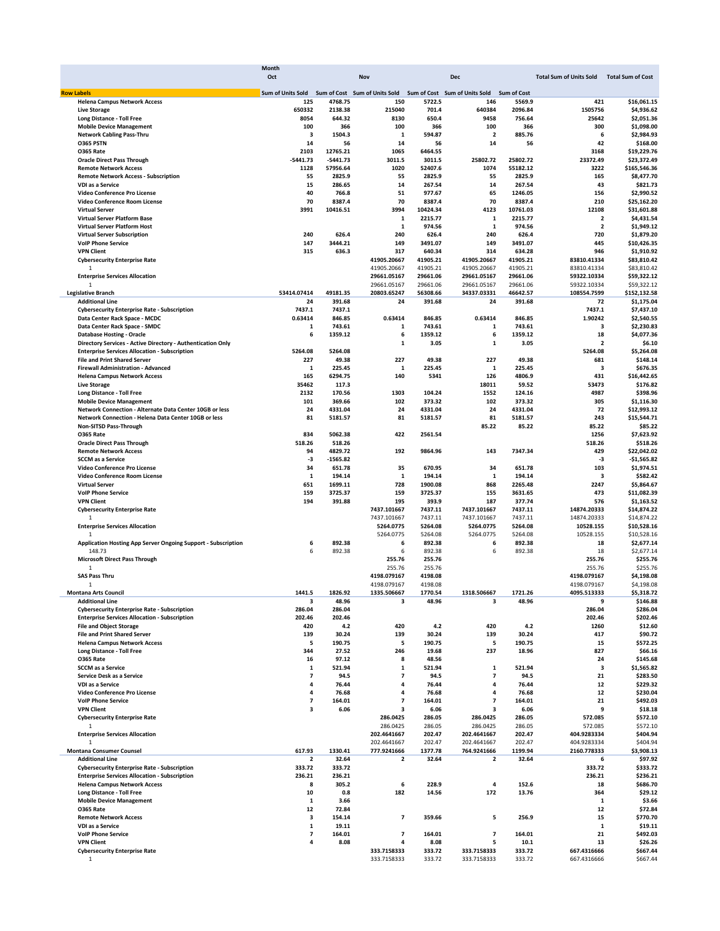|                                                                   | Month                    |                      |                               |                      |                               |                      |                                |                            |
|-------------------------------------------------------------------|--------------------------|----------------------|-------------------------------|----------------------|-------------------------------|----------------------|--------------------------------|----------------------------|
|                                                                   | Oct                      |                      | Nov                           |                      | <b>Dec</b>                    |                      | <b>Total Sum of Units Sold</b> | <b>Total Sum of Cost</b>   |
| <b>Row Labels</b>                                                 | <b>Sum of Units Sold</b> |                      | Sum of Cost Sum of Units Sold |                      | Sum of Cost Sum of Units Sold | Sum of Cost          |                                |                            |
| <b>Helena Campus Network Access</b>                               | 125                      | 4768.75              | 150                           | 5722.5               | 146                           | 5569.9               | 421                            | \$16,061.15                |
| <b>Live Storage</b>                                               | 650332                   | 2138.38              | 215040                        | 701.4                | 640384                        | 2096.84              | 1505756                        | \$4,936.62                 |
| Long Distance - Toll Free                                         | 8054                     | 644.32               | 8130                          | 650.4                | 9458                          | 756.64               | 25642                          | \$2,051.36                 |
| <b>Mobile Device Management</b>                                   | 100                      | 366                  | 100                           | 366                  | 100                           | 366                  | 300                            | \$1,098.00                 |
| <b>Network Cabling Pass-Thru</b>                                  | 3                        | 1504.3               | 1                             | 594.87               | 2                             | 885.76               | 6                              | \$2,984.93                 |
| O365 PSTN                                                         | 14                       | 56                   | 14                            | 56                   | 14                            | 56                   | 42                             | \$168.00                   |
| <b>0365 Rate</b>                                                  | 2103<br>$-5441.73$       | 12765.21<br>-5441.73 | 1065<br>3011.5                | 6464.55<br>3011.5    | 25802.72                      | 25802.72             | 3168<br>23372.49               | \$19,229.76<br>\$23,372.49 |
| <b>Oracle Direct Pass Through</b><br><b>Remote Network Access</b> | 1128                     | 57956.64             | 1020                          | 52407.6              | 1074                          | 55182.12             | 3222                           | \$165,546.36               |
| <b>Remote Network Access - Subscription</b>                       | 55                       | 2825.9               | 55                            | 2825.9               | 55                            | 2825.9               | 165                            | \$8,477.70                 |
| VDI as a Service                                                  | 15                       | 286.65               | 14                            | 267.54               | 14                            | 267.54               | 43                             | \$821.73                   |
| Video Conference Pro License                                      | 40                       | 766.8                | 51                            | 977.67               | 65                            | 1246.05              | 156                            | \$2,990.52                 |
| Video Conference Room License                                     | 70                       | 8387.4               | 70                            | 8387.4               | 70                            | 8387.4               | 210                            | \$25,162.20                |
| <b>Virtual Server</b>                                             | 3991                     | 10416.51             | 3994                          | 10424.34             | 4123                          | 10761.03             | 12108                          | \$31,601.88                |
| <b>Virtual Server Platform Base</b>                               |                          |                      | 1                             | 2215.77              | 1                             | 2215.77              | 2                              | \$4,431.54                 |
| <b>Virtual Server Platform Host</b>                               |                          |                      | 1                             | 974.56               | 1                             | 974.56               | $\overline{\mathbf{2}}$        | \$1,949.12                 |
| <b>Virtual Server Subscription</b>                                | 240                      | 626.4                | 240                           | 626.4                | 240                           | 626.4                | 720                            | \$1,879.20                 |
| <b>VolP Phone Service</b>                                         | 147                      | 3444.21              | 149                           | 3491.07              | 149                           | 3491.07              | 445                            | \$10,426.35                |
| <b>VPN Client</b>                                                 | 315                      | 636.3                | 317                           | 640.34               | 314                           | 634.28               | 946                            | \$1,910.92                 |
| <b>Cybersecurity Enterprise Rate</b><br>1                         |                          |                      | 41905.20667<br>41905.20667    | 41905.21<br>41905.21 | 41905.20667<br>41905.20667    | 41905.21<br>41905.21 | 83810.41334<br>83810.41334     | \$83,810.42<br>\$83,810.42 |
| <b>Enterprise Services Allocation</b>                             |                          |                      | 29661.05167                   | 29661.06             | 29661.05167                   | 29661.06             | 59322.10334                    | \$59,322.12                |
| 1                                                                 |                          |                      | 29661.05167                   | 29661.06             | 29661.05167                   | 29661.06             | 59322.10334                    | \$59,322.12                |
| <b>Legislative Branch</b>                                         | 53414.07414              | 49181.35             | 20803.65247                   | 56308.66             | 34337.03331                   | 46642.57             | 108554.7599                    | \$152,132.58               |
| <b>Additional Line</b>                                            | 24                       | 391.68               | 24                            | 391.68               | 24                            | 391.68               | 72                             | \$1,175.04                 |
| <b>Cybersecurity Enterprise Rate - Subscription</b>               | 7437.1                   | 7437.1               |                               |                      |                               |                      | 7437.1                         | \$7,437.10                 |
| Data Center Rack Space - MCDC                                     | 0.63414                  | 846.85               | 0.63414                       | 846.85               | 0.63414                       | 846.85               | 1.90242                        | \$2,540.55                 |
| Data Center Rack Space - SMDC                                     | 1                        | 743.61               | $\mathbf{1}$                  | 743.61               | 1                             | 743.61               | 3                              | \$2,230.83                 |
| <b>Database Hosting - Oracle</b>                                  | 6                        | 1359.12              | 6                             | 1359.12              | 6                             | 1359.12              | 18                             | \$4,077.36                 |
| Directory Services - Active Directory - Authentication Only       |                          |                      | 1                             | 3.05                 | 1                             | 3.05                 | $\overline{2}$                 | \$6.10                     |
| <b>Enterprise Services Allocation - Subscription</b>              | 5264.08                  | 5264.08              |                               |                      |                               |                      | 5264.08                        | \$5,264.08                 |
| <b>File and Print Shared Server</b>                               | 227                      | 49.38                | 227                           | 49.38                | 227                           | 49.38                | 681                            | \$148.14                   |
| <b>Firewall Administration - Advanced</b>                         | 1                        | 225.45               | 1                             | 225.45               | 1                             | 225.45               | з                              | \$676.35                   |
| <b>Helena Campus Network Access</b><br><b>Live Storage</b>        | 165<br>35462             | 6294.75<br>117.3     | 140                           | 5341                 | 126<br>18011                  | 4806.9<br>59.52      | 431<br>53473                   | \$16,442.65<br>\$176.82    |
| Long Distance - Toll Free                                         | 2132                     | 170.56               | 1303                          | 104.24               | 1552                          | 124.16               | 4987                           | \$398.96                   |
| <b>Mobile Device Management</b>                                   | 101                      | 369.66               | 102                           | 373.32               | 102                           | 373.32               | 305                            | \$1,116.30                 |
| Network Connection - Alternate Data Center 10GB or less           | 24                       | 4331.04              | 24                            | 4331.04              | 24                            | 4331.04              | 72                             | \$12,993.12                |
| Network Connection - Helena Data Center 10GB or less              | 81                       | 5181.57              | 81                            | 5181.57              | 81                            | 5181.57              | 243                            | \$15,544.71                |
| Non-SITSD Pass-Through                                            |                          |                      |                               |                      | 85.22                         | 85.22                | 85.22                          | \$85.22                    |
| <b>0365 Rate</b>                                                  | 834                      | 5062.38              | 422                           | 2561.54              |                               |                      | 1256                           | \$7,623.92                 |
| <b>Oracle Direct Pass Through</b>                                 | 518.26                   | 518.26               |                               |                      |                               |                      | 518.26                         | \$518.26                   |
| <b>Remote Network Access</b>                                      | 94                       | 4829.72              | 192                           | 9864.96              | 143                           | 7347.34              | 429                            | \$22,042.02                |
| <b>SCCM</b> as a Service                                          | -3                       | $-1565.82$           |                               |                      |                               |                      | -3                             | $-$1,565.82$               |
| Video Conference Pro License                                      | 34                       | 651.78               | 35                            | 670.95               | 34                            | 651.78               | 103                            | \$1,974.51                 |
| Video Conference Room License                                     | 1                        | 194.14               | 1<br>728                      | 194.14<br>1900.08    | $\mathbf{1}$<br>868           | 194.14               | 3<br>2247                      | \$582.42                   |
| <b>Virtual Server</b><br><b>VolP Phone Service</b>                | 651<br>159               | 1699.11<br>3725.37   | 159                           | 3725.37              | 155                           | 2265.48<br>3631.65   | 473                            | \$5,864.67<br>\$11,082.39  |
| <b>VPN Client</b>                                                 | 194                      | 391.88               | 195                           | 393.9                | 187                           | 377.74               | 576                            | \$1,163.52                 |
| <b>Cybersecurity Enterprise Rate</b>                              |                          |                      | 7437.101667                   | 7437.11              | 7437.101667                   | 7437.11              | 14874.20333                    | \$14,874.22                |
| 1                                                                 |                          |                      | 7437.101667                   | 7437.11              | 7437.101667                   | 7437.11              | 14874.20333                    | \$14,874.22                |
| <b>Enterprise Services Allocation</b>                             |                          |                      | 5264.0775                     | 5264.08              | 5264.0775                     | 5264.08              | 10528.155                      | \$10,528.16                |
| $\mathbf{1}$                                                      |                          |                      | 5264.0775                     | 5264.08              | 5264.0775                     | 5264.08              | 10528.155                      | \$10,528.16                |
| Application Hosting App Server Ongoing Support - Subscription     | 6                        | 892.38               | 6                             | 892.38               | 6                             | 892.38               | 18                             | \$2,677.14                 |
| 148.73                                                            | 6                        | 892.38               | 6                             | 892.38               | 6                             | 892.38               | 18                             | \$2,677.14                 |
| <b>Microsoft Direct Pass Through</b>                              |                          |                      | 255.76                        | 255.76               |                               |                      | 255.76                         | \$255.76                   |
| 1                                                                 |                          |                      | 255.76                        | 255.76               |                               |                      | 255.76                         | \$255.76                   |
| <b>SAS Pass Thru</b>                                              |                          |                      | 4198.079167                   | 4198.08              |                               |                      | 4198.079167                    | \$4,198.08                 |
| 1                                                                 |                          |                      | 4198.079167<br>1335.506667    | 4198.08<br>1770.54   | 1318.506667                   |                      | 4198.079167<br>4095.513333     | \$4,198.08<br>\$5,318.72   |
| <b>Montana Arts Council</b><br><b>Additional Line</b>             | 1441.5<br>з              | 1826.92<br>48.96     | 3                             | 48.96                | 3                             | 1721.26<br>48.96     | 9                              | \$146.88                   |
| <b>Cybersecurity Enterprise Rate - Subscription</b>               | 286.04                   | 286.04               |                               |                      |                               |                      | 286.04                         | \$286.04                   |
| <b>Enterprise Services Allocation - Subscription</b>              | 202.46                   | 202.46               |                               |                      |                               |                      | 202.46                         | \$202.46                   |
| <b>File and Object Storage</b>                                    | 420                      | 4.2                  | 420                           | 4.2                  | 420                           | 4.2                  | 1260                           | \$12.60                    |
| <b>File and Print Shared Server</b>                               | 139                      | 30.24                | 139                           | 30.24                | 139                           | 30.24                | 417                            | \$90.72                    |
| <b>Helena Campus Network Access</b>                               | 5                        | 190.75               | 5                             | 190.75               | 5                             | 190.75               | 15                             | \$572.25                   |
| Long Distance - Toll Free                                         | 344                      | 27.52                | 246                           | 19.68                | 237                           | 18.96                | 827                            | \$66.16                    |
| <b>0365 Rate</b>                                                  | 16                       | 97.12                | 8                             | 48.56                |                               |                      | 24                             | \$145.68                   |
| <b>SCCM</b> as a Service                                          | 1                        | 521.94               | 1                             | 521.94               | 1                             | 521.94               | 3                              | \$1,565.82                 |
| Service Desk as a Service                                         | 7                        | 94.5                 | 7                             | 94.5                 | 7                             | 94.5                 | 21                             | \$283.50                   |
| VDI as a Service                                                  | 4                        | 76.44                | 4                             | 76.44                | 4                             | 76.44                | 12                             | \$229.32                   |
| Video Conference Pro License                                      | 4<br>$\overline{7}$      | 76.68                | 4                             | 76.68                | 4                             | 76.68                | 12<br>21                       | \$230.04                   |
| <b>VolP Phone Service</b><br><b>VPN Client</b>                    | 3                        | 164.01<br>6.06       | 7<br>з                        | 164.01<br>6.06       | 7<br>з                        | 164.01<br>6.06       | 9                              | \$492.03<br>\$18.18        |
| <b>Cybersecurity Enterprise Rate</b>                              |                          |                      | 286.0425                      | 286.05               | 286.0425                      | 286.05               | 572.085                        | \$572.10                   |
| $\mathbf{1}$                                                      |                          |                      | 286.0425                      | 286.05               | 286.0425                      | 286.05               | 572.085                        | \$572.10                   |
| <b>Enterprise Services Allocation</b>                             |                          |                      | 202.4641667                   | 202.47               | 202.4641667                   | 202.47               | 404.9283334                    | \$404.94                   |
| 1                                                                 |                          |                      | 202.4641667                   | 202.47               | 202.4641667                   | 202.47               | 404.9283334                    | \$404.94                   |
| <b>Montana Consumer Counsel</b>                                   | 617.93                   | 1330.41              | 777.9241666                   | 1377.78              | 764.9241666                   | 1199.94              | 2160.778333                    | \$3,908.13                 |
| <b>Additional Line</b>                                            | 2                        | 32.64                | 2                             | 32.64                | 2                             | 32.64                | 6                              | \$97.92                    |
| <b>Cybersecurity Enterprise Rate - Subscription</b>               | 333.72                   | 333.72               |                               |                      |                               |                      | 333.72                         | \$333.72                   |
| <b>Enterprise Services Allocation - Subscription</b>              | 236.21                   | 236.21               |                               |                      |                               |                      | 236.21                         | \$236.21                   |
| <b>Helena Campus Network Access</b>                               | 8                        | 305.2                | 6                             | 228.9                | 4                             | 152.6                | 18                             | \$686.70                   |
| Long Distance - Toll Free                                         | 10                       | 0.8                  | 182                           | 14.56                | 172                           | 13.76                | 364                            | \$29.12                    |
| <b>Mobile Device Management</b>                                   | 1                        | 3.66                 |                               |                      |                               |                      | 1                              | \$3.66                     |
| <b>0365 Rate</b><br><b>Remote Network Access</b>                  | 12<br>3                  | 72.84<br>154.14      | 7                             | 359.66               | 5                             | 256.9                | 12<br>15                       | \$72.84<br>\$770.70        |
| VDI as a Service                                                  | 1                        | 19.11                |                               |                      |                               |                      | 1                              | \$19.11                    |
| <b>VolP Phone Service</b>                                         | $\overline{ }$           | 164.01               | $\overline{\mathbf{z}}$       | 164.01               | 7                             | 164.01               | 21                             | \$492.03                   |
| <b>VPN Client</b>                                                 | 4                        | 8.08                 | 4                             | 8.08                 | 5                             | 10.1                 | 13                             | \$26.26                    |
| <b>Cybersecurity Enterprise Rate</b>                              |                          |                      | 333.7158333                   | 333.72               | 333.7158333                   | 333.72               | 667.4316666                    | \$667.44                   |
| 1                                                                 |                          |                      | 333.7158333                   | 333.72               | 333.7158333                   | 333.72               | 667.4316666                    | \$667.44                   |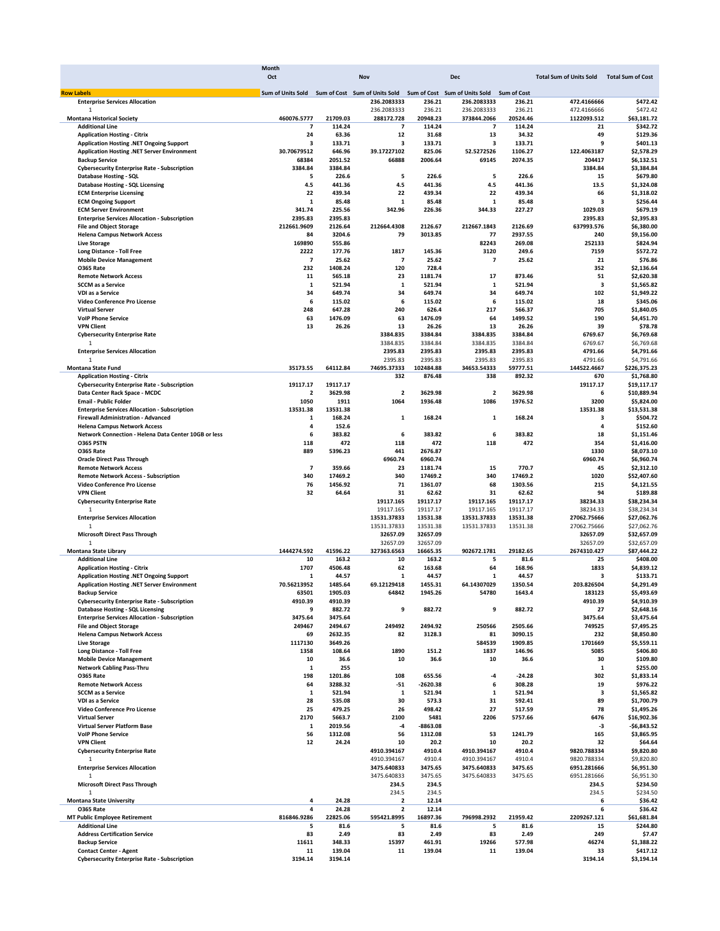|                                                                      | Month                                                                         |                    |                      |                    |                      |                              |                                |                          |
|----------------------------------------------------------------------|-------------------------------------------------------------------------------|--------------------|----------------------|--------------------|----------------------|------------------------------|--------------------------------|--------------------------|
|                                                                      | Oct                                                                           |                    | Nov                  |                    | Dec                  |                              | <b>Total Sum of Units Sold</b> | <b>Total Sum of Cost</b> |
|                                                                      |                                                                               |                    |                      |                    |                      |                              |                                |                          |
| <b>Row Labels</b><br><b>Enterprise Services Allocation</b>           | Sum of Units Sold Sum of Cost Sum of Units Sold Sum of Cost Sum of Units Sold |                    | 236.2083333          | 236.21             | 236.2083333          | <b>Sum of Cost</b><br>236.21 | 472.4166666                    | \$472.42                 |
| $\mathbf{1}$                                                         |                                                                               |                    | 236.2083333          | 236.21             | 236.2083333          | 236.21                       | 472.4166666                    | \$472.42                 |
| <b>Montana Historical Society</b>                                    | 460076.5777                                                                   | 21709.03           | 288172.728           | 20948.23           | 373844.2066          | 20524.46                     | 1122093.512                    | \$63,181.72              |
| <b>Additional Line</b>                                               | 7                                                                             | 114.24             | 7                    | 114.24             | 7                    | 114.24                       | 21                             | \$342.72                 |
| <b>Application Hosting - Citrix</b>                                  | 24                                                                            | 63.36              | 12                   | 31.68              | 13                   | 34.32                        | 49                             | \$129.36                 |
| Application Hosting .NET Ongoing Support                             | з                                                                             | 133.71             | 3                    | 133.71             | 3                    | 133.71                       | 9                              | \$401.13                 |
| Application Hosting .NET Server Environment                          | 30.70679512                                                                   | 646.96             | 39.17227102          | 825.06             | 52.5272526           | 1106.27                      | 122.4063187                    | \$2,578.29               |
| <b>Backup Service</b>                                                | 68384                                                                         | 2051.52            | 66888                | 2006.64            | 69145                | 2074.35                      | 204417                         | \$6,132.51               |
| <b>Cybersecurity Enterprise Rate - Subscription</b>                  | 3384.84                                                                       | 3384.84            |                      |                    |                      |                              | 3384.84                        | \$3,384.84               |
| Database Hosting - SQL                                               | 5                                                                             | 226.6              | 5                    | 226.6              | 5                    | 226.6                        | 15                             | \$679.80                 |
| Database Hosting - SQL Licensing                                     | 4.5                                                                           | 441.36             | 4.5                  | 441.36             | 4.5                  | 441.36                       | 13.5                           | \$1,324.08               |
| <b>ECM Enterprise Licensing</b>                                      | 22                                                                            | 439.34             | 22                   | 439.34             | 22                   | 439.34                       | 66                             | \$1,318.02               |
| <b>ECM Ongoing Support</b>                                           | 1                                                                             | 85.48              | 1                    | 85.48              | 1                    | 85.48                        | 3                              | \$256.44                 |
| <b>ECM Server Environment</b>                                        | 341.74                                                                        | 225.56             | 342.96               | 226.36             | 344.33               | 227.27                       | 1029.03                        | \$679.19                 |
| <b>Enterprise Services Allocation - Subscription</b>                 | 2395.83                                                                       | 2395.83            |                      |                    |                      |                              | 2395.83                        | \$2,395.83               |
| <b>File and Object Storage</b>                                       | 212661.9609                                                                   | 2126.64            | 212664.4308          | 2126.67            | 212667.1843          | 2126.69                      | 637993.576                     | \$6,380.00               |
| <b>Helena Campus Network Access</b>                                  | 84                                                                            | 3204.6             | 79                   | 3013.85            | 77                   | 2937.55                      | 240                            | \$9,156.00               |
| <b>Live Storage</b>                                                  | 169890                                                                        | 555.86             |                      |                    | 82243                | 269.08                       | 252133                         | \$824.94                 |
| Long Distance - Toll Free                                            | 2222                                                                          | 177.76             | 1817                 | 145.36             | 3120                 | 249.6                        | 7159                           | \$572.72                 |
| <b>Mobile Device Management</b>                                      | 7                                                                             | 25.62              | 7                    | 25.62              | 7                    | 25.62                        | 21                             | \$76.86                  |
| <b>0365 Rate</b>                                                     | 232                                                                           | 1408.24            | 120                  | 728.4              |                      |                              | 352                            | \$2,136.64               |
| <b>Remote Network Access</b>                                         | 11                                                                            | 565.18             | 23                   | 1181.74            | 17                   | 873.46                       | 51                             | \$2,620.38               |
| <b>SCCM</b> as a Service                                             | 1                                                                             | 521.94             | 1                    | 521.94             | 1                    | 521.94                       | 3                              | \$1,565.82               |
| <b>VDI as a Service</b>                                              | 34                                                                            | 649.74             | 34                   | 649.74             | 34                   | 649.74                       | 102                            | \$1,949.22               |
| Video Conference Pro License                                         | 6                                                                             | 115.02             | 6                    | 115.02             | 6                    | 115.02                       | 18                             | \$345.06                 |
| <b>Virtual Server</b>                                                | 248                                                                           | 647.28             | 240                  | 626.4              | 217                  | 566.37                       | 705                            | \$1,840.05               |
| <b>VolP Phone Service</b><br><b>VPN Client</b>                       | 63                                                                            | 1476.09            | 63                   | 1476.09            | 64                   | 1499.52                      | 190                            | \$4,451.70               |
|                                                                      | 13                                                                            | 26.26              | 13                   | 26.26              | 13                   | 26.26                        | 39                             | \$78.78                  |
| <b>Cybersecurity Enterprise Rate</b><br>1                            |                                                                               |                    | 3384.835<br>3384.835 | 3384.84<br>3384.84 | 3384.835<br>3384.835 | 3384.84                      | 6769.67<br>6769.67             | \$6,769.68               |
| <b>Enterprise Services Allocation</b>                                |                                                                               |                    | 2395.83              | 2395.83            | 2395.83              | 3384.84<br>2395.83           | 4791.66                        | \$6,769.68<br>\$4,791.66 |
| $\mathbf{1}$                                                         |                                                                               |                    | 2395.83              | 2395.83            | 2395.83              | 2395.83                      | 4791.66                        | \$4,791.66               |
| Montana State Fund                                                   | 35173.55                                                                      | 64112.84           | 74695.37333          | 102484.88          | 34653.54333          | 59777.51                     | 144522.4667                    | \$226,375.23             |
| <b>Application Hosting - Citrix</b>                                  |                                                                               |                    | 332                  | 876.48             | 338                  | 892.32                       | 670                            | \$1,768.80               |
| <b>Cybersecurity Enterprise Rate - Subscription</b>                  | 19117.17                                                                      | 19117.17           |                      |                    |                      |                              | 19117.17                       | \$19,117.17              |
| Data Center Rack Space - MCDC                                        | 2                                                                             | 3629.98            | 2                    | 3629.98            | 2                    | 3629.98                      | 6                              | \$10,889.94              |
| <b>Email - Public Folder</b>                                         | 1050                                                                          | 1911               | 1064                 | 1936.48            | 1086                 | 1976.52                      | 3200                           | \$5,824.00               |
| <b>Enterprise Services Allocation - Subscription</b>                 | 13531.38                                                                      | 13531.38           |                      |                    |                      |                              | 13531.38                       | \$13,531.38              |
| Firewall Administration - Advanced                                   | 1                                                                             | 168.24             | 1                    | 168.24             | 1                    | 168.24                       | з                              | \$504.72                 |
| <b>Helena Campus Network Access</b>                                  | 4                                                                             | 152.6              |                      |                    |                      |                              | 4                              | \$152.60                 |
| Network Connection - Helena Data Center 10GB or less                 | 6                                                                             | 383.82             | 6                    | 383.82             | 6                    | 383.82                       | 18                             | \$1,151.46               |
| <b>0365 PSTN</b>                                                     | 118                                                                           | 472                | 118                  | 472                | 118                  | 472                          | 354                            | \$1,416.00               |
| <b>0365 Rate</b>                                                     | 889                                                                           | 5396.23            | 441                  | 2676.87            |                      |                              | 1330                           | \$8,073.10               |
| <b>Oracle Direct Pass Through</b>                                    |                                                                               |                    | 6960.74              | 6960.74            |                      |                              | 6960.74                        | \$6,960.74               |
| <b>Remote Network Access</b>                                         | $\overline{\phantom{a}}$                                                      | 359.66             | 23                   | 1181.74            | 15                   | 770.7                        | 45                             | \$2,312.10               |
| <b>Remote Network Access - Subscription</b>                          | 340                                                                           | 17469.2            | 340                  | 17469.2            | 340                  | 17469.2                      | 1020                           | \$52,407.60              |
| Video Conference Pro License                                         | 76                                                                            | 1456.92            | 71                   | 1361.07            | 68                   | 1303.56                      | 215                            | \$4,121.55               |
| <b>VPN Client</b>                                                    | 32                                                                            | 64.64              | 31                   | 62.62              | 31                   | 62.62                        | 94                             | \$189.88                 |
| <b>Cybersecurity Enterprise Rate</b>                                 |                                                                               |                    | 19117.165            | 19117.17           | 19117.165            | 19117.17                     | 38234.33                       | \$38,234.34              |
|                                                                      |                                                                               |                    | 19117.165            | 19117.17           | 19117.165            | 19117.17                     | 38234.33                       | \$38,234.34              |
| <b>Enterprise Services Allocation</b>                                |                                                                               |                    | 13531.37833          | 13531.38           | 13531.37833          | 13531.38                     | 27062.75666                    | \$27,062.76              |
| $\mathbf{1}$                                                         |                                                                               |                    | 13531.37833          | 13531.38           | 13531.37833          | 13531.38                     | 27062.75666                    | \$27,062.76              |
| <b>Microsoft Direct Pass Through</b>                                 |                                                                               |                    | 32657.09             | 32657.09           |                      |                              | 32657.09                       | \$32,657.09              |
| $\mathbf{1}$                                                         |                                                                               |                    | 32657.09             | 32657.09           |                      |                              | 32657.09                       | \$32,657.09              |
| <b>Montana State Library</b>                                         | 1444274.592                                                                   | 41596.22           | 327363.6563          | 16665.35           | 902672.1781          | 29182.65                     | 2674310.427                    | \$87,444.22              |
| <b>Additional Line</b>                                               | 10                                                                            | 163.2              | 10                   | 163.2              | 5                    | 81.6                         | 25                             | \$408.00                 |
| <b>Application Hosting - Citrix</b>                                  | 1707                                                                          | 4506.48            | 62                   | 163.68             | 64                   | 168.96                       | 1833                           | \$4,839.12               |
| Application Hosting .NET Ongoing Support                             | 1                                                                             | 44.57              | 1                    | 44.57              | 1                    | 44.57                        | з                              | \$133.71                 |
| Application Hosting .NET Server Environment<br><b>Backup Service</b> | 70.56213952<br>63501                                                          | 1485.64<br>1905.03 | 69.12129418<br>64842 | 1455.31<br>1945.26 | 64.14307029          | 1350.54<br>1643.4            | 203.826504<br>183123           | \$4,291.49<br>\$5.493.69 |
| <b>Cybersecurity Enterprise Rate - Subscription</b>                  | 4910.39                                                                       |                    |                      |                    | 54780                |                              |                                | \$4,910.39               |
| <b>Database Hosting - SQL Licensing</b>                              | 9                                                                             | 4910.39<br>882.72  | 9                    | 882.72             | 9                    | 882.72                       | 4910.39<br>27                  | \$2,648.16               |
| <b>Enterprise Services Allocation - Subscription</b>                 | 3475.64                                                                       | 3475.64            |                      |                    |                      |                              | 3475.64                        | \$3,475.64               |
| <b>File and Object Storage</b>                                       | 249467                                                                        | 2494.67            | 249492               | 2494.92            | 250566               | 2505.66                      | 749525                         | \$7,495.25               |
| <b>Helena Campus Network Access</b>                                  | 69                                                                            | 2632.35            | 82                   | 3128.3             | 81                   | 3090.15                      | 232                            | \$8,850.80               |
| <b>Live Storage</b>                                                  | 1117130                                                                       | 3649.26            |                      |                    | 584539               | 1909.85                      | 1701669                        | \$5,559.11               |
| <b>Long Distance - Toll Free</b>                                     | 1358                                                                          | 108.64             | 1890                 | 151.2              | 1837                 | 146.96                       | 5085                           | \$406.80                 |
| <b>Mobile Device Management</b>                                      | 10                                                                            | 36.6               | 10                   | 36.6               | 10                   | 36.6                         | 30                             | \$109.80                 |
| <b>Network Cabling Pass-Thru</b>                                     | 1                                                                             | 255                |                      |                    |                      |                              | 1                              | \$255.00                 |
| <b>0365 Rate</b>                                                     | 198                                                                           | 1201.86            | 108                  | 655.56             | -4                   | $-24.28$                     | 302                            | \$1,833.14               |
| <b>Remote Network Access</b>                                         | 64                                                                            | 3288.32            | -51                  | $-2620.38$         | 6                    | 308.28                       | 19                             | \$976.22                 |
| <b>SCCM</b> as a Service                                             | 1                                                                             | 521.94             | 1                    | 521.94             | 1                    | 521.94                       | з                              | \$1,565.82               |
| VDI as a Service                                                     | 28                                                                            | 535.08             | 30                   | 573.3              | 31                   | 592.41                       | 89                             | \$1,700.79               |
| Video Conference Pro License                                         | 25                                                                            | 479.25             | 26                   | 498.42             | 27                   | 517.59                       | 78                             | \$1,495.26               |
| <b>Virtual Server</b>                                                | 2170                                                                          | 5663.7             | 2100                 | 5481               | 2206                 | 5757.66                      | 6476                           | \$16,902.36              |
| Virtual Server Platform Base                                         | 1                                                                             | 2019.56            | -4                   | $-8863.08$         |                      |                              | -3                             | $-$6,843.52$             |
| <b>VolP Phone Service</b>                                            | 56                                                                            | 1312.08            | 56                   | 1312.08            | 53                   | 1241.79                      | 165                            | \$3,865.95               |
| <b>VPN Client</b>                                                    | 12                                                                            | 24.24              | 10                   | 20.2               | 10                   | 20.2                         | 32                             | \$64.64                  |
| <b>Cybersecurity Enterprise Rate</b>                                 |                                                                               |                    | 4910.394167          | 4910.4             | 4910.394167          | 4910.4                       | 9820.788334                    | \$9,820.80               |
| 1                                                                    |                                                                               |                    | 4910.394167          | 4910.4             | 4910.394167          | 4910.4                       | 9820.788334                    | \$9,820.80               |
| <b>Enterprise Services Allocation</b>                                |                                                                               |                    | 3475.640833          | 3475.65            | 3475.640833          | 3475.65                      | 6951.281666                    | \$6,951.30               |
| 1                                                                    |                                                                               |                    | 3475.640833          | 3475.65            | 3475.640833          | 3475.65                      | 6951.281666                    | \$6,951.30               |
| <b>Microsoft Direct Pass Through</b>                                 |                                                                               |                    | 234.5                | 234.5              |                      |                              | 234.5                          | \$234.50                 |
| $\mathbf{1}$                                                         |                                                                               |                    | 234.5                | 234.5              |                      |                              | 234.5                          | \$234.50                 |
| <b>Montana State University</b>                                      | 4                                                                             | 24.28              | 2                    | 12.14              |                      |                              | 6                              | \$36.42                  |
| <b>0365 Rate</b>                                                     | 4                                                                             | 24.28              | $\mathbf 2$          | 12.14              |                      |                              | 6                              | \$36.42                  |
| <b>MT Public Employee Retirement</b>                                 | 816846.9286                                                                   | 22825.06           | 595421.8995          | 16897.36           | 796998.2932          | 21959.42                     | 2209267.121                    | \$61,681.84              |
| <b>Additional Line</b>                                               | 5                                                                             | 81.6               | 5                    | 81.6               | 5                    | 81.6                         | 15                             | \$244.80                 |
| <b>Address Certification Service</b>                                 | 83                                                                            | 2.49               | 83                   | 2.49               | 83                   | 2.49                         | 249                            | \$7.47                   |
| <b>Backup Service</b>                                                | 11611                                                                         | 348.33             | 15397                | 461.91             | 19266                | 577.98                       | 46274                          | \$1,388.22               |
| <b>Contact Center - Agent</b>                                        | 11                                                                            | 139.04             | 11                   | 139.04             | 11                   | 139.04                       | 33                             | \$417.12                 |
| <b>Cybersecurity Enterprise Rate - Subscription</b>                  | 3194.14                                                                       | 3194.14            |                      |                    |                      |                              | 3194.14                        | \$3,194.14               |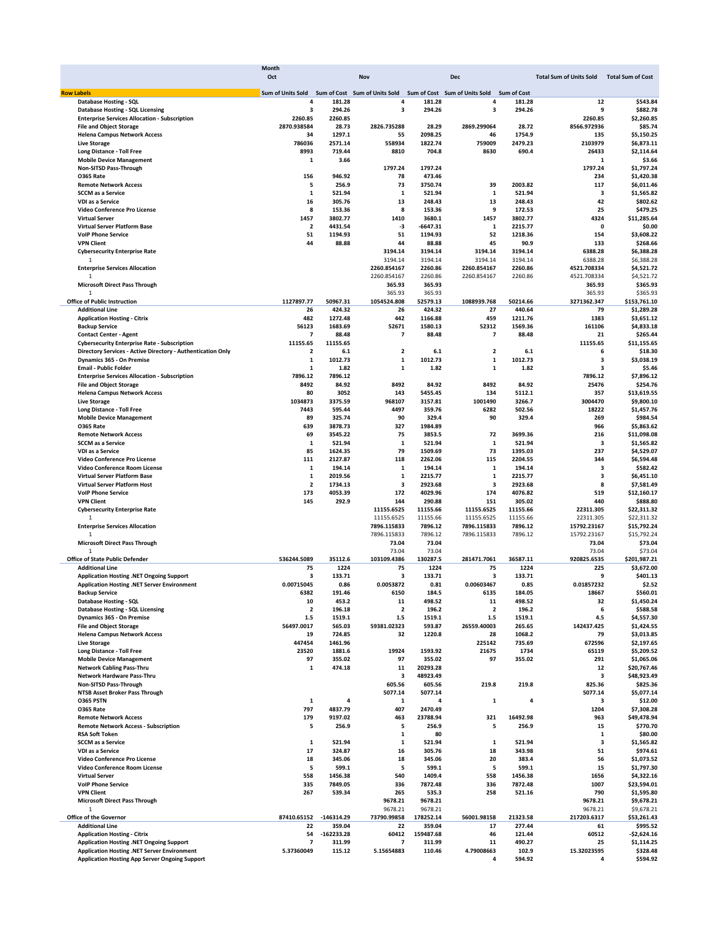| Oct<br>Nov<br><b>Dec</b><br><b>Total Sum of Units Sold</b><br><b>Row Labels</b><br>Sum of Units Sold<br>Sum of Cost Sum of Units Sold<br>Sum of Cost Sum of Units Sold<br><b>Sum of Cost</b><br>Database Hosting - SQL<br>4<br>181.28<br>181.28<br>181.28<br>4<br>4<br>294.26<br>294.26<br>3<br>294.26<br><b>Database Hosting - SQL Licensing</b><br>з<br>з<br>2260.85<br>2260.85<br><b>Enterprise Services Allocation - Subscription</b><br>2870.938584<br>28.73<br>2826.735288<br>28.29<br>2869.299064<br>28.72<br><b>File and Object Storage</b><br>34<br>1297.1<br>55<br>2098.25<br>46<br>1754.9<br><b>Helena Campus Network Access</b><br>786036<br>2571.14<br>1822.74<br>2479.23<br><b>Live Storage</b><br>558934<br>759009<br>8993<br>719.44<br>8810<br>704.8<br>8630<br>690.4<br>Long Distance - Toll Free<br><b>Mobile Device Management</b><br>$\mathbf{1}$<br>3.66<br>Non-SITSD Pass-Through<br>1797.24<br>1797.24<br>156<br>78<br>473.46<br><b>0365 Rate</b><br>946.92<br><b>Remote Network Access</b><br>5<br>256.9<br>73<br>3750.74<br>39<br>2003.82<br>$\mathbf 1$<br>$\mathbf 1$<br>$\mathbf{1}$<br><b>SCCM</b> as a Service<br>521.94<br>521.94<br>521.94<br>16<br>13<br>13<br>VDI as a Service<br>305.76<br>248.43<br>248.43<br>8<br>8<br>9<br>Video Conference Pro License<br>153.36<br>153.36<br>172.53<br><b>Virtual Server</b><br>1457<br>3802.77<br>1410<br>3680.1<br>1457<br>3802.77<br><b>Virtual Server Platform Base</b><br>$\overline{\mathbf{2}}$<br>4431.54<br>-3<br>-6647.31<br>1<br>2215.77<br>51<br>52<br>51<br>1194.93<br><b>VolP Phone Service</b><br>1194.93<br>1218.36<br>44<br>44<br>88.88<br>45<br><b>VPN Client</b><br>88.88<br>90.9<br><b>Cybersecurity Enterprise Rate</b><br>3194.14<br>3194.14<br>3194.14<br>3194.14<br>3194.14<br>3194.14<br>3194.14<br>3194.14<br>1<br>2260.86<br><b>Enterprise Services Allocation</b><br>2260.854167<br>2260.854167<br>2260.86<br>2260.854167<br>2260.86<br>2260.86<br>$\overline{1}$<br>2260.854167<br><b>Microsoft Direct Pass Through</b><br>365.93<br>365.93<br>365.93<br>365.93<br>1<br>1127897.77<br>1054524.808<br>52579.13<br>1088939.768<br><b>Office of Public Instruction</b><br>50967.31<br>50214.66<br><b>Additional Line</b><br>26<br>424.32<br>26<br>424.32<br>27<br>440.64<br>482<br>442<br>1166.88<br>459<br><b>Application Hosting - Citrix</b><br>1272.48<br>1211.76<br>56123<br>52671<br>1580.13<br>52312<br><b>Backup Service</b><br>1683.69<br>1569.36 | <b>Total Sum of Cost</b><br>12<br>\$543.84<br>9<br>\$882.78<br>2260.85<br>\$2,260.85<br>8566.972936<br>\$85.74<br>135<br>\$5.150.25<br>2103979<br>\$6,873.11<br>26433<br>\$2,114.64<br>\$3.66<br>1<br>1797.24<br>\$1,797.24<br>\$1,420.38<br>234<br>117<br>\$6,011.46<br>3<br>\$1.565.82<br>42<br>\$802.62<br>25<br>\$479.25<br>4324<br>\$11,285.64<br>0<br>\$0.00<br>154<br>\$3,608.22<br>133<br>\$268.66<br>6388.28<br>\$6,388.28<br>6388.28<br>\$6,388.28<br>4521.708334<br>\$4,521.72<br>4521.708334<br>\$4,521.72<br>365.93<br>\$365.93 |
|--------------------------------------------------------------------------------------------------------------------------------------------------------------------------------------------------------------------------------------------------------------------------------------------------------------------------------------------------------------------------------------------------------------------------------------------------------------------------------------------------------------------------------------------------------------------------------------------------------------------------------------------------------------------------------------------------------------------------------------------------------------------------------------------------------------------------------------------------------------------------------------------------------------------------------------------------------------------------------------------------------------------------------------------------------------------------------------------------------------------------------------------------------------------------------------------------------------------------------------------------------------------------------------------------------------------------------------------------------------------------------------------------------------------------------------------------------------------------------------------------------------------------------------------------------------------------------------------------------------------------------------------------------------------------------------------------------------------------------------------------------------------------------------------------------------------------------------------------------------------------------------------------------------------------------------------------------------------------------------------------------------------------------------------------------------------------------------------------------------------------------------------------------------------------------------------------------------------------------------------------------------------------------------------------------------------------------------------------------------------------------------------------------------------------------------------------------------|----------------------------------------------------------------------------------------------------------------------------------------------------------------------------------------------------------------------------------------------------------------------------------------------------------------------------------------------------------------------------------------------------------------------------------------------------------------------------------------------------------------------------------------------|
|                                                                                                                                                                                                                                                                                                                                                                                                                                                                                                                                                                                                                                                                                                                                                                                                                                                                                                                                                                                                                                                                                                                                                                                                                                                                                                                                                                                                                                                                                                                                                                                                                                                                                                                                                                                                                                                                                                                                                                                                                                                                                                                                                                                                                                                                                                                                                                                                                                                              |                                                                                                                                                                                                                                                                                                                                                                                                                                                                                                                                              |
|                                                                                                                                                                                                                                                                                                                                                                                                                                                                                                                                                                                                                                                                                                                                                                                                                                                                                                                                                                                                                                                                                                                                                                                                                                                                                                                                                                                                                                                                                                                                                                                                                                                                                                                                                                                                                                                                                                                                                                                                                                                                                                                                                                                                                                                                                                                                                                                                                                                              |                                                                                                                                                                                                                                                                                                                                                                                                                                                                                                                                              |
|                                                                                                                                                                                                                                                                                                                                                                                                                                                                                                                                                                                                                                                                                                                                                                                                                                                                                                                                                                                                                                                                                                                                                                                                                                                                                                                                                                                                                                                                                                                                                                                                                                                                                                                                                                                                                                                                                                                                                                                                                                                                                                                                                                                                                                                                                                                                                                                                                                                              |                                                                                                                                                                                                                                                                                                                                                                                                                                                                                                                                              |
|                                                                                                                                                                                                                                                                                                                                                                                                                                                                                                                                                                                                                                                                                                                                                                                                                                                                                                                                                                                                                                                                                                                                                                                                                                                                                                                                                                                                                                                                                                                                                                                                                                                                                                                                                                                                                                                                                                                                                                                                                                                                                                                                                                                                                                                                                                                                                                                                                                                              |                                                                                                                                                                                                                                                                                                                                                                                                                                                                                                                                              |
|                                                                                                                                                                                                                                                                                                                                                                                                                                                                                                                                                                                                                                                                                                                                                                                                                                                                                                                                                                                                                                                                                                                                                                                                                                                                                                                                                                                                                                                                                                                                                                                                                                                                                                                                                                                                                                                                                                                                                                                                                                                                                                                                                                                                                                                                                                                                                                                                                                                              |                                                                                                                                                                                                                                                                                                                                                                                                                                                                                                                                              |
|                                                                                                                                                                                                                                                                                                                                                                                                                                                                                                                                                                                                                                                                                                                                                                                                                                                                                                                                                                                                                                                                                                                                                                                                                                                                                                                                                                                                                                                                                                                                                                                                                                                                                                                                                                                                                                                                                                                                                                                                                                                                                                                                                                                                                                                                                                                                                                                                                                                              |                                                                                                                                                                                                                                                                                                                                                                                                                                                                                                                                              |
|                                                                                                                                                                                                                                                                                                                                                                                                                                                                                                                                                                                                                                                                                                                                                                                                                                                                                                                                                                                                                                                                                                                                                                                                                                                                                                                                                                                                                                                                                                                                                                                                                                                                                                                                                                                                                                                                                                                                                                                                                                                                                                                                                                                                                                                                                                                                                                                                                                                              |                                                                                                                                                                                                                                                                                                                                                                                                                                                                                                                                              |
|                                                                                                                                                                                                                                                                                                                                                                                                                                                                                                                                                                                                                                                                                                                                                                                                                                                                                                                                                                                                                                                                                                                                                                                                                                                                                                                                                                                                                                                                                                                                                                                                                                                                                                                                                                                                                                                                                                                                                                                                                                                                                                                                                                                                                                                                                                                                                                                                                                                              |                                                                                                                                                                                                                                                                                                                                                                                                                                                                                                                                              |
|                                                                                                                                                                                                                                                                                                                                                                                                                                                                                                                                                                                                                                                                                                                                                                                                                                                                                                                                                                                                                                                                                                                                                                                                                                                                                                                                                                                                                                                                                                                                                                                                                                                                                                                                                                                                                                                                                                                                                                                                                                                                                                                                                                                                                                                                                                                                                                                                                                                              |                                                                                                                                                                                                                                                                                                                                                                                                                                                                                                                                              |
|                                                                                                                                                                                                                                                                                                                                                                                                                                                                                                                                                                                                                                                                                                                                                                                                                                                                                                                                                                                                                                                                                                                                                                                                                                                                                                                                                                                                                                                                                                                                                                                                                                                                                                                                                                                                                                                                                                                                                                                                                                                                                                                                                                                                                                                                                                                                                                                                                                                              |                                                                                                                                                                                                                                                                                                                                                                                                                                                                                                                                              |
|                                                                                                                                                                                                                                                                                                                                                                                                                                                                                                                                                                                                                                                                                                                                                                                                                                                                                                                                                                                                                                                                                                                                                                                                                                                                                                                                                                                                                                                                                                                                                                                                                                                                                                                                                                                                                                                                                                                                                                                                                                                                                                                                                                                                                                                                                                                                                                                                                                                              |                                                                                                                                                                                                                                                                                                                                                                                                                                                                                                                                              |
|                                                                                                                                                                                                                                                                                                                                                                                                                                                                                                                                                                                                                                                                                                                                                                                                                                                                                                                                                                                                                                                                                                                                                                                                                                                                                                                                                                                                                                                                                                                                                                                                                                                                                                                                                                                                                                                                                                                                                                                                                                                                                                                                                                                                                                                                                                                                                                                                                                                              |                                                                                                                                                                                                                                                                                                                                                                                                                                                                                                                                              |
|                                                                                                                                                                                                                                                                                                                                                                                                                                                                                                                                                                                                                                                                                                                                                                                                                                                                                                                                                                                                                                                                                                                                                                                                                                                                                                                                                                                                                                                                                                                                                                                                                                                                                                                                                                                                                                                                                                                                                                                                                                                                                                                                                                                                                                                                                                                                                                                                                                                              |                                                                                                                                                                                                                                                                                                                                                                                                                                                                                                                                              |
|                                                                                                                                                                                                                                                                                                                                                                                                                                                                                                                                                                                                                                                                                                                                                                                                                                                                                                                                                                                                                                                                                                                                                                                                                                                                                                                                                                                                                                                                                                                                                                                                                                                                                                                                                                                                                                                                                                                                                                                                                                                                                                                                                                                                                                                                                                                                                                                                                                                              |                                                                                                                                                                                                                                                                                                                                                                                                                                                                                                                                              |
|                                                                                                                                                                                                                                                                                                                                                                                                                                                                                                                                                                                                                                                                                                                                                                                                                                                                                                                                                                                                                                                                                                                                                                                                                                                                                                                                                                                                                                                                                                                                                                                                                                                                                                                                                                                                                                                                                                                                                                                                                                                                                                                                                                                                                                                                                                                                                                                                                                                              |                                                                                                                                                                                                                                                                                                                                                                                                                                                                                                                                              |
|                                                                                                                                                                                                                                                                                                                                                                                                                                                                                                                                                                                                                                                                                                                                                                                                                                                                                                                                                                                                                                                                                                                                                                                                                                                                                                                                                                                                                                                                                                                                                                                                                                                                                                                                                                                                                                                                                                                                                                                                                                                                                                                                                                                                                                                                                                                                                                                                                                                              |                                                                                                                                                                                                                                                                                                                                                                                                                                                                                                                                              |
|                                                                                                                                                                                                                                                                                                                                                                                                                                                                                                                                                                                                                                                                                                                                                                                                                                                                                                                                                                                                                                                                                                                                                                                                                                                                                                                                                                                                                                                                                                                                                                                                                                                                                                                                                                                                                                                                                                                                                                                                                                                                                                                                                                                                                                                                                                                                                                                                                                                              |                                                                                                                                                                                                                                                                                                                                                                                                                                                                                                                                              |
|                                                                                                                                                                                                                                                                                                                                                                                                                                                                                                                                                                                                                                                                                                                                                                                                                                                                                                                                                                                                                                                                                                                                                                                                                                                                                                                                                                                                                                                                                                                                                                                                                                                                                                                                                                                                                                                                                                                                                                                                                                                                                                                                                                                                                                                                                                                                                                                                                                                              |                                                                                                                                                                                                                                                                                                                                                                                                                                                                                                                                              |
|                                                                                                                                                                                                                                                                                                                                                                                                                                                                                                                                                                                                                                                                                                                                                                                                                                                                                                                                                                                                                                                                                                                                                                                                                                                                                                                                                                                                                                                                                                                                                                                                                                                                                                                                                                                                                                                                                                                                                                                                                                                                                                                                                                                                                                                                                                                                                                                                                                                              |                                                                                                                                                                                                                                                                                                                                                                                                                                                                                                                                              |
|                                                                                                                                                                                                                                                                                                                                                                                                                                                                                                                                                                                                                                                                                                                                                                                                                                                                                                                                                                                                                                                                                                                                                                                                                                                                                                                                                                                                                                                                                                                                                                                                                                                                                                                                                                                                                                                                                                                                                                                                                                                                                                                                                                                                                                                                                                                                                                                                                                                              |                                                                                                                                                                                                                                                                                                                                                                                                                                                                                                                                              |
|                                                                                                                                                                                                                                                                                                                                                                                                                                                                                                                                                                                                                                                                                                                                                                                                                                                                                                                                                                                                                                                                                                                                                                                                                                                                                                                                                                                                                                                                                                                                                                                                                                                                                                                                                                                                                                                                                                                                                                                                                                                                                                                                                                                                                                                                                                                                                                                                                                                              |                                                                                                                                                                                                                                                                                                                                                                                                                                                                                                                                              |
|                                                                                                                                                                                                                                                                                                                                                                                                                                                                                                                                                                                                                                                                                                                                                                                                                                                                                                                                                                                                                                                                                                                                                                                                                                                                                                                                                                                                                                                                                                                                                                                                                                                                                                                                                                                                                                                                                                                                                                                                                                                                                                                                                                                                                                                                                                                                                                                                                                                              |                                                                                                                                                                                                                                                                                                                                                                                                                                                                                                                                              |
|                                                                                                                                                                                                                                                                                                                                                                                                                                                                                                                                                                                                                                                                                                                                                                                                                                                                                                                                                                                                                                                                                                                                                                                                                                                                                                                                                                                                                                                                                                                                                                                                                                                                                                                                                                                                                                                                                                                                                                                                                                                                                                                                                                                                                                                                                                                                                                                                                                                              |                                                                                                                                                                                                                                                                                                                                                                                                                                                                                                                                              |
|                                                                                                                                                                                                                                                                                                                                                                                                                                                                                                                                                                                                                                                                                                                                                                                                                                                                                                                                                                                                                                                                                                                                                                                                                                                                                                                                                                                                                                                                                                                                                                                                                                                                                                                                                                                                                                                                                                                                                                                                                                                                                                                                                                                                                                                                                                                                                                                                                                                              |                                                                                                                                                                                                                                                                                                                                                                                                                                                                                                                                              |
|                                                                                                                                                                                                                                                                                                                                                                                                                                                                                                                                                                                                                                                                                                                                                                                                                                                                                                                                                                                                                                                                                                                                                                                                                                                                                                                                                                                                                                                                                                                                                                                                                                                                                                                                                                                                                                                                                                                                                                                                                                                                                                                                                                                                                                                                                                                                                                                                                                                              |                                                                                                                                                                                                                                                                                                                                                                                                                                                                                                                                              |
|                                                                                                                                                                                                                                                                                                                                                                                                                                                                                                                                                                                                                                                                                                                                                                                                                                                                                                                                                                                                                                                                                                                                                                                                                                                                                                                                                                                                                                                                                                                                                                                                                                                                                                                                                                                                                                                                                                                                                                                                                                                                                                                                                                                                                                                                                                                                                                                                                                                              |                                                                                                                                                                                                                                                                                                                                                                                                                                                                                                                                              |
|                                                                                                                                                                                                                                                                                                                                                                                                                                                                                                                                                                                                                                                                                                                                                                                                                                                                                                                                                                                                                                                                                                                                                                                                                                                                                                                                                                                                                                                                                                                                                                                                                                                                                                                                                                                                                                                                                                                                                                                                                                                                                                                                                                                                                                                                                                                                                                                                                                                              |                                                                                                                                                                                                                                                                                                                                                                                                                                                                                                                                              |
|                                                                                                                                                                                                                                                                                                                                                                                                                                                                                                                                                                                                                                                                                                                                                                                                                                                                                                                                                                                                                                                                                                                                                                                                                                                                                                                                                                                                                                                                                                                                                                                                                                                                                                                                                                                                                                                                                                                                                                                                                                                                                                                                                                                                                                                                                                                                                                                                                                                              |                                                                                                                                                                                                                                                                                                                                                                                                                                                                                                                                              |
|                                                                                                                                                                                                                                                                                                                                                                                                                                                                                                                                                                                                                                                                                                                                                                                                                                                                                                                                                                                                                                                                                                                                                                                                                                                                                                                                                                                                                                                                                                                                                                                                                                                                                                                                                                                                                                                                                                                                                                                                                                                                                                                                                                                                                                                                                                                                                                                                                                                              | 365.93<br>\$365.93                                                                                                                                                                                                                                                                                                                                                                                                                                                                                                                           |
|                                                                                                                                                                                                                                                                                                                                                                                                                                                                                                                                                                                                                                                                                                                                                                                                                                                                                                                                                                                                                                                                                                                                                                                                                                                                                                                                                                                                                                                                                                                                                                                                                                                                                                                                                                                                                                                                                                                                                                                                                                                                                                                                                                                                                                                                                                                                                                                                                                                              | 3271362.347<br>\$153,761.10                                                                                                                                                                                                                                                                                                                                                                                                                                                                                                                  |
|                                                                                                                                                                                                                                                                                                                                                                                                                                                                                                                                                                                                                                                                                                                                                                                                                                                                                                                                                                                                                                                                                                                                                                                                                                                                                                                                                                                                                                                                                                                                                                                                                                                                                                                                                                                                                                                                                                                                                                                                                                                                                                                                                                                                                                                                                                                                                                                                                                                              | 79<br>\$1,289.28                                                                                                                                                                                                                                                                                                                                                                                                                                                                                                                             |
|                                                                                                                                                                                                                                                                                                                                                                                                                                                                                                                                                                                                                                                                                                                                                                                                                                                                                                                                                                                                                                                                                                                                                                                                                                                                                                                                                                                                                                                                                                                                                                                                                                                                                                                                                                                                                                                                                                                                                                                                                                                                                                                                                                                                                                                                                                                                                                                                                                                              | 1383<br>\$3,651.12                                                                                                                                                                                                                                                                                                                                                                                                                                                                                                                           |
|                                                                                                                                                                                                                                                                                                                                                                                                                                                                                                                                                                                                                                                                                                                                                                                                                                                                                                                                                                                                                                                                                                                                                                                                                                                                                                                                                                                                                                                                                                                                                                                                                                                                                                                                                                                                                                                                                                                                                                                                                                                                                                                                                                                                                                                                                                                                                                                                                                                              | 161106<br>\$4,833.18                                                                                                                                                                                                                                                                                                                                                                                                                                                                                                                         |
| $\overline{7}$<br>7<br>88.48<br>$\overline{7}$<br>88.48<br><b>Contact Center - Agent</b><br>88.48                                                                                                                                                                                                                                                                                                                                                                                                                                                                                                                                                                                                                                                                                                                                                                                                                                                                                                                                                                                                                                                                                                                                                                                                                                                                                                                                                                                                                                                                                                                                                                                                                                                                                                                                                                                                                                                                                                                                                                                                                                                                                                                                                                                                                                                                                                                                                            | 21<br>\$265.44                                                                                                                                                                                                                                                                                                                                                                                                                                                                                                                               |
| 11155.65<br><b>Cybersecurity Enterprise Rate - Subscription</b><br>11155.65                                                                                                                                                                                                                                                                                                                                                                                                                                                                                                                                                                                                                                                                                                                                                                                                                                                                                                                                                                                                                                                                                                                                                                                                                                                                                                                                                                                                                                                                                                                                                                                                                                                                                                                                                                                                                                                                                                                                                                                                                                                                                                                                                                                                                                                                                                                                                                                  | 11155.65<br>\$11,155.65                                                                                                                                                                                                                                                                                                                                                                                                                                                                                                                      |
|                                                                                                                                                                                                                                                                                                                                                                                                                                                                                                                                                                                                                                                                                                                                                                                                                                                                                                                                                                                                                                                                                                                                                                                                                                                                                                                                                                                                                                                                                                                                                                                                                                                                                                                                                                                                                                                                                                                                                                                                                                                                                                                                                                                                                                                                                                                                                                                                                                                              |                                                                                                                                                                                                                                                                                                                                                                                                                                                                                                                                              |
| $\overline{\mathbf{2}}$<br>Directory Services - Active Directory - Authentication Only<br>$\overline{\mathbf{2}}$<br>6.1<br>2<br>6.1<br>6.1                                                                                                                                                                                                                                                                                                                                                                                                                                                                                                                                                                                                                                                                                                                                                                                                                                                                                                                                                                                                                                                                                                                                                                                                                                                                                                                                                                                                                                                                                                                                                                                                                                                                                                                                                                                                                                                                                                                                                                                                                                                                                                                                                                                                                                                                                                                  | 6<br>\$18.30                                                                                                                                                                                                                                                                                                                                                                                                                                                                                                                                 |
| $\mathbf 1$<br>$\mathbf 1$<br>1012.73<br>$\mathbf{1}$<br>1012.73<br>Dynamics 365 - On Premise<br>1012.73                                                                                                                                                                                                                                                                                                                                                                                                                                                                                                                                                                                                                                                                                                                                                                                                                                                                                                                                                                                                                                                                                                                                                                                                                                                                                                                                                                                                                                                                                                                                                                                                                                                                                                                                                                                                                                                                                                                                                                                                                                                                                                                                                                                                                                                                                                                                                     | 3<br>\$3,038.19                                                                                                                                                                                                                                                                                                                                                                                                                                                                                                                              |
| <b>Email - Public Folder</b><br>$\mathbf 1$<br>1.82<br>$\mathbf{1}$<br>1.82<br>$\mathbf{1}$<br>1.82                                                                                                                                                                                                                                                                                                                                                                                                                                                                                                                                                                                                                                                                                                                                                                                                                                                                                                                                                                                                                                                                                                                                                                                                                                                                                                                                                                                                                                                                                                                                                                                                                                                                                                                                                                                                                                                                                                                                                                                                                                                                                                                                                                                                                                                                                                                                                          | 3<br>\$5.46                                                                                                                                                                                                                                                                                                                                                                                                                                                                                                                                  |
| 7896.12<br>7896.12<br><b>Enterprise Services Allocation - Subscription</b>                                                                                                                                                                                                                                                                                                                                                                                                                                                                                                                                                                                                                                                                                                                                                                                                                                                                                                                                                                                                                                                                                                                                                                                                                                                                                                                                                                                                                                                                                                                                                                                                                                                                                                                                                                                                                                                                                                                                                                                                                                                                                                                                                                                                                                                                                                                                                                                   | 7896.12<br>\$7,896.12                                                                                                                                                                                                                                                                                                                                                                                                                                                                                                                        |
| 8492<br>8492<br>8492<br><b>File and Object Storage</b><br>84.92<br>84.92<br>84.92                                                                                                                                                                                                                                                                                                                                                                                                                                                                                                                                                                                                                                                                                                                                                                                                                                                                                                                                                                                                                                                                                                                                                                                                                                                                                                                                                                                                                                                                                                                                                                                                                                                                                                                                                                                                                                                                                                                                                                                                                                                                                                                                                                                                                                                                                                                                                                            | 25476<br>\$254.76                                                                                                                                                                                                                                                                                                                                                                                                                                                                                                                            |
| 80<br>3052<br>143<br>5455.45<br>134<br>5112.1<br><b>Helena Campus Network Access</b>                                                                                                                                                                                                                                                                                                                                                                                                                                                                                                                                                                                                                                                                                                                                                                                                                                                                                                                                                                                                                                                                                                                                                                                                                                                                                                                                                                                                                                                                                                                                                                                                                                                                                                                                                                                                                                                                                                                                                                                                                                                                                                                                                                                                                                                                                                                                                                         | 357<br>\$13,619.55                                                                                                                                                                                                                                                                                                                                                                                                                                                                                                                           |
| 1034873<br>3375.59<br>968107<br>3157.81<br>1001490<br>3266.7<br><b>Live Storage</b>                                                                                                                                                                                                                                                                                                                                                                                                                                                                                                                                                                                                                                                                                                                                                                                                                                                                                                                                                                                                                                                                                                                                                                                                                                                                                                                                                                                                                                                                                                                                                                                                                                                                                                                                                                                                                                                                                                                                                                                                                                                                                                                                                                                                                                                                                                                                                                          | 3004470<br>\$9,800.10                                                                                                                                                                                                                                                                                                                                                                                                                                                                                                                        |
| 4497<br>Long Distance - Toll Free<br>7443<br>595.44<br>359.76<br>6282<br>502.56                                                                                                                                                                                                                                                                                                                                                                                                                                                                                                                                                                                                                                                                                                                                                                                                                                                                                                                                                                                                                                                                                                                                                                                                                                                                                                                                                                                                                                                                                                                                                                                                                                                                                                                                                                                                                                                                                                                                                                                                                                                                                                                                                                                                                                                                                                                                                                              | 18222<br>\$1,457.76                                                                                                                                                                                                                                                                                                                                                                                                                                                                                                                          |
|                                                                                                                                                                                                                                                                                                                                                                                                                                                                                                                                                                                                                                                                                                                                                                                                                                                                                                                                                                                                                                                                                                                                                                                                                                                                                                                                                                                                                                                                                                                                                                                                                                                                                                                                                                                                                                                                                                                                                                                                                                                                                                                                                                                                                                                                                                                                                                                                                                                              |                                                                                                                                                                                                                                                                                                                                                                                                                                                                                                                                              |
| 89<br>90<br>329.4<br>90<br>329.4<br><b>Mobile Device Management</b><br>325.74                                                                                                                                                                                                                                                                                                                                                                                                                                                                                                                                                                                                                                                                                                                                                                                                                                                                                                                                                                                                                                                                                                                                                                                                                                                                                                                                                                                                                                                                                                                                                                                                                                                                                                                                                                                                                                                                                                                                                                                                                                                                                                                                                                                                                                                                                                                                                                                | 269<br>\$984.54                                                                                                                                                                                                                                                                                                                                                                                                                                                                                                                              |
| 639<br>3878.73<br>327<br>1984.89<br><b>0365 Rate</b>                                                                                                                                                                                                                                                                                                                                                                                                                                                                                                                                                                                                                                                                                                                                                                                                                                                                                                                                                                                                                                                                                                                                                                                                                                                                                                                                                                                                                                                                                                                                                                                                                                                                                                                                                                                                                                                                                                                                                                                                                                                                                                                                                                                                                                                                                                                                                                                                         | 966<br>\$5,863.62                                                                                                                                                                                                                                                                                                                                                                                                                                                                                                                            |
| 69<br>3545.22<br>75<br>3853.5<br>72<br>3699.36<br><b>Remote Network Access</b>                                                                                                                                                                                                                                                                                                                                                                                                                                                                                                                                                                                                                                                                                                                                                                                                                                                                                                                                                                                                                                                                                                                                                                                                                                                                                                                                                                                                                                                                                                                                                                                                                                                                                                                                                                                                                                                                                                                                                                                                                                                                                                                                                                                                                                                                                                                                                                               | 216<br>\$11,098.08                                                                                                                                                                                                                                                                                                                                                                                                                                                                                                                           |
| $\mathbf 1$<br>$\mathbf{1}$<br>521.94<br><b>SCCM</b> as a Service<br>521.94<br>1<br>521.94                                                                                                                                                                                                                                                                                                                                                                                                                                                                                                                                                                                                                                                                                                                                                                                                                                                                                                                                                                                                                                                                                                                                                                                                                                                                                                                                                                                                                                                                                                                                                                                                                                                                                                                                                                                                                                                                                                                                                                                                                                                                                                                                                                                                                                                                                                                                                                   | з<br>\$1,565.82                                                                                                                                                                                                                                                                                                                                                                                                                                                                                                                              |
| 85<br>79<br>73<br>1624.35<br>1509.69<br>1395.03<br>VDI as a Service                                                                                                                                                                                                                                                                                                                                                                                                                                                                                                                                                                                                                                                                                                                                                                                                                                                                                                                                                                                                                                                                                                                                                                                                                                                                                                                                                                                                                                                                                                                                                                                                                                                                                                                                                                                                                                                                                                                                                                                                                                                                                                                                                                                                                                                                                                                                                                                          | 237<br>\$4,529.07                                                                                                                                                                                                                                                                                                                                                                                                                                                                                                                            |
| Video Conference Pro License<br>111<br>2127.87<br>118<br>2262.06<br>115<br>2204.55                                                                                                                                                                                                                                                                                                                                                                                                                                                                                                                                                                                                                                                                                                                                                                                                                                                                                                                                                                                                                                                                                                                                                                                                                                                                                                                                                                                                                                                                                                                                                                                                                                                                                                                                                                                                                                                                                                                                                                                                                                                                                                                                                                                                                                                                                                                                                                           | 344<br>\$6,594.48                                                                                                                                                                                                                                                                                                                                                                                                                                                                                                                            |
| Video Conference Room License<br>1<br>194.14<br>1<br>194.14<br>1<br>194.14                                                                                                                                                                                                                                                                                                                                                                                                                                                                                                                                                                                                                                                                                                                                                                                                                                                                                                                                                                                                                                                                                                                                                                                                                                                                                                                                                                                                                                                                                                                                                                                                                                                                                                                                                                                                                                                                                                                                                                                                                                                                                                                                                                                                                                                                                                                                                                                   | з<br>\$582.42                                                                                                                                                                                                                                                                                                                                                                                                                                                                                                                                |
| $\mathbf 1$<br>2019.56<br>$\mathbf 1$<br>2215.77<br>$\mathbf{1}$<br>2215.77<br>Virtual Server Platform Base                                                                                                                                                                                                                                                                                                                                                                                                                                                                                                                                                                                                                                                                                                                                                                                                                                                                                                                                                                                                                                                                                                                                                                                                                                                                                                                                                                                                                                                                                                                                                                                                                                                                                                                                                                                                                                                                                                                                                                                                                                                                                                                                                                                                                                                                                                                                                  | 3<br>\$6,451.10                                                                                                                                                                                                                                                                                                                                                                                                                                                                                                                              |
|                                                                                                                                                                                                                                                                                                                                                                                                                                                                                                                                                                                                                                                                                                                                                                                                                                                                                                                                                                                                                                                                                                                                                                                                                                                                                                                                                                                                                                                                                                                                                                                                                                                                                                                                                                                                                                                                                                                                                                                                                                                                                                                                                                                                                                                                                                                                                                                                                                                              |                                                                                                                                                                                                                                                                                                                                                                                                                                                                                                                                              |
| <b>Virtual Server Platform Host</b><br>$\overline{\mathbf{2}}$<br>1734.13<br>3<br>2923.68<br>$\overline{\mathbf{3}}$<br>2923.68                                                                                                                                                                                                                                                                                                                                                                                                                                                                                                                                                                                                                                                                                                                                                                                                                                                                                                                                                                                                                                                                                                                                                                                                                                                                                                                                                                                                                                                                                                                                                                                                                                                                                                                                                                                                                                                                                                                                                                                                                                                                                                                                                                                                                                                                                                                              | 8<br>\$7,581.49                                                                                                                                                                                                                                                                                                                                                                                                                                                                                                                              |
| <b>VolP Phone Service</b><br>173<br>4053.39<br>172<br>4029.96<br>174<br>4076.82                                                                                                                                                                                                                                                                                                                                                                                                                                                                                                                                                                                                                                                                                                                                                                                                                                                                                                                                                                                                                                                                                                                                                                                                                                                                                                                                                                                                                                                                                                                                                                                                                                                                                                                                                                                                                                                                                                                                                                                                                                                                                                                                                                                                                                                                                                                                                                              | 519<br>\$12,160.17                                                                                                                                                                                                                                                                                                                                                                                                                                                                                                                           |
| 145<br>292.9<br>144<br>290.88<br>305.02<br><b>VPN Client</b><br>151                                                                                                                                                                                                                                                                                                                                                                                                                                                                                                                                                                                                                                                                                                                                                                                                                                                                                                                                                                                                                                                                                                                                                                                                                                                                                                                                                                                                                                                                                                                                                                                                                                                                                                                                                                                                                                                                                                                                                                                                                                                                                                                                                                                                                                                                                                                                                                                          | 440<br>\$888.80                                                                                                                                                                                                                                                                                                                                                                                                                                                                                                                              |
| 11155.6525<br>11155.66<br>11155.6525<br>11155.66<br><b>Cybersecurity Enterprise Rate</b>                                                                                                                                                                                                                                                                                                                                                                                                                                                                                                                                                                                                                                                                                                                                                                                                                                                                                                                                                                                                                                                                                                                                                                                                                                                                                                                                                                                                                                                                                                                                                                                                                                                                                                                                                                                                                                                                                                                                                                                                                                                                                                                                                                                                                                                                                                                                                                     | 22311.305<br>\$22,311.32                                                                                                                                                                                                                                                                                                                                                                                                                                                                                                                     |
| 11155.6525<br>11155.66<br>11155.6525<br>11155.66<br>1                                                                                                                                                                                                                                                                                                                                                                                                                                                                                                                                                                                                                                                                                                                                                                                                                                                                                                                                                                                                                                                                                                                                                                                                                                                                                                                                                                                                                                                                                                                                                                                                                                                                                                                                                                                                                                                                                                                                                                                                                                                                                                                                                                                                                                                                                                                                                                                                        | 22311.305<br>\$22,311.32                                                                                                                                                                                                                                                                                                                                                                                                                                                                                                                     |
| 7896.115833<br>7896.12<br><b>Enterprise Services Allocation</b><br>7896.115833<br>7896.12                                                                                                                                                                                                                                                                                                                                                                                                                                                                                                                                                                                                                                                                                                                                                                                                                                                                                                                                                                                                                                                                                                                                                                                                                                                                                                                                                                                                                                                                                                                                                                                                                                                                                                                                                                                                                                                                                                                                                                                                                                                                                                                                                                                                                                                                                                                                                                    | 15792.23167<br>\$15.792.24                                                                                                                                                                                                                                                                                                                                                                                                                                                                                                                   |
| 7896.115833<br>7896.12<br>7896.115833<br>7896.12<br>1                                                                                                                                                                                                                                                                                                                                                                                                                                                                                                                                                                                                                                                                                                                                                                                                                                                                                                                                                                                                                                                                                                                                                                                                                                                                                                                                                                                                                                                                                                                                                                                                                                                                                                                                                                                                                                                                                                                                                                                                                                                                                                                                                                                                                                                                                                                                                                                                        | 15792.23167<br>\$15,792.24                                                                                                                                                                                                                                                                                                                                                                                                                                                                                                                   |
| 73.04<br>73.04<br><b>Microsoft Direct Pass Through</b>                                                                                                                                                                                                                                                                                                                                                                                                                                                                                                                                                                                                                                                                                                                                                                                                                                                                                                                                                                                                                                                                                                                                                                                                                                                                                                                                                                                                                                                                                                                                                                                                                                                                                                                                                                                                                                                                                                                                                                                                                                                                                                                                                                                                                                                                                                                                                                                                       | 73.04<br>\$73.04                                                                                                                                                                                                                                                                                                                                                                                                                                                                                                                             |
| 73.04<br>73.04<br>$\mathbf{1}$                                                                                                                                                                                                                                                                                                                                                                                                                                                                                                                                                                                                                                                                                                                                                                                                                                                                                                                                                                                                                                                                                                                                                                                                                                                                                                                                                                                                                                                                                                                                                                                                                                                                                                                                                                                                                                                                                                                                                                                                                                                                                                                                                                                                                                                                                                                                                                                                                               | 73.04<br>\$73.04                                                                                                                                                                                                                                                                                                                                                                                                                                                                                                                             |
|                                                                                                                                                                                                                                                                                                                                                                                                                                                                                                                                                                                                                                                                                                                                                                                                                                                                                                                                                                                                                                                                                                                                                                                                                                                                                                                                                                                                                                                                                                                                                                                                                                                                                                                                                                                                                                                                                                                                                                                                                                                                                                                                                                                                                                                                                                                                                                                                                                                              |                                                                                                                                                                                                                                                                                                                                                                                                                                                                                                                                              |
| Office of State Public Defender<br>103109.4386<br>536244.5089<br>35112.6<br>130287.5<br>281471.7061<br>36587.11                                                                                                                                                                                                                                                                                                                                                                                                                                                                                                                                                                                                                                                                                                                                                                                                                                                                                                                                                                                                                                                                                                                                                                                                                                                                                                                                                                                                                                                                                                                                                                                                                                                                                                                                                                                                                                                                                                                                                                                                                                                                                                                                                                                                                                                                                                                                              | 920825.6535<br>\$201,987.21                                                                                                                                                                                                                                                                                                                                                                                                                                                                                                                  |
| 75<br><b>Additional Line</b><br>75<br>1224<br>1224<br>75<br>1224                                                                                                                                                                                                                                                                                                                                                                                                                                                                                                                                                                                                                                                                                                                                                                                                                                                                                                                                                                                                                                                                                                                                                                                                                                                                                                                                                                                                                                                                                                                                                                                                                                                                                                                                                                                                                                                                                                                                                                                                                                                                                                                                                                                                                                                                                                                                                                                             | 225<br>\$3,672.00                                                                                                                                                                                                                                                                                                                                                                                                                                                                                                                            |
| $\overline{\mathbf{3}}$<br>133.71<br>3<br>133.71<br>$\overline{\mathbf{3}}$<br>133.71<br>Application Hosting .NET Ongoing Support                                                                                                                                                                                                                                                                                                                                                                                                                                                                                                                                                                                                                                                                                                                                                                                                                                                                                                                                                                                                                                                                                                                                                                                                                                                                                                                                                                                                                                                                                                                                                                                                                                                                                                                                                                                                                                                                                                                                                                                                                                                                                                                                                                                                                                                                                                                            | 9<br>\$401.13                                                                                                                                                                                                                                                                                                                                                                                                                                                                                                                                |
| Application Hosting .NET Server Environment<br>0.00715045<br>0.0053872<br>0.81<br>0.00603467<br>0.85<br>0.86                                                                                                                                                                                                                                                                                                                                                                                                                                                                                                                                                                                                                                                                                                                                                                                                                                                                                                                                                                                                                                                                                                                                                                                                                                                                                                                                                                                                                                                                                                                                                                                                                                                                                                                                                                                                                                                                                                                                                                                                                                                                                                                                                                                                                                                                                                                                                 | 0.01857232<br>\$2.52                                                                                                                                                                                                                                                                                                                                                                                                                                                                                                                         |
| 6382<br>184.5<br>6135<br>184.05<br>191.46<br>6150<br>васкир зегvісе                                                                                                                                                                                                                                                                                                                                                                                                                                                                                                                                                                                                                                                                                                                                                                                                                                                                                                                                                                                                                                                                                                                                                                                                                                                                                                                                                                                                                                                                                                                                                                                                                                                                                                                                                                                                                                                                                                                                                                                                                                                                                                                                                                                                                                                                                                                                                                                          | \$560.01<br>18667                                                                                                                                                                                                                                                                                                                                                                                                                                                                                                                            |
| 10<br>498.52<br>Database Hosting - SQL<br>453.2<br>11<br>11<br>498.52                                                                                                                                                                                                                                                                                                                                                                                                                                                                                                                                                                                                                                                                                                                                                                                                                                                                                                                                                                                                                                                                                                                                                                                                                                                                                                                                                                                                                                                                                                                                                                                                                                                                                                                                                                                                                                                                                                                                                                                                                                                                                                                                                                                                                                                                                                                                                                                        | \$1,450.24<br>32                                                                                                                                                                                                                                                                                                                                                                                                                                                                                                                             |
| <b>Database Hosting - SQL Licensing</b><br>2<br>196.18<br>$\overline{\mathbf{2}}$<br>196.2<br>$\overline{2}$<br>196.2                                                                                                                                                                                                                                                                                                                                                                                                                                                                                                                                                                                                                                                                                                                                                                                                                                                                                                                                                                                                                                                                                                                                                                                                                                                                                                                                                                                                                                                                                                                                                                                                                                                                                                                                                                                                                                                                                                                                                                                                                                                                                                                                                                                                                                                                                                                                        | \$588.58<br>6                                                                                                                                                                                                                                                                                                                                                                                                                                                                                                                                |
| Dynamics 365 - On Premise<br>1.5<br>1519.1<br>$1.5$<br>1519.1<br>$1.5$<br>1519.1                                                                                                                                                                                                                                                                                                                                                                                                                                                                                                                                                                                                                                                                                                                                                                                                                                                                                                                                                                                                                                                                                                                                                                                                                                                                                                                                                                                                                                                                                                                                                                                                                                                                                                                                                                                                                                                                                                                                                                                                                                                                                                                                                                                                                                                                                                                                                                             | \$4,557.30<br>4.5                                                                                                                                                                                                                                                                                                                                                                                                                                                                                                                            |
|                                                                                                                                                                                                                                                                                                                                                                                                                                                                                                                                                                                                                                                                                                                                                                                                                                                                                                                                                                                                                                                                                                                                                                                                                                                                                                                                                                                                                                                                                                                                                                                                                                                                                                                                                                                                                                                                                                                                                                                                                                                                                                                                                                                                                                                                                                                                                                                                                                                              |                                                                                                                                                                                                                                                                                                                                                                                                                                                                                                                                              |
| <b>File and Object Storage</b><br>56497.0017<br>59381.02323<br>26559.40003<br>565.03<br>593.87<br>265.65                                                                                                                                                                                                                                                                                                                                                                                                                                                                                                                                                                                                                                                                                                                                                                                                                                                                                                                                                                                                                                                                                                                                                                                                                                                                                                                                                                                                                                                                                                                                                                                                                                                                                                                                                                                                                                                                                                                                                                                                                                                                                                                                                                                                                                                                                                                                                     | 142437.425<br>\$1,424.55                                                                                                                                                                                                                                                                                                                                                                                                                                                                                                                     |
| <b>Helena Campus Network Access</b><br>19<br>32<br>1220.8<br>28<br>1068.2<br>724.85                                                                                                                                                                                                                                                                                                                                                                                                                                                                                                                                                                                                                                                                                                                                                                                                                                                                                                                                                                                                                                                                                                                                                                                                                                                                                                                                                                                                                                                                                                                                                                                                                                                                                                                                                                                                                                                                                                                                                                                                                                                                                                                                                                                                                                                                                                                                                                          | 79<br>\$3,013.85                                                                                                                                                                                                                                                                                                                                                                                                                                                                                                                             |
|                                                                                                                                                                                                                                                                                                                                                                                                                                                                                                                                                                                                                                                                                                                                                                                                                                                                                                                                                                                                                                                                                                                                                                                                                                                                                                                                                                                                                                                                                                                                                                                                                                                                                                                                                                                                                                                                                                                                                                                                                                                                                                                                                                                                                                                                                                                                                                                                                                                              | \$2,197.65<br>672596                                                                                                                                                                                                                                                                                                                                                                                                                                                                                                                         |
| 447454<br><b>Live Storage</b><br>1461.96<br>225142<br>735.69                                                                                                                                                                                                                                                                                                                                                                                                                                                                                                                                                                                                                                                                                                                                                                                                                                                                                                                                                                                                                                                                                                                                                                                                                                                                                                                                                                                                                                                                                                                                                                                                                                                                                                                                                                                                                                                                                                                                                                                                                                                                                                                                                                                                                                                                                                                                                                                                 | 65119<br>\$5,209.52                                                                                                                                                                                                                                                                                                                                                                                                                                                                                                                          |
| 23520<br>Long Distance - Toll Free<br>1881.6<br>19924<br>1593.92<br>21675<br>1734                                                                                                                                                                                                                                                                                                                                                                                                                                                                                                                                                                                                                                                                                                                                                                                                                                                                                                                                                                                                                                                                                                                                                                                                                                                                                                                                                                                                                                                                                                                                                                                                                                                                                                                                                                                                                                                                                                                                                                                                                                                                                                                                                                                                                                                                                                                                                                            | \$1,065.06<br>291                                                                                                                                                                                                                                                                                                                                                                                                                                                                                                                            |
| 97<br>355.02<br><b>Mobile Device Management</b><br>355.02<br>97<br>355.02<br>97                                                                                                                                                                                                                                                                                                                                                                                                                                                                                                                                                                                                                                                                                                                                                                                                                                                                                                                                                                                                                                                                                                                                                                                                                                                                                                                                                                                                                                                                                                                                                                                                                                                                                                                                                                                                                                                                                                                                                                                                                                                                                                                                                                                                                                                                                                                                                                              |                                                                                                                                                                                                                                                                                                                                                                                                                                                                                                                                              |
| <b>Network Cabling Pass-Thru</b><br>474.18<br>11<br>20293.28<br>1                                                                                                                                                                                                                                                                                                                                                                                                                                                                                                                                                                                                                                                                                                                                                                                                                                                                                                                                                                                                                                                                                                                                                                                                                                                                                                                                                                                                                                                                                                                                                                                                                                                                                                                                                                                                                                                                                                                                                                                                                                                                                                                                                                                                                                                                                                                                                                                            | 12<br>\$20,767.46                                                                                                                                                                                                                                                                                                                                                                                                                                                                                                                            |
|                                                                                                                                                                                                                                                                                                                                                                                                                                                                                                                                                                                                                                                                                                                                                                                                                                                                                                                                                                                                                                                                                                                                                                                                                                                                                                                                                                                                                                                                                                                                                                                                                                                                                                                                                                                                                                                                                                                                                                                                                                                                                                                                                                                                                                                                                                                                                                                                                                                              |                                                                                                                                                                                                                                                                                                                                                                                                                                                                                                                                              |
| Network Hardware Pass-Thru<br>48923.49<br>з                                                                                                                                                                                                                                                                                                                                                                                                                                                                                                                                                                                                                                                                                                                                                                                                                                                                                                                                                                                                                                                                                                                                                                                                                                                                                                                                                                                                                                                                                                                                                                                                                                                                                                                                                                                                                                                                                                                                                                                                                                                                                                                                                                                                                                                                                                                                                                                                                  | \$48,923.49<br>з                                                                                                                                                                                                                                                                                                                                                                                                                                                                                                                             |
| 605.56<br>219.8<br>Non-SITSD Pass-Through<br>605.56<br>219.8                                                                                                                                                                                                                                                                                                                                                                                                                                                                                                                                                                                                                                                                                                                                                                                                                                                                                                                                                                                                                                                                                                                                                                                                                                                                                                                                                                                                                                                                                                                                                                                                                                                                                                                                                                                                                                                                                                                                                                                                                                                                                                                                                                                                                                                                                                                                                                                                 | 825.36<br>\$825.36                                                                                                                                                                                                                                                                                                                                                                                                                                                                                                                           |
| NTSB Asset Broker Pass Through<br>5077.14<br>5077.14                                                                                                                                                                                                                                                                                                                                                                                                                                                                                                                                                                                                                                                                                                                                                                                                                                                                                                                                                                                                                                                                                                                                                                                                                                                                                                                                                                                                                                                                                                                                                                                                                                                                                                                                                                                                                                                                                                                                                                                                                                                                                                                                                                                                                                                                                                                                                                                                         | 5077.14<br>\$5,077.14                                                                                                                                                                                                                                                                                                                                                                                                                                                                                                                        |
| <b>0365 PSTN</b><br>$\mathbf{1}$<br>1<br>4<br>1<br>4<br>4                                                                                                                                                                                                                                                                                                                                                                                                                                                                                                                                                                                                                                                                                                                                                                                                                                                                                                                                                                                                                                                                                                                                                                                                                                                                                                                                                                                                                                                                                                                                                                                                                                                                                                                                                                                                                                                                                                                                                                                                                                                                                                                                                                                                                                                                                                                                                                                                    | \$12.00<br>з                                                                                                                                                                                                                                                                                                                                                                                                                                                                                                                                 |
| O365 Rate<br>797<br>4837.79<br>407<br>2470.49                                                                                                                                                                                                                                                                                                                                                                                                                                                                                                                                                                                                                                                                                                                                                                                                                                                                                                                                                                                                                                                                                                                                                                                                                                                                                                                                                                                                                                                                                                                                                                                                                                                                                                                                                                                                                                                                                                                                                                                                                                                                                                                                                                                                                                                                                                                                                                                                                | 1204<br>\$7,308.28                                                                                                                                                                                                                                                                                                                                                                                                                                                                                                                           |
| 179<br>9197.02<br>463<br>23788.94<br>16492.98<br><b>Remote Network Access</b><br>321                                                                                                                                                                                                                                                                                                                                                                                                                                                                                                                                                                                                                                                                                                                                                                                                                                                                                                                                                                                                                                                                                                                                                                                                                                                                                                                                                                                                                                                                                                                                                                                                                                                                                                                                                                                                                                                                                                                                                                                                                                                                                                                                                                                                                                                                                                                                                                         | 963<br>\$49,478.94                                                                                                                                                                                                                                                                                                                                                                                                                                                                                                                           |
| <b>Remote Network Access - Subscription</b><br>5<br>256.9<br>5<br>256.9<br>5<br>256.9                                                                                                                                                                                                                                                                                                                                                                                                                                                                                                                                                                                                                                                                                                                                                                                                                                                                                                                                                                                                                                                                                                                                                                                                                                                                                                                                                                                                                                                                                                                                                                                                                                                                                                                                                                                                                                                                                                                                                                                                                                                                                                                                                                                                                                                                                                                                                                        | 15<br>\$770.70                                                                                                                                                                                                                                                                                                                                                                                                                                                                                                                               |
| <b>RSA Soft Token</b><br>1<br>80                                                                                                                                                                                                                                                                                                                                                                                                                                                                                                                                                                                                                                                                                                                                                                                                                                                                                                                                                                                                                                                                                                                                                                                                                                                                                                                                                                                                                                                                                                                                                                                                                                                                                                                                                                                                                                                                                                                                                                                                                                                                                                                                                                                                                                                                                                                                                                                                                             | $\mathbf{1}$                                                                                                                                                                                                                                                                                                                                                                                                                                                                                                                                 |
|                                                                                                                                                                                                                                                                                                                                                                                                                                                                                                                                                                                                                                                                                                                                                                                                                                                                                                                                                                                                                                                                                                                                                                                                                                                                                                                                                                                                                                                                                                                                                                                                                                                                                                                                                                                                                                                                                                                                                                                                                                                                                                                                                                                                                                                                                                                                                                                                                                                              | \$80.00                                                                                                                                                                                                                                                                                                                                                                                                                                                                                                                                      |
| $\mathbf{1}$<br><b>SCCM</b> as a Service<br>1<br>521.94<br>1<br>521.94<br>521.94                                                                                                                                                                                                                                                                                                                                                                                                                                                                                                                                                                                                                                                                                                                                                                                                                                                                                                                                                                                                                                                                                                                                                                                                                                                                                                                                                                                                                                                                                                                                                                                                                                                                                                                                                                                                                                                                                                                                                                                                                                                                                                                                                                                                                                                                                                                                                                             | 3<br>\$1,565.82                                                                                                                                                                                                                                                                                                                                                                                                                                                                                                                              |
| 17<br>VDI as a Service<br>324.87<br>16<br>305.76<br>18<br>343.98                                                                                                                                                                                                                                                                                                                                                                                                                                                                                                                                                                                                                                                                                                                                                                                                                                                                                                                                                                                                                                                                                                                                                                                                                                                                                                                                                                                                                                                                                                                                                                                                                                                                                                                                                                                                                                                                                                                                                                                                                                                                                                                                                                                                                                                                                                                                                                                             | 51<br>\$974.61                                                                                                                                                                                                                                                                                                                                                                                                                                                                                                                               |
| 18<br>345.06<br>18<br>345.06<br>20<br>383.4<br>Video Conference Pro License                                                                                                                                                                                                                                                                                                                                                                                                                                                                                                                                                                                                                                                                                                                                                                                                                                                                                                                                                                                                                                                                                                                                                                                                                                                                                                                                                                                                                                                                                                                                                                                                                                                                                                                                                                                                                                                                                                                                                                                                                                                                                                                                                                                                                                                                                                                                                                                  | 56<br>\$1,073.52                                                                                                                                                                                                                                                                                                                                                                                                                                                                                                                             |
| 5<br>5<br>5<br>Video Conference Room License<br>599.1<br>599.1<br>599.1                                                                                                                                                                                                                                                                                                                                                                                                                                                                                                                                                                                                                                                                                                                                                                                                                                                                                                                                                                                                                                                                                                                                                                                                                                                                                                                                                                                                                                                                                                                                                                                                                                                                                                                                                                                                                                                                                                                                                                                                                                                                                                                                                                                                                                                                                                                                                                                      | 15<br>\$1,797.30                                                                                                                                                                                                                                                                                                                                                                                                                                                                                                                             |
| 558<br>1456.38<br>540<br>1409.4<br>558<br>1456.38<br><b>Virtual Server</b>                                                                                                                                                                                                                                                                                                                                                                                                                                                                                                                                                                                                                                                                                                                                                                                                                                                                                                                                                                                                                                                                                                                                                                                                                                                                                                                                                                                                                                                                                                                                                                                                                                                                                                                                                                                                                                                                                                                                                                                                                                                                                                                                                                                                                                                                                                                                                                                   | 1656<br>\$4,322.16                                                                                                                                                                                                                                                                                                                                                                                                                                                                                                                           |
| <b>VolP Phone Service</b><br>335<br>7849.05<br>336<br>7872.48<br>336<br>7872.48                                                                                                                                                                                                                                                                                                                                                                                                                                                                                                                                                                                                                                                                                                                                                                                                                                                                                                                                                                                                                                                                                                                                                                                                                                                                                                                                                                                                                                                                                                                                                                                                                                                                                                                                                                                                                                                                                                                                                                                                                                                                                                                                                                                                                                                                                                                                                                              | 1007<br>\$23,594.01                                                                                                                                                                                                                                                                                                                                                                                                                                                                                                                          |
|                                                                                                                                                                                                                                                                                                                                                                                                                                                                                                                                                                                                                                                                                                                                                                                                                                                                                                                                                                                                                                                                                                                                                                                                                                                                                                                                                                                                                                                                                                                                                                                                                                                                                                                                                                                                                                                                                                                                                                                                                                                                                                                                                                                                                                                                                                                                                                                                                                                              |                                                                                                                                                                                                                                                                                                                                                                                                                                                                                                                                              |
| <b>VPN Client</b><br>267<br>539.34<br>265<br>535.3<br>258<br>521.16                                                                                                                                                                                                                                                                                                                                                                                                                                                                                                                                                                                                                                                                                                                                                                                                                                                                                                                                                                                                                                                                                                                                                                                                                                                                                                                                                                                                                                                                                                                                                                                                                                                                                                                                                                                                                                                                                                                                                                                                                                                                                                                                                                                                                                                                                                                                                                                          | 790<br>\$1,595.80                                                                                                                                                                                                                                                                                                                                                                                                                                                                                                                            |
| <b>Microsoft Direct Pass Through</b><br>9678.21<br>9678.21                                                                                                                                                                                                                                                                                                                                                                                                                                                                                                                                                                                                                                                                                                                                                                                                                                                                                                                                                                                                                                                                                                                                                                                                                                                                                                                                                                                                                                                                                                                                                                                                                                                                                                                                                                                                                                                                                                                                                                                                                                                                                                                                                                                                                                                                                                                                                                                                   | \$9,678.21<br>9678.21                                                                                                                                                                                                                                                                                                                                                                                                                                                                                                                        |
| $\mathbf{1}$<br>9678.21<br>9678.21                                                                                                                                                                                                                                                                                                                                                                                                                                                                                                                                                                                                                                                                                                                                                                                                                                                                                                                                                                                                                                                                                                                                                                                                                                                                                                                                                                                                                                                                                                                                                                                                                                                                                                                                                                                                                                                                                                                                                                                                                                                                                                                                                                                                                                                                                                                                                                                                                           | 9678.21<br>\$9,678.21                                                                                                                                                                                                                                                                                                                                                                                                                                                                                                                        |
| 87410.65152<br>$-146314.29$<br>73790.99858<br>178252.14<br>56001.98158<br>21323.58                                                                                                                                                                                                                                                                                                                                                                                                                                                                                                                                                                                                                                                                                                                                                                                                                                                                                                                                                                                                                                                                                                                                                                                                                                                                                                                                                                                                                                                                                                                                                                                                                                                                                                                                                                                                                                                                                                                                                                                                                                                                                                                                                                                                                                                                                                                                                                           | 217203.6317<br>\$53,261.43                                                                                                                                                                                                                                                                                                                                                                                                                                                                                                                   |
| 22<br><b>Additional Line</b><br>359.04<br>22<br>359.04<br>17<br>277.44                                                                                                                                                                                                                                                                                                                                                                                                                                                                                                                                                                                                                                                                                                                                                                                                                                                                                                                                                                                                                                                                                                                                                                                                                                                                                                                                                                                                                                                                                                                                                                                                                                                                                                                                                                                                                                                                                                                                                                                                                                                                                                                                                                                                                                                                                                                                                                                       | \$995.52<br>61                                                                                                                                                                                                                                                                                                                                                                                                                                                                                                                               |
| 60412<br>54<br>159487.68<br>46<br>121.44<br><b>Application Hosting - Citrix</b><br>$-162233.28$                                                                                                                                                                                                                                                                                                                                                                                                                                                                                                                                                                                                                                                                                                                                                                                                                                                                                                                                                                                                                                                                                                                                                                                                                                                                                                                                                                                                                                                                                                                                                                                                                                                                                                                                                                                                                                                                                                                                                                                                                                                                                                                                                                                                                                                                                                                                                              | 60512<br>-\$2,624.16                                                                                                                                                                                                                                                                                                                                                                                                                                                                                                                         |
| Application Hosting .NET Ongoing Support<br>$\overline{7}$<br>311.99<br>7<br>311.99<br>11<br>490.27                                                                                                                                                                                                                                                                                                                                                                                                                                                                                                                                                                                                                                                                                                                                                                                                                                                                                                                                                                                                                                                                                                                                                                                                                                                                                                                                                                                                                                                                                                                                                                                                                                                                                                                                                                                                                                                                                                                                                                                                                                                                                                                                                                                                                                                                                                                                                          | 25<br>\$1,114.25                                                                                                                                                                                                                                                                                                                                                                                                                                                                                                                             |
| Office of the Governor<br>Application Hosting .NET Server Environment<br>5.37360049<br>110.46<br>4.79008663<br>115.12<br>5.15654883<br>102.9                                                                                                                                                                                                                                                                                                                                                                                                                                                                                                                                                                                                                                                                                                                                                                                                                                                                                                                                                                                                                                                                                                                                                                                                                                                                                                                                                                                                                                                                                                                                                                                                                                                                                                                                                                                                                                                                                                                                                                                                                                                                                                                                                                                                                                                                                                                 | 15.32023595<br>\$328.48                                                                                                                                                                                                                                                                                                                                                                                                                                                                                                                      |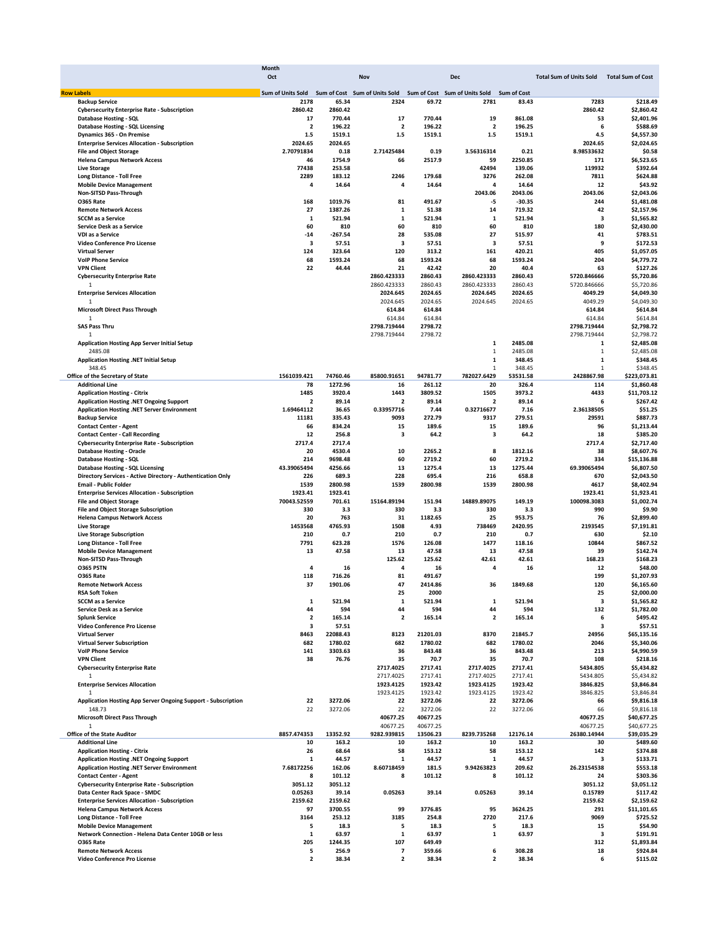|                                                               | Month                    |           |                               |          |                               |                    |                                |                          |  |
|---------------------------------------------------------------|--------------------------|-----------|-------------------------------|----------|-------------------------------|--------------------|--------------------------------|--------------------------|--|
|                                                               | Oct                      |           | Nov                           |          | <b>Dec</b>                    |                    | <b>Total Sum of Units Sold</b> | <b>Total Sum of Cost</b> |  |
| <b>Row Labels</b>                                             | <b>Sum of Units Sold</b> |           | Sum of Cost Sum of Units Sold |          | Sum of Cost Sum of Units Sold | <b>Sum of Cost</b> |                                |                          |  |
| <b>Backup Service</b>                                         | 2178                     | 65.34     | 2324                          | 69.72    | 2781                          | 83.43              | 7283                           | \$218.49                 |  |
| <b>Cybersecurity Enterprise Rate - Subscription</b>           | 2860.42                  | 2860.42   |                               |          |                               |                    | 2860.42                        | \$2,860.42               |  |
| <b>Database Hosting - SQL</b>                                 | 17                       | 770.44    | 17                            | 770.44   | 19                            | 861.08             | 53                             | \$2,401.96               |  |
| <b>Database Hosting - SQL Licensing</b>                       | $\overline{2}$           | 196.22    | $\overline{\mathbf{2}}$       | 196.22   | $\overline{\mathbf{2}}$       | 196.25             | 6                              | \$588.69                 |  |
| Dynamics 365 - On Premise                                     | $1.5$                    | 1519.1    | $1.5\,$                       | 1519.1   | 1.5                           | 1519.1             | 4.5                            | \$4,557.30               |  |
| <b>Enterprise Services Allocation - Subscription</b>          | 2024.65                  | 2024.65   |                               |          |                               |                    | 2024.65                        | \$2,024.65               |  |
| <b>File and Object Storage</b>                                | 2.70791834               | 0.18      | 2.71425484                    | 0.19     | 3.56316314                    | 0.21               | 8.98533632                     | \$0.58                   |  |
| <b>Helena Campus Network Access</b>                           | 46                       | 1754.9    | 66                            | 2517.9   | 59                            | 2250.85            | 171                            | \$6,523.65               |  |
| <b>Live Storage</b>                                           | 77438                    | 253.58    |                               |          | 42494                         | 139.06             | 119932                         | \$392.64                 |  |
| Long Distance - Toll Free                                     | 2289                     | 183.12    | 2246                          | 179.68   | 3276                          | 262.08             | 7811                           | \$624.88                 |  |
| <b>Mobile Device Management</b>                               | 4                        | 14.64     | 4                             | 14.64    | 4                             | 14.64              | 12                             | \$43.92                  |  |
| Non-SITSD Pass-Through                                        |                          |           |                               |          | 2043.06                       | 2043.06            | 2043.06                        | \$2,043.06               |  |
| <b>0365 Rate</b>                                              | 168                      | 1019.76   | 81                            | 491.67   | -5                            | -30.35             | 244                            | \$1,481.08               |  |
| <b>Remote Network Access</b>                                  | 27                       | 1387.26   | $\mathbf 1$                   | 51.38    | 14                            | 719.32             | 42                             | \$2,157.96               |  |
| <b>SCCM</b> as a Service                                      | $\mathbf{1}$             | 521.94    | $\mathbf{1}$                  | 521.94   | $\mathbf{1}$                  | 521.94             | 3                              | \$1,565.82               |  |
| Service Desk as a Service                                     | 60                       | 810       | 60                            | 810      | 60                            | 810                | 180                            | \$2,430.00               |  |
| VDI as a Service                                              | $-14$                    | $-267.54$ | 28                            | 535.08   | 27                            | 515.97             | 41                             | \$783.51                 |  |
| Video Conference Pro License                                  | 3                        | 57.51     | 3                             | 57.51    | 3                             | 57.51              | 9                              | \$172.53                 |  |
| <b>Virtual Server</b>                                         | 124                      | 323.64    | 120                           | 313.2    | 161                           | 420.21             | 405                            | \$1,057.05               |  |
| <b>VolP Phone Service</b>                                     | 68                       | 1593.24   | 68                            | 1593.24  | 68                            | 1593.24            | 204                            | \$4,779.72               |  |
| <b>VPN Client</b>                                             | 22                       | 44.44     | 21                            | 42.42    | 20                            | 40.4               | 63                             | \$127.26                 |  |
| <b>Cybersecurity Enterprise Rate</b>                          |                          |           | 2860.423333                   | 2860.43  | 2860.423333                   | 2860.43            | 5720.846666                    | \$5,720.86               |  |
| 1                                                             |                          |           | 2860.423333                   | 2860.43  | 2860.423333                   | 2860.43            | 5720.846666                    | \$5,720.86               |  |
| <b>Enterprise Services Allocation</b>                         |                          |           | 2024.645                      | 2024.65  | 2024.645                      | 2024.65            | 4049.29                        | \$4,049.30               |  |
| 1                                                             |                          |           | 2024.645                      | 2024.65  | 2024.645                      | 2024.65            | 4049.29                        | \$4,049.30               |  |
| <b>Microsoft Direct Pass Through</b>                          |                          |           | 614.84                        | 614.84   |                               |                    | 614.84                         | \$614.84                 |  |
| 1                                                             |                          |           | 614.84                        | 614.84   |                               |                    | 614.84                         | \$614.84                 |  |
| <b>SAS Pass Thru</b>                                          |                          |           | 2798.719444                   | 2798.72  |                               |                    | 2798.719444                    | \$2,798.72               |  |
| 1                                                             |                          |           | 2798.719444                   | 2798.72  |                               |                    | 2798.719444                    |                          |  |
|                                                               |                          |           |                               |          |                               | 2485.08            |                                | \$2,798.72               |  |
| <b>Application Hosting App Server Initial Setup</b>           |                          |           |                               |          | 1                             |                    | 1                              | \$2,485.08               |  |
| 2485.08                                                       |                          |           |                               |          | $\mathbf{1}$                  | 2485.08            | $\mathbf{1}$                   | \$2,485.08               |  |
| Application Hosting .NET Initial Setup                        |                          |           |                               |          | 1                             | 348.45             | $\mathbf{1}$                   | \$348.45                 |  |
| 348.45                                                        |                          |           |                               |          | $\mathbf{1}$                  | 348.45             | $\mathbf 1$                    | \$348.45                 |  |
| Office of the Secretary of State                              | 1561039.421              | 74760.46  | 85800.91651                   | 94781.77 | 782027.6429                   | 53531.58           | 2428867.98                     | \$223,073.81             |  |
| <b>Additional Line</b>                                        | 78                       | 1272.96   | 16                            | 261.12   | 20                            | 326.4              | 114                            | \$1,860.48               |  |
| <b>Application Hosting - Citrix</b>                           | 1485                     | 3920.4    | 1443                          | 3809.52  | 1505                          | 3973.2             | 4433                           | \$11,703.12              |  |
| <b>Application Hosting .NET Ongoing Support</b>               | $\overline{\mathbf{2}}$  | 89.14     | $\overline{\mathbf{2}}$       | 89.14    | $\overline{2}$                | 89.14              | 6                              | \$267.42                 |  |
| Application Hosting .NET Server Environment                   | 1.69464112               | 36.65     | 0.33957716                    | 7.44     | 0.32716677                    | 7.16               | 2.36138505                     | \$51.25                  |  |
| <b>Backup Service</b>                                         | 11181                    | 335.43    | 9093                          | 272.79   | 9317                          | 279.51             | 29591                          | \$887.73                 |  |
| <b>Contact Center - Agent</b>                                 | 66                       | 834.24    | 15                            | 189.6    | 15                            | 189.6              | 96                             | \$1,213.44               |  |
| <b>Contact Center - Call Recording</b>                        | 12                       | 256.8     | 3                             | 64.2     | 3                             | 64.2               | 18                             | \$385.20                 |  |
| <b>Cybersecurity Enterprise Rate - Subscription</b>           | 2717.4                   | 2717.4    |                               |          |                               |                    | 2717.4                         | \$2,717.40               |  |
| <b>Database Hosting - Oracle</b>                              | 20                       | 4530.4    | 10                            | 2265.2   | 8                             | 1812.16            | 38                             | \$8,607.76               |  |
| Database Hosting - SQL                                        | 214                      | 9698.48   | 60                            | 2719.2   | 60                            | 2719.2             | 334                            | \$15,136.88              |  |
| <b>Database Hosting - SQL Licensing</b>                       | 43.39065494              | 4256.66   | 13                            | 1275.4   | 13                            | 1275.44            | 69.39065494                    | \$6,807.50               |  |
| Directory Services - Active Directory - Authentication Only   | 226                      | 689.3     | 228                           | 695.4    | 216                           | 658.8              | 670                            | \$2,043.50               |  |
| <b>Email - Public Folder</b>                                  | 1539                     | 2800.98   | 1539                          | 2800.98  | 1539                          | 2800.98            | 4617                           | \$8,402.94               |  |
| <b>Enterprise Services Allocation - Subscription</b>          | 1923.41                  | 1923.41   |                               |          |                               |                    | 1923.41                        | \$1,923.41               |  |
| <b>File and Object Storage</b>                                | 70043.52559              | 701.61    | 15164.89194                   | 151.94   | 14889.89075                   | 149.19             | 100098.3083                    | \$1,002.74               |  |
| <b>File and Object Storage Subscription</b>                   | 330                      | 3.3       | 330                           | 3.3      | 330                           | 3.3                | 990                            | \$9.90                   |  |
| <b>Helena Campus Network Access</b>                           | 20                       | 763       | 31                            | 1182.65  | 25                            | 953.75             | 76                             | \$2,899.40               |  |
| <b>Live Storage</b>                                           | 1453568                  | 4765.93   | 1508                          | 4.93     | 738469                        | 2420.95            | 2193545                        | \$7,191.81               |  |
| <b>Live Storage Subscription</b>                              | 210                      | 0.7       | 210                           | 0.7      | 210                           | 0.7                | 630                            | \$2.10                   |  |
| Long Distance - Toll Free                                     | 7791                     | 623.28    | 1576                          | 126.08   | 1477                          | 118.16             | 10844                          | \$867.52                 |  |
| <b>Mobile Device Management</b>                               | 13                       | 47.58     | 13                            | 47.58    | 13                            | 47.58              | 39                             | \$142.74                 |  |
| Non-SITSD Pass-Through                                        |                          |           | 125.62                        | 125.62   | 42.61                         | 42.61              | 168.23                         | \$168.23                 |  |
| O365 PSTN                                                     | 4                        | 16        | 4                             | 16       | 4                             | 16                 | 12                             | \$48.00                  |  |
| <b>0365 Rate</b>                                              | 118                      | 716.26    | 81                            | 491.67   |                               |                    | 199                            | \$1,207.93               |  |
| <b>Remote Network Access</b>                                  | 37                       | 1901.06   | 47                            | 2414.86  | 36                            | 1849.68            | 120                            | \$6.165.60               |  |
| RSA Soft Token                                                |                          |           | 25                            | 2000     |                               |                    | 25                             | \$2,000.00               |  |
| <b>SCCM</b> as a Service                                      | $\mathbf{1}$             | 521.94    | 1                             | 521.94   | 1                             | 521.94             | 3                              |                          |  |
| Service Desk as a Service                                     | 44                       | 594       | 44                            | 594      | 44                            | 594                | 132                            | \$1,565.82               |  |
|                                                               | $\overline{\mathbf{2}}$  |           | $\overline{\mathbf{2}}$       |          | $\overline{\mathbf{2}}$       |                    | 6                              | \$1,782.00<br>\$495.42   |  |
| <b>Splunk Service</b>                                         |                          | 165.14    |                               | 165.14   |                               | 165.14             |                                |                          |  |
| Video Conference Pro License                                  | 3                        | 57.51     |                               |          |                               |                    | з                              | \$57.51                  |  |
| <b>Virtual Server</b>                                         | 8463                     | 22088.43  | 8123                          | 21201.03 | 8370                          | 21845.7            | 24956                          | \$65,135.16              |  |
| <b>Virtual Server Subscription</b>                            | 682                      | 1780.02   | 682                           | 1780.02  | 682                           | 1780.02            | 2046                           | \$5,340.06               |  |
| <b>VolP Phone Service</b>                                     | 141                      | 3303.63   | 36                            | 843.48   | 36                            | 843.48             | 213                            | \$4,990.59               |  |
| <b>VPN Client</b>                                             | 38                       | 76.76     | 35                            | 70.7     | 35                            | 70.7               | 108                            | \$218.16                 |  |
| <b>Cybersecurity Enterprise Rate</b>                          |                          |           | 2717.4025                     | 2717.41  | 2717.4025                     | 2717.41            | 5434.805                       | \$5,434.82               |  |
| 1                                                             |                          |           | 2717.4025                     | 2717.41  | 2717.4025                     | 2717.41            | 5434.805                       | \$5,434.82               |  |
| <b>Enterprise Services Allocation</b>                         |                          |           | 1923.4125                     | 1923.42  | 1923.4125                     | 1923.42            | 3846.825                       | \$3,846.84               |  |
| $\mathbf{1}$                                                  |                          |           | 1923.4125                     | 1923.42  | 1923.4125                     | 1923.42            | 3846.825                       | \$3,846.84               |  |
| Application Hosting App Server Ongoing Support - Subscription | 22                       | 3272.06   | 22                            | 3272.06  | 22                            | 3272.06            | 66                             | \$9,816.18               |  |
| 148.73                                                        | 22                       | 3272.06   | 22                            | 3272.06  | 22                            | 3272.06            | 66                             | \$9,816.18               |  |
| <b>Microsoft Direct Pass Through</b>                          |                          |           | 40677.25                      | 40677.25 |                               |                    | 40677.25                       | \$40,677.25              |  |
| $\mathbf{1}$                                                  |                          |           | 40677.25                      | 40677.25 |                               |                    | 40677.25                       | \$40,677.25              |  |
| <b>Office of the State Auditor</b>                            | 8857.474353              | 13352.92  | 9282.939815                   | 13506.23 | 8239.735268                   | 12176.14           | 26380.14944                    | \$39,035.29              |  |
| <b>Additional Line</b>                                        | 10                       | 163.2     | 10                            | 163.2    | 10                            | 163.2              | 30                             | \$489.60                 |  |
| <b>Application Hosting - Citrix</b>                           | 26                       | 68.64     | 58                            | 153.12   | 58                            | 153.12             | 142                            | \$374.88                 |  |
| Application Hosting .NET Ongoing Support                      | 1                        | 44.57     | 1                             | 44.57    | 1                             | 44.57              | з                              | \$133.71                 |  |
| Application Hosting .NET Server Environment                   | 7.68172256               | 162.06    | 8.60718459                    | 181.5    | 9.94263823                    | 209.62             | 26.23154538                    | \$553.18                 |  |
| <b>Contact Center - Agent</b>                                 | 8                        |           |                               | 101.12   | 8                             | 101.12             |                                | \$303.36                 |  |
|                                                               |                          | 101.12    | 8                             |          |                               |                    | 24                             |                          |  |
| <b>Cybersecurity Enterprise Rate - Subscription</b>           | 3051.12                  | 3051.12   |                               |          |                               |                    | 3051.12                        | \$3,051.12               |  |
| Data Center Rack Space - SMDC                                 | 0.05263                  | 39.14     | 0.05263                       | 39.14    | 0.05263                       | 39.14              | 0.15789                        | \$117.42                 |  |
| <b>Enterprise Services Allocation - Subscription</b>          | 2159.62                  | 2159.62   |                               |          |                               |                    | 2159.62                        | \$2,159.62               |  |
| <b>Helena Campus Network Access</b>                           | 97                       | 3700.55   | 99                            | 3776.85  | 95                            | 3624.25            | 291                            | \$11,101.65              |  |
| Long Distance - Toll Free                                     | 3164                     | 253.12    | 3185                          | 254.8    | 2720                          | 217.6              | 9069                           | \$725.52                 |  |
| <b>Mobile Device Management</b>                               | 5                        | 18.3      | 5                             | 18.3     | 5                             | 18.3               | 15                             | \$54.90                  |  |
| Network Connection - Helena Data Center 10GB or less          | $\mathbf{1}$             | 63.97     | $\mathbf 1$                   | 63.97    | 1                             | 63.97              | 3                              | \$191.91                 |  |
| <b>0365 Rate</b>                                              | 205                      | 1244.35   | 107                           | 649.49   |                               |                    | 312                            | \$1,893.84               |  |
| <b>Remote Network Access</b>                                  | 5                        | 256.9     | 7                             | 359.66   | 6                             | 308.28             | 18                             | \$924.84                 |  |
| Video Conference Pro License                                  | $\mathbf{2}$             | 38.34     | $\overline{\mathbf{2}}$       | 38.34    | 2                             | 38.34              | 6                              | \$115.02                 |  |
|                                                               |                          |           |                               |          |                               |                    |                                |                          |  |